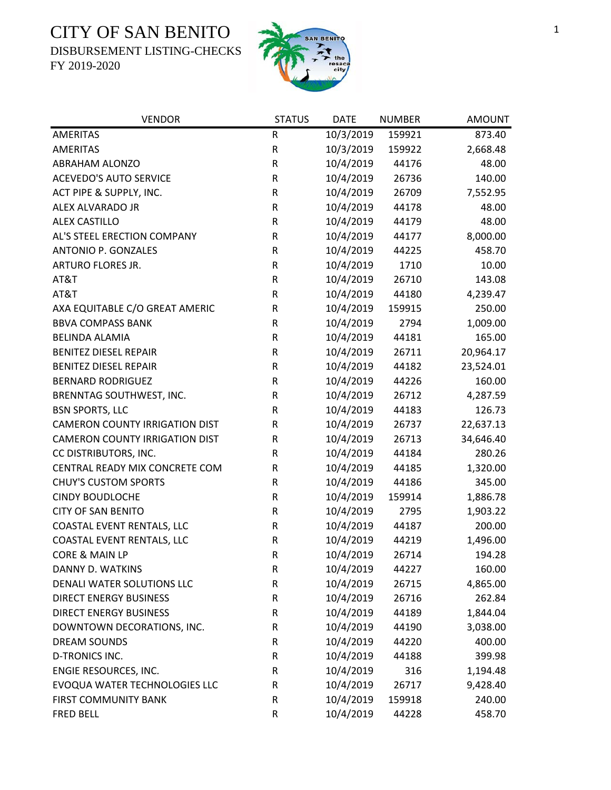DISBURSEMENT LISTING-CHECKS



| <b>VENDOR</b>                         | <b>STATUS</b> | <b>DATE</b> | <b>NUMBER</b> | <b>AMOUNT</b> |
|---------------------------------------|---------------|-------------|---------------|---------------|
| <b>AMERITAS</b>                       | ${\sf R}$     | 10/3/2019   | 159921        | 873.40        |
| <b>AMERITAS</b>                       | ${\sf R}$     | 10/3/2019   | 159922        | 2,668.48      |
| <b>ABRAHAM ALONZO</b>                 | ${\sf R}$     | 10/4/2019   | 44176         | 48.00         |
| <b>ACEVEDO'S AUTO SERVICE</b>         | ${\sf R}$     | 10/4/2019   | 26736         | 140.00        |
| ACT PIPE & SUPPLY, INC.               | R             | 10/4/2019   | 26709         | 7,552.95      |
| ALEX ALVARADO JR                      | ${\sf R}$     | 10/4/2019   | 44178         | 48.00         |
| <b>ALEX CASTILLO</b>                  | ${\sf R}$     | 10/4/2019   | 44179         | 48.00         |
| AL'S STEEL ERECTION COMPANY           | ${\sf R}$     | 10/4/2019   | 44177         | 8,000.00      |
| <b>ANTONIO P. GONZALES</b>            | ${\sf R}$     | 10/4/2019   | 44225         | 458.70        |
| ARTURO FLORES JR.                     | ${\sf R}$     | 10/4/2019   | 1710          | 10.00         |
| AT&T                                  | ${\sf R}$     | 10/4/2019   | 26710         | 143.08        |
| AT&T                                  | R             | 10/4/2019   | 44180         | 4,239.47      |
| AXA EQUITABLE C/O GREAT AMERIC        | ${\sf R}$     | 10/4/2019   | 159915        | 250.00        |
| <b>BBVA COMPASS BANK</b>              | R             | 10/4/2019   | 2794          | 1,009.00      |
| <b>BELINDA ALAMIA</b>                 | ${\sf R}$     | 10/4/2019   | 44181         | 165.00        |
| <b>BENITEZ DIESEL REPAIR</b>          | ${\sf R}$     | 10/4/2019   | 26711         | 20,964.17     |
| <b>BENITEZ DIESEL REPAIR</b>          | R             | 10/4/2019   | 44182         | 23,524.01     |
| <b>BERNARD RODRIGUEZ</b>              | ${\sf R}$     | 10/4/2019   | 44226         | 160.00        |
| BRENNTAG SOUTHWEST, INC.              | ${\sf R}$     | 10/4/2019   | 26712         | 4,287.59      |
| <b>BSN SPORTS, LLC</b>                | ${\sf R}$     | 10/4/2019   | 44183         | 126.73        |
| <b>CAMERON COUNTY IRRIGATION DIST</b> | ${\sf R}$     | 10/4/2019   | 26737         | 22,637.13     |
| <b>CAMERON COUNTY IRRIGATION DIST</b> | ${\sf R}$     | 10/4/2019   | 26713         | 34,646.40     |
| CC DISTRIBUTORS, INC.                 | R             | 10/4/2019   | 44184         | 280.26        |
| CENTRAL READY MIX CONCRETE COM        | R             | 10/4/2019   | 44185         | 1,320.00      |
| <b>CHUY'S CUSTOM SPORTS</b>           | ${\sf R}$     | 10/4/2019   | 44186         | 345.00        |
| <b>CINDY BOUDLOCHE</b>                | ${\sf R}$     | 10/4/2019   | 159914        | 1,886.78      |
| <b>CITY OF SAN BENITO</b>             | ${\sf R}$     | 10/4/2019   | 2795          | 1,903.22      |
| COASTAL EVENT RENTALS, LLC            | $\mathsf R$   | 10/4/2019   | 44187         | 200.00        |
| COASTAL EVENT RENTALS, LLC            | R             | 10/4/2019   | 44219         | 1,496.00      |
| CORE & MAIN LP                        | $\mathsf{R}$  | 10/4/2019   | 26714         | 194.28        |
| DANNY D. WATKINS                      | R             | 10/4/2019   | 44227         | 160.00        |
| DENALI WATER SOLUTIONS LLC            | ${\sf R}$     | 10/4/2019   | 26715         | 4,865.00      |
| <b>DIRECT ENERGY BUSINESS</b>         | ${\sf R}$     | 10/4/2019   | 26716         | 262.84        |
| <b>DIRECT ENERGY BUSINESS</b>         | R             | 10/4/2019   | 44189         | 1,844.04      |
| DOWNTOWN DECORATIONS, INC.            | ${\sf R}$     | 10/4/2019   | 44190         | 3,038.00      |
| <b>DREAM SOUNDS</b>                   | R             | 10/4/2019   | 44220         | 400.00        |
| <b>D-TRONICS INC.</b>                 | ${\sf R}$     | 10/4/2019   | 44188         | 399.98        |
| ENGIE RESOURCES, INC.                 | ${\sf R}$     | 10/4/2019   | 316           | 1,194.48      |
| EVOQUA WATER TECHNOLOGIES LLC         | ${\sf R}$     | 10/4/2019   | 26717         | 9,428.40      |
| <b>FIRST COMMUNITY BANK</b>           | ${\sf R}$     | 10/4/2019   | 159918        | 240.00        |
| <b>FRED BELL</b>                      | ${\sf R}$     | 10/4/2019   | 44228         | 458.70        |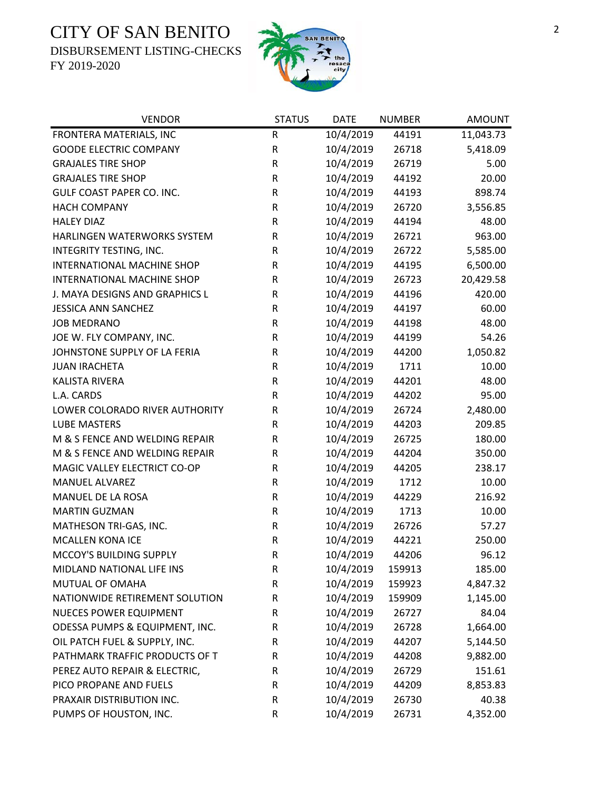DISBURSEMENT LISTING-CHECKS



| <b>VENDOR</b>                  | <b>STATUS</b> | <b>DATE</b> | <b>NUMBER</b> | <b>AMOUNT</b> |
|--------------------------------|---------------|-------------|---------------|---------------|
| FRONTERA MATERIALS, INC        | R             | 10/4/2019   | 44191         | 11,043.73     |
| <b>GOODE ELECTRIC COMPANY</b>  | ${\sf R}$     | 10/4/2019   | 26718         | 5,418.09      |
| <b>GRAJALES TIRE SHOP</b>      | ${\sf R}$     | 10/4/2019   | 26719         | 5.00          |
| <b>GRAJALES TIRE SHOP</b>      | R             | 10/4/2019   | 44192         | 20.00         |
| GULF COAST PAPER CO. INC.      | ${\sf R}$     | 10/4/2019   | 44193         | 898.74        |
| <b>HACH COMPANY</b>            | $\mathsf R$   | 10/4/2019   | 26720         | 3,556.85      |
| <b>HALEY DIAZ</b>              | R             | 10/4/2019   | 44194         | 48.00         |
| HARLINGEN WATERWORKS SYSTEM    | R             | 10/4/2019   | 26721         | 963.00        |
| INTEGRITY TESTING, INC.        | R             | 10/4/2019   | 26722         | 5,585.00      |
| INTERNATIONAL MACHINE SHOP     | R             | 10/4/2019   | 44195         | 6,500.00      |
| INTERNATIONAL MACHINE SHOP     | ${\sf R}$     | 10/4/2019   | 26723         | 20,429.58     |
| J. MAYA DESIGNS AND GRAPHICS L | R             | 10/4/2019   | 44196         | 420.00        |
| <b>JESSICA ANN SANCHEZ</b>     | ${\sf R}$     | 10/4/2019   | 44197         | 60.00         |
| <b>JOB MEDRANO</b>             | R             | 10/4/2019   | 44198         | 48.00         |
| JOE W. FLY COMPANY, INC.       | R             | 10/4/2019   | 44199         | 54.26         |
| JOHNSTONE SUPPLY OF LA FERIA   | R             | 10/4/2019   | 44200         | 1,050.82      |
| <b>JUAN IRACHETA</b>           | R             | 10/4/2019   | 1711          | 10.00         |
| <b>KALISTA RIVERA</b>          | R             | 10/4/2019   | 44201         | 48.00         |
| L.A. CARDS                     | R             | 10/4/2019   | 44202         | 95.00         |
| LOWER COLORADO RIVER AUTHORITY | ${\sf R}$     | 10/4/2019   | 26724         | 2,480.00      |
| <b>LUBE MASTERS</b>            | R             | 10/4/2019   | 44203         | 209.85        |
| M & S FENCE AND WELDING REPAIR | ${\sf R}$     | 10/4/2019   | 26725         | 180.00        |
| M & S FENCE AND WELDING REPAIR | ${\sf R}$     | 10/4/2019   | 44204         | 350.00        |
| MAGIC VALLEY ELECTRICT CO-OP   | R             | 10/4/2019   | 44205         | 238.17        |
| <b>MANUEL ALVAREZ</b>          | R             | 10/4/2019   | 1712          | 10.00         |
| MANUEL DE LA ROSA              | R             | 10/4/2019   | 44229         | 216.92        |
| <b>MARTIN GUZMAN</b>           | R             | 10/4/2019   | 1713          | 10.00         |
| MATHESON TRI-GAS, INC.         | ${\sf R}$     | 10/4/2019   | 26726         | 57.27         |
| <b>MCALLEN KONA ICE</b>        | ${\sf R}$     | 10/4/2019   | 44221         | 250.00        |
| MCCOY'S BUILDING SUPPLY        | $\mathsf{R}$  | 10/4/2019   | 44206         | 96.12         |
| MIDLAND NATIONAL LIFE INS      | R             | 10/4/2019   | 159913        | 185.00        |
| MUTUAL OF OMAHA                | $\mathsf R$   | 10/4/2019   | 159923        | 4,847.32      |
| NATIONWIDE RETIREMENT SOLUTION | R             | 10/4/2019   | 159909        | 1,145.00      |
| NUECES POWER EQUIPMENT         | R             | 10/4/2019   | 26727         | 84.04         |
| ODESSA PUMPS & EQUIPMENT, INC. | R             | 10/4/2019   | 26728         | 1,664.00      |
| OIL PATCH FUEL & SUPPLY, INC.  | R             | 10/4/2019   | 44207         | 5,144.50      |
| PATHMARK TRAFFIC PRODUCTS OF T | R             | 10/4/2019   | 44208         | 9,882.00      |
| PEREZ AUTO REPAIR & ELECTRIC,  | R             | 10/4/2019   | 26729         | 151.61        |
| PICO PROPANE AND FUELS         | R             | 10/4/2019   | 44209         | 8,853.83      |
| PRAXAIR DISTRIBUTION INC.      | R             | 10/4/2019   | 26730         | 40.38         |
| PUMPS OF HOUSTON, INC.         | $\mathsf R$   | 10/4/2019   | 26731         | 4,352.00      |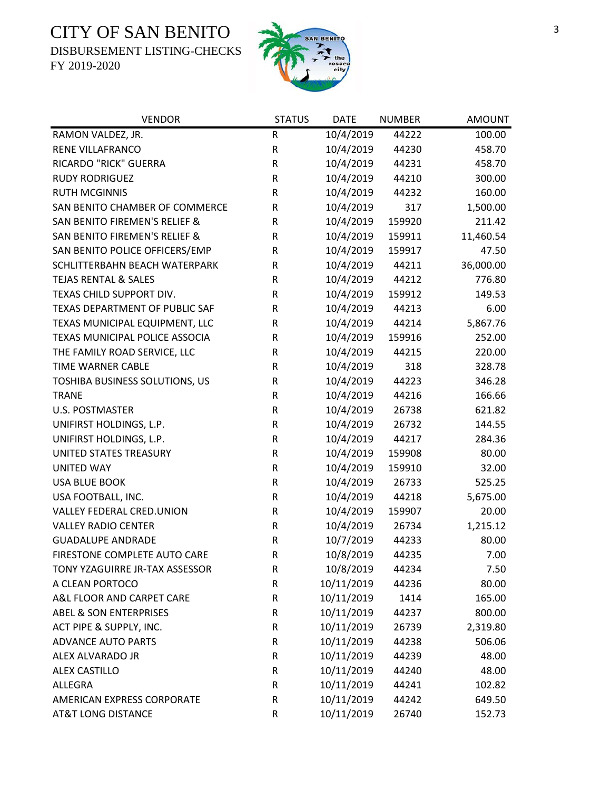DISBURSEMENT LISTING-CHECKS



| <b>VENDOR</b>                     | <b>STATUS</b> | <b>DATE</b> | <b>NUMBER</b> | <b>AMOUNT</b> |
|-----------------------------------|---------------|-------------|---------------|---------------|
| RAMON VALDEZ, JR.                 | ${\sf R}$     | 10/4/2019   | 44222         | 100.00        |
| <b>RENE VILLAFRANCO</b>           | R             | 10/4/2019   | 44230         | 458.70        |
| RICARDO "RICK" GUERRA             | ${\sf R}$     | 10/4/2019   | 44231         | 458.70        |
| <b>RUDY RODRIGUEZ</b>             | ${\sf R}$     | 10/4/2019   | 44210         | 300.00        |
| <b>RUTH MCGINNIS</b>              | R             | 10/4/2019   | 44232         | 160.00        |
| SAN BENITO CHAMBER OF COMMERCE    | ${\sf R}$     | 10/4/2019   | 317           | 1,500.00      |
| SAN BENITO FIREMEN'S RELIEF &     | ${\sf R}$     | 10/4/2019   | 159920        | 211.42        |
| SAN BENITO FIREMEN'S RELIEF &     | ${\sf R}$     | 10/4/2019   | 159911        | 11,460.54     |
| SAN BENITO POLICE OFFICERS/EMP    | ${\sf R}$     | 10/4/2019   | 159917        | 47.50         |
| SCHLITTERBAHN BEACH WATERPARK     | ${\sf R}$     | 10/4/2019   | 44211         | 36,000.00     |
| <b>TEJAS RENTAL &amp; SALES</b>   | R             | 10/4/2019   | 44212         | 776.80        |
| TEXAS CHILD SUPPORT DIV.          | R             | 10/4/2019   | 159912        | 149.53        |
| TEXAS DEPARTMENT OF PUBLIC SAF    | R             | 10/4/2019   | 44213         | 6.00          |
| TEXAS MUNICIPAL EQUIPMENT, LLC    | R             | 10/4/2019   | 44214         | 5,867.76      |
| TEXAS MUNICIPAL POLICE ASSOCIA    | ${\sf R}$     | 10/4/2019   | 159916        | 252.00        |
| THE FAMILY ROAD SERVICE, LLC      | ${\sf R}$     | 10/4/2019   | 44215         | 220.00        |
| <b>TIME WARNER CABLE</b>          | ${\sf R}$     | 10/4/2019   | 318           | 328.78        |
| TOSHIBA BUSINESS SOLUTIONS, US    | ${\sf R}$     | 10/4/2019   | 44223         | 346.28        |
| <b>TRANE</b>                      | R             | 10/4/2019   | 44216         | 166.66        |
| <b>U.S. POSTMASTER</b>            | ${\sf R}$     | 10/4/2019   | 26738         | 621.82        |
| UNIFIRST HOLDINGS, L.P.           | ${\sf R}$     | 10/4/2019   | 26732         | 144.55        |
| UNIFIRST HOLDINGS, L.P.           | ${\sf R}$     | 10/4/2019   | 44217         | 284.36        |
| UNITED STATES TREASURY            | ${\sf R}$     | 10/4/2019   | 159908        | 80.00         |
| <b>UNITED WAY</b>                 | ${\sf R}$     | 10/4/2019   | 159910        | 32.00         |
| <b>USA BLUE BOOK</b>              | ${\sf R}$     | 10/4/2019   | 26733         | 525.25        |
| USA FOOTBALL, INC.                | R             | 10/4/2019   | 44218         | 5,675.00      |
| VALLEY FEDERAL CRED.UNION         | R             | 10/4/2019   | 159907        | 20.00         |
| <b>VALLEY RADIO CENTER</b>        | ${\sf R}$     | 10/4/2019   | 26734         | 1,215.12      |
| <b>GUADALUPE ANDRADE</b>          | ${\sf R}$     | 10/7/2019   | 44233         | 80.00         |
| FIRESTONE COMPLETE AUTO CARE      | $\mathsf{R}$  | 10/8/2019   | 44235         | 7.00          |
| TONY YZAGUIRRE JR-TAX ASSESSOR    | R             | 10/8/2019   | 44234         | 7.50          |
| A CLEAN PORTOCO                   | R             | 10/11/2019  | 44236         | 80.00         |
| A&L FLOOR AND CARPET CARE         | R             | 10/11/2019  | 1414          | 165.00        |
| <b>ABEL &amp; SON ENTERPRISES</b> | R             | 10/11/2019  | 44237         | 800.00        |
| ACT PIPE & SUPPLY, INC.           | R             | 10/11/2019  | 26739         | 2,319.80      |
| <b>ADVANCE AUTO PARTS</b>         | R             | 10/11/2019  | 44238         | 506.06        |
| ALEX ALVARADO JR                  | R             | 10/11/2019  | 44239         | 48.00         |
| <b>ALEX CASTILLO</b>              | R             | 10/11/2019  | 44240         | 48.00         |
| ALLEGRA                           | ${\sf R}$     | 10/11/2019  | 44241         | 102.82        |
| AMERICAN EXPRESS CORPORATE        | R             | 10/11/2019  | 44242         | 649.50        |
| <b>AT&amp;T LONG DISTANCE</b>     | R             | 10/11/2019  | 26740         | 152.73        |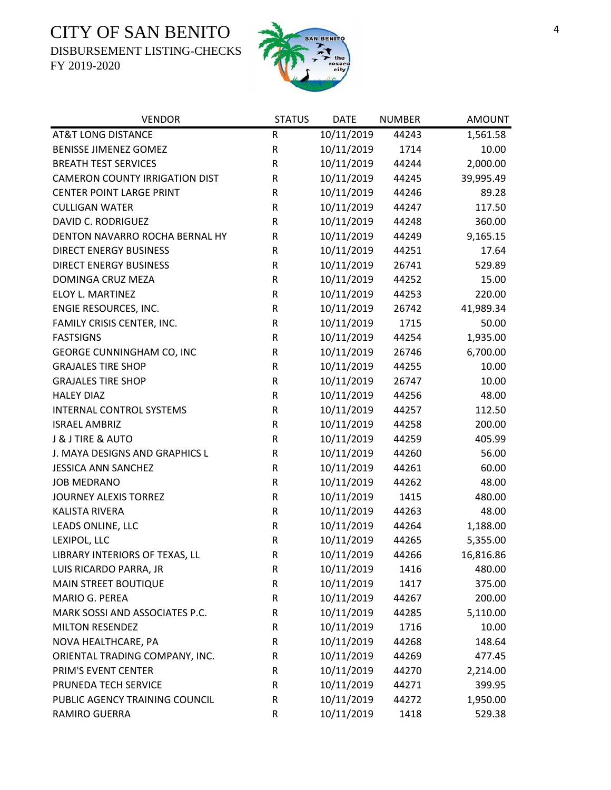DISBURSEMENT LISTING-CHECKS



| <b>VENDOR</b>                         | <b>STATUS</b> | <b>DATE</b> | <b>NUMBER</b> | <b>AMOUNT</b> |
|---------------------------------------|---------------|-------------|---------------|---------------|
| <b>AT&amp;T LONG DISTANCE</b>         | R             | 10/11/2019  | 44243         | 1,561.58      |
| <b>BENISSE JIMENEZ GOMEZ</b>          | R             | 10/11/2019  | 1714          | 10.00         |
| <b>BREATH TEST SERVICES</b>           | R             | 10/11/2019  | 44244         | 2,000.00      |
| <b>CAMERON COUNTY IRRIGATION DIST</b> | R             | 10/11/2019  | 44245         | 39,995.49     |
| <b>CENTER POINT LARGE PRINT</b>       | R             | 10/11/2019  | 44246         | 89.28         |
| <b>CULLIGAN WATER</b>                 | R             | 10/11/2019  | 44247         | 117.50        |
| <b>DAVID C. RODRIGUEZ</b>             | R             | 10/11/2019  | 44248         | 360.00        |
| DENTON NAVARRO ROCHA BERNAL HY        | R             | 10/11/2019  | 44249         | 9,165.15      |
| <b>DIRECT ENERGY BUSINESS</b>         | R             | 10/11/2019  | 44251         | 17.64         |
| <b>DIRECT ENERGY BUSINESS</b>         | R             | 10/11/2019  | 26741         | 529.89        |
| DOMINGA CRUZ MEZA                     | R             | 10/11/2019  | 44252         | 15.00         |
| ELOY L. MARTINEZ                      | R             | 10/11/2019  | 44253         | 220.00        |
| ENGIE RESOURCES, INC.                 | R             | 10/11/2019  | 26742         | 41,989.34     |
| FAMILY CRISIS CENTER, INC.            | R             | 10/11/2019  | 1715          | 50.00         |
| <b>FASTSIGNS</b>                      | R             | 10/11/2019  | 44254         | 1,935.00      |
| GEORGE CUNNINGHAM CO, INC             | ${\sf R}$     | 10/11/2019  | 26746         | 6,700.00      |
| <b>GRAJALES TIRE SHOP</b>             | R             | 10/11/2019  | 44255         | 10.00         |
| <b>GRAJALES TIRE SHOP</b>             | R             | 10/11/2019  | 26747         | 10.00         |
| <b>HALEY DIAZ</b>                     | R             | 10/11/2019  | 44256         | 48.00         |
| <b>INTERNAL CONTROL SYSTEMS</b>       | R             | 10/11/2019  | 44257         | 112.50        |
| <b>ISRAEL AMBRIZ</b>                  | R             | 10/11/2019  | 44258         | 200.00        |
| J & J TIRE & AUTO                     | R             | 10/11/2019  | 44259         | 405.99        |
| J. MAYA DESIGNS AND GRAPHICS L        | R             | 10/11/2019  | 44260         | 56.00         |
| <b>JESSICA ANN SANCHEZ</b>            | R             | 10/11/2019  | 44261         | 60.00         |
| <b>JOB MEDRANO</b>                    | R             | 10/11/2019  | 44262         | 48.00         |
| <b>JOURNEY ALEXIS TORREZ</b>          | R             | 10/11/2019  | 1415          | 480.00        |
| <b>KALISTA RIVERA</b>                 | R             | 10/11/2019  | 44263         | 48.00         |
| LEADS ONLINE, LLC                     | R             | 10/11/2019  | 44264         | 1,188.00      |
| LEXIPOL, LLC                          | ${\sf R}$     | 10/11/2019  | 44265         | 5,355.00      |
| LIBRARY INTERIORS OF TEXAS, LL        | $\mathsf R$   | 10/11/2019  | 44266         | 16,816.86     |
| LUIS RICARDO PARRA, JR                | R             | 10/11/2019  | 1416          | 480.00        |
| MAIN STREET BOUTIQUE                  | R             | 10/11/2019  | 1417          | 375.00        |
| MARIO G. PEREA                        | R             | 10/11/2019  | 44267         | 200.00        |
| MARK SOSSI AND ASSOCIATES P.C.        | R             | 10/11/2019  | 44285         | 5,110.00      |
| <b>MILTON RESENDEZ</b>                | R             | 10/11/2019  | 1716          | 10.00         |
| NOVA HEALTHCARE, PA                   | R             | 10/11/2019  | 44268         | 148.64        |
| ORIENTAL TRADING COMPANY, INC.        | R             | 10/11/2019  | 44269         | 477.45        |
| PRIM'S EVENT CENTER                   | R             | 10/11/2019  | 44270         | 2,214.00      |
| PRUNEDA TECH SERVICE                  | R             | 10/11/2019  | 44271         | 399.95        |
| PUBLIC AGENCY TRAINING COUNCIL        | R             | 10/11/2019  | 44272         | 1,950.00      |
| RAMIRO GUERRA                         | R             | 10/11/2019  | 1418          | 529.38        |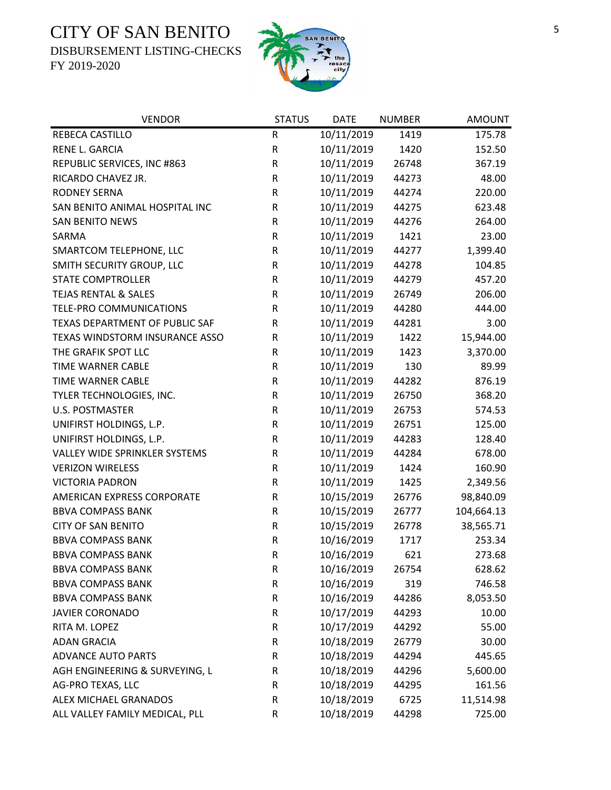DISBURSEMENT LISTING-CHECKS



| <b>VENDOR</b>                        | <b>STATUS</b> | <b>DATE</b> | <b>NUMBER</b> | <b>AMOUNT</b> |
|--------------------------------------|---------------|-------------|---------------|---------------|
| REBECA CASTILLO                      | R             | 10/11/2019  | 1419          | 175.78        |
| RENE L. GARCIA                       | R             | 10/11/2019  | 1420          | 152.50        |
| REPUBLIC SERVICES, INC #863          | R             | 10/11/2019  | 26748         | 367.19        |
| RICARDO CHAVEZ JR.                   | R             | 10/11/2019  | 44273         | 48.00         |
| <b>RODNEY SERNA</b>                  | R             | 10/11/2019  | 44274         | 220.00        |
| SAN BENITO ANIMAL HOSPITAL INC       | R             | 10/11/2019  | 44275         | 623.48        |
| <b>SAN BENITO NEWS</b>               | ${\sf R}$     | 10/11/2019  | 44276         | 264.00        |
| SARMA                                | ${\sf R}$     | 10/11/2019  | 1421          | 23.00         |
| SMARTCOM TELEPHONE, LLC              | R             | 10/11/2019  | 44277         | 1,399.40      |
| SMITH SECURITY GROUP, LLC            | ${\sf R}$     | 10/11/2019  | 44278         | 104.85        |
| STATE COMPTROLLER                    | R             | 10/11/2019  | 44279         | 457.20        |
| <b>TEJAS RENTAL &amp; SALES</b>      | R             | 10/11/2019  | 26749         | 206.00        |
| TELE-PRO COMMUNICATIONS              | $\mathsf R$   | 10/11/2019  | 44280         | 444.00        |
| TEXAS DEPARTMENT OF PUBLIC SAF       | R             | 10/11/2019  | 44281         | 3.00          |
| TEXAS WINDSTORM INSURANCE ASSO       | R             | 10/11/2019  | 1422          | 15,944.00     |
| THE GRAFIK SPOT LLC                  | ${\sf R}$     | 10/11/2019  | 1423          | 3,370.00      |
| TIME WARNER CABLE                    | R             | 10/11/2019  | 130           | 89.99         |
| <b>TIME WARNER CABLE</b>             | R             | 10/11/2019  | 44282         | 876.19        |
| TYLER TECHNOLOGIES, INC.             | R             | 10/11/2019  | 26750         | 368.20        |
| <b>U.S. POSTMASTER</b>               | R             | 10/11/2019  | 26753         | 574.53        |
| UNIFIRST HOLDINGS, L.P.              | R             | 10/11/2019  | 26751         | 125.00        |
| UNIFIRST HOLDINGS, L.P.              | R             | 10/11/2019  | 44283         | 128.40        |
| <b>VALLEY WIDE SPRINKLER SYSTEMS</b> | ${\sf R}$     | 10/11/2019  | 44284         | 678.00        |
| <b>VERIZON WIRELESS</b>              | R             | 10/11/2019  | 1424          | 160.90        |
| <b>VICTORIA PADRON</b>               | R             | 10/11/2019  | 1425          | 2,349.56      |
| AMERICAN EXPRESS CORPORATE           | ${\sf R}$     | 10/15/2019  | 26776         | 98,840.09     |
| <b>BBVA COMPASS BANK</b>             | R             | 10/15/2019  | 26777         | 104,664.13    |
| <b>CITY OF SAN BENITO</b>            | R             | 10/15/2019  | 26778         | 38,565.71     |
| <b>BBVA COMPASS BANK</b>             | $\mathsf R$   | 10/16/2019  | 1717          | 253.34        |
| <b>BBVA COMPASS BANK</b>             | $\mathsf R$   | 10/16/2019  | 621           | 273.68        |
| <b>BBVA COMPASS BANK</b>             | R             | 10/16/2019  | 26754         | 628.62        |
| <b>BBVA COMPASS BANK</b>             | ${\sf R}$     | 10/16/2019  | 319           | 746.58        |
| <b>BBVA COMPASS BANK</b>             | R             | 10/16/2019  | 44286         | 8,053.50      |
| <b>JAVIER CORONADO</b>               | R             | 10/17/2019  | 44293         | 10.00         |
| RITA M. LOPEZ                        | R             | 10/17/2019  | 44292         | 55.00         |
| <b>ADAN GRACIA</b>                   | R             | 10/18/2019  | 26779         | 30.00         |
| <b>ADVANCE AUTO PARTS</b>            | R             | 10/18/2019  | 44294         | 445.65        |
| AGH ENGINEERING & SURVEYING, L       | R             | 10/18/2019  | 44296         | 5,600.00      |
| AG-PRO TEXAS, LLC                    | R             | 10/18/2019  | 44295         | 161.56        |
| ALEX MICHAEL GRANADOS                | R             | 10/18/2019  | 6725          | 11,514.98     |
| ALL VALLEY FAMILY MEDICAL, PLL       | R             | 10/18/2019  | 44298         | 725.00        |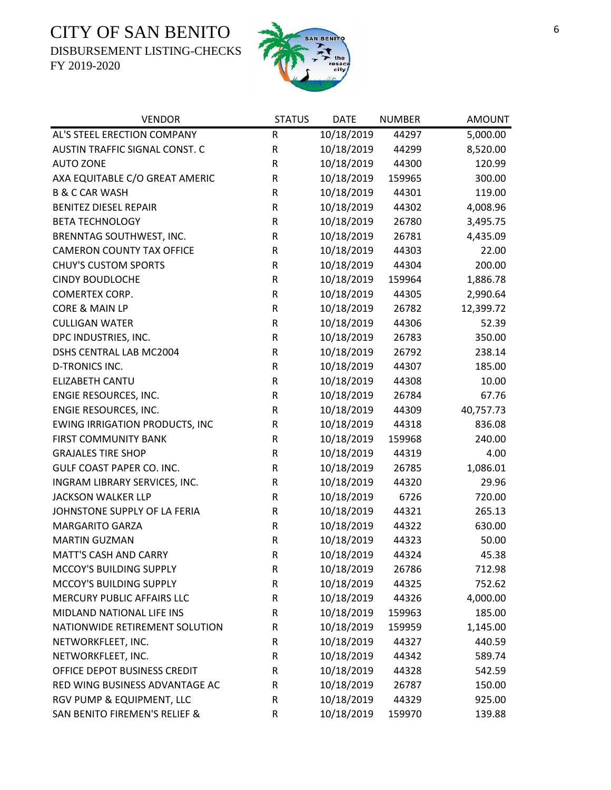DISBURSEMENT LISTING-CHECKS



| <b>VENDOR</b>                         | <b>STATUS</b> | <b>DATE</b> | <b>NUMBER</b> | <b>AMOUNT</b> |
|---------------------------------------|---------------|-------------|---------------|---------------|
| AL'S STEEL ERECTION COMPANY           | R             | 10/18/2019  | 44297         | 5,000.00      |
| AUSTIN TRAFFIC SIGNAL CONST. C        | R             | 10/18/2019  | 44299         | 8,520.00      |
| <b>AUTO ZONE</b>                      | $\mathsf R$   | 10/18/2019  | 44300         | 120.99        |
| AXA EQUITABLE C/O GREAT AMERIC        | R             | 10/18/2019  | 159965        | 300.00        |
| <b>B &amp; C CAR WASH</b>             | R             | 10/18/2019  | 44301         | 119.00        |
| <b>BENITEZ DIESEL REPAIR</b>          | ${\sf R}$     | 10/18/2019  | 44302         | 4,008.96      |
| <b>BETA TECHNOLOGY</b>                | R             | 10/18/2019  | 26780         | 3,495.75      |
| BRENNTAG SOUTHWEST, INC.              | R             | 10/18/2019  | 26781         | 4,435.09      |
| <b>CAMERON COUNTY TAX OFFICE</b>      | R             | 10/18/2019  | 44303         | 22.00         |
| <b>CHUY'S CUSTOM SPORTS</b>           | R             | 10/18/2019  | 44304         | 200.00        |
| <b>CINDY BOUDLOCHE</b>                | R             | 10/18/2019  | 159964        | 1,886.78      |
| <b>COMERTEX CORP.</b>                 | ${\sf R}$     | 10/18/2019  | 44305         | 2,990.64      |
| CORE & MAIN LP                        | ${\sf R}$     | 10/18/2019  | 26782         | 12,399.72     |
| <b>CULLIGAN WATER</b>                 | R             | 10/18/2019  | 44306         | 52.39         |
| DPC INDUSTRIES, INC.                  | ${\sf R}$     | 10/18/2019  | 26783         | 350.00        |
| DSHS CENTRAL LAB MC2004               | R             | 10/18/2019  | 26792         | 238.14        |
| <b>D-TRONICS INC.</b>                 | R             | 10/18/2019  | 44307         | 185.00        |
| <b>ELIZABETH CANTU</b>                | R             | 10/18/2019  | 44308         | 10.00         |
| ENGIE RESOURCES, INC.                 | R             | 10/18/2019  | 26784         | 67.76         |
| ENGIE RESOURCES, INC.                 | R             | 10/18/2019  | 44309         | 40,757.73     |
| <b>EWING IRRIGATION PRODUCTS, INC</b> | R             | 10/18/2019  | 44318         | 836.08        |
| <b>FIRST COMMUNITY BANK</b>           | ${\sf R}$     | 10/18/2019  | 159968        | 240.00        |
| <b>GRAJALES TIRE SHOP</b>             | R             | 10/18/2019  | 44319         | 4.00          |
| GULF COAST PAPER CO. INC.             | R             | 10/18/2019  | 26785         | 1,086.01      |
| INGRAM LIBRARY SERVICES, INC.         | ${\sf R}$     | 10/18/2019  | 44320         | 29.96         |
| <b>JACKSON WALKER LLP</b>             | R             | 10/18/2019  | 6726          | 720.00        |
| JOHNSTONE SUPPLY OF LA FERIA          | R             | 10/18/2019  | 44321         | 265.13        |
| <b>MARGARITO GARZA</b>                | R             | 10/18/2019  | 44322         | 630.00        |
| <b>MARTIN GUZMAN</b>                  | ${\sf R}$     | 10/18/2019  | 44323         | 50.00         |
| MATT'S CASH AND CARRY                 | $\mathsf{R}$  | 10/18/2019  | 44324         | 45.38         |
| MCCOY'S BUILDING SUPPLY               | R             | 10/18/2019  | 26786         | 712.98        |
| MCCOY'S BUILDING SUPPLY               | R             | 10/18/2019  | 44325         | 752.62        |
| MERCURY PUBLIC AFFAIRS LLC            | R             | 10/18/2019  | 44326         | 4,000.00      |
| MIDLAND NATIONAL LIFE INS             | R             | 10/18/2019  | 159963        | 185.00        |
| NATIONWIDE RETIREMENT SOLUTION        | R             | 10/18/2019  | 159959        | 1,145.00      |
| NETWORKFLEET, INC.                    | R             | 10/18/2019  | 44327         | 440.59        |
| NETWORKFLEET, INC.                    | R             | 10/18/2019  | 44342         | 589.74        |
| OFFICE DEPOT BUSINESS CREDIT          | $\mathsf R$   | 10/18/2019  | 44328         | 542.59        |
| RED WING BUSINESS ADVANTAGE AC        | R             | 10/18/2019  | 26787         | 150.00        |
| RGV PUMP & EQUIPMENT, LLC             | R             | 10/18/2019  | 44329         | 925.00        |
| SAN BENITO FIREMEN'S RELIEF &         | R             | 10/18/2019  | 159970        | 139.88        |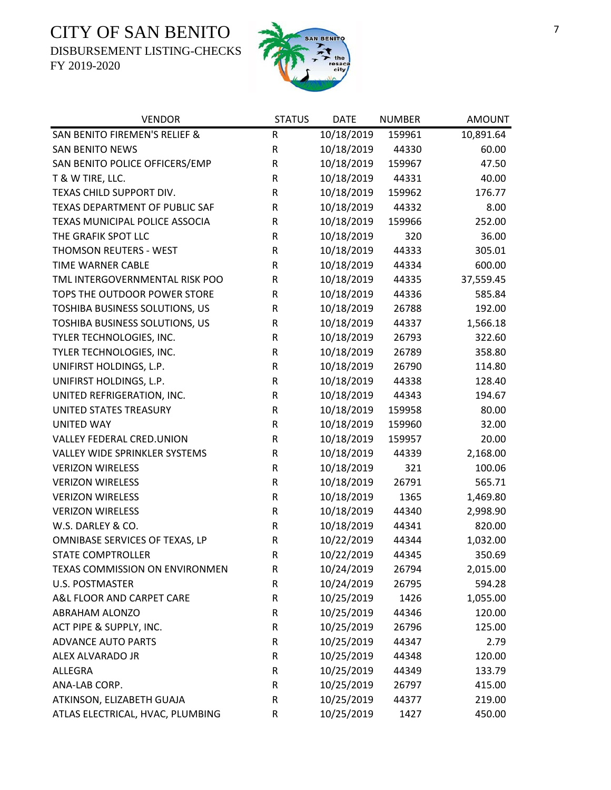DISBURSEMENT LISTING-CHECKS





| <b>VENDOR</b>                        | <b>STATUS</b> | <b>DATE</b> | <b>NUMBER</b> | <b>AMOUNT</b> |
|--------------------------------------|---------------|-------------|---------------|---------------|
| SAN BENITO FIREMEN'S RELIEF &        | ${\sf R}$     | 10/18/2019  | 159961        | 10,891.64     |
| <b>SAN BENITO NEWS</b>               | ${\sf R}$     | 10/18/2019  | 44330         | 60.00         |
| SAN BENITO POLICE OFFICERS/EMP       | ${\sf R}$     | 10/18/2019  | 159967        | 47.50         |
| T & W TIRE, LLC.                     | $\mathsf R$   | 10/18/2019  | 44331         | 40.00         |
| TEXAS CHILD SUPPORT DIV.             | ${\sf R}$     | 10/18/2019  | 159962        | 176.77        |
| TEXAS DEPARTMENT OF PUBLIC SAF       | ${\sf R}$     | 10/18/2019  | 44332         | 8.00          |
| TEXAS MUNICIPAL POLICE ASSOCIA       | ${\sf R}$     | 10/18/2019  | 159966        | 252.00        |
| THE GRAFIK SPOT LLC                  | $\mathsf R$   | 10/18/2019  | 320           | 36.00         |
| THOMSON REUTERS - WEST               | ${\sf R}$     | 10/18/2019  | 44333         | 305.01        |
| TIME WARNER CABLE                    | ${\sf R}$     | 10/18/2019  | 44334         | 600.00        |
| TML INTERGOVERNMENTAL RISK POO       | R             | 10/18/2019  | 44335         | 37,559.45     |
| TOPS THE OUTDOOR POWER STORE         | R             | 10/18/2019  | 44336         | 585.84        |
| TOSHIBA BUSINESS SOLUTIONS, US       | R             | 10/18/2019  | 26788         | 192.00        |
| TOSHIBA BUSINESS SOLUTIONS, US       | ${\sf R}$     | 10/18/2019  | 44337         | 1,566.18      |
| TYLER TECHNOLOGIES, INC.             | ${\sf R}$     | 10/18/2019  | 26793         | 322.60        |
| TYLER TECHNOLOGIES, INC.             | ${\sf R}$     | 10/18/2019  | 26789         | 358.80        |
| UNIFIRST HOLDINGS, L.P.              | $\mathsf R$   | 10/18/2019  | 26790         | 114.80        |
| UNIFIRST HOLDINGS, L.P.              | $\mathsf R$   | 10/18/2019  | 44338         | 128.40        |
| UNITED REFRIGERATION, INC.           | ${\sf R}$     | 10/18/2019  | 44343         | 194.67        |
| UNITED STATES TREASURY               | ${\sf R}$     | 10/18/2019  | 159958        | 80.00         |
| <b>UNITED WAY</b>                    | ${\sf R}$     | 10/18/2019  | 159960        | 32.00         |
| VALLEY FEDERAL CRED.UNION            | ${\sf R}$     | 10/18/2019  | 159957        | 20.00         |
| <b>VALLEY WIDE SPRINKLER SYSTEMS</b> | R             | 10/18/2019  | 44339         | 2,168.00      |
| <b>VERIZON WIRELESS</b>              | ${\sf R}$     | 10/18/2019  | 321           | 100.06        |
| <b>VERIZON WIRELESS</b>              | ${\sf R}$     | 10/18/2019  | 26791         | 565.71        |
| <b>VERIZON WIRELESS</b>              | ${\sf R}$     | 10/18/2019  | 1365          | 1,469.80      |
| <b>VERIZON WIRELESS</b>              | ${\sf R}$     | 10/18/2019  | 44340         | 2,998.90      |
| W.S. DARLEY & CO.                    | R             | 10/18/2019  | 44341         | 820.00        |
| OMNIBASE SERVICES OF TEXAS, LP       | ${\sf R}$     | 10/22/2019  | 44344         | 1,032.00      |
| <b>STATE COMPTROLLER</b>             | $\mathsf R$   | 10/22/2019  | 44345         | 350.69        |
| TEXAS COMMISSION ON ENVIRONMEN       | R             | 10/24/2019  | 26794         | 2,015.00      |
| <b>U.S. POSTMASTER</b>               | R             | 10/24/2019  | 26795         | 594.28        |
| A&L FLOOR AND CARPET CARE            | R             | 10/25/2019  | 1426          | 1,055.00      |
| <b>ABRAHAM ALONZO</b>                | $\mathsf R$   | 10/25/2019  | 44346         | 120.00        |
| ACT PIPE & SUPPLY, INC.              | R             | 10/25/2019  | 26796         | 125.00        |
| <b>ADVANCE AUTO PARTS</b>            | $\mathsf R$   | 10/25/2019  | 44347         | 2.79          |
| ALEX ALVARADO JR                     | $\mathsf R$   | 10/25/2019  | 44348         | 120.00        |
| ALLEGRA                              | $\mathsf R$   | 10/25/2019  | 44349         | 133.79        |
| ANA-LAB CORP.                        | ${\sf R}$     | 10/25/2019  | 26797         | 415.00        |
| ATKINSON, ELIZABETH GUAJA            | R             | 10/25/2019  | 44377         | 219.00        |
| ATLAS ELECTRICAL, HVAC, PLUMBING     | R             | 10/25/2019  | 1427          | 450.00        |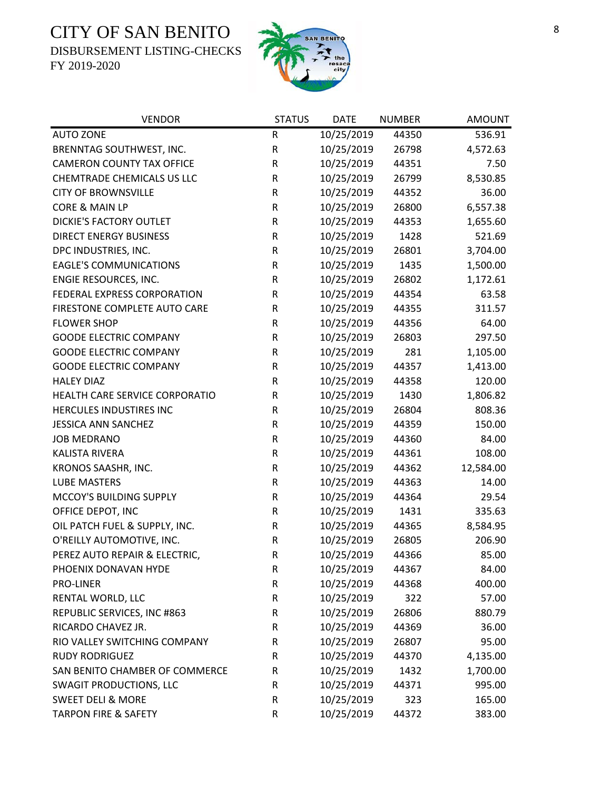DISBURSEMENT LISTING-CHECKS



| <b>VENDOR</b>                    | <b>STATUS</b> | <b>DATE</b> | <b>NUMBER</b> | <b>AMOUNT</b> |
|----------------------------------|---------------|-------------|---------------|---------------|
| <b>AUTO ZONE</b>                 | ${\sf R}$     | 10/25/2019  | 44350         | 536.91        |
| BRENNTAG SOUTHWEST, INC.         | ${\sf R}$     | 10/25/2019  | 26798         | 4,572.63      |
| <b>CAMERON COUNTY TAX OFFICE</b> | ${\sf R}$     | 10/25/2019  | 44351         | 7.50          |
| CHEMTRADE CHEMICALS US LLC       | ${\sf R}$     | 10/25/2019  | 26799         | 8,530.85      |
| <b>CITY OF BROWNSVILLE</b>       | $\mathsf R$   | 10/25/2019  | 44352         | 36.00         |
| CORE & MAIN LP                   | $\mathsf R$   | 10/25/2019  | 26800         | 6,557.38      |
| <b>DICKIE'S FACTORY OUTLET</b>   | ${\sf R}$     | 10/25/2019  | 44353         | 1,655.60      |
| <b>DIRECT ENERGY BUSINESS</b>    | $\mathsf R$   | 10/25/2019  | 1428          | 521.69        |
| DPC INDUSTRIES, INC.             | $\mathsf R$   | 10/25/2019  | 26801         | 3,704.00      |
| <b>EAGLE'S COMMUNICATIONS</b>    | ${\sf R}$     | 10/25/2019  | 1435          | 1,500.00      |
| ENGIE RESOURCES, INC.            | $\mathsf R$   | 10/25/2019  | 26802         | 1,172.61      |
| FEDERAL EXPRESS CORPORATION      | $\mathsf R$   | 10/25/2019  | 44354         | 63.58         |
| FIRESTONE COMPLETE AUTO CARE     | ${\sf R}$     | 10/25/2019  | 44355         | 311.57        |
| <b>FLOWER SHOP</b>               | $\mathsf R$   | 10/25/2019  | 44356         | 64.00         |
| <b>GOODE ELECTRIC COMPANY</b>    | ${\sf R}$     | 10/25/2019  | 26803         | 297.50        |
| <b>GOODE ELECTRIC COMPANY</b>    | ${\sf R}$     | 10/25/2019  | 281           | 1,105.00      |
| <b>GOODE ELECTRIC COMPANY</b>    | ${\sf R}$     | 10/25/2019  | 44357         | 1,413.00      |
| <b>HALEY DIAZ</b>                | $\mathsf R$   | 10/25/2019  | 44358         | 120.00        |
| HEALTH CARE SERVICE CORPORATIO   | ${\sf R}$     | 10/25/2019  | 1430          | 1,806.82      |
| HERCULES INDUSTIRES INC          | ${\sf R}$     | 10/25/2019  | 26804         | 808.36        |
| <b>JESSICA ANN SANCHEZ</b>       | ${\sf R}$     | 10/25/2019  | 44359         | 150.00        |
| <b>JOB MEDRANO</b>               | $\mathsf R$   | 10/25/2019  | 44360         | 84.00         |
| <b>KALISTA RIVERA</b>            | $\mathsf R$   | 10/25/2019  | 44361         | 108.00        |
| KRONOS SAASHR, INC.              | $\mathsf R$   | 10/25/2019  | 44362         | 12,584.00     |
| <b>LUBE MASTERS</b>              | ${\sf R}$     | 10/25/2019  | 44363         | 14.00         |
| MCCOY'S BUILDING SUPPLY          | ${\sf R}$     | 10/25/2019  | 44364         | 29.54         |
| OFFICE DEPOT, INC                | $\mathsf R$   | 10/25/2019  | 1431          | 335.63        |
| OIL PATCH FUEL & SUPPLY, INC.    | R             | 10/25/2019  | 44365         | 8,584.95      |
| O'REILLY AUTOMOTIVE, INC.        | ${\sf R}$     | 10/25/2019  | 26805         | 206.90        |
| PEREZ AUTO REPAIR & ELECTRIC,    | $\mathsf{R}$  | 10/25/2019  | 44366         | 85.00         |
| PHOENIX DONAVAN HYDE             | R             | 10/25/2019  | 44367         | 84.00         |
| PRO-LINER                        | ${\sf R}$     | 10/25/2019  | 44368         | 400.00        |
| RENTAL WORLD, LLC                | $\mathsf R$   | 10/25/2019  | 322           | 57.00         |
| REPUBLIC SERVICES, INC #863      | R             | 10/25/2019  | 26806         | 880.79        |
| RICARDO CHAVEZ JR.               | $\mathsf R$   | 10/25/2019  | 44369         | 36.00         |
| RIO VALLEY SWITCHING COMPANY     | R             | 10/25/2019  | 26807         | 95.00         |
| <b>RUDY RODRIGUEZ</b>            | R             | 10/25/2019  | 44370         | 4,135.00      |
| SAN BENITO CHAMBER OF COMMERCE   | $\mathsf R$   | 10/25/2019  | 1432          | 1,700.00      |
| <b>SWAGIT PRODUCTIONS, LLC</b>   | R             | 10/25/2019  | 44371         | 995.00        |
| <b>SWEET DELI &amp; MORE</b>     | $\mathsf R$   | 10/25/2019  | 323           | 165.00        |
| <b>TARPON FIRE &amp; SAFETY</b>  | R             | 10/25/2019  | 44372         | 383.00        |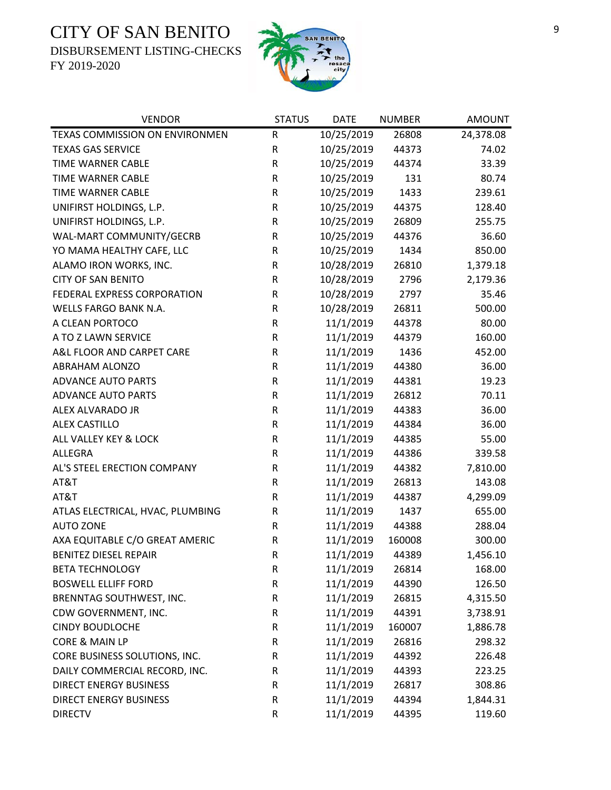DISBURSEMENT LISTING-CHECKS



| <b>VENDOR</b>                    | <b>STATUS</b> | <b>DATE</b> | <b>NUMBER</b> | <b>AMOUNT</b> |
|----------------------------------|---------------|-------------|---------------|---------------|
| TEXAS COMMISSION ON ENVIRONMEN   | ${\sf R}$     | 10/25/2019  | 26808         | 24,378.08     |
| <b>TEXAS GAS SERVICE</b>         | R             | 10/25/2019  | 44373         | 74.02         |
| TIME WARNER CABLE                | R             | 10/25/2019  | 44374         | 33.39         |
| TIME WARNER CABLE                | ${\sf R}$     | 10/25/2019  | 131           | 80.74         |
| TIME WARNER CABLE                | ${\sf R}$     | 10/25/2019  | 1433          | 239.61        |
| UNIFIRST HOLDINGS, L.P.          | ${\sf R}$     | 10/25/2019  | 44375         | 128.40        |
| UNIFIRST HOLDINGS, L.P.          | ${\sf R}$     | 10/25/2019  | 26809         | 255.75        |
| WAL-MART COMMUNITY/GECRB         | ${\sf R}$     | 10/25/2019  | 44376         | 36.60         |
| YO MAMA HEALTHY CAFE, LLC        | ${\sf R}$     | 10/25/2019  | 1434          | 850.00        |
| ALAMO IRON WORKS, INC.           | R             | 10/28/2019  | 26810         | 1,379.18      |
| <b>CITY OF SAN BENITO</b>        | R             | 10/28/2019  | 2796          | 2,179.36      |
| FEDERAL EXPRESS CORPORATION      | ${\sf R}$     | 10/28/2019  | 2797          | 35.46         |
| WELLS FARGO BANK N.A.            | ${\sf R}$     | 10/28/2019  | 26811         | 500.00        |
| A CLEAN PORTOCO                  | ${\sf R}$     | 11/1/2019   | 44378         | 80.00         |
| A TO Z LAWN SERVICE              | ${\sf R}$     | 11/1/2019   | 44379         | 160.00        |
| A&L FLOOR AND CARPET CARE        | ${\sf R}$     | 11/1/2019   | 1436          | 452.00        |
| ABRAHAM ALONZO                   | ${\sf R}$     | 11/1/2019   | 44380         | 36.00         |
| <b>ADVANCE AUTO PARTS</b>        | ${\sf R}$     | 11/1/2019   | 44381         | 19.23         |
| <b>ADVANCE AUTO PARTS</b>        | ${\sf R}$     | 11/1/2019   | 26812         | 70.11         |
| ALEX ALVARADO JR                 | ${\sf R}$     | 11/1/2019   | 44383         | 36.00         |
| <b>ALEX CASTILLO</b>             | ${\sf R}$     | 11/1/2019   | 44384         | 36.00         |
| ALL VALLEY KEY & LOCK            | ${\sf R}$     | 11/1/2019   | 44385         | 55.00         |
| ALLEGRA                          | ${\sf R}$     | 11/1/2019   | 44386         | 339.58        |
| AL'S STEEL ERECTION COMPANY      | ${\sf R}$     | 11/1/2019   | 44382         | 7,810.00      |
| AT&T                             | ${\sf R}$     | 11/1/2019   | 26813         | 143.08        |
| AT&T                             | R             | 11/1/2019   | 44387         | 4,299.09      |
| ATLAS ELECTRICAL, HVAC, PLUMBING | R             | 11/1/2019   | 1437          | 655.00        |
| <b>AUTO ZONE</b>                 | R             | 11/1/2019   | 44388         | 288.04        |
| AXA EQUITABLE C/O GREAT AMERIC   | R             | 11/1/2019   | 160008        | 300.00        |
| <b>BENITEZ DIESEL REPAIR</b>     | $\mathsf R$   | 11/1/2019   | 44389         | 1,456.10      |
| <b>BETA TECHNOLOGY</b>           | R             | 11/1/2019   | 26814         | 168.00        |
| <b>BOSWELL ELLIFF FORD</b>       | R             | 11/1/2019   | 44390         | 126.50        |
| BRENNTAG SOUTHWEST, INC.         | R             | 11/1/2019   | 26815         | 4,315.50      |
| CDW GOVERNMENT, INC.             | R             | 11/1/2019   | 44391         | 3,738.91      |
| <b>CINDY BOUDLOCHE</b>           | R             | 11/1/2019   | 160007        | 1,886.78      |
| CORE & MAIN LP                   | ${\sf R}$     | 11/1/2019   | 26816         | 298.32        |
| CORE BUSINESS SOLUTIONS, INC.    | R             | 11/1/2019   | 44392         | 226.48        |
| DAILY COMMERCIAL RECORD, INC.    | R             | 11/1/2019   | 44393         | 223.25        |
| <b>DIRECT ENERGY BUSINESS</b>    | R             | 11/1/2019   | 26817         | 308.86        |
| <b>DIRECT ENERGY BUSINESS</b>    | ${\sf R}$     | 11/1/2019   | 44394         | 1,844.31      |
| <b>DIRECTV</b>                   | ${\sf R}$     | 11/1/2019   | 44395         | 119.60        |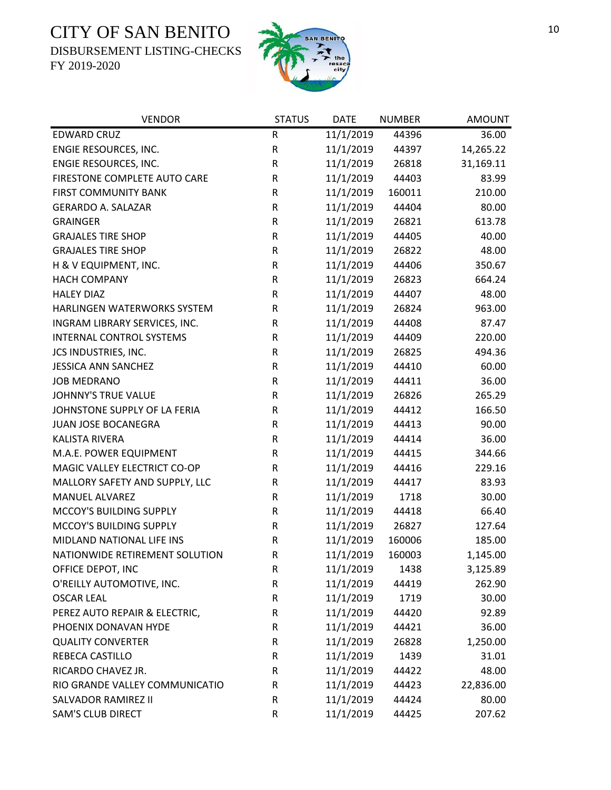DISBURSEMENT LISTING-CHECKS



| <b>VENDOR</b>                   | <b>STATUS</b> | <b>DATE</b> | <b>NUMBER</b> | <b>AMOUNT</b> |
|---------------------------------|---------------|-------------|---------------|---------------|
| <b>EDWARD CRUZ</b>              | ${\sf R}$     | 11/1/2019   | 44396         | 36.00         |
| ENGIE RESOURCES, INC.           | ${\sf R}$     | 11/1/2019   | 44397         | 14,265.22     |
| ENGIE RESOURCES, INC.           | R             | 11/1/2019   | 26818         | 31,169.11     |
| FIRESTONE COMPLETE AUTO CARE    | R             | 11/1/2019   | 44403         | 83.99         |
| <b>FIRST COMMUNITY BANK</b>     | R             | 11/1/2019   | 160011        | 210.00        |
| <b>GERARDO A. SALAZAR</b>       | ${\sf R}$     | 11/1/2019   | 44404         | 80.00         |
| <b>GRAINGER</b>                 | ${\sf R}$     | 11/1/2019   | 26821         | 613.78        |
| <b>GRAJALES TIRE SHOP</b>       | R             | 11/1/2019   | 44405         | 40.00         |
| <b>GRAJALES TIRE SHOP</b>       | ${\sf R}$     | 11/1/2019   | 26822         | 48.00         |
| H & V EQUIPMENT, INC.           | ${\sf R}$     | 11/1/2019   | 44406         | 350.67        |
| <b>HACH COMPANY</b>             | ${\sf R}$     | 11/1/2019   | 26823         | 664.24        |
| <b>HALEY DIAZ</b>               | ${\sf R}$     | 11/1/2019   | 44407         | 48.00         |
| HARLINGEN WATERWORKS SYSTEM     | ${\sf R}$     | 11/1/2019   | 26824         | 963.00        |
| INGRAM LIBRARY SERVICES, INC.   | ${\sf R}$     | 11/1/2019   | 44408         | 87.47         |
| <b>INTERNAL CONTROL SYSTEMS</b> | R             | 11/1/2019   | 44409         | 220.00        |
| JCS INDUSTRIES, INC.            | ${\sf R}$     | 11/1/2019   | 26825         | 494.36        |
| <b>JESSICA ANN SANCHEZ</b>      | ${\sf R}$     | 11/1/2019   | 44410         | 60.00         |
| <b>JOB MEDRANO</b>              | ${\sf R}$     | 11/1/2019   | 44411         | 36.00         |
| JOHNNY'S TRUE VALUE             | ${\sf R}$     | 11/1/2019   | 26826         | 265.29        |
| JOHNSTONE SUPPLY OF LA FERIA    | ${\sf R}$     | 11/1/2019   | 44412         | 166.50        |
| JUAN JOSE BOCANEGRA             | ${\sf R}$     | 11/1/2019   | 44413         | 90.00         |
| <b>KALISTA RIVERA</b>           | R             | 11/1/2019   | 44414         | 36.00         |
| M.A.E. POWER EQUIPMENT          | ${\sf R}$     | 11/1/2019   | 44415         | 344.66        |
| MAGIC VALLEY ELECTRICT CO-OP    | ${\sf R}$     | 11/1/2019   | 44416         | 229.16        |
| MALLORY SAFETY AND SUPPLY, LLC  | ${\sf R}$     | 11/1/2019   | 44417         | 83.93         |
| <b>MANUEL ALVAREZ</b>           | ${\sf R}$     | 11/1/2019   | 1718          | 30.00         |
| MCCOY'S BUILDING SUPPLY         | R             | 11/1/2019   | 44418         | 66.40         |
| MCCOY'S BUILDING SUPPLY         | ${\sf R}$     | 11/1/2019   | 26827         | 127.64        |
| MIDLAND NATIONAL LIFE INS       | ${\sf R}$     | 11/1/2019   | 160006        | 185.00        |
| NATIONWIDE RETIREMENT SOLUTION  | $\mathsf R$   | 11/1/2019   | 160003        | 1,145.00      |
| OFFICE DEPOT, INC               | R             | 11/1/2019   | 1438          | 3,125.89      |
| O'REILLY AUTOMOTIVE, INC.       | R             | 11/1/2019   | 44419         | 262.90        |
| <b>OSCAR LEAL</b>               | R             | 11/1/2019   | 1719          | 30.00         |
| PEREZ AUTO REPAIR & ELECTRIC,   | R             | 11/1/2019   | 44420         | 92.89         |
| PHOENIX DONAVAN HYDE            | ${\sf R}$     | 11/1/2019   | 44421         | 36.00         |
| <b>QUALITY CONVERTER</b>        | ${\sf R}$     | 11/1/2019   | 26828         | 1,250.00      |
| <b>REBECA CASTILLO</b>          | ${\sf R}$     | 11/1/2019   | 1439          | 31.01         |
| RICARDO CHAVEZ JR.              | ${\sf R}$     | 11/1/2019   | 44422         | 48.00         |
| RIO GRANDE VALLEY COMMUNICATIO  | R             | 11/1/2019   | 44423         | 22,836.00     |
| SALVADOR RAMIREZ II             | ${\sf R}$     | 11/1/2019   | 44424         | 80.00         |
| SAM'S CLUB DIRECT               | ${\sf R}$     | 11/1/2019   | 44425         | 207.62        |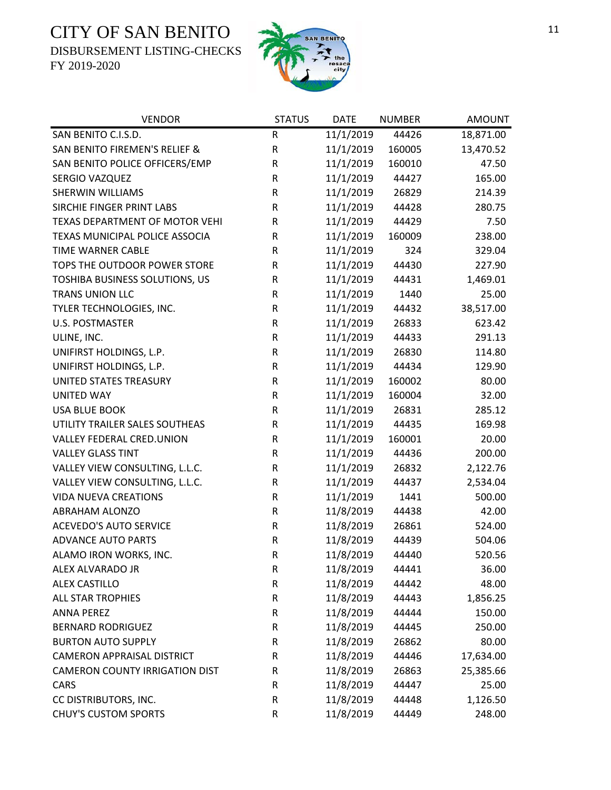DISBURSEMENT LISTING-CHECKS



| <b>VENDOR</b>                         | <b>STATUS</b> | <b>DATE</b> | <b>NUMBER</b> | <b>AMOUNT</b> |
|---------------------------------------|---------------|-------------|---------------|---------------|
| SAN BENITO C.I.S.D.                   | ${\sf R}$     | 11/1/2019   | 44426         | 18,871.00     |
| SAN BENITO FIREMEN'S RELIEF &         | ${\sf R}$     | 11/1/2019   | 160005        | 13,470.52     |
| SAN BENITO POLICE OFFICERS/EMP        | R             | 11/1/2019   | 160010        | 47.50         |
| SERGIO VAZQUEZ                        | R             | 11/1/2019   | 44427         | 165.00        |
| <b>SHERWIN WILLIAMS</b>               | ${\sf R}$     | 11/1/2019   | 26829         | 214.39        |
| SIRCHIE FINGER PRINT LABS             | R             | 11/1/2019   | 44428         | 280.75        |
| TEXAS DEPARTMENT OF MOTOR VEHI        | ${\sf R}$     | 11/1/2019   | 44429         | 7.50          |
| TEXAS MUNICIPAL POLICE ASSOCIA        | ${\sf R}$     | 11/1/2019   | 160009        | 238.00        |
| <b>TIME WARNER CABLE</b>              | R             | 11/1/2019   | 324           | 329.04        |
| TOPS THE OUTDOOR POWER STORE          | ${\sf R}$     | 11/1/2019   | 44430         | 227.90        |
| TOSHIBA BUSINESS SOLUTIONS, US        | R             | 11/1/2019   | 44431         | 1,469.01      |
| TRANS UNION LLC                       | ${\sf R}$     | 11/1/2019   | 1440          | 25.00         |
| TYLER TECHNOLOGIES, INC.              | ${\sf R}$     | 11/1/2019   | 44432         | 38,517.00     |
| <b>U.S. POSTMASTER</b>                | ${\sf R}$     | 11/1/2019   | 26833         | 623.42        |
| ULINE, INC.                           | ${\sf R}$     | 11/1/2019   | 44433         | 291.13        |
| UNIFIRST HOLDINGS, L.P.               | ${\sf R}$     | 11/1/2019   | 26830         | 114.80        |
| UNIFIRST HOLDINGS, L.P.               | ${\sf R}$     | 11/1/2019   | 44434         | 129.90        |
| UNITED STATES TREASURY                | ${\sf R}$     | 11/1/2019   | 160002        | 80.00         |
| <b>UNITED WAY</b>                     | ${\sf R}$     | 11/1/2019   | 160004        | 32.00         |
| <b>USA BLUE BOOK</b>                  | ${\sf R}$     | 11/1/2019   | 26831         | 285.12        |
| UTILITY TRAILER SALES SOUTHEAS        | R             | 11/1/2019   | 44435         | 169.98        |
| VALLEY FEDERAL CRED.UNION             | R             | 11/1/2019   | 160001        | 20.00         |
| <b>VALLEY GLASS TINT</b>              | ${\sf R}$     | 11/1/2019   | 44436         | 200.00        |
| VALLEY VIEW CONSULTING, L.L.C.        | ${\sf R}$     | 11/1/2019   | 26832         | 2,122.76      |
| VALLEY VIEW CONSULTING, L.L.C.        | ${\sf R}$     | 11/1/2019   | 44437         | 2,534.04      |
| <b>VIDA NUEVA CREATIONS</b>           | ${\sf R}$     | 11/1/2019   | 1441          | 500.00        |
| ABRAHAM ALONZO                        | R             | 11/8/2019   | 44438         | 42.00         |
| <b>ACEVEDO'S AUTO SERVICE</b>         | ${\sf R}$     | 11/8/2019   | 26861         | 524.00        |
| <b>ADVANCE AUTO PARTS</b>             | ${\sf R}$     | 11/8/2019   | 44439         | 504.06        |
| ALAMO IRON WORKS, INC.                | $\mathsf{R}$  | 11/8/2019   | 44440         | 520.56        |
| ALEX ALVARADO JR                      | R             | 11/8/2019   | 44441         | 36.00         |
| <b>ALEX CASTILLO</b>                  | R             | 11/8/2019   | 44442         | 48.00         |
| <b>ALL STAR TROPHIES</b>              | R             | 11/8/2019   | 44443         | 1,856.25      |
| <b>ANNA PEREZ</b>                     | R             | 11/8/2019   | 44444         | 150.00        |
| <b>BERNARD RODRIGUEZ</b>              | R             | 11/8/2019   | 44445         | 250.00        |
| <b>BURTON AUTO SUPPLY</b>             | R             | 11/8/2019   | 26862         | 80.00         |
| <b>CAMERON APPRAISAL DISTRICT</b>     | R             | 11/8/2019   | 44446         | 17,634.00     |
| <b>CAMERON COUNTY IRRIGATION DIST</b> | ${\sf R}$     | 11/8/2019   | 26863         | 25,385.66     |
| CARS                                  | R             | 11/8/2019   | 44447         | 25.00         |
| CC DISTRIBUTORS, INC.                 | R             | 11/8/2019   | 44448         | 1,126.50      |
| <b>CHUY'S CUSTOM SPORTS</b>           | R             | 11/8/2019   | 44449         | 248.00        |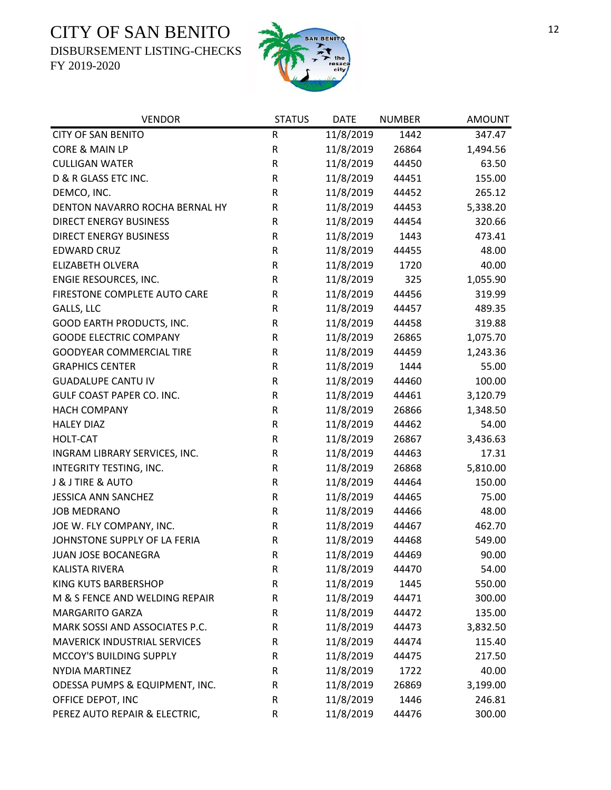DISBURSEMENT LISTING-CHECKS



| <b>VENDOR</b>                       | <b>STATUS</b> | <b>DATE</b> | <b>NUMBER</b> | <b>AMOUNT</b> |
|-------------------------------------|---------------|-------------|---------------|---------------|
| <b>CITY OF SAN BENITO</b>           | ${\sf R}$     | 11/8/2019   | 1442          | 347.47        |
| CORE & MAIN LP                      | ${\sf R}$     | 11/8/2019   | 26864         | 1,494.56      |
| <b>CULLIGAN WATER</b>               | R             | 11/8/2019   | 44450         | 63.50         |
| D & R GLASS ETC INC.                | R             | 11/8/2019   | 44451         | 155.00        |
| DEMCO, INC.                         | R             | 11/8/2019   | 44452         | 265.12        |
| DENTON NAVARRO ROCHA BERNAL HY      | R             | 11/8/2019   | 44453         | 5,338.20      |
| <b>DIRECT ENERGY BUSINESS</b>       | R             | 11/8/2019   | 44454         | 320.66        |
| <b>DIRECT ENERGY BUSINESS</b>       | R             | 11/8/2019   | 1443          | 473.41        |
| <b>EDWARD CRUZ</b>                  | ${\sf R}$     | 11/8/2019   | 44455         | 48.00         |
| <b>ELIZABETH OLVERA</b>             | ${\sf R}$     | 11/8/2019   | 1720          | 40.00         |
| ENGIE RESOURCES, INC.               | R             | 11/8/2019   | 325           | 1,055.90      |
| FIRESTONE COMPLETE AUTO CARE        | ${\sf R}$     | 11/8/2019   | 44456         | 319.99        |
| GALLS, LLC                          | ${\sf R}$     | 11/8/2019   | 44457         | 489.35        |
| GOOD EARTH PRODUCTS, INC.           | ${\sf R}$     | 11/8/2019   | 44458         | 319.88        |
| <b>GOODE ELECTRIC COMPANY</b>       | ${\sf R}$     | 11/8/2019   | 26865         | 1,075.70      |
| <b>GOODYEAR COMMERCIAL TIRE</b>     | ${\sf R}$     | 11/8/2019   | 44459         | 1,243.36      |
| <b>GRAPHICS CENTER</b>              | ${\sf R}$     | 11/8/2019   | 1444          | 55.00         |
| <b>GUADALUPE CANTU IV</b>           | ${\sf R}$     | 11/8/2019   | 44460         | 100.00        |
| <b>GULF COAST PAPER CO. INC.</b>    | ${\sf R}$     | 11/8/2019   | 44461         | 3,120.79      |
| <b>HACH COMPANY</b>                 | ${\sf R}$     | 11/8/2019   | 26866         | 1,348.50      |
| <b>HALEY DIAZ</b>                   | ${\sf R}$     | 11/8/2019   | 44462         | 54.00         |
| HOLT-CAT                            | ${\sf R}$     | 11/8/2019   | 26867         | 3,436.63      |
| INGRAM LIBRARY SERVICES, INC.       | ${\sf R}$     | 11/8/2019   | 44463         | 17.31         |
| INTEGRITY TESTING, INC.             | ${\sf R}$     | 11/8/2019   | 26868         | 5,810.00      |
| <b>J &amp; J TIRE &amp; AUTO</b>    | ${\sf R}$     | 11/8/2019   | 44464         | 150.00        |
| <b>JESSICA ANN SANCHEZ</b>          | ${\sf R}$     | 11/8/2019   | 44465         | 75.00         |
| <b>JOB MEDRANO</b>                  | ${\sf R}$     | 11/8/2019   | 44466         | 48.00         |
| JOE W. FLY COMPANY, INC.            | ${\sf R}$     | 11/8/2019   | 44467         | 462.70        |
| JOHNSTONE SUPPLY OF LA FERIA        | ${\sf R}$     | 11/8/2019   | 44468         | 549.00        |
| JUAN JOSE BOCANEGRA                 | $\mathsf{R}$  | 11/8/2019   | 44469         | 90.00         |
| <b>KALISTA RIVERA</b>               | R             | 11/8/2019   | 44470         | 54.00         |
| KING KUTS BARBERSHOP                | R             | 11/8/2019   | 1445          | 550.00        |
| M & S FENCE AND WELDING REPAIR      | R             | 11/8/2019   | 44471         | 300.00        |
| <b>MARGARITO GARZA</b>              | R             | 11/8/2019   | 44472         | 135.00        |
| MARK SOSSI AND ASSOCIATES P.C.      | R             | 11/8/2019   | 44473         | 3,832.50      |
| <b>MAVERICK INDUSTRIAL SERVICES</b> | R             | 11/8/2019   | 44474         | 115.40        |
| MCCOY'S BUILDING SUPPLY             | R             | 11/8/2019   | 44475         | 217.50        |
| NYDIA MARTINEZ                      | R             | 11/8/2019   | 1722          | 40.00         |
| ODESSA PUMPS & EQUIPMENT, INC.      | R             | 11/8/2019   | 26869         | 3,199.00      |
| OFFICE DEPOT, INC                   | ${\sf R}$     | 11/8/2019   | 1446          | 246.81        |
| PEREZ AUTO REPAIR & ELECTRIC,       | R             | 11/8/2019   | 44476         | 300.00        |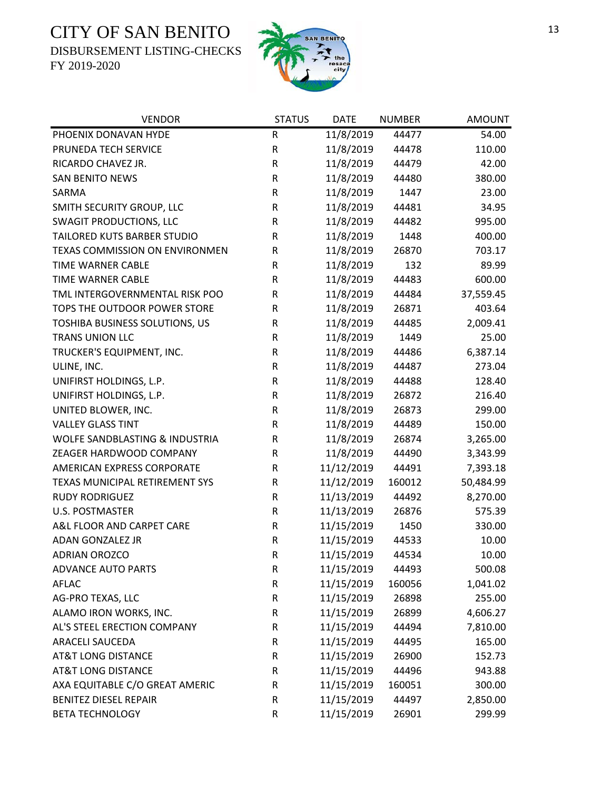DISBURSEMENT LISTING-CHECKS



| <b>VENDOR</b>                  | <b>STATUS</b> | <b>DATE</b> | <b>NUMBER</b> | <b>AMOUNT</b> |
|--------------------------------|---------------|-------------|---------------|---------------|
| PHOENIX DONAVAN HYDE           | R             | 11/8/2019   | 44477         | 54.00         |
| PRUNEDA TECH SERVICE           | ${\sf R}$     | 11/8/2019   | 44478         | 110.00        |
| RICARDO CHAVEZ JR.             | ${\sf R}$     | 11/8/2019   | 44479         | 42.00         |
| <b>SAN BENITO NEWS</b>         | R             | 11/8/2019   | 44480         | 380.00        |
| SARMA                          | $\mathsf R$   | 11/8/2019   | 1447          | 23.00         |
| SMITH SECURITY GROUP, LLC      | ${\sf R}$     | 11/8/2019   | 44481         | 34.95         |
| <b>SWAGIT PRODUCTIONS, LLC</b> | ${\sf R}$     | 11/8/2019   | 44482         | 995.00        |
| TAILORED KUTS BARBER STUDIO    | ${\sf R}$     | 11/8/2019   | 1448          | 400.00        |
| TEXAS COMMISSION ON ENVIRONMEN | R             | 11/8/2019   | 26870         | 703.17        |
| TIME WARNER CABLE              | ${\sf R}$     | 11/8/2019   | 132           | 89.99         |
| TIME WARNER CABLE              | ${\sf R}$     | 11/8/2019   | 44483         | 600.00        |
| TML INTERGOVERNMENTAL RISK POO | ${\sf R}$     | 11/8/2019   | 44484         | 37,559.45     |
| TOPS THE OUTDOOR POWER STORE   | ${\sf R}$     | 11/8/2019   | 26871         | 403.64        |
| TOSHIBA BUSINESS SOLUTIONS, US | ${\sf R}$     | 11/8/2019   | 44485         | 2,009.41      |
| <b>TRANS UNION LLC</b>         | ${\sf R}$     | 11/8/2019   | 1449          | 25.00         |
| TRUCKER'S EQUIPMENT, INC.      | ${\sf R}$     | 11/8/2019   | 44486         | 6,387.14      |
| ULINE, INC.                    | R             | 11/8/2019   | 44487         | 273.04        |
| UNIFIRST HOLDINGS, L.P.        | ${\sf R}$     | 11/8/2019   | 44488         | 128.40        |
| UNIFIRST HOLDINGS, L.P.        | ${\sf R}$     | 11/8/2019   | 26872         | 216.40        |
| UNITED BLOWER, INC.            | ${\sf R}$     | 11/8/2019   | 26873         | 299.00        |
| <b>VALLEY GLASS TINT</b>       | ${\sf R}$     | 11/8/2019   | 44489         | 150.00        |
| WOLFE SANDBLASTING & INDUSTRIA | ${\sf R}$     | 11/8/2019   | 26874         | 3,265.00      |
| ZEAGER HARDWOOD COMPANY        | ${\sf R}$     | 11/8/2019   | 44490         | 3,343.99      |
| AMERICAN EXPRESS CORPORATE     | $\mathsf R$   | 11/12/2019  | 44491         | 7,393.18      |
| TEXAS MUNICIPAL RETIREMENT SYS | ${\sf R}$     | 11/12/2019  | 160012        | 50,484.99     |
| <b>RUDY RODRIGUEZ</b>          | ${\sf R}$     | 11/13/2019  | 44492         | 8,270.00      |
| <b>U.S. POSTMASTER</b>         | ${\sf R}$     | 11/13/2019  | 26876         | 575.39        |
| A&L FLOOR AND CARPET CARE      | $\mathsf R$   | 11/15/2019  | 1450          | 330.00        |
| ADAN GONZALEZ JR               | R             | 11/15/2019  | 44533         | 10.00         |
| <b>ADRIAN OROZCO</b>           | $\mathsf R$   | 11/15/2019  | 44534         | 10.00         |
| <b>ADVANCE AUTO PARTS</b>      | R             | 11/15/2019  | 44493         | 500.08        |
| <b>AFLAC</b>                   | ${\sf R}$     | 11/15/2019  | 160056        | 1,041.02      |
| AG-PRO TEXAS, LLC              | ${\sf R}$     | 11/15/2019  | 26898         | 255.00        |
| ALAMO IRON WORKS, INC.         | R             | 11/15/2019  | 26899         | 4,606.27      |
| AL'S STEEL ERECTION COMPANY    | ${\sf R}$     | 11/15/2019  | 44494         | 7,810.00      |
| <b>ARACELI SAUCEDA</b>         | R             | 11/15/2019  | 44495         | 165.00        |
| <b>AT&amp;T LONG DISTANCE</b>  | ${\sf R}$     | 11/15/2019  | 26900         | 152.73        |
| <b>AT&amp;T LONG DISTANCE</b>  | ${\sf R}$     | 11/15/2019  | 44496         | 943.88        |
| AXA EQUITABLE C/O GREAT AMERIC | R             | 11/15/2019  | 160051        | 300.00        |
| <b>BENITEZ DIESEL REPAIR</b>   | R             | 11/15/2019  | 44497         | 2,850.00      |
| <b>BETA TECHNOLOGY</b>         | ${\sf R}$     | 11/15/2019  | 26901         | 299.99        |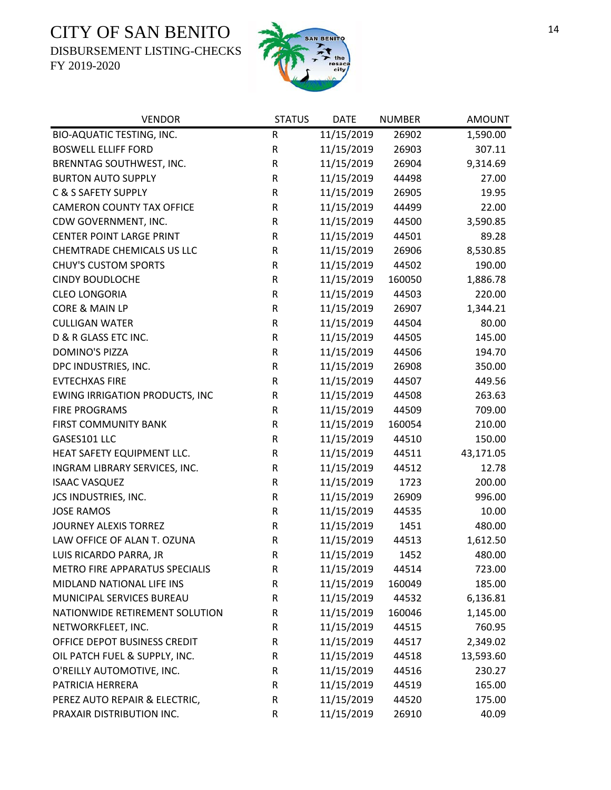DISBURSEMENT LISTING-CHECKS



| <b>VENDOR</b>                         | <b>STATUS</b> | <b>DATE</b> | <b>NUMBER</b> | <b>AMOUNT</b> |
|---------------------------------------|---------------|-------------|---------------|---------------|
| BIO-AQUATIC TESTING, INC.             | ${\sf R}$     | 11/15/2019  | 26902         | 1,590.00      |
| <b>BOSWELL ELLIFF FORD</b>            | ${\sf R}$     | 11/15/2019  | 26903         | 307.11        |
| BRENNTAG SOUTHWEST, INC.              | ${\sf R}$     | 11/15/2019  | 26904         | 9,314.69      |
| <b>BURTON AUTO SUPPLY</b>             | ${\sf R}$     | 11/15/2019  | 44498         | 27.00         |
| C & S SAFETY SUPPLY                   | ${\sf R}$     | 11/15/2019  | 26905         | 19.95         |
| <b>CAMERON COUNTY TAX OFFICE</b>      | ${\sf R}$     | 11/15/2019  | 44499         | 22.00         |
| CDW GOVERNMENT, INC.                  | ${\sf R}$     | 11/15/2019  | 44500         | 3,590.85      |
| <b>CENTER POINT LARGE PRINT</b>       | ${\sf R}$     | 11/15/2019  | 44501         | 89.28         |
| <b>CHEMTRADE CHEMICALS US LLC</b>     | ${\sf R}$     | 11/15/2019  | 26906         | 8,530.85      |
| <b>CHUY'S CUSTOM SPORTS</b>           | ${\sf R}$     | 11/15/2019  | 44502         | 190.00        |
| <b>CINDY BOUDLOCHE</b>                | ${\sf R}$     | 11/15/2019  | 160050        | 1,886.78      |
| <b>CLEO LONGORIA</b>                  | ${\sf R}$     | 11/15/2019  | 44503         | 220.00        |
| CORE & MAIN LP                        | ${\sf R}$     | 11/15/2019  | 26907         | 1,344.21      |
| <b>CULLIGAN WATER</b>                 | ${\sf R}$     | 11/15/2019  | 44504         | 80.00         |
| D & R GLASS ETC INC.                  | ${\sf R}$     | 11/15/2019  | 44505         | 145.00        |
| <b>DOMINO'S PIZZA</b>                 | ${\sf R}$     | 11/15/2019  | 44506         | 194.70        |
| DPC INDUSTRIES, INC.                  | ${\sf R}$     | 11/15/2019  | 26908         | 350.00        |
| <b>EVTECHXAS FIRE</b>                 | ${\sf R}$     | 11/15/2019  | 44507         | 449.56        |
| <b>EWING IRRIGATION PRODUCTS, INC</b> | ${\sf R}$     | 11/15/2019  | 44508         | 263.63        |
| <b>FIRE PROGRAMS</b>                  | ${\sf R}$     | 11/15/2019  | 44509         | 709.00        |
| FIRST COMMUNITY BANK                  | ${\sf R}$     | 11/15/2019  | 160054        | 210.00        |
| GASES101 LLC                          | ${\sf R}$     | 11/15/2019  | 44510         | 150.00        |
| HEAT SAFETY EQUIPMENT LLC.            | ${\sf R}$     | 11/15/2019  | 44511         | 43,171.05     |
| INGRAM LIBRARY SERVICES, INC.         | ${\sf R}$     | 11/15/2019  | 44512         | 12.78         |
| <b>ISAAC VASQUEZ</b>                  | ${\sf R}$     | 11/15/2019  | 1723          | 200.00        |
| JCS INDUSTRIES, INC.                  | ${\sf R}$     | 11/15/2019  | 26909         | 996.00        |
| <b>JOSE RAMOS</b>                     | ${\sf R}$     | 11/15/2019  | 44535         | 10.00         |
| JOURNEY ALEXIS TORREZ                 | $\mathsf R$   | 11/15/2019  | 1451          | 480.00        |
| LAW OFFICE OF ALAN T. OZUNA           | ${\sf R}$     | 11/15/2019  | 44513         | 1,612.50      |
| LUIS RICARDO PARRA, JR                | $\mathsf{R}$  | 11/15/2019  | 1452          | 480.00        |
| METRO FIRE APPARATUS SPECIALIS        | R             | 11/15/2019  | 44514         | 723.00        |
| MIDLAND NATIONAL LIFE INS             | $\mathsf R$   | 11/15/2019  | 160049        | 185.00        |
| MUNICIPAL SERVICES BUREAU             | $\mathsf R$   | 11/15/2019  | 44532         | 6,136.81      |
| NATIONWIDE RETIREMENT SOLUTION        | ${\sf R}$     | 11/15/2019  | 160046        | 1,145.00      |
| NETWORKFLEET, INC.                    | $\mathsf R$   | 11/15/2019  | 44515         | 760.95        |
| OFFICE DEPOT BUSINESS CREDIT          | $\mathsf R$   | 11/15/2019  | 44517         | 2,349.02      |
| OIL PATCH FUEL & SUPPLY, INC.         | ${\sf R}$     | 11/15/2019  | 44518         | 13,593.60     |
| O'REILLY AUTOMOTIVE, INC.             | $\mathsf R$   | 11/15/2019  | 44516         | 230.27        |
| PATRICIA HERRERA                      | $\mathsf R$   | 11/15/2019  | 44519         | 165.00        |
| PEREZ AUTO REPAIR & ELECTRIC,         | ${\sf R}$     | 11/15/2019  | 44520         | 175.00        |
| PRAXAIR DISTRIBUTION INC.             | ${\sf R}$     | 11/15/2019  | 26910         | 40.09         |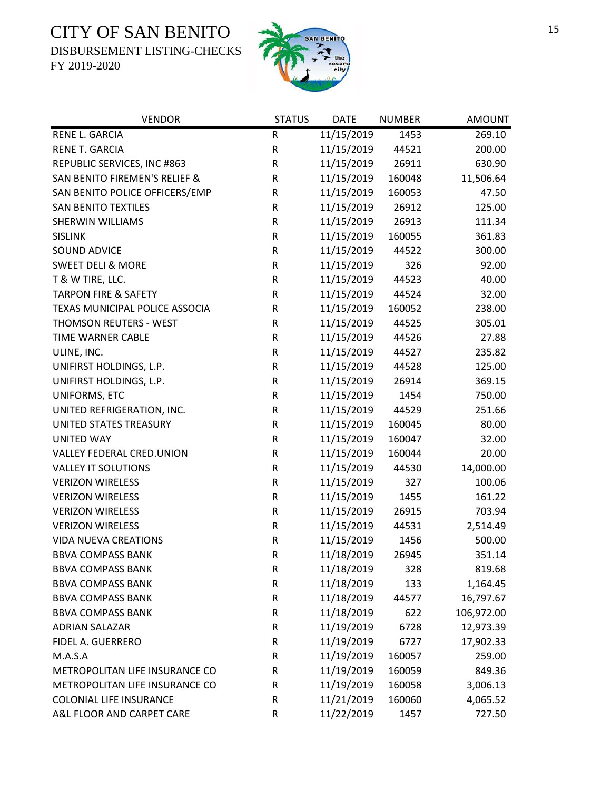DISBURSEMENT LISTING-CHECKS



| <b>VENDOR</b>                   | <b>STATUS</b> | <b>DATE</b> | <b>NUMBER</b> | <b>AMOUNT</b> |
|---------------------------------|---------------|-------------|---------------|---------------|
| RENE L. GARCIA                  | ${\sf R}$     | 11/15/2019  | 1453          | 269.10        |
| RENE T. GARCIA                  | ${\sf R}$     | 11/15/2019  | 44521         | 200.00        |
| REPUBLIC SERVICES, INC #863     | ${\sf R}$     | 11/15/2019  | 26911         | 630.90        |
| SAN BENITO FIREMEN'S RELIEF &   | ${\sf R}$     | 11/15/2019  | 160048        | 11,506.64     |
| SAN BENITO POLICE OFFICERS/EMP  | ${\sf R}$     | 11/15/2019  | 160053        | 47.50         |
| <b>SAN BENITO TEXTILES</b>      | ${\sf R}$     | 11/15/2019  | 26912         | 125.00        |
| <b>SHERWIN WILLIAMS</b>         | ${\sf R}$     | 11/15/2019  | 26913         | 111.34        |
| <b>SISLINK</b>                  | ${\sf R}$     | 11/15/2019  | 160055        | 361.83        |
| SOUND ADVICE                    | ${\sf R}$     | 11/15/2019  | 44522         | 300.00        |
| <b>SWEET DELI &amp; MORE</b>    | ${\sf R}$     | 11/15/2019  | 326           | 92.00         |
| T & W TIRE, LLC.                | ${\sf R}$     | 11/15/2019  | 44523         | 40.00         |
| <b>TARPON FIRE &amp; SAFETY</b> | ${\sf R}$     | 11/15/2019  | 44524         | 32.00         |
| TEXAS MUNICIPAL POLICE ASSOCIA  | ${\sf R}$     | 11/15/2019  | 160052        | 238.00        |
| THOMSON REUTERS - WEST          | ${\sf R}$     | 11/15/2019  | 44525         | 305.01        |
| TIME WARNER CABLE               | ${\sf R}$     | 11/15/2019  | 44526         | 27.88         |
| ULINE, INC.                     | ${\sf R}$     | 11/15/2019  | 44527         | 235.82        |
| UNIFIRST HOLDINGS, L.P.         | ${\sf R}$     | 11/15/2019  | 44528         | 125.00        |
| UNIFIRST HOLDINGS, L.P.         | ${\sf R}$     | 11/15/2019  | 26914         | 369.15        |
| UNIFORMS, ETC                   | ${\sf R}$     | 11/15/2019  | 1454          | 750.00        |
| UNITED REFRIGERATION, INC.      | ${\sf R}$     | 11/15/2019  | 44529         | 251.66        |
| UNITED STATES TREASURY          | ${\sf R}$     | 11/15/2019  | 160045        | 80.00         |
| <b>UNITED WAY</b>               | ${\sf R}$     | 11/15/2019  | 160047        | 32.00         |
| VALLEY FEDERAL CRED.UNION       | ${\sf R}$     | 11/15/2019  | 160044        | 20.00         |
| <b>VALLEY IT SOLUTIONS</b>      | ${\sf R}$     | 11/15/2019  | 44530         | 14,000.00     |
| <b>VERIZON WIRELESS</b>         | ${\sf R}$     | 11/15/2019  | 327           | 100.06        |
| <b>VERIZON WIRELESS</b>         | ${\sf R}$     | 11/15/2019  | 1455          | 161.22        |
| <b>VERIZON WIRELESS</b>         | ${\sf R}$     | 11/15/2019  | 26915         | 703.94        |
| <b>VERIZON WIRELESS</b>         | ${\sf R}$     | 11/15/2019  | 44531         | 2,514.49      |
| <b>VIDA NUEVA CREATIONS</b>     | ${\sf R}$     | 11/15/2019  | 1456          | 500.00        |
| <b>BBVA COMPASS BANK</b>        | $\mathsf{R}$  | 11/18/2019  | 26945         | 351.14        |
| <b>BBVA COMPASS BANK</b>        | R             | 11/18/2019  | 328           | 819.68        |
| <b>BBVA COMPASS BANK</b>        | ${\sf R}$     | 11/18/2019  | 133           | 1,164.45      |
| <b>BBVA COMPASS BANK</b>        | ${\sf R}$     | 11/18/2019  | 44577         | 16,797.67     |
| <b>BBVA COMPASS BANK</b>        | ${\sf R}$     | 11/18/2019  | 622           | 106,972.00    |
| <b>ADRIAN SALAZAR</b>           | ${\sf R}$     | 11/19/2019  | 6728          | 12,973.39     |
| FIDEL A. GUERRERO               | ${\sf R}$     | 11/19/2019  | 6727          | 17,902.33     |
| M.A.S.A                         | R             | 11/19/2019  | 160057        | 259.00        |
| METROPOLITAN LIFE INSURANCE CO  | ${\sf R}$     | 11/19/2019  | 160059        | 849.36        |
| METROPOLITAN LIFE INSURANCE CO  | R             | 11/19/2019  | 160058        | 3,006.13      |
| <b>COLONIAL LIFE INSURANCE</b>  | R             | 11/21/2019  | 160060        | 4,065.52      |
| A&L FLOOR AND CARPET CARE       | ${\sf R}$     | 11/22/2019  | 1457          | 727.50        |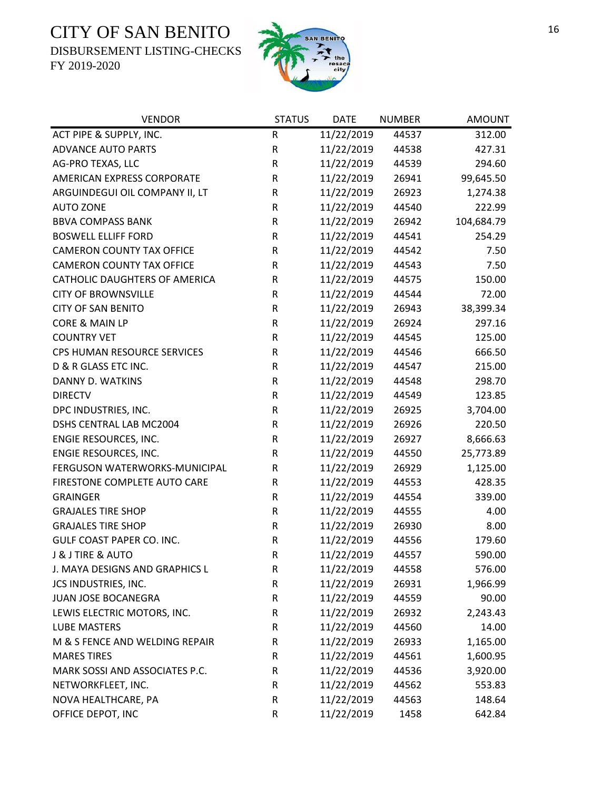DISBURSEMENT LISTING-CHECKS



| <b>VENDOR</b>                    | <b>STATUS</b> | <b>DATE</b> | <b>NUMBER</b> | <b>AMOUNT</b> |
|----------------------------------|---------------|-------------|---------------|---------------|
| ACT PIPE & SUPPLY, INC.          | ${\sf R}$     | 11/22/2019  | 44537         | 312.00        |
| <b>ADVANCE AUTO PARTS</b>        | ${\sf R}$     | 11/22/2019  | 44538         | 427.31        |
| AG-PRO TEXAS, LLC                | ${\sf R}$     | 11/22/2019  | 44539         | 294.60        |
| AMERICAN EXPRESS CORPORATE       | ${\sf R}$     | 11/22/2019  | 26941         | 99,645.50     |
| ARGUINDEGUI OIL COMPANY II, LT   | ${\sf R}$     | 11/22/2019  | 26923         | 1,274.38      |
| <b>AUTO ZONE</b>                 | ${\sf R}$     | 11/22/2019  | 44540         | 222.99        |
| <b>BBVA COMPASS BANK</b>         | ${\sf R}$     | 11/22/2019  | 26942         | 104,684.79    |
| <b>BOSWELL ELLIFF FORD</b>       | ${\sf R}$     | 11/22/2019  | 44541         | 254.29        |
| <b>CAMERON COUNTY TAX OFFICE</b> | ${\sf R}$     | 11/22/2019  | 44542         | 7.50          |
| <b>CAMERON COUNTY TAX OFFICE</b> | ${\sf R}$     | 11/22/2019  | 44543         | 7.50          |
| CATHOLIC DAUGHTERS OF AMERICA    | ${\sf R}$     | 11/22/2019  | 44575         | 150.00        |
| <b>CITY OF BROWNSVILLE</b>       | ${\sf R}$     | 11/22/2019  | 44544         | 72.00         |
| <b>CITY OF SAN BENITO</b>        | ${\sf R}$     | 11/22/2019  | 26943         | 38,399.34     |
| CORE & MAIN LP                   | ${\sf R}$     | 11/22/2019  | 26924         | 297.16        |
| <b>COUNTRY VET</b>               | R             | 11/22/2019  | 44545         | 125.00        |
| CPS HUMAN RESOURCE SERVICES      | ${\sf R}$     | 11/22/2019  | 44546         | 666.50        |
| D & R GLASS ETC INC.             | ${\sf R}$     | 11/22/2019  | 44547         | 215.00        |
| DANNY D. WATKINS                 | ${\sf R}$     | 11/22/2019  | 44548         | 298.70        |
| <b>DIRECTV</b>                   | ${\sf R}$     | 11/22/2019  | 44549         | 123.85        |
| DPC INDUSTRIES, INC.             | ${\sf R}$     | 11/22/2019  | 26925         | 3,704.00      |
| DSHS CENTRAL LAB MC2004          | ${\sf R}$     | 11/22/2019  | 26926         | 220.50        |
| ENGIE RESOURCES, INC.            | ${\sf R}$     | 11/22/2019  | 26927         | 8,666.63      |
| ENGIE RESOURCES, INC.            | R             | 11/22/2019  | 44550         | 25,773.89     |
| FERGUSON WATERWORKS-MUNICIPAL    | ${\sf R}$     | 11/22/2019  | 26929         | 1,125.00      |
| FIRESTONE COMPLETE AUTO CARE     | ${\sf R}$     | 11/22/2019  | 44553         | 428.35        |
| <b>GRAINGER</b>                  | $\mathsf R$   | 11/22/2019  | 44554         | 339.00        |
| <b>GRAJALES TIRE SHOP</b>        | ${\sf R}$     | 11/22/2019  | 44555         | 4.00          |
| <b>GRAJALES TIRE SHOP</b>        | ${\sf R}$     | 11/22/2019  | 26930         | 8.00          |
| <b>GULF COAST PAPER CO. INC.</b> | ${\sf R}$     | 11/22/2019  | 44556         | 179.60        |
| <b>J &amp; J TIRE &amp; AUTO</b> | $\mathsf{R}$  | 11/22/2019  | 44557         | 590.00        |
| J. MAYA DESIGNS AND GRAPHICS L   | R             | 11/22/2019  | 44558         | 576.00        |
| JCS INDUSTRIES, INC.             | R             | 11/22/2019  | 26931         | 1,966.99      |
| <b>JUAN JOSE BOCANEGRA</b>       | R             | 11/22/2019  | 44559         | 90.00         |
| LEWIS ELECTRIC MOTORS, INC.      | R             | 11/22/2019  | 26932         | 2,243.43      |
| <b>LUBE MASTERS</b>              | R             | 11/22/2019  | 44560         | 14.00         |
| M & S FENCE AND WELDING REPAIR   | R             | 11/22/2019  | 26933         | 1,165.00      |
| <b>MARES TIRES</b>               | R             | 11/22/2019  | 44561         | 1,600.95      |
| MARK SOSSI AND ASSOCIATES P.C.   | ${\sf R}$     | 11/22/2019  | 44536         | 3,920.00      |
| NETWORKFLEET, INC.               | R             | 11/22/2019  | 44562         | 553.83        |
| NOVA HEALTHCARE, PA              | ${\sf R}$     | 11/22/2019  | 44563         | 148.64        |
| OFFICE DEPOT, INC                | R             | 11/22/2019  | 1458          | 642.84        |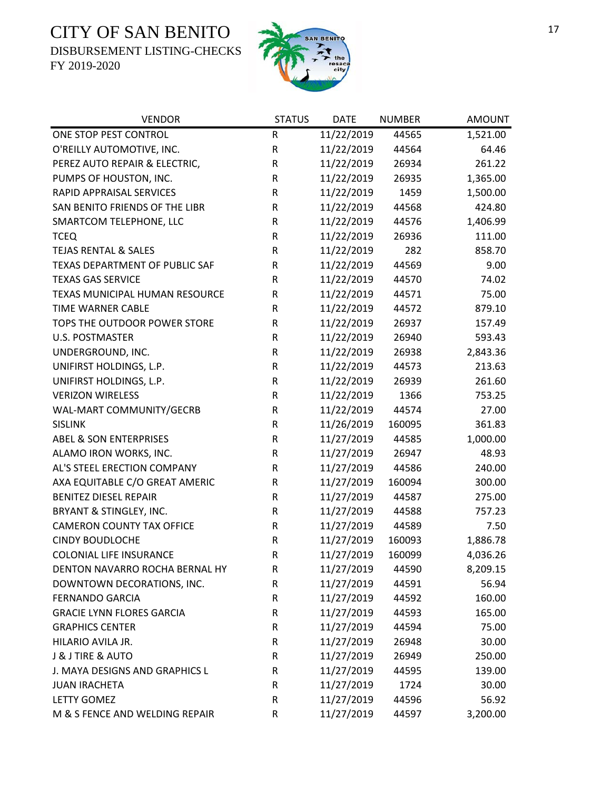DISBURSEMENT LISTING-CHECKS



| <b>VENDOR</b>                     | <b>STATUS</b> | <b>DATE</b> | <b>NUMBER</b> | <b>AMOUNT</b> |
|-----------------------------------|---------------|-------------|---------------|---------------|
| ONE STOP PEST CONTROL             | ${\sf R}$     | 11/22/2019  | 44565         | 1,521.00      |
| O'REILLY AUTOMOTIVE, INC.         | ${\sf R}$     | 11/22/2019  | 44564         | 64.46         |
| PEREZ AUTO REPAIR & ELECTRIC,     | ${\sf R}$     | 11/22/2019  | 26934         | 261.22        |
| PUMPS OF HOUSTON, INC.            | ${\sf R}$     | 11/22/2019  | 26935         | 1,365.00      |
| RAPID APPRAISAL SERVICES          | ${\sf R}$     | 11/22/2019  | 1459          | 1,500.00      |
| SAN BENITO FRIENDS OF THE LIBR    | ${\sf R}$     | 11/22/2019  | 44568         | 424.80        |
| SMARTCOM TELEPHONE, LLC           | ${\sf R}$     | 11/22/2019  | 44576         | 1,406.99      |
| <b>TCEQ</b>                       | ${\sf R}$     | 11/22/2019  | 26936         | 111.00        |
| <b>TEJAS RENTAL &amp; SALES</b>   | ${\sf R}$     | 11/22/2019  | 282           | 858.70        |
| TEXAS DEPARTMENT OF PUBLIC SAF    | R             | 11/22/2019  | 44569         | 9.00          |
| <b>TEXAS GAS SERVICE</b>          | R             | 11/22/2019  | 44570         | 74.02         |
| TEXAS MUNICIPAL HUMAN RESOURCE    | R             | 11/22/2019  | 44571         | 75.00         |
| <b>TIME WARNER CABLE</b>          | R             | 11/22/2019  | 44572         | 879.10        |
| TOPS THE OUTDOOR POWER STORE      | ${\sf R}$     | 11/22/2019  | 26937         | 157.49        |
| <b>U.S. POSTMASTER</b>            | R             | 11/22/2019  | 26940         | 593.43        |
| UNDERGROUND, INC.                 | R             | 11/22/2019  | 26938         | 2,843.36      |
| UNIFIRST HOLDINGS, L.P.           | ${\sf R}$     | 11/22/2019  | 44573         | 213.63        |
| UNIFIRST HOLDINGS, L.P.           | ${\sf R}$     | 11/22/2019  | 26939         | 261.60        |
| <b>VERIZON WIRELESS</b>           | $\mathsf R$   | 11/22/2019  | 1366          | 753.25        |
| WAL-MART COMMUNITY/GECRB          | ${\sf R}$     | 11/22/2019  | 44574         | 27.00         |
| <b>SISLINK</b>                    | ${\sf R}$     | 11/26/2019  | 160095        | 361.83        |
| <b>ABEL &amp; SON ENTERPRISES</b> | R             | 11/27/2019  | 44585         | 1,000.00      |
| ALAMO IRON WORKS, INC.            | ${\sf R}$     | 11/27/2019  | 26947         | 48.93         |
| AL'S STEEL ERECTION COMPANY       | ${\sf R}$     | 11/27/2019  | 44586         | 240.00        |
| AXA EQUITABLE C/O GREAT AMERIC    | ${\sf R}$     | 11/27/2019  | 160094        | 300.00        |
| <b>BENITEZ DIESEL REPAIR</b>      | $\mathsf R$   | 11/27/2019  | 44587         | 275.00        |
| BRYANT & STINGLEY, INC.           | R             | 11/27/2019  | 44588         | 757.23        |
| <b>CAMERON COUNTY TAX OFFICE</b>  | ${\sf R}$     | 11/27/2019  | 44589         | 7.50          |
| <b>CINDY BOUDLOCHE</b>            | ${\sf R}$     | 11/27/2019  | 160093        | 1,886.78      |
| COLONIAL LIFE INSURANCE           | $\mathsf R$   | 11/27/2019  | 160099        | 4,036.26      |
| DENTON NAVARRO ROCHA BERNAL HY    | R             | 11/27/2019  | 44590         | 8,209.15      |
| DOWNTOWN DECORATIONS, INC.        | R             | 11/27/2019  | 44591         | 56.94         |
| <b>FERNANDO GARCIA</b>            | $\mathsf R$   | 11/27/2019  | 44592         | 160.00        |
| <b>GRACIE LYNN FLORES GARCIA</b>  | R             | 11/27/2019  | 44593         | 165.00        |
| <b>GRAPHICS CENTER</b>            | $\mathsf R$   | 11/27/2019  | 44594         | 75.00         |
| HILARIO AVILA JR.                 | $\mathsf R$   | 11/27/2019  | 26948         | 30.00         |
| <b>J &amp; J TIRE &amp; AUTO</b>  | R             | 11/27/2019  | 26949         | 250.00        |
| J. MAYA DESIGNS AND GRAPHICS L    | R             | 11/27/2019  | 44595         | 139.00        |
| <b>JUAN IRACHETA</b>              | R             | 11/27/2019  | 1724          | 30.00         |
| <b>LETTY GOMEZ</b>                | ${\sf R}$     | 11/27/2019  | 44596         | 56.92         |
| M & S FENCE AND WELDING REPAIR    | ${\sf R}$     | 11/27/2019  | 44597         | 3,200.00      |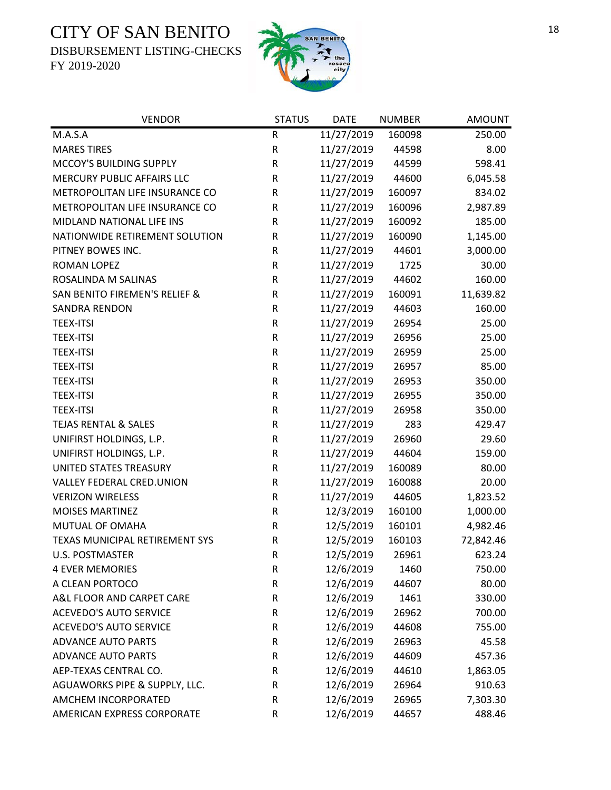DISBURSEMENT LISTING-CHECKS



| <b>VENDOR</b>                   | <b>STATUS</b> | <b>DATE</b> | <b>NUMBER</b> | <b>AMOUNT</b> |
|---------------------------------|---------------|-------------|---------------|---------------|
| M.A.S.A                         | R             | 11/27/2019  | 160098        | 250.00        |
| <b>MARES TIRES</b>              | ${\sf R}$     | 11/27/2019  | 44598         | 8.00          |
| MCCOY'S BUILDING SUPPLY         | ${\sf R}$     | 11/27/2019  | 44599         | 598.41        |
| MERCURY PUBLIC AFFAIRS LLC      | R             | 11/27/2019  | 44600         | 6,045.58      |
| METROPOLITAN LIFE INSURANCE CO  | R             | 11/27/2019  | 160097        | 834.02        |
| METROPOLITAN LIFE INSURANCE CO  | ${\sf R}$     | 11/27/2019  | 160096        | 2,987.89      |
| MIDLAND NATIONAL LIFE INS       | R             | 11/27/2019  | 160092        | 185.00        |
| NATIONWIDE RETIREMENT SOLUTION  | ${\sf R}$     | 11/27/2019  | 160090        | 1,145.00      |
| PITNEY BOWES INC.               | ${\sf R}$     | 11/27/2019  | 44601         | 3,000.00      |
| ROMAN LOPEZ                     | R             | 11/27/2019  | 1725          | 30.00         |
| ROSALINDA M SALINAS             | R             | 11/27/2019  | 44602         | 160.00        |
| SAN BENITO FIREMEN'S RELIEF &   | ${\sf R}$     | 11/27/2019  | 160091        | 11,639.82     |
| <b>SANDRA RENDON</b>            | R             | 11/27/2019  | 44603         | 160.00        |
| <b>TEEX-ITSI</b>                | R             | 11/27/2019  | 26954         | 25.00         |
| <b>TEEX-ITSI</b>                | ${\sf R}$     | 11/27/2019  | 26956         | 25.00         |
| <b>TEEX-ITSI</b>                | ${\sf R}$     | 11/27/2019  | 26959         | 25.00         |
| <b>TEEX-ITSI</b>                | R             | 11/27/2019  | 26957         | 85.00         |
| <b>TEEX-ITSI</b>                | R             | 11/27/2019  | 26953         | 350.00        |
| <b>TEEX-ITSI</b>                | R             | 11/27/2019  | 26955         | 350.00        |
| <b>TEEX-ITSI</b>                | R             | 11/27/2019  | 26958         | 350.00        |
| <b>TEJAS RENTAL &amp; SALES</b> | R             | 11/27/2019  | 283           | 429.47        |
| UNIFIRST HOLDINGS, L.P.         | ${\sf R}$     | 11/27/2019  | 26960         | 29.60         |
| UNIFIRST HOLDINGS, L.P.         | R             | 11/27/2019  | 44604         | 159.00        |
| UNITED STATES TREASURY          | R             | 11/27/2019  | 160089        | 80.00         |
| VALLEY FEDERAL CRED.UNION       | ${\sf R}$     | 11/27/2019  | 160088        | 20.00         |
| <b>VERIZON WIRELESS</b>         | R             | 11/27/2019  | 44605         | 1,823.52      |
| <b>MOISES MARTINEZ</b>          | R             | 12/3/2019   | 160100        | 1,000.00      |
| MUTUAL OF OMAHA                 | R             | 12/5/2019   | 160101        | 4,982.46      |
| TEXAS MUNICIPAL RETIREMENT SYS  | R             | 12/5/2019   | 160103        | 72,842.46     |
| <b>U.S. POSTMASTER</b>          | $\mathsf R$   | 12/5/2019   | 26961         | 623.24        |
| <b>4 EVER MEMORIES</b>          | R             | 12/6/2019   | 1460          | 750.00        |
| A CLEAN PORTOCO                 | R             | 12/6/2019   | 44607         | 80.00         |
| A&L FLOOR AND CARPET CARE       | R             | 12/6/2019   | 1461          | 330.00        |
| <b>ACEVEDO'S AUTO SERVICE</b>   | R             | 12/6/2019   | 26962         | 700.00        |
| <b>ACEVEDO'S AUTO SERVICE</b>   | R             | 12/6/2019   | 44608         | 755.00        |
| <b>ADVANCE AUTO PARTS</b>       | R             | 12/6/2019   | 26963         | 45.58         |
| <b>ADVANCE AUTO PARTS</b>       | R             | 12/6/2019   | 44609         | 457.36        |
| AEP-TEXAS CENTRAL CO.           | R             | 12/6/2019   | 44610         | 1,863.05      |
| AGUAWORKS PIPE & SUPPLY, LLC.   | R             | 12/6/2019   | 26964         | 910.63        |
| AMCHEM INCORPORATED             | R             | 12/6/2019   | 26965         | 7,303.30      |
| AMERICAN EXPRESS CORPORATE      | R             | 12/6/2019   | 44657         | 488.46        |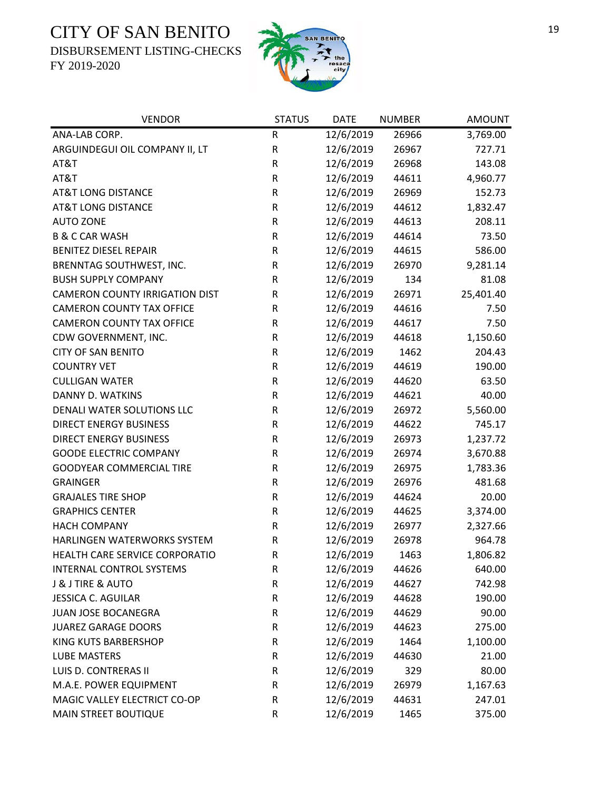DISBURSEMENT LISTING-CHECKS



| <b>VENDOR</b>                         | <b>STATUS</b> | <b>DATE</b> | <b>NUMBER</b> | <b>AMOUNT</b> |
|---------------------------------------|---------------|-------------|---------------|---------------|
| ANA-LAB CORP.                         | ${\sf R}$     | 12/6/2019   | 26966         | 3,769.00      |
| ARGUINDEGUI OIL COMPANY II, LT        | ${\sf R}$     | 12/6/2019   | 26967         | 727.71        |
| AT&T                                  | ${\sf R}$     | 12/6/2019   | 26968         | 143.08        |
| AT&T                                  | ${\sf R}$     | 12/6/2019   | 44611         | 4,960.77      |
| <b>AT&amp;T LONG DISTANCE</b>         | ${\sf R}$     | 12/6/2019   | 26969         | 152.73        |
| <b>AT&amp;T LONG DISTANCE</b>         | ${\sf R}$     | 12/6/2019   | 44612         | 1,832.47      |
| <b>AUTO ZONE</b>                      | R             | 12/6/2019   | 44613         | 208.11        |
| <b>B &amp; C CAR WASH</b>             | ${\sf R}$     | 12/6/2019   | 44614         | 73.50         |
| <b>BENITEZ DIESEL REPAIR</b>          | ${\sf R}$     | 12/6/2019   | 44615         | 586.00        |
| BRENNTAG SOUTHWEST, INC.              | ${\sf R}$     | 12/6/2019   | 26970         | 9,281.14      |
| <b>BUSH SUPPLY COMPANY</b>            | ${\sf R}$     | 12/6/2019   | 134           | 81.08         |
| <b>CAMERON COUNTY IRRIGATION DIST</b> | R             | 12/6/2019   | 26971         | 25,401.40     |
| <b>CAMERON COUNTY TAX OFFICE</b>      | ${\sf R}$     | 12/6/2019   | 44616         | 7.50          |
| <b>CAMERON COUNTY TAX OFFICE</b>      | ${\sf R}$     | 12/6/2019   | 44617         | 7.50          |
| CDW GOVERNMENT, INC.                  | ${\sf R}$     | 12/6/2019   | 44618         | 1,150.60      |
| <b>CITY OF SAN BENITO</b>             | ${\sf R}$     | 12/6/2019   | 1462          | 204.43        |
| <b>COUNTRY VET</b>                    | ${\sf R}$     | 12/6/2019   | 44619         | 190.00        |
| <b>CULLIGAN WATER</b>                 | ${\sf R}$     | 12/6/2019   | 44620         | 63.50         |
| DANNY D. WATKINS                      | $\mathsf R$   | 12/6/2019   | 44621         | 40.00         |
| DENALI WATER SOLUTIONS LLC            | ${\sf R}$     | 12/6/2019   | 26972         | 5,560.00      |
| <b>DIRECT ENERGY BUSINESS</b>         | ${\sf R}$     | 12/6/2019   | 44622         | 745.17        |
| <b>DIRECT ENERGY BUSINESS</b>         | ${\sf R}$     | 12/6/2019   | 26973         | 1,237.72      |
| <b>GOODE ELECTRIC COMPANY</b>         | ${\sf R}$     | 12/6/2019   | 26974         | 3,670.88      |
| <b>GOODYEAR COMMERCIAL TIRE</b>       | ${\sf R}$     | 12/6/2019   | 26975         | 1,783.36      |
| <b>GRAINGER</b>                       | ${\sf R}$     | 12/6/2019   | 26976         | 481.68        |
| <b>GRAJALES TIRE SHOP</b>             | ${\sf R}$     | 12/6/2019   | 44624         | 20.00         |
| <b>GRAPHICS CENTER</b>                | ${\sf R}$     | 12/6/2019   | 44625         | 3,374.00      |
| <b>HACH COMPANY</b>                   | R             | 12/6/2019   | 26977         | 2,327.66      |
| HARLINGEN WATERWORKS SYSTEM           | ${\sf R}$     | 12/6/2019   | 26978         | 964.78        |
| HEALTH CARE SERVICE CORPORATIO        | $\mathsf R$   | 12/6/2019   | 1463          | 1,806.82      |
| INTERNAL CONTROL SYSTEMS              | R             | 12/6/2019   | 44626         | 640.00        |
| <b>J &amp; J TIRE &amp; AUTO</b>      | ${\sf R}$     | 12/6/2019   | 44627         | 742.98        |
| <b>JESSICA C. AGUILAR</b>             | ${\sf R}$     | 12/6/2019   | 44628         | 190.00        |
| <b>JUAN JOSE BOCANEGRA</b>            | ${\sf R}$     | 12/6/2019   | 44629         | 90.00         |
| <b>JUAREZ GARAGE DOORS</b>            | ${\sf R}$     | 12/6/2019   | 44623         | 275.00        |
| <b>KING KUTS BARBERSHOP</b>           | ${\sf R}$     | 12/6/2019   | 1464          | 1,100.00      |
| <b>LUBE MASTERS</b>                   | ${\sf R}$     | 12/6/2019   | 44630         | 21.00         |
| LUIS D. CONTRERAS II                  | ${\sf R}$     | 12/6/2019   | 329           | 80.00         |
| M.A.E. POWER EQUIPMENT                | ${\sf R}$     | 12/6/2019   | 26979         | 1,167.63      |
| MAGIC VALLEY ELECTRICT CO-OP          | R             | 12/6/2019   | 44631         | 247.01        |
| MAIN STREET BOUTIQUE                  | ${\sf R}$     | 12/6/2019   | 1465          | 375.00        |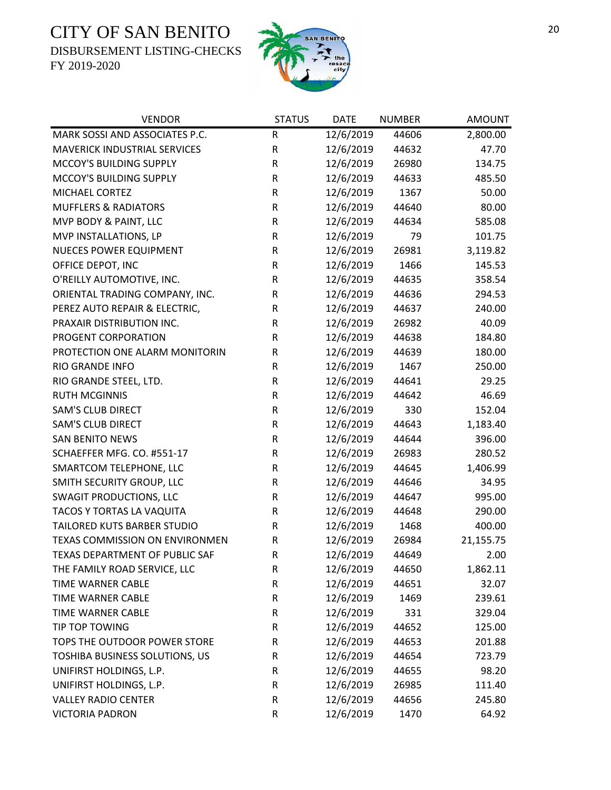DISBURSEMENT LISTING-CHECKS



| <b>VENDOR</b>                       | <b>STATUS</b> | <b>DATE</b> | <b>NUMBER</b> | <b>AMOUNT</b> |
|-------------------------------------|---------------|-------------|---------------|---------------|
| MARK SOSSI AND ASSOCIATES P.C.      | ${\sf R}$     | 12/6/2019   | 44606         | 2,800.00      |
| <b>MAVERICK INDUSTRIAL SERVICES</b> | ${\sf R}$     | 12/6/2019   | 44632         | 47.70         |
| MCCOY'S BUILDING SUPPLY             | ${\sf R}$     | 12/6/2019   | 26980         | 134.75        |
| MCCOY'S BUILDING SUPPLY             | ${\sf R}$     | 12/6/2019   | 44633         | 485.50        |
| MICHAEL CORTEZ                      | R             | 12/6/2019   | 1367          | 50.00         |
| <b>MUFFLERS &amp; RADIATORS</b>     | ${\sf R}$     | 12/6/2019   | 44640         | 80.00         |
| MVP BODY & PAINT, LLC               | ${\sf R}$     | 12/6/2019   | 44634         | 585.08        |
| MVP INSTALLATIONS, LP               | ${\sf R}$     | 12/6/2019   | 79            | 101.75        |
| NUECES POWER EQUIPMENT              | ${\sf R}$     | 12/6/2019   | 26981         | 3,119.82      |
| OFFICE DEPOT, INC                   | ${\sf R}$     | 12/6/2019   | 1466          | 145.53        |
| O'REILLY AUTOMOTIVE, INC.           | ${\sf R}$     | 12/6/2019   | 44635         | 358.54        |
| ORIENTAL TRADING COMPANY, INC.      | R             | 12/6/2019   | 44636         | 294.53        |
| PEREZ AUTO REPAIR & ELECTRIC,       | ${\sf R}$     | 12/6/2019   | 44637         | 240.00        |
| PRAXAIR DISTRIBUTION INC.           | R             | 12/6/2019   | 26982         | 40.09         |
| PROGENT CORPORATION                 | R             | 12/6/2019   | 44638         | 184.80        |
| PROTECTION ONE ALARM MONITORIN      | ${\sf R}$     | 12/6/2019   | 44639         | 180.00        |
| RIO GRANDE INFO                     | R             | 12/6/2019   | 1467          | 250.00        |
| RIO GRANDE STEEL, LTD.              | R             | 12/6/2019   | 44641         | 29.25         |
| <b>RUTH MCGINNIS</b>                | ${\sf R}$     | 12/6/2019   | 44642         | 46.69         |
| <b>SAM'S CLUB DIRECT</b>            | R             | 12/6/2019   | 330           | 152.04        |
| <b>SAM'S CLUB DIRECT</b>            | ${\sf R}$     | 12/6/2019   | 44643         | 1,183.40      |
| <b>SAN BENITO NEWS</b>              | R             | 12/6/2019   | 44644         | 396.00        |
| SCHAEFFER MFG. CO. #551-17          | ${\sf R}$     | 12/6/2019   | 26983         | 280.52        |
| SMARTCOM TELEPHONE, LLC             | ${\sf R}$     | 12/6/2019   | 44645         | 1,406.99      |
| SMITH SECURITY GROUP, LLC           | ${\sf R}$     | 12/6/2019   | 44646         | 34.95         |
| <b>SWAGIT PRODUCTIONS, LLC</b>      | ${\sf R}$     | 12/6/2019   | 44647         | 995.00        |
| TACOS Y TORTAS LA VAQUITA           | ${\sf R}$     | 12/6/2019   | 44648         | 290.00        |
| TAILORED KUTS BARBER STUDIO         | ${\sf R}$     | 12/6/2019   | 1468          | 400.00        |
| TEXAS COMMISSION ON ENVIRONMEN      | $\sf R$       | 12/6/2019   | 26984         | 21,155.75     |
| TEXAS DEPARTMENT OF PUBLIC SAF      | $\mathsf{R}$  | 12/6/2019   | 44649         | 2.00          |
| THE FAMILY ROAD SERVICE, LLC        | R             | 12/6/2019   | 44650         | 1,862.11      |
| TIME WARNER CABLE                   | ${\sf R}$     | 12/6/2019   | 44651         | 32.07         |
| TIME WARNER CABLE                   | ${\sf R}$     | 12/6/2019   | 1469          | 239.61        |
| <b>TIME WARNER CABLE</b>            | R             | 12/6/2019   | 331           | 329.04        |
| TIP TOP TOWING                      | ${\sf R}$     | 12/6/2019   | 44652         | 125.00        |
| TOPS THE OUTDOOR POWER STORE        | R             | 12/6/2019   | 44653         | 201.88        |
| TOSHIBA BUSINESS SOLUTIONS, US      | ${\sf R}$     | 12/6/2019   | 44654         | 723.79        |
| UNIFIRST HOLDINGS, L.P.             | ${\sf R}$     | 12/6/2019   | 44655         | 98.20         |
| UNIFIRST HOLDINGS, L.P.             | R             | 12/6/2019   | 26985         | 111.40        |
| <b>VALLEY RADIO CENTER</b>          | ${\sf R}$     | 12/6/2019   | 44656         | 245.80        |
| <b>VICTORIA PADRON</b>              | ${\sf R}$     | 12/6/2019   | 1470          | 64.92         |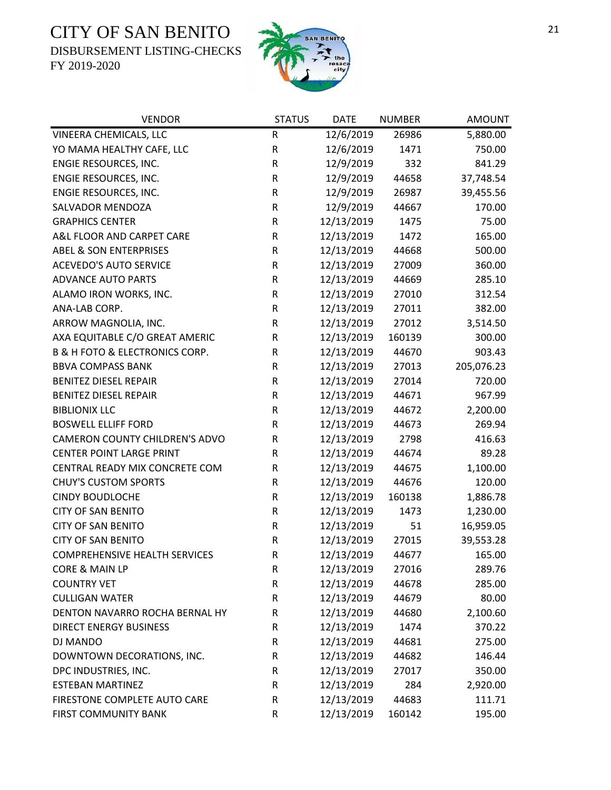DISBURSEMENT LISTING-CHECKS



| <b>VENDOR</b>                        | <b>STATUS</b> | <b>DATE</b> | <b>NUMBER</b> | <b>AMOUNT</b> |
|--------------------------------------|---------------|-------------|---------------|---------------|
| VINEERA CHEMICALS, LLC               | ${\sf R}$     | 12/6/2019   | 26986         | 5,880.00      |
| YO MAMA HEALTHY CAFE, LLC            | ${\sf R}$     | 12/6/2019   | 1471          | 750.00        |
| ENGIE RESOURCES, INC.                | ${\sf R}$     | 12/9/2019   | 332           | 841.29        |
| ENGIE RESOURCES, INC.                | ${\sf R}$     | 12/9/2019   | 44658         | 37,748.54     |
| ENGIE RESOURCES, INC.                | ${\sf R}$     | 12/9/2019   | 26987         | 39,455.56     |
| SALVADOR MENDOZA                     | ${\sf R}$     | 12/9/2019   | 44667         | 170.00        |
| <b>GRAPHICS CENTER</b>               | ${\sf R}$     | 12/13/2019  | 1475          | 75.00         |
| A&L FLOOR AND CARPET CARE            | ${\sf R}$     | 12/13/2019  | 1472          | 165.00        |
| <b>ABEL &amp; SON ENTERPRISES</b>    | ${\sf R}$     | 12/13/2019  | 44668         | 500.00        |
| <b>ACEVEDO'S AUTO SERVICE</b>        | ${\sf R}$     | 12/13/2019  | 27009         | 360.00        |
| <b>ADVANCE AUTO PARTS</b>            | ${\sf R}$     | 12/13/2019  | 44669         | 285.10        |
| ALAMO IRON WORKS, INC.               | ${\sf R}$     | 12/13/2019  | 27010         | 312.54        |
| ANA-LAB CORP.                        | ${\sf R}$     | 12/13/2019  | 27011         | 382.00        |
| ARROW MAGNOLIA, INC.                 | ${\sf R}$     | 12/13/2019  | 27012         | 3,514.50      |
| AXA EQUITABLE C/O GREAT AMERIC       | ${\sf R}$     | 12/13/2019  | 160139        | 300.00        |
| B & H FOTO & ELECTRONICS CORP.       | ${\sf R}$     | 12/13/2019  | 44670         | 903.43        |
| <b>BBVA COMPASS BANK</b>             | ${\sf R}$     | 12/13/2019  | 27013         | 205,076.23    |
| <b>BENITEZ DIESEL REPAIR</b>         | ${\sf R}$     | 12/13/2019  | 27014         | 720.00        |
| <b>BENITEZ DIESEL REPAIR</b>         | ${\sf R}$     | 12/13/2019  | 44671         | 967.99        |
| <b>BIBLIONIX LLC</b>                 | ${\sf R}$     | 12/13/2019  | 44672         | 2,200.00      |
| <b>BOSWELL ELLIFF FORD</b>           | R             | 12/13/2019  | 44673         | 269.94        |
| CAMERON COUNTY CHILDREN'S ADVO       | ${\sf R}$     | 12/13/2019  | 2798          | 416.63        |
| <b>CENTER POINT LARGE PRINT</b>      | R             | 12/13/2019  | 44674         | 89.28         |
| CENTRAL READY MIX CONCRETE COM       | R             | 12/13/2019  | 44675         | 1,100.00      |
| <b>CHUY'S CUSTOM SPORTS</b>          | ${\sf R}$     | 12/13/2019  | 44676         | 120.00        |
| <b>CINDY BOUDLOCHE</b>               | $\mathsf R$   | 12/13/2019  | 160138        | 1,886.78      |
| <b>CITY OF SAN BENITO</b>            | ${\sf R}$     | 12/13/2019  | 1473          | 1,230.00      |
| <b>CITY OF SAN BENITO</b>            | $\mathsf{R}$  | 12/13/2019  | 51            | 16,959.05     |
| <b>CITY OF SAN BENITO</b>            | ${\sf R}$     | 12/13/2019  | 27015         | 39,553.28     |
| <b>COMPREHENSIVE HEALTH SERVICES</b> | $\mathsf R$   | 12/13/2019  | 44677         | 165.00        |
| <b>CORE &amp; MAIN LP</b>            | R             | 12/13/2019  | 27016         | 289.76        |
| <b>COUNTRY VET</b>                   | ${\sf R}$     | 12/13/2019  | 44678         | 285.00        |
| <b>CULLIGAN WATER</b>                | ${\sf R}$     | 12/13/2019  | 44679         | 80.00         |
| DENTON NAVARRO ROCHA BERNAL HY       | $\mathsf R$   | 12/13/2019  | 44680         | 2,100.60      |
| <b>DIRECT ENERGY BUSINESS</b>        | R             | 12/13/2019  | 1474          | 370.22        |
| DJ MANDO                             | R             | 12/13/2019  | 44681         | 275.00        |
| DOWNTOWN DECORATIONS, INC.           | R             | 12/13/2019  | 44682         | 146.44        |
| DPC INDUSTRIES, INC.                 | ${\sf R}$     | 12/13/2019  | 27017         | 350.00        |
| <b>ESTEBAN MARTINEZ</b>              | ${\sf R}$     | 12/13/2019  | 284           | 2,920.00      |
| FIRESTONE COMPLETE AUTO CARE         | ${\sf R}$     | 12/13/2019  | 44683         | 111.71        |
| FIRST COMMUNITY BANK                 | ${\sf R}$     | 12/13/2019  | 160142        | 195.00        |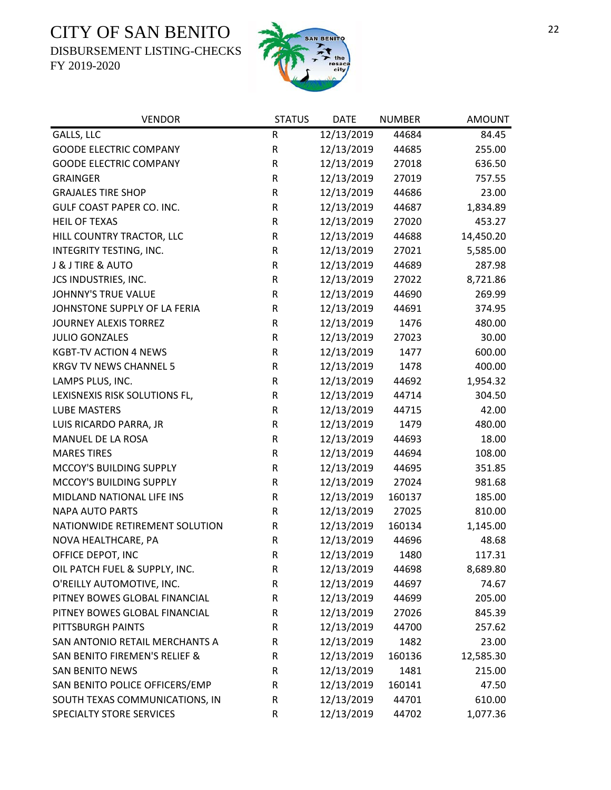DISBURSEMENT LISTING-CHECKS



| <b>VENDOR</b>                  | <b>STATUS</b> | <b>DATE</b> | <b>NUMBER</b> | <b>AMOUNT</b> |
|--------------------------------|---------------|-------------|---------------|---------------|
| GALLS, LLC                     | ${\sf R}$     | 12/13/2019  | 44684         | 84.45         |
| <b>GOODE ELECTRIC COMPANY</b>  | ${\sf R}$     | 12/13/2019  | 44685         | 255.00        |
| <b>GOODE ELECTRIC COMPANY</b>  | R             | 12/13/2019  | 27018         | 636.50        |
| <b>GRAINGER</b>                | ${\sf R}$     | 12/13/2019  | 27019         | 757.55        |
| <b>GRAJALES TIRE SHOP</b>      | ${\sf R}$     | 12/13/2019  | 44686         | 23.00         |
| GULF COAST PAPER CO. INC.      | ${\sf R}$     | 12/13/2019  | 44687         | 1,834.89      |
| <b>HEIL OF TEXAS</b>           | ${\sf R}$     | 12/13/2019  | 27020         | 453.27        |
| HILL COUNTRY TRACTOR, LLC      | ${\sf R}$     | 12/13/2019  | 44688         | 14,450.20     |
| INTEGRITY TESTING, INC.        | ${\sf R}$     | 12/13/2019  | 27021         | 5,585.00      |
| J & J TIRE & AUTO              | ${\sf R}$     | 12/13/2019  | 44689         | 287.98        |
| JCS INDUSTRIES, INC.           | ${\sf R}$     | 12/13/2019  | 27022         | 8,721.86      |
| JOHNNY'S TRUE VALUE            | ${\sf R}$     | 12/13/2019  | 44690         | 269.99        |
| JOHNSTONE SUPPLY OF LA FERIA   | ${\sf R}$     | 12/13/2019  | 44691         | 374.95        |
| <b>JOURNEY ALEXIS TORREZ</b>   | ${\sf R}$     | 12/13/2019  | 1476          | 480.00        |
| <b>JULIO GONZALES</b>          | R             | 12/13/2019  | 27023         | 30.00         |
| <b>KGBT-TV ACTION 4 NEWS</b>   | ${\sf R}$     | 12/13/2019  | 1477          | 600.00        |
| <b>KRGV TV NEWS CHANNEL 5</b>  | ${\sf R}$     | 12/13/2019  | 1478          | 400.00        |
| LAMPS PLUS, INC.               | ${\sf R}$     | 12/13/2019  | 44692         | 1,954.32      |
| LEXISNEXIS RISK SOLUTIONS FL,  | ${\sf R}$     | 12/13/2019  | 44714         | 304.50        |
| <b>LUBE MASTERS</b>            | ${\sf R}$     | 12/13/2019  | 44715         | 42.00         |
| LUIS RICARDO PARRA, JR         | ${\sf R}$     | 12/13/2019  | 1479          | 480.00        |
| MANUEL DE LA ROSA              | R             | 12/13/2019  | 44693         | 18.00         |
| <b>MARES TIRES</b>             | ${\sf R}$     | 12/13/2019  | 44694         | 108.00        |
| MCCOY'S BUILDING SUPPLY        | ${\sf R}$     | 12/13/2019  | 44695         | 351.85        |
| MCCOY'S BUILDING SUPPLY        | ${\sf R}$     | 12/13/2019  | 27024         | 981.68        |
| MIDLAND NATIONAL LIFE INS      | ${\sf R}$     | 12/13/2019  | 160137        | 185.00        |
| <b>NAPA AUTO PARTS</b>         | R             | 12/13/2019  | 27025         | 810.00        |
| NATIONWIDE RETIREMENT SOLUTION | R             | 12/13/2019  | 160134        | 1,145.00      |
| NOVA HEALTHCARE, PA            | ${\sf R}$     | 12/13/2019  | 44696         | 48.68         |
| OFFICE DEPOT, INC              | $\mathsf R$   | 12/13/2019  | 1480          | 117.31        |
| OIL PATCH FUEL & SUPPLY, INC.  | R             | 12/13/2019  | 44698         | 8,689.80      |
| O'REILLY AUTOMOTIVE, INC.      | R             | 12/13/2019  | 44697         | 74.67         |
| PITNEY BOWES GLOBAL FINANCIAL  | R             | 12/13/2019  | 44699         | 205.00        |
| PITNEY BOWES GLOBAL FINANCIAL  | R             | 12/13/2019  | 27026         | 845.39        |
| PITTSBURGH PAINTS              | R             | 12/13/2019  | 44700         | 257.62        |
| SAN ANTONIO RETAIL MERCHANTS A | R             | 12/13/2019  | 1482          | 23.00         |
| SAN BENITO FIREMEN'S RELIEF &  | R             | 12/13/2019  | 160136        | 12,585.30     |
| <b>SAN BENITO NEWS</b>         | R             | 12/13/2019  | 1481          | 215.00        |
| SAN BENITO POLICE OFFICERS/EMP | R             | 12/13/2019  | 160141        | 47.50         |
| SOUTH TEXAS COMMUNICATIONS, IN | R             | 12/13/2019  | 44701         | 610.00        |
| SPECIALTY STORE SERVICES       | R             | 12/13/2019  | 44702         | 1,077.36      |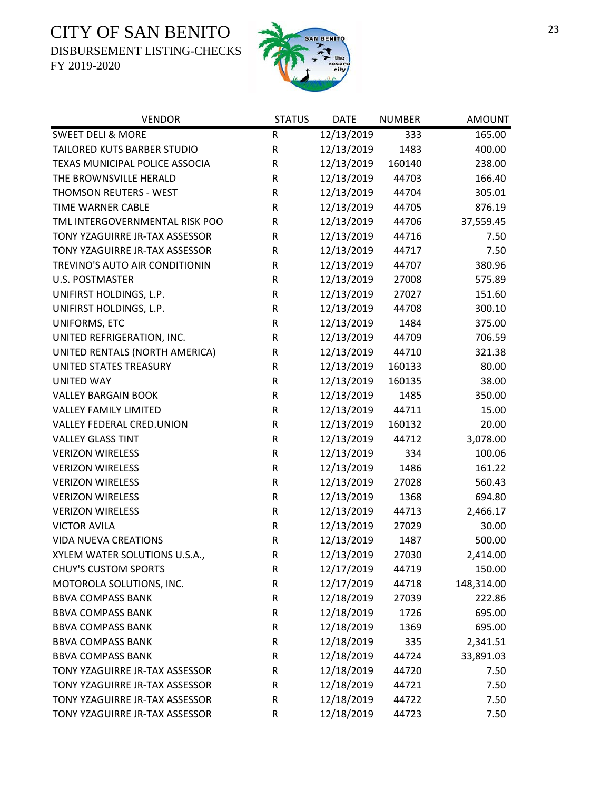DISBURSEMENT LISTING-CHECKS



| <b>VENDOR</b>                  | <b>STATUS</b> | <b>DATE</b> | <b>NUMBER</b> | <b>AMOUNT</b> |
|--------------------------------|---------------|-------------|---------------|---------------|
| <b>SWEET DELI &amp; MORE</b>   | ${\sf R}$     | 12/13/2019  | 333           | 165.00        |
| TAILORED KUTS BARBER STUDIO    | ${\sf R}$     | 12/13/2019  | 1483          | 400.00        |
| TEXAS MUNICIPAL POLICE ASSOCIA | R             | 12/13/2019  | 160140        | 238.00        |
| THE BROWNSVILLE HERALD         | R             | 12/13/2019  | 44703         | 166.40        |
| THOMSON REUTERS - WEST         | ${\sf R}$     | 12/13/2019  | 44704         | 305.01        |
| TIME WARNER CABLE              | R             | 12/13/2019  | 44705         | 876.19        |
| TML INTERGOVERNMENTAL RISK POO | R             | 12/13/2019  | 44706         | 37,559.45     |
| TONY YZAGUIRRE JR-TAX ASSESSOR | $\mathsf R$   | 12/13/2019  | 44716         | 7.50          |
| TONY YZAGUIRRE JR-TAX ASSESSOR | ${\sf R}$     | 12/13/2019  | 44717         | 7.50          |
| TREVINO'S AUTO AIR CONDITIONIN | ${\sf R}$     | 12/13/2019  | 44707         | 380.96        |
| <b>U.S. POSTMASTER</b>         | ${\sf R}$     | 12/13/2019  | 27008         | 575.89        |
| UNIFIRST HOLDINGS, L.P.        | ${\sf R}$     | 12/13/2019  | 27027         | 151.60        |
| UNIFIRST HOLDINGS, L.P.        | ${\sf R}$     | 12/13/2019  | 44708         | 300.10        |
| UNIFORMS, ETC                  | ${\sf R}$     | 12/13/2019  | 1484          | 375.00        |
| UNITED REFRIGERATION, INC.     | R             | 12/13/2019  | 44709         | 706.59        |
| UNITED RENTALS (NORTH AMERICA) | ${\sf R}$     | 12/13/2019  | 44710         | 321.38        |
| UNITED STATES TREASURY         | R             | 12/13/2019  | 160133        | 80.00         |
| <b>UNITED WAY</b>              | R             | 12/13/2019  | 160135        | 38.00         |
| <b>VALLEY BARGAIN BOOK</b>     | ${\sf R}$     | 12/13/2019  | 1485          | 350.00        |
| <b>VALLEY FAMILY LIMITED</b>   | ${\sf R}$     | 12/13/2019  | 44711         | 15.00         |
| VALLEY FEDERAL CRED.UNION      | ${\sf R}$     | 12/13/2019  | 160132        | 20.00         |
| <b>VALLEY GLASS TINT</b>       | ${\sf R}$     | 12/13/2019  | 44712         | 3,078.00      |
| <b>VERIZON WIRELESS</b>        | ${\sf R}$     | 12/13/2019  | 334           | 100.06        |
| <b>VERIZON WIRELESS</b>        | ${\sf R}$     | 12/13/2019  | 1486          | 161.22        |
| <b>VERIZON WIRELESS</b>        | ${\sf R}$     | 12/13/2019  | 27028         | 560.43        |
| <b>VERIZON WIRELESS</b>        | ${\sf R}$     | 12/13/2019  | 1368          | 694.80        |
| <b>VERIZON WIRELESS</b>        | R             | 12/13/2019  | 44713         | 2,466.17      |
| <b>VICTOR AVILA</b>            | ${\sf R}$     | 12/13/2019  | 27029         | 30.00         |
| <b>VIDA NUEVA CREATIONS</b>    | ${\sf R}$     | 12/13/2019  | 1487          | 500.00        |
| XYLEM WATER SOLUTIONS U.S.A.,  | $\mathsf R$   | 12/13/2019  | 27030         | 2,414.00      |
| <b>CHUY'S CUSTOM SPORTS</b>    | R             | 12/17/2019  | 44719         | 150.00        |
| MOTOROLA SOLUTIONS, INC.       | R             | 12/17/2019  | 44718         | 148,314.00    |
| <b>BBVA COMPASS BANK</b>       | ${\sf R}$     | 12/18/2019  | 27039         | 222.86        |
| <b>BBVA COMPASS BANK</b>       | R             | 12/18/2019  | 1726          | 695.00        |
| <b>BBVA COMPASS BANK</b>       | ${\sf R}$     | 12/18/2019  | 1369          | 695.00        |
| <b>BBVA COMPASS BANK</b>       | R             | 12/18/2019  | 335           | 2,341.51      |
| <b>BBVA COMPASS BANK</b>       | R             | 12/18/2019  | 44724         | 33,891.03     |
| TONY YZAGUIRRE JR-TAX ASSESSOR | R             | 12/18/2019  | 44720         | 7.50          |
| TONY YZAGUIRRE JR-TAX ASSESSOR | R             | 12/18/2019  | 44721         | 7.50          |
| TONY YZAGUIRRE JR-TAX ASSESSOR | ${\sf R}$     | 12/18/2019  | 44722         | 7.50          |
| TONY YZAGUIRRE JR-TAX ASSESSOR | ${\sf R}$     | 12/18/2019  | 44723         | 7.50          |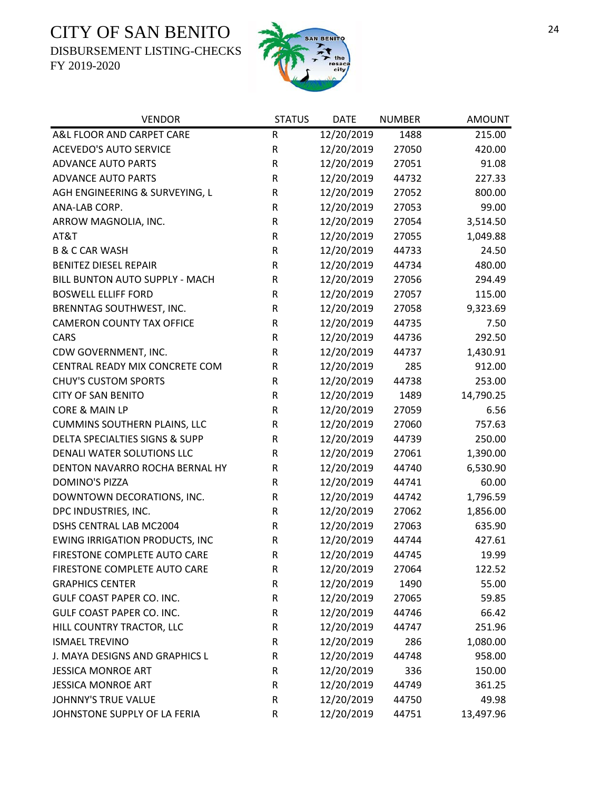DISBURSEMENT LISTING-CHECKS



| <b>VENDOR</b>                         | <b>STATUS</b> | <b>DATE</b> | <b>NUMBER</b> | <b>AMOUNT</b> |
|---------------------------------------|---------------|-------------|---------------|---------------|
| A&L FLOOR AND CARPET CARE             | R             | 12/20/2019  | 1488          | 215.00        |
| <b>ACEVEDO'S AUTO SERVICE</b>         | ${\sf R}$     | 12/20/2019  | 27050         | 420.00        |
| <b>ADVANCE AUTO PARTS</b>             | ${\sf R}$     | 12/20/2019  | 27051         | 91.08         |
| <b>ADVANCE AUTO PARTS</b>             | $\mathsf R$   | 12/20/2019  | 44732         | 227.33        |
| AGH ENGINEERING & SURVEYING, L        | ${\sf R}$     | 12/20/2019  | 27052         | 800.00        |
| ANA-LAB CORP.                         | ${\sf R}$     | 12/20/2019  | 27053         | 99.00         |
| ARROW MAGNOLIA, INC.                  | ${\sf R}$     | 12/20/2019  | 27054         | 3,514.50      |
| AT&T                                  | ${\sf R}$     | 12/20/2019  | 27055         | 1,049.88      |
| <b>B &amp; C CAR WASH</b>             | $\mathsf R$   | 12/20/2019  | 44733         | 24.50         |
| <b>BENITEZ DIESEL REPAIR</b>          | $\mathsf R$   | 12/20/2019  | 44734         | 480.00        |
| BILL BUNTON AUTO SUPPLY - MACH        | ${\sf R}$     | 12/20/2019  | 27056         | 294.49        |
| <b>BOSWELL ELLIFF FORD</b>            | $\mathsf R$   | 12/20/2019  | 27057         | 115.00        |
| BRENNTAG SOUTHWEST, INC.              | ${\sf R}$     | 12/20/2019  | 27058         | 9,323.69      |
| <b>CAMERON COUNTY TAX OFFICE</b>      | ${\sf R}$     | 12/20/2019  | 44735         | 7.50          |
| <b>CARS</b>                           | ${\sf R}$     | 12/20/2019  | 44736         | 292.50        |
| CDW GOVERNMENT, INC.                  | R             | 12/20/2019  | 44737         | 1,430.91      |
| CENTRAL READY MIX CONCRETE COM        | $\mathsf R$   | 12/20/2019  | 285           | 912.00        |
| <b>CHUY'S CUSTOM SPORTS</b>           | ${\sf R}$     | 12/20/2019  | 44738         | 253.00        |
| <b>CITY OF SAN BENITO</b>             | $\mathsf R$   | 12/20/2019  | 1489          | 14,790.25     |
| CORE & MAIN LP                        | ${\sf R}$     | 12/20/2019  | 27059         | 6.56          |
| <b>CUMMINS SOUTHERN PLAINS, LLC</b>   | ${\sf R}$     | 12/20/2019  | 27060         | 757.63        |
| DELTA SPECIALTIES SIGNS & SUPP        | ${\sf R}$     | 12/20/2019  | 44739         | 250.00        |
| DENALI WATER SOLUTIONS LLC            | R             | 12/20/2019  | 27061         | 1,390.00      |
| DENTON NAVARRO ROCHA BERNAL HY        | $\mathsf R$   | 12/20/2019  | 44740         | 6,530.90      |
| <b>DOMINO'S PIZZA</b>                 | ${\sf R}$     | 12/20/2019  | 44741         | 60.00         |
| DOWNTOWN DECORATIONS, INC.            | $\mathsf R$   | 12/20/2019  | 44742         | 1,796.59      |
| DPC INDUSTRIES, INC.                  | ${\sf R}$     | 12/20/2019  | 27062         | 1,856.00      |
| DSHS CENTRAL LAB MC2004               | $\mathsf R$   | 12/20/2019  | 27063         | 635.90        |
| <b>EWING IRRIGATION PRODUCTS, INC</b> | $\mathsf R$   | 12/20/2019  | 44744         | 427.61        |
| FIRESTONE COMPLETE AUTO CARE          | $\mathsf{R}$  | 12/20/2019  | 44745         | 19.99         |
| FIRESTONE COMPLETE AUTO CARE          | R             | 12/20/2019  | 27064         | 122.52        |
| <b>GRAPHICS CENTER</b>                | $\mathsf R$   | 12/20/2019  | 1490          | 55.00         |
| <b>GULF COAST PAPER CO. INC.</b>      | $\mathsf R$   | 12/20/2019  | 27065         | 59.85         |
| GULF COAST PAPER CO. INC.             | $\mathsf R$   | 12/20/2019  | 44746         | 66.42         |
| HILL COUNTRY TRACTOR, LLC             | $\mathsf R$   | 12/20/2019  | 44747         | 251.96        |
| <b>ISMAEL TREVINO</b>                 | R             | 12/20/2019  | 286           | 1,080.00      |
| J. MAYA DESIGNS AND GRAPHICS L        | $\mathsf R$   | 12/20/2019  | 44748         | 958.00        |
| <b>JESSICA MONROE ART</b>             | $\mathsf R$   | 12/20/2019  | 336           | 150.00        |
| <b>JESSICA MONROE ART</b>             | $\mathsf R$   | 12/20/2019  | 44749         | 361.25        |
| JOHNNY'S TRUE VALUE                   | $\mathsf R$   | 12/20/2019  | 44750         | 49.98         |
| JOHNSTONE SUPPLY OF LA FERIA          | R             | 12/20/2019  | 44751         | 13,497.96     |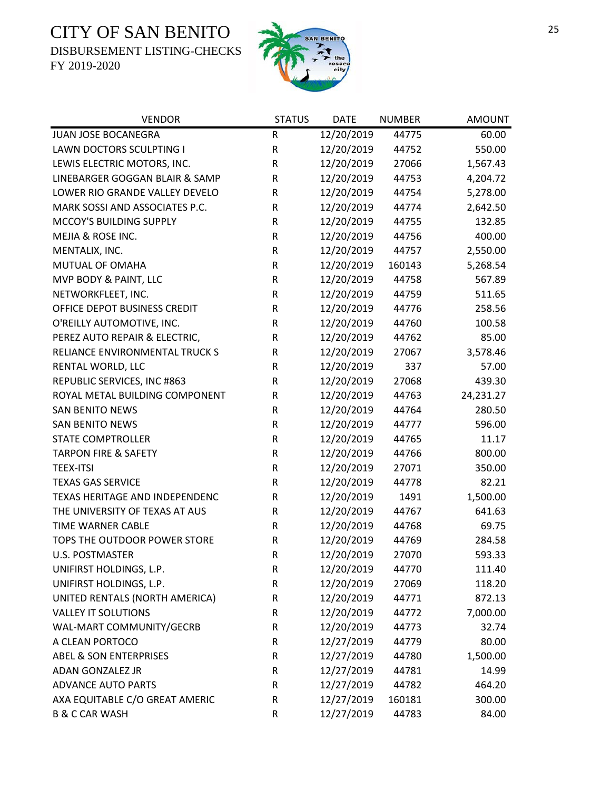DISBURSEMENT LISTING-CHECKS



| <b>VENDOR</b>                     | <b>STATUS</b> | <b>DATE</b> | <b>NUMBER</b> | <b>AMOUNT</b> |
|-----------------------------------|---------------|-------------|---------------|---------------|
| JUAN JOSE BOCANEGRA               | R             | 12/20/2019  | 44775         | 60.00         |
| <b>LAWN DOCTORS SCULPTING I</b>   | ${\sf R}$     | 12/20/2019  | 44752         | 550.00        |
| LEWIS ELECTRIC MOTORS, INC.       | ${\sf R}$     | 12/20/2019  | 27066         | 1,567.43      |
| LINEBARGER GOGGAN BLAIR & SAMP    | R             | 12/20/2019  | 44753         | 4,204.72      |
| LOWER RIO GRANDE VALLEY DEVELO    | ${\sf R}$     | 12/20/2019  | 44754         | 5,278.00      |
| MARK SOSSI AND ASSOCIATES P.C.    | R             | 12/20/2019  | 44774         | 2,642.50      |
| MCCOY'S BUILDING SUPPLY           | ${\sf R}$     | 12/20/2019  | 44755         | 132.85        |
| MEJIA & ROSE INC.                 | R             | 12/20/2019  | 44756         | 400.00        |
| MENTALIX, INC.                    | ${\sf R}$     | 12/20/2019  | 44757         | 2,550.00      |
| MUTUAL OF OMAHA                   | ${\sf R}$     | 12/20/2019  | 160143        | 5,268.54      |
| MVP BODY & PAINT, LLC             | R             | 12/20/2019  | 44758         | 567.89        |
| NETWORKFLEET, INC.                | ${\sf R}$     | 12/20/2019  | 44759         | 511.65        |
| OFFICE DEPOT BUSINESS CREDIT      | ${\sf R}$     | 12/20/2019  | 44776         | 258.56        |
| O'REILLY AUTOMOTIVE, INC.         | R             | 12/20/2019  | 44760         | 100.58        |
| PEREZ AUTO REPAIR & ELECTRIC,     | R             | 12/20/2019  | 44762         | 85.00         |
| RELIANCE ENVIRONMENTAL TRUCK S    | ${\sf R}$     | 12/20/2019  | 27067         | 3,578.46      |
| RENTAL WORLD, LLC                 | R             | 12/20/2019  | 337           | 57.00         |
| REPUBLIC SERVICES, INC #863       | R             | 12/20/2019  | 27068         | 439.30        |
| ROYAL METAL BUILDING COMPONENT    | R             | 12/20/2019  | 44763         | 24,231.27     |
| <b>SAN BENITO NEWS</b>            | R             | 12/20/2019  | 44764         | 280.50        |
| <b>SAN BENITO NEWS</b>            | R             | 12/20/2019  | 44777         | 596.00        |
| <b>STATE COMPTROLLER</b>          | ${\sf R}$     | 12/20/2019  | 44765         | 11.17         |
| <b>TARPON FIRE &amp; SAFETY</b>   | R             | 12/20/2019  | 44766         | 800.00        |
| <b>TEEX-ITSI</b>                  | R             | 12/20/2019  | 27071         | 350.00        |
| <b>TEXAS GAS SERVICE</b>          | R             | 12/20/2019  | 44778         | 82.21         |
| TEXAS HERITAGE AND INDEPENDENC    | R             | 12/20/2019  | 1491          | 1,500.00      |
| THE UNIVERSITY OF TEXAS AT AUS    | R             | 12/20/2019  | 44767         | 641.63        |
| <b>TIME WARNER CABLE</b>          | R             | 12/20/2019  | 44768         | 69.75         |
| TOPS THE OUTDOOR POWER STORE      | $\sf R$       | 12/20/2019  | 44769         | 284.58        |
| <b>U.S. POSTMASTER</b>            | $\mathsf R$   | 12/20/2019  | 27070         | 593.33        |
| UNIFIRST HOLDINGS, L.P.           | R             | 12/20/2019  | 44770         | 111.40        |
| UNIFIRST HOLDINGS, L.P.           | R             | 12/20/2019  | 27069         | 118.20        |
| UNITED RENTALS (NORTH AMERICA)    | R             | 12/20/2019  | 44771         | 872.13        |
| <b>VALLEY IT SOLUTIONS</b>        | R             | 12/20/2019  | 44772         | 7,000.00      |
| WAL-MART COMMUNITY/GECRB          | ${\sf R}$     | 12/20/2019  | 44773         | 32.74         |
| A CLEAN PORTOCO                   | $\mathsf R$   | 12/27/2019  | 44779         | 80.00         |
| <b>ABEL &amp; SON ENTERPRISES</b> | ${\sf R}$     | 12/27/2019  | 44780         | 1,500.00      |
| <b>ADAN GONZALEZ JR</b>           | R             | 12/27/2019  | 44781         | 14.99         |
| <b>ADVANCE AUTO PARTS</b>         | R             | 12/27/2019  | 44782         | 464.20        |
| AXA EQUITABLE C/O GREAT AMERIC    | ${\sf R}$     | 12/27/2019  | 160181        | 300.00        |
| <b>B &amp; C CAR WASH</b>         | ${\sf R}$     | 12/27/2019  | 44783         | 84.00         |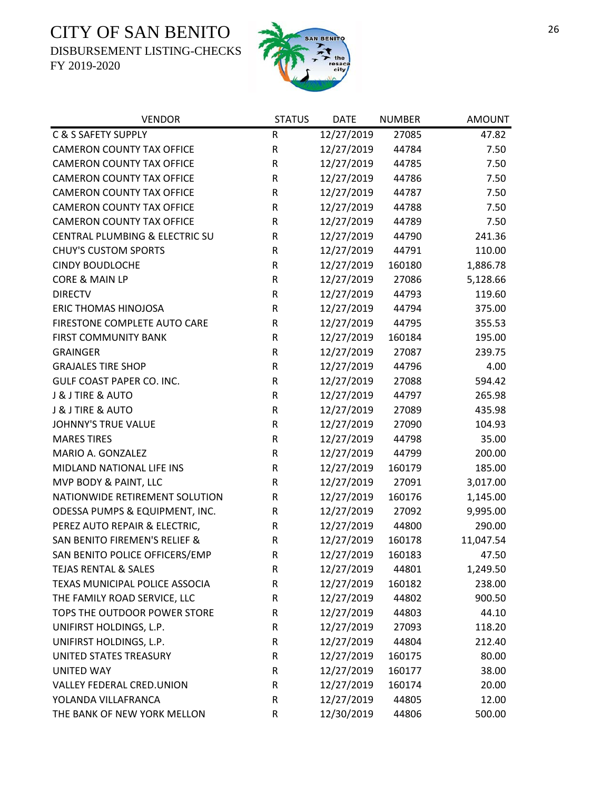DISBURSEMENT LISTING-CHECKS



| <b>VENDOR</b>                    | <b>STATUS</b> | <b>DATE</b> | <b>NUMBER</b> | <b>AMOUNT</b> |
|----------------------------------|---------------|-------------|---------------|---------------|
| C & S SAFETY SUPPLY              | R             | 12/27/2019  | 27085         | 47.82         |
| <b>CAMERON COUNTY TAX OFFICE</b> | R             | 12/27/2019  | 44784         | 7.50          |
| <b>CAMERON COUNTY TAX OFFICE</b> | R             | 12/27/2019  | 44785         | 7.50          |
| <b>CAMERON COUNTY TAX OFFICE</b> | R             | 12/27/2019  | 44786         | 7.50          |
| <b>CAMERON COUNTY TAX OFFICE</b> | ${\sf R}$     | 12/27/2019  | 44787         | 7.50          |
| <b>CAMERON COUNTY TAX OFFICE</b> | R             | 12/27/2019  | 44788         | 7.50          |
| <b>CAMERON COUNTY TAX OFFICE</b> | R             | 12/27/2019  | 44789         | 7.50          |
| CENTRAL PLUMBING & ELECTRIC SU   | R             | 12/27/2019  | 44790         | 241.36        |
| <b>CHUY'S CUSTOM SPORTS</b>      | R             | 12/27/2019  | 44791         | 110.00        |
| <b>CINDY BOUDLOCHE</b>           | ${\sf R}$     | 12/27/2019  | 160180        | 1,886.78      |
| <b>CORE &amp; MAIN LP</b>        | ${\sf R}$     | 12/27/2019  | 27086         | 5,128.66      |
| <b>DIRECTV</b>                   | R             | 12/27/2019  | 44793         | 119.60        |
| <b>ERIC THOMAS HINOJOSA</b>      | R             | 12/27/2019  | 44794         | 375.00        |
| FIRESTONE COMPLETE AUTO CARE     | R             | 12/27/2019  | 44795         | 355.53        |
| <b>FIRST COMMUNITY BANK</b>      | R             | 12/27/2019  | 160184        | 195.00        |
| <b>GRAINGER</b>                  | R             | 12/27/2019  | 27087         | 239.75        |
| <b>GRAJALES TIRE SHOP</b>        | ${\sf R}$     | 12/27/2019  | 44796         | 4.00          |
| GULF COAST PAPER CO. INC.        | R             | 12/27/2019  | 27088         | 594.42        |
| <b>J &amp; J TIRE &amp; AUTO</b> | R             | 12/27/2019  | 44797         | 265.98        |
| <b>J &amp; J TIRE &amp; AUTO</b> | R             | 12/27/2019  | 27089         | 435.98        |
| <b>JOHNNY'S TRUE VALUE</b>       | R             | 12/27/2019  | 27090         | 104.93        |
| <b>MARES TIRES</b>               | R             | 12/27/2019  | 44798         | 35.00         |
| MARIO A. GONZALEZ                | R             | 12/27/2019  | 44799         | 200.00        |
| MIDLAND NATIONAL LIFE INS        | R             | 12/27/2019  | 160179        | 185.00        |
| MVP BODY & PAINT, LLC            | R             | 12/27/2019  | 27091         | 3,017.00      |
| NATIONWIDE RETIREMENT SOLUTION   | R             | 12/27/2019  | 160176        | 1,145.00      |
| ODESSA PUMPS & EQUIPMENT, INC.   | R             | 12/27/2019  | 27092         | 9,995.00      |
| PEREZ AUTO REPAIR & ELECTRIC,    | R             | 12/27/2019  | 44800         | 290.00        |
| SAN BENITO FIREMEN'S RELIEF &    | ${\sf R}$     | 12/27/2019  | 160178        | 11,047.54     |
| SAN BENITO POLICE OFFICERS/EMP   | R             | 12/27/2019  | 160183        | 47.50         |
| <b>TEJAS RENTAL &amp; SALES</b>  | R             | 12/27/2019  | 44801         | 1,249.50      |
| TEXAS MUNICIPAL POLICE ASSOCIA   | R             | 12/27/2019  | 160182        | 238.00        |
| THE FAMILY ROAD SERVICE, LLC     | R             | 12/27/2019  | 44802         | 900.50        |
| TOPS THE OUTDOOR POWER STORE     | R             | 12/27/2019  | 44803         | 44.10         |
| UNIFIRST HOLDINGS, L.P.          | R             | 12/27/2019  | 27093         | 118.20        |
| UNIFIRST HOLDINGS, L.P.          | R             | 12/27/2019  | 44804         | 212.40        |
| UNITED STATES TREASURY           | R             | 12/27/2019  | 160175        | 80.00         |
| <b>UNITED WAY</b>                | R             | 12/27/2019  | 160177        | 38.00         |
| VALLEY FEDERAL CRED.UNION        | R             | 12/27/2019  | 160174        | 20.00         |
| YOLANDA VILLAFRANCA              | R             | 12/27/2019  | 44805         | 12.00         |
| THE BANK OF NEW YORK MELLON      | R             | 12/30/2019  | 44806         | 500.00        |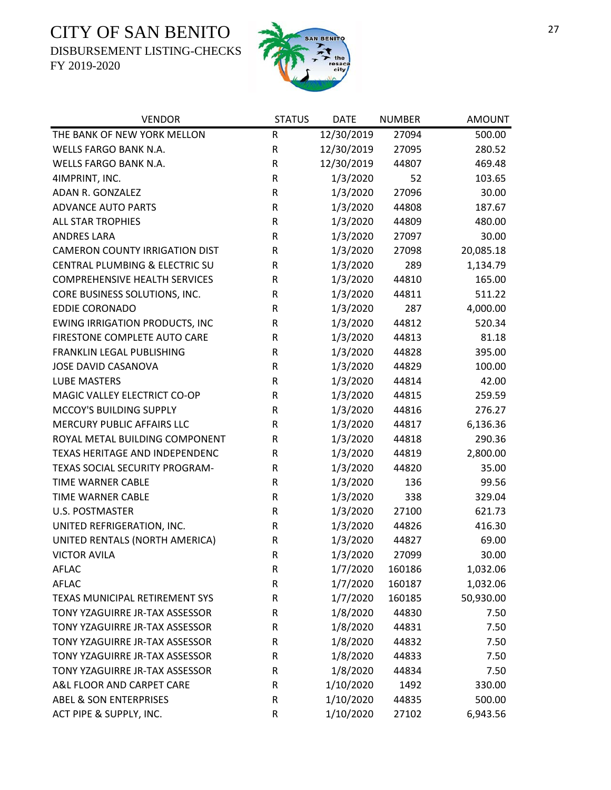DISBURSEMENT LISTING-CHECKS



| <b>VENDOR</b>                         | <b>STATUS</b> | <b>DATE</b> | <b>NUMBER</b> | <b>AMOUNT</b> |
|---------------------------------------|---------------|-------------|---------------|---------------|
| THE BANK OF NEW YORK MELLON           | ${\sf R}$     | 12/30/2019  | 27094         | 500.00        |
| <b>WELLS FARGO BANK N.A.</b>          | ${\sf R}$     | 12/30/2019  | 27095         | 280.52        |
| WELLS FARGO BANK N.A.                 | ${\sf R}$     | 12/30/2019  | 44807         | 469.48        |
| 4IMPRINT, INC.                        | R             | 1/3/2020    | 52            | 103.65        |
| ADAN R. GONZALEZ                      | $\mathsf R$   | 1/3/2020    | 27096         | 30.00         |
| <b>ADVANCE AUTO PARTS</b>             | ${\sf R}$     | 1/3/2020    | 44808         | 187.67        |
| <b>ALL STAR TROPHIES</b>              | ${\sf R}$     | 1/3/2020    | 44809         | 480.00        |
| <b>ANDRES LARA</b>                    | ${\sf R}$     | 1/3/2020    | 27097         | 30.00         |
| <b>CAMERON COUNTY IRRIGATION DIST</b> | R             | 1/3/2020    | 27098         | 20,085.18     |
| CENTRAL PLUMBING & ELECTRIC SU        | R             | 1/3/2020    | 289           | 1,134.79      |
| <b>COMPREHENSIVE HEALTH SERVICES</b>  | R             | 1/3/2020    | 44810         | 165.00        |
| CORE BUSINESS SOLUTIONS, INC.         | R             | 1/3/2020    | 44811         | 511.22        |
| <b>EDDIE CORONADO</b>                 | ${\sf R}$     | 1/3/2020    | 287           | 4,000.00      |
| <b>EWING IRRIGATION PRODUCTS, INC</b> | ${\sf R}$     | 1/3/2020    | 44812         | 520.34        |
| FIRESTONE COMPLETE AUTO CARE          | ${\sf R}$     | 1/3/2020    | 44813         | 81.18         |
| FRANKLIN LEGAL PUBLISHING             | ${\sf R}$     | 1/3/2020    | 44828         | 395.00        |
| JOSE DAVID CASANOVA                   | ${\sf R}$     | 1/3/2020    | 44829         | 100.00        |
| <b>LUBE MASTERS</b>                   | R             | 1/3/2020    | 44814         | 42.00         |
| MAGIC VALLEY ELECTRICT CO-OP          | ${\sf R}$     | 1/3/2020    | 44815         | 259.59        |
| MCCOY'S BUILDING SUPPLY               | ${\sf R}$     | 1/3/2020    | 44816         | 276.27        |
| MERCURY PUBLIC AFFAIRS LLC            | ${\sf R}$     | 1/3/2020    | 44817         | 6,136.36      |
| ROYAL METAL BUILDING COMPONENT        | ${\sf R}$     | 1/3/2020    | 44818         | 290.36        |
| TEXAS HERITAGE AND INDEPENDENC        | ${\sf R}$     | 1/3/2020    | 44819         | 2,800.00      |
| TEXAS SOCIAL SECURITY PROGRAM-        | R             | 1/3/2020    | 44820         | 35.00         |
| TIME WARNER CABLE                     | ${\sf R}$     | 1/3/2020    | 136           | 99.56         |
| <b>TIME WARNER CABLE</b>              | ${\sf R}$     | 1/3/2020    | 338           | 329.04        |
| <b>U.S. POSTMASTER</b>                | ${\sf R}$     | 1/3/2020    | 27100         | 621.73        |
| UNITED REFRIGERATION, INC.            | $\mathsf R$   | 1/3/2020    | 44826         | 416.30        |
| UNITED RENTALS (NORTH AMERICA)        | R             | 1/3/2020    | 44827         | 69.00         |
| <b>VICTOR AVILA</b>                   | $\mathsf{R}$  | 1/3/2020    | 27099         | 30.00         |
| AFLAC                                 | R             | 1/7/2020    | 160186        | 1,032.06      |
| <b>AFLAC</b>                          | ${\sf R}$     | 1/7/2020    | 160187        | 1,032.06      |
| TEXAS MUNICIPAL RETIREMENT SYS        | R             | 1/7/2020    | 160185        | 50,930.00     |
| TONY YZAGUIRRE JR-TAX ASSESSOR        | R             | 1/8/2020    | 44830         | 7.50          |
| TONY YZAGUIRRE JR-TAX ASSESSOR        | R             | 1/8/2020    | 44831         | 7.50          |
| TONY YZAGUIRRE JR-TAX ASSESSOR        | R             | 1/8/2020    | 44832         | 7.50          |
| TONY YZAGUIRRE JR-TAX ASSESSOR        | R             | 1/8/2020    | 44833         | 7.50          |
| TONY YZAGUIRRE JR-TAX ASSESSOR        | R             | 1/8/2020    | 44834         | 7.50          |
| A&L FLOOR AND CARPET CARE             | ${\sf R}$     | 1/10/2020   | 1492          | 330.00        |
| <b>ABEL &amp; SON ENTERPRISES</b>     | R             | 1/10/2020   | 44835         | 500.00        |
| ACT PIPE & SUPPLY, INC.               | ${\sf R}$     | 1/10/2020   | 27102         | 6,943.56      |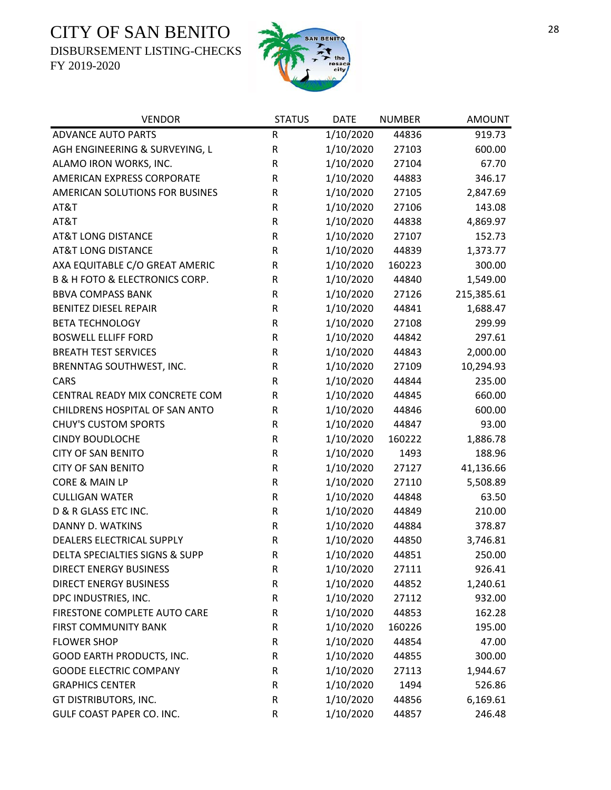DISBURSEMENT LISTING-CHECKS



| <b>VENDOR</b>                                 | <b>STATUS</b> | <b>DATE</b> | <b>NUMBER</b> | <b>AMOUNT</b> |
|-----------------------------------------------|---------------|-------------|---------------|---------------|
| <b>ADVANCE AUTO PARTS</b>                     | $\mathsf R$   | 1/10/2020   | 44836         | 919.73        |
| AGH ENGINEERING & SURVEYING, L                | ${\sf R}$     | 1/10/2020   | 27103         | 600.00        |
| ALAMO IRON WORKS, INC.                        | ${\sf R}$     | 1/10/2020   | 27104         | 67.70         |
| AMERICAN EXPRESS CORPORATE                    | ${\sf R}$     | 1/10/2020   | 44883         | 346.17        |
| AMERICAN SOLUTIONS FOR BUSINES                | R             | 1/10/2020   | 27105         | 2,847.69      |
| AT&T                                          | ${\sf R}$     | 1/10/2020   | 27106         | 143.08        |
| AT&T                                          | ${\sf R}$     | 1/10/2020   | 44838         | 4,869.97      |
| <b>AT&amp;T LONG DISTANCE</b>                 | ${\sf R}$     | 1/10/2020   | 27107         | 152.73        |
| <b>AT&amp;T LONG DISTANCE</b>                 | R             | 1/10/2020   | 44839         | 1,373.77      |
| AXA EQUITABLE C/O GREAT AMERIC                | R             | 1/10/2020   | 160223        | 300.00        |
| <b>B &amp; H FOTO &amp; ELECTRONICS CORP.</b> | ${\sf R}$     | 1/10/2020   | 44840         | 1,549.00      |
| <b>BBVA COMPASS BANK</b>                      | R             | 1/10/2020   | 27126         | 215,385.61    |
| <b>BENITEZ DIESEL REPAIR</b>                  | ${\sf R}$     | 1/10/2020   | 44841         | 1,688.47      |
| <b>BETA TECHNOLOGY</b>                        | ${\sf R}$     | 1/10/2020   | 27108         | 299.99        |
| <b>BOSWELL ELLIFF FORD</b>                    | ${\sf R}$     | 1/10/2020   | 44842         | 297.61        |
| <b>BREATH TEST SERVICES</b>                   | ${\sf R}$     | 1/10/2020   | 44843         | 2,000.00      |
| BRENNTAG SOUTHWEST, INC.                      | R             | 1/10/2020   | 27109         | 10,294.93     |
| <b>CARS</b>                                   | ${\sf R}$     | 1/10/2020   | 44844         | 235.00        |
| CENTRAL READY MIX CONCRETE COM                | R             | 1/10/2020   | 44845         | 660.00        |
| CHILDRENS HOSPITAL OF SAN ANTO                | ${\sf R}$     | 1/10/2020   | 44846         | 600.00        |
| <b>CHUY'S CUSTOM SPORTS</b>                   | ${\sf R}$     | 1/10/2020   | 44847         | 93.00         |
| <b>CINDY BOUDLOCHE</b>                        | ${\sf R}$     | 1/10/2020   | 160222        | 1,886.78      |
| <b>CITY OF SAN BENITO</b>                     | R             | 1/10/2020   | 1493          | 188.96        |
| <b>CITY OF SAN BENITO</b>                     | $\mathsf R$   | 1/10/2020   | 27127         | 41,136.66     |
| CORE & MAIN LP                                | ${\sf R}$     | 1/10/2020   | 27110         | 5,508.89      |
| <b>CULLIGAN WATER</b>                         | ${\sf R}$     | 1/10/2020   | 44848         | 63.50         |
| D & R GLASS ETC INC.                          | ${\sf R}$     | 1/10/2020   | 44849         | 210.00        |
| DANNY D. WATKINS                              | ${\sf R}$     | 1/10/2020   | 44884         | 378.87        |
| DEALERS ELECTRICAL SUPPLY                     | ${\sf R}$     | 1/10/2020   | 44850         | 3,746.81      |
| DELTA SPECIALTIES SIGNS & SUPP                | $\mathsf R$   | 1/10/2020   | 44851         | 250.00        |
| <b>DIRECT ENERGY BUSINESS</b>                 | R             | 1/10/2020   | 27111         | 926.41        |
| <b>DIRECT ENERGY BUSINESS</b>                 | ${\sf R}$     | 1/10/2020   | 44852         | 1,240.61      |
| DPC INDUSTRIES, INC.                          | ${\sf R}$     | 1/10/2020   | 27112         | 932.00        |
| FIRESTONE COMPLETE AUTO CARE                  | R             | 1/10/2020   | 44853         | 162.28        |
| <b>FIRST COMMUNITY BANK</b>                   | ${\sf R}$     | 1/10/2020   | 160226        | 195.00        |
| <b>FLOWER SHOP</b>                            | R             | 1/10/2020   | 44854         | 47.00         |
| GOOD EARTH PRODUCTS, INC.                     | ${\sf R}$     | 1/10/2020   | 44855         | 300.00        |
| <b>GOODE ELECTRIC COMPANY</b>                 | ${\sf R}$     | 1/10/2020   | 27113         | 1,944.67      |
| <b>GRAPHICS CENTER</b>                        | R             | 1/10/2020   | 1494          | 526.86        |
| GT DISTRIBUTORS, INC.                         | R             | 1/10/2020   | 44856         | 6,169.61      |
| GULF COAST PAPER CO. INC.                     | ${\sf R}$     | 1/10/2020   | 44857         | 246.48        |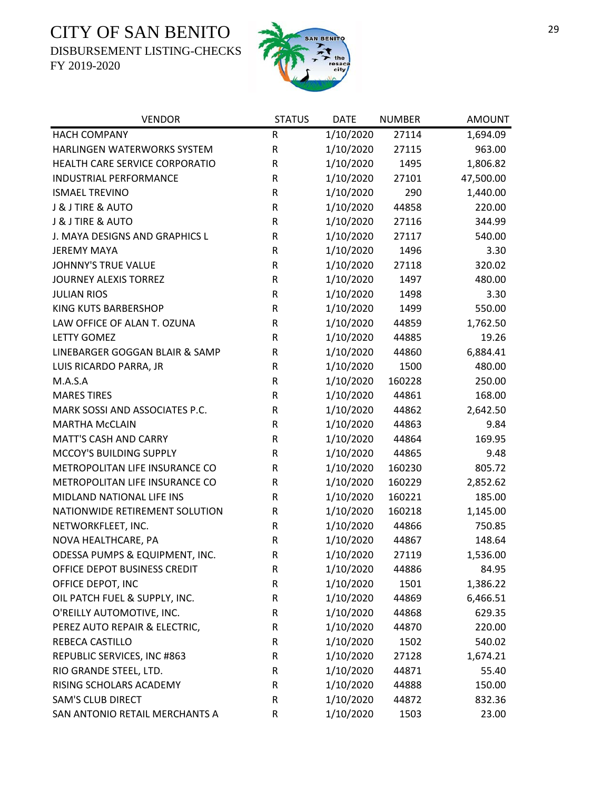DISBURSEMENT LISTING-CHECKS



| <b>VENDOR</b>                    | <b>STATUS</b> | <b>DATE</b> | <b>NUMBER</b> | <b>AMOUNT</b> |
|----------------------------------|---------------|-------------|---------------|---------------|
| <b>HACH COMPANY</b>              | ${\sf R}$     | 1/10/2020   | 27114         | 1,694.09      |
| HARLINGEN WATERWORKS SYSTEM      | ${\sf R}$     | 1/10/2020   | 27115         | 963.00        |
| HEALTH CARE SERVICE CORPORATIO   | R             | 1/10/2020   | 1495          | 1,806.82      |
| <b>INDUSTRIAL PERFORMANCE</b>    | $\mathsf R$   | 1/10/2020   | 27101         | 47,500.00     |
| <b>ISMAEL TREVINO</b>            | $\mathsf R$   | 1/10/2020   | 290           | 1,440.00      |
| J & J TIRE & AUTO                | $\mathsf R$   | 1/10/2020   | 44858         | 220.00        |
| <b>J &amp; J TIRE &amp; AUTO</b> | $\mathsf R$   | 1/10/2020   | 27116         | 344.99        |
| J. MAYA DESIGNS AND GRAPHICS L   | ${\sf R}$     | 1/10/2020   | 27117         | 540.00        |
| <b>JEREMY MAYA</b>               | $\mathsf R$   | 1/10/2020   | 1496          | 3.30          |
| <b>JOHNNY'S TRUE VALUE</b>       | ${\sf R}$     | 1/10/2020   | 27118         | 320.02        |
| <b>JOURNEY ALEXIS TORREZ</b>     | R             | 1/10/2020   | 1497          | 480.00        |
| <b>JULIAN RIOS</b>               | $\mathsf R$   | 1/10/2020   | 1498          | 3.30          |
| <b>KING KUTS BARBERSHOP</b>      | ${\sf R}$     | 1/10/2020   | 1499          | 550.00        |
| LAW OFFICE OF ALAN T. OZUNA      | $\mathsf R$   | 1/10/2020   | 44859         | 1,762.50      |
| <b>LETTY GOMEZ</b>               | $\mathsf R$   | 1/10/2020   | 44885         | 19.26         |
| LINEBARGER GOGGAN BLAIR & SAMP   | ${\sf R}$     | 1/10/2020   | 44860         | 6,884.41      |
| LUIS RICARDO PARRA, JR           | R             | 1/10/2020   | 1500          | 480.00        |
| M.A.S.A                          | R             | 1/10/2020   | 160228        | 250.00        |
| <b>MARES TIRES</b>               | $\mathsf R$   | 1/10/2020   | 44861         | 168.00        |
| MARK SOSSI AND ASSOCIATES P.C.   | ${\sf R}$     | 1/10/2020   | 44862         | 2,642.50      |
| <b>MARTHA McCLAIN</b>            | ${\sf R}$     | 1/10/2020   | 44863         | 9.84          |
| <b>MATT'S CASH AND CARRY</b>     | ${\sf R}$     | 1/10/2020   | 44864         | 169.95        |
| MCCOY'S BUILDING SUPPLY          | R             | 1/10/2020   | 44865         | 9.48          |
| METROPOLITAN LIFE INSURANCE CO   | $\mathsf R$   | 1/10/2020   | 160230        | 805.72        |
| METROPOLITAN LIFE INSURANCE CO   | R             | 1/10/2020   | 160229        | 2,852.62      |
| MIDLAND NATIONAL LIFE INS        | $\mathsf R$   | 1/10/2020   | 160221        | 185.00        |
| NATIONWIDE RETIREMENT SOLUTION   | ${\sf R}$     | 1/10/2020   | 160218        | 1,145.00      |
| NETWORKFLEET, INC.               | $\mathsf R$   | 1/10/2020   | 44866         | 750.85        |
| NOVA HEALTHCARE, PA              | ${\sf R}$     | 1/10/2020   | 44867         | 148.64        |
| ODESSA PUMPS & EQUIPMENT, INC.   | R             | 1/10/2020   | 27119         | 1,536.00      |
| OFFICE DEPOT BUSINESS CREDIT     | R             | 1/10/2020   | 44886         | 84.95         |
| OFFICE DEPOT, INC                | $\mathsf R$   | 1/10/2020   | 1501          | 1,386.22      |
| OIL PATCH FUEL & SUPPLY, INC.    | ${\sf R}$     | 1/10/2020   | 44869         | 6,466.51      |
| O'REILLY AUTOMOTIVE, INC.        | R             | 1/10/2020   | 44868         | 629.35        |
| PEREZ AUTO REPAIR & ELECTRIC,    | $\mathsf R$   | 1/10/2020   | 44870         | 220.00        |
| REBECA CASTILLO                  | $\mathsf R$   | 1/10/2020   | 1502          | 540.02        |
| REPUBLIC SERVICES, INC #863      | R             | 1/10/2020   | 27128         | 1,674.21      |
| RIO GRANDE STEEL, LTD.           | $\mathsf R$   | 1/10/2020   | 44871         | 55.40         |
| RISING SCHOLARS ACADEMY          | $\mathsf R$   | 1/10/2020   | 44888         | 150.00        |
| <b>SAM'S CLUB DIRECT</b>         | $\mathsf R$   | 1/10/2020   | 44872         | 832.36        |
| SAN ANTONIO RETAIL MERCHANTS A   | R             | 1/10/2020   | 1503          | 23.00         |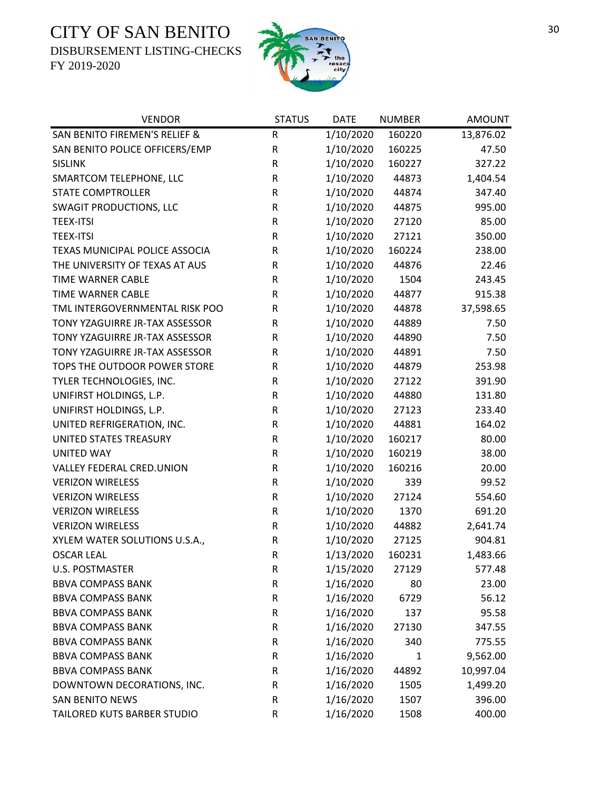DISBURSEMENT LISTING-CHECKS



| <b>VENDOR</b>                  | <b>STATUS</b> | <b>DATE</b> | <b>NUMBER</b> | <b>AMOUNT</b> |
|--------------------------------|---------------|-------------|---------------|---------------|
| SAN BENITO FIREMEN'S RELIEF &  | ${\sf R}$     | 1/10/2020   | 160220        | 13,876.02     |
| SAN BENITO POLICE OFFICERS/EMP | ${\sf R}$     | 1/10/2020   | 160225        | 47.50         |
| <b>SISLINK</b>                 | R             | 1/10/2020   | 160227        | 327.22        |
| SMARTCOM TELEPHONE, LLC        | R             | 1/10/2020   | 44873         | 1,404.54      |
| <b>STATE COMPTROLLER</b>       | R             | 1/10/2020   | 44874         | 347.40        |
| <b>SWAGIT PRODUCTIONS, LLC</b> | ${\sf R}$     | 1/10/2020   | 44875         | 995.00        |
| <b>TEEX-ITSI</b>               | ${\sf R}$     | 1/10/2020   | 27120         | 85.00         |
| <b>TEEX-ITSI</b>               | ${\sf R}$     | 1/10/2020   | 27121         | 350.00        |
| TEXAS MUNICIPAL POLICE ASSOCIA | R             | 1/10/2020   | 160224        | 238.00        |
| THE UNIVERSITY OF TEXAS AT AUS | ${\sf R}$     | 1/10/2020   | 44876         | 22.46         |
| TIME WARNER CABLE              | $\mathsf R$   | 1/10/2020   | 1504          | 243.45        |
| <b>TIME WARNER CABLE</b>       | R             | 1/10/2020   | 44877         | 915.38        |
| TML INTERGOVERNMENTAL RISK POO | ${\sf R}$     | 1/10/2020   | 44878         | 37,598.65     |
| TONY YZAGUIRRE JR-TAX ASSESSOR | R             | 1/10/2020   | 44889         | 7.50          |
| TONY YZAGUIRRE JR-TAX ASSESSOR | ${\sf R}$     | 1/10/2020   | 44890         | 7.50          |
| TONY YZAGUIRRE JR-TAX ASSESSOR | ${\sf R}$     | 1/10/2020   | 44891         | 7.50          |
| TOPS THE OUTDOOR POWER STORE   | ${\sf R}$     | 1/10/2020   | 44879         | 253.98        |
| TYLER TECHNOLOGIES, INC.       | ${\sf R}$     | 1/10/2020   | 27122         | 391.90        |
| UNIFIRST HOLDINGS, L.P.        | R             | 1/10/2020   | 44880         | 131.80        |
| UNIFIRST HOLDINGS, L.P.        | R             | 1/10/2020   | 27123         | 233.40        |
| UNITED REFRIGERATION, INC.     | ${\sf R}$     | 1/10/2020   | 44881         | 164.02        |
| UNITED STATES TREASURY         | R             | 1/10/2020   | 160217        | 80.00         |
| <b>UNITED WAY</b>              | ${\sf R}$     | 1/10/2020   | 160219        | 38.00         |
| VALLEY FEDERAL CRED.UNION      | $\mathsf R$   | 1/10/2020   | 160216        | 20.00         |
| <b>VERIZON WIRELESS</b>        | R             | 1/10/2020   | 339           | 99.52         |
| <b>VERIZON WIRELESS</b>        | R             | 1/10/2020   | 27124         | 554.60        |
| <b>VERIZON WIRELESS</b>        | R             | 1/10/2020   | 1370          | 691.20        |
| <b>VERIZON WIRELESS</b>        | R             | 1/10/2020   | 44882         | 2,641.74      |
| XYLEM WATER SOLUTIONS U.S.A.,  | ${\sf R}$     | 1/10/2020   | 27125         | 904.81        |
| <b>OSCAR LEAL</b>              | $\mathsf{R}$  | 1/13/2020   | 160231        | 1,483.66      |
| <b>U.S. POSTMASTER</b>         | R             | 1/15/2020   | 27129         | 577.48        |
| <b>BBVA COMPASS BANK</b>       | R             | 1/16/2020   | 80            | 23.00         |
| <b>BBVA COMPASS BANK</b>       | R             | 1/16/2020   | 6729          | 56.12         |
| <b>BBVA COMPASS BANK</b>       | ${\sf R}$     | 1/16/2020   | 137           | 95.58         |
| <b>BBVA COMPASS BANK</b>       | R             | 1/16/2020   | 27130         | 347.55        |
| <b>BBVA COMPASS BANK</b>       | R             | 1/16/2020   | 340           | 775.55        |
| <b>BBVA COMPASS BANK</b>       | R             | 1/16/2020   | 1             | 9,562.00      |
| <b>BBVA COMPASS BANK</b>       | R             | 1/16/2020   | 44892         | 10,997.04     |
| DOWNTOWN DECORATIONS, INC.     | R             | 1/16/2020   | 1505          | 1,499.20      |
| <b>SAN BENITO NEWS</b>         | R             | 1/16/2020   | 1507          | 396.00        |
| TAILORED KUTS BARBER STUDIO    | ${\sf R}$     | 1/16/2020   | 1508          | 400.00        |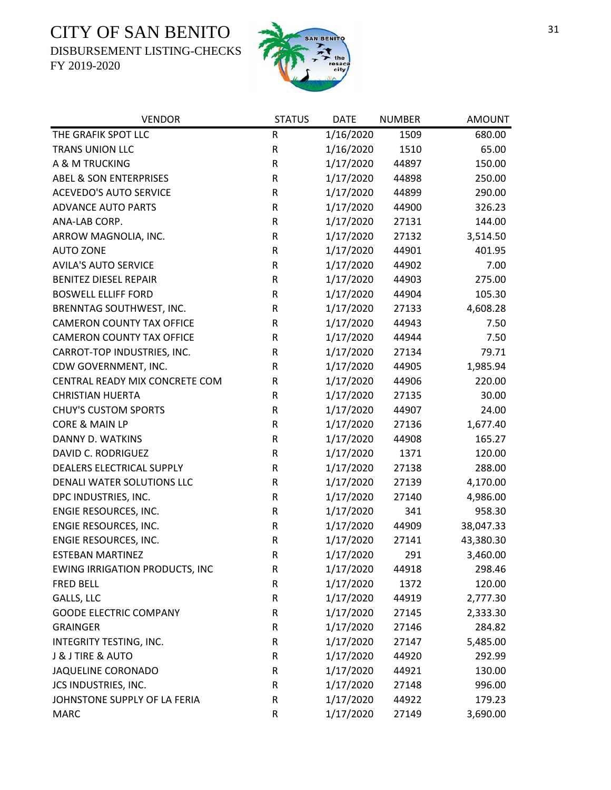DISBURSEMENT LISTING-CHECKS



| <b>VENDOR</b>                         | <b>STATUS</b> | <b>DATE</b> | <b>NUMBER</b> | <b>AMOUNT</b> |
|---------------------------------------|---------------|-------------|---------------|---------------|
| THE GRAFIK SPOT LLC                   | ${\sf R}$     | 1/16/2020   | 1509          | 680.00        |
| TRANS UNION LLC                       | ${\sf R}$     | 1/16/2020   | 1510          | 65.00         |
| A & M TRUCKING                        | R             | 1/17/2020   | 44897         | 150.00        |
| <b>ABEL &amp; SON ENTERPRISES</b>     | ${\sf R}$     | 1/17/2020   | 44898         | 250.00        |
| <b>ACEVEDO'S AUTO SERVICE</b>         | ${\sf R}$     | 1/17/2020   | 44899         | 290.00        |
| <b>ADVANCE AUTO PARTS</b>             | ${\sf R}$     | 1/17/2020   | 44900         | 326.23        |
| ANA-LAB CORP.                         | ${\sf R}$     | 1/17/2020   | 27131         | 144.00        |
| ARROW MAGNOLIA, INC.                  | R             | 1/17/2020   | 27132         | 3,514.50      |
| <b>AUTO ZONE</b>                      | ${\sf R}$     | 1/17/2020   | 44901         | 401.95        |
| <b>AVILA'S AUTO SERVICE</b>           | ${\sf R}$     | 1/17/2020   | 44902         | 7.00          |
| <b>BENITEZ DIESEL REPAIR</b>          | ${\sf R}$     | 1/17/2020   | 44903         | 275.00        |
| <b>BOSWELL ELLIFF FORD</b>            | ${\sf R}$     | 1/17/2020   | 44904         | 105.30        |
| BRENNTAG SOUTHWEST, INC.              | ${\sf R}$     | 1/17/2020   | 27133         | 4,608.28      |
| <b>CAMERON COUNTY TAX OFFICE</b>      | ${\sf R}$     | 1/17/2020   | 44943         | 7.50          |
| <b>CAMERON COUNTY TAX OFFICE</b>      | R             | 1/17/2020   | 44944         | 7.50          |
| CARROT-TOP INDUSTRIES, INC.           | ${\sf R}$     | 1/17/2020   | 27134         | 79.71         |
| CDW GOVERNMENT, INC.                  | ${\sf R}$     | 1/17/2020   | 44905         | 1,985.94      |
| CENTRAL READY MIX CONCRETE COM        | ${\sf R}$     | 1/17/2020   | 44906         | 220.00        |
| <b>CHRISTIAN HUERTA</b>               | ${\sf R}$     | 1/17/2020   | 27135         | 30.00         |
| <b>CHUY'S CUSTOM SPORTS</b>           | R             | 1/17/2020   | 44907         | 24.00         |
| CORE & MAIN LP                        | R             | 1/17/2020   | 27136         | 1,677.40      |
| DANNY D. WATKINS                      | R             | 1/17/2020   | 44908         | 165.27        |
| DAVID C. RODRIGUEZ                    | ${\sf R}$     | 1/17/2020   | 1371          | 120.00        |
| DEALERS ELECTRICAL SUPPLY             | ${\sf R}$     | 1/17/2020   | 27138         | 288.00        |
| DENALI WATER SOLUTIONS LLC            | ${\sf R}$     | 1/17/2020   | 27139         | 4,170.00      |
| DPC INDUSTRIES, INC.                  | ${\sf R}$     | 1/17/2020   | 27140         | 4,986.00      |
| ENGIE RESOURCES, INC.                 | R             | 1/17/2020   | 341           | 958.30        |
| ENGIE RESOURCES, INC.                 | ${\sf R}$     | 1/17/2020   | 44909         | 38,047.33     |
| ENGIE RESOURCES, INC.                 | ${\sf R}$     | 1/17/2020   | 27141         | 43,380.30     |
| ESTEBAN MARTINEZ                      | $\mathsf{R}$  | 1/17/2020   | 291           | 3,460.00      |
| <b>EWING IRRIGATION PRODUCTS, INC</b> | R             | 1/17/2020   | 44918         | 298.46        |
| <b>FRED BELL</b>                      | R             | 1/17/2020   | 1372          | 120.00        |
| GALLS, LLC                            | R             | 1/17/2020   | 44919         | 2,777.30      |
| <b>GOODE ELECTRIC COMPANY</b>         | R             | 1/17/2020   | 27145         | 2,333.30      |
| <b>GRAINGER</b>                       | ${\sf R}$     | 1/17/2020   | 27146         | 284.82        |
| INTEGRITY TESTING, INC.               | ${\sf R}$     | 1/17/2020   | 27147         | 5,485.00      |
| <b>J &amp; J TIRE &amp; AUTO</b>      | ${\sf R}$     | 1/17/2020   | 44920         | 292.99        |
| JAQUELINE CORONADO                    | ${\sf R}$     | 1/17/2020   | 44921         | 130.00        |
| JCS INDUSTRIES, INC.                  | R             | 1/17/2020   | 27148         | 996.00        |
| JOHNSTONE SUPPLY OF LA FERIA          | ${\sf R}$     | 1/17/2020   | 44922         | 179.23        |
| <b>MARC</b>                           | R             | 1/17/2020   | 27149         | 3,690.00      |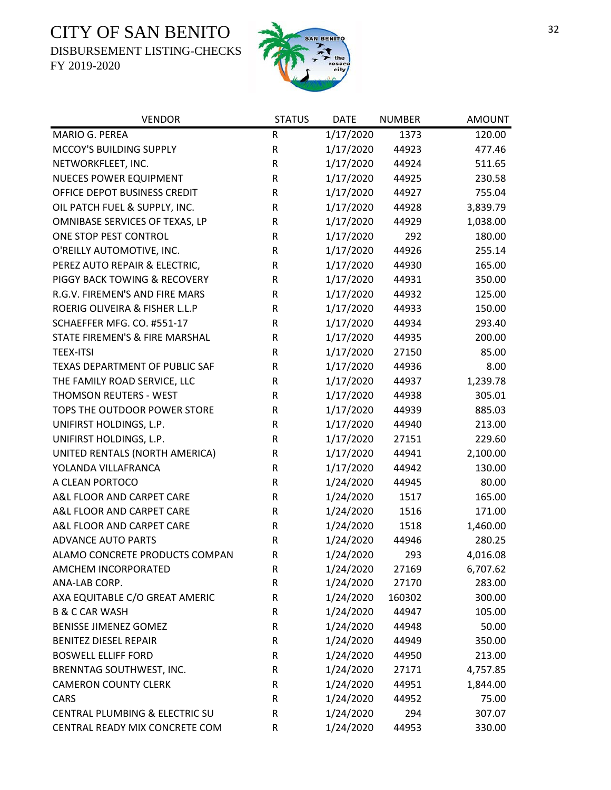DISBURSEMENT LISTING-CHECKS



| <b>VENDOR</b>                         | <b>STATUS</b> | <b>DATE</b> | <b>NUMBER</b> | <b>AMOUNT</b> |
|---------------------------------------|---------------|-------------|---------------|---------------|
| MARIO G. PEREA                        | R             | 1/17/2020   | 1373          | 120.00        |
| MCCOY'S BUILDING SUPPLY               | ${\sf R}$     | 1/17/2020   | 44923         | 477.46        |
| NETWORKFLEET, INC.                    | R             | 1/17/2020   | 44924         | 511.65        |
| <b>NUECES POWER EQUIPMENT</b>         | ${\sf R}$     | 1/17/2020   | 44925         | 230.58        |
| OFFICE DEPOT BUSINESS CREDIT          | R             | 1/17/2020   | 44927         | 755.04        |
| OIL PATCH FUEL & SUPPLY, INC.         | ${\sf R}$     | 1/17/2020   | 44928         | 3,839.79      |
| OMNIBASE SERVICES OF TEXAS, LP        | ${\sf R}$     | 1/17/2020   | 44929         | 1,038.00      |
| ONE STOP PEST CONTROL                 | R             | 1/17/2020   | 292           | 180.00        |
| O'REILLY AUTOMOTIVE, INC.             | ${\sf R}$     | 1/17/2020   | 44926         | 255.14        |
| PEREZ AUTO REPAIR & ELECTRIC,         | R             | 1/17/2020   | 44930         | 165.00        |
| PIGGY BACK TOWING & RECOVERY          | R             | 1/17/2020   | 44931         | 350.00        |
| R.G.V. FIREMEN'S AND FIRE MARS        | ${\sf R}$     | 1/17/2020   | 44932         | 125.00        |
| ROERIG OLIVEIRA & FISHER L.L.P        | R             | 1/17/2020   | 44933         | 150.00        |
| SCHAEFFER MFG. CO. #551-17            | R             | 1/17/2020   | 44934         | 293.40        |
| STATE FIREMEN'S & FIRE MARSHAL        | R             | 1/17/2020   | 44935         | 200.00        |
| <b>TEEX-ITSI</b>                      | R             | 1/17/2020   | 27150         | 85.00         |
| <b>TEXAS DEPARTMENT OF PUBLIC SAF</b> | R             | 1/17/2020   | 44936         | 8.00          |
| THE FAMILY ROAD SERVICE, LLC          | R             | 1/17/2020   | 44937         | 1,239.78      |
| THOMSON REUTERS - WEST                | R             | 1/17/2020   | 44938         | 305.01        |
| TOPS THE OUTDOOR POWER STORE          | ${\sf R}$     | 1/17/2020   | 44939         | 885.03        |
| UNIFIRST HOLDINGS, L.P.               | R             | 1/17/2020   | 44940         | 213.00        |
| UNIFIRST HOLDINGS, L.P.               | R             | 1/17/2020   | 27151         | 229.60        |
| UNITED RENTALS (NORTH AMERICA)        | R             | 1/17/2020   | 44941         | 2,100.00      |
| YOLANDA VILLAFRANCA                   | R             | 1/17/2020   | 44942         | 130.00        |
| A CLEAN PORTOCO                       | R             | 1/24/2020   | 44945         | 80.00         |
| A&L FLOOR AND CARPET CARE             | R             | 1/24/2020   | 1517          | 165.00        |
| A&L FLOOR AND CARPET CARE             | R             | 1/24/2020   | 1516          | 171.00        |
| A&L FLOOR AND CARPET CARE             | ${\sf R}$     | 1/24/2020   | 1518          | 1,460.00      |
| <b>ADVANCE AUTO PARTS</b>             | ${\sf R}$     | 1/24/2020   | 44946         | 280.25        |
| ALAMO CONCRETE PRODUCTS COMPAN        | $\mathsf R$   | 1/24/2020   | 293           | 4,016.08      |
| AMCHEM INCORPORATED                   | R             | 1/24/2020   | 27169         | 6,707.62      |
| ANA-LAB CORP.                         | R             | 1/24/2020   | 27170         | 283.00        |
| AXA EQUITABLE C/O GREAT AMERIC        | R             | 1/24/2020   | 160302        | 300.00        |
| <b>B &amp; C CAR WASH</b>             | R             | 1/24/2020   | 44947         | 105.00        |
| <b>BENISSE JIMENEZ GOMEZ</b>          | R             | 1/24/2020   | 44948         | 50.00         |
| <b>BENITEZ DIESEL REPAIR</b>          | ${\sf R}$     | 1/24/2020   | 44949         | 350.00        |
| <b>BOSWELL ELLIFF FORD</b>            | ${\sf R}$     | 1/24/2020   | 44950         | 213.00        |
| BRENNTAG SOUTHWEST, INC.              | R             | 1/24/2020   | 27171         | 4,757.85      |
| <b>CAMERON COUNTY CLERK</b>           | R             | 1/24/2020   | 44951         | 1,844.00      |
| CARS                                  | R             | 1/24/2020   | 44952         | 75.00         |
| CENTRAL PLUMBING & ELECTRIC SU        | R             | 1/24/2020   | 294           | 307.07        |
| CENTRAL READY MIX CONCRETE COM        | R             | 1/24/2020   | 44953         | 330.00        |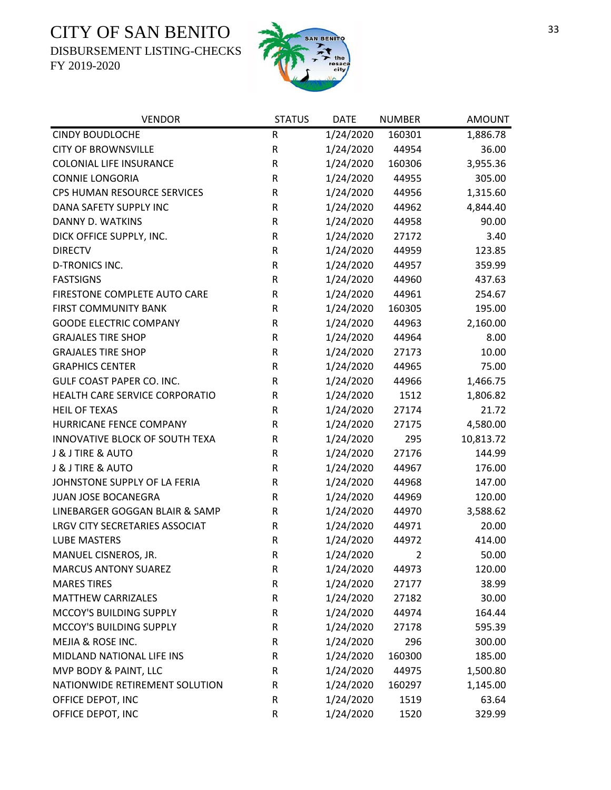DISBURSEMENT LISTING-CHECKS



| <b>VENDOR</b>                    | <b>STATUS</b> | <b>DATE</b> | <b>NUMBER</b>  | <b>AMOUNT</b> |
|----------------------------------|---------------|-------------|----------------|---------------|
| <b>CINDY BOUDLOCHE</b>           | ${\sf R}$     | 1/24/2020   | 160301         | 1,886.78      |
| <b>CITY OF BROWNSVILLE</b>       | R             | 1/24/2020   | 44954          | 36.00         |
| <b>COLONIAL LIFE INSURANCE</b>   | R             | 1/24/2020   | 160306         | 3,955.36      |
| <b>CONNIE LONGORIA</b>           | R             | 1/24/2020   | 44955          | 305.00        |
| CPS HUMAN RESOURCE SERVICES      | R             | 1/24/2020   | 44956          | 1,315.60      |
| DANA SAFETY SUPPLY INC           | ${\sf R}$     | 1/24/2020   | 44962          | 4,844.40      |
| DANNY D. WATKINS                 | R             | 1/24/2020   | 44958          | 90.00         |
| DICK OFFICE SUPPLY, INC.         | R             | 1/24/2020   | 27172          | 3.40          |
| <b>DIRECTV</b>                   | R             | 1/24/2020   | 44959          | 123.85        |
| <b>D-TRONICS INC.</b>            | ${\sf R}$     | 1/24/2020   | 44957          | 359.99        |
| <b>FASTSIGNS</b>                 | ${\sf R}$     | 1/24/2020   | 44960          | 437.63        |
| FIRESTONE COMPLETE AUTO CARE     | R             | 1/24/2020   | 44961          | 254.67        |
| <b>FIRST COMMUNITY BANK</b>      | R             | 1/24/2020   | 160305         | 195.00        |
| <b>GOODE ELECTRIC COMPANY</b>    | R             | 1/24/2020   | 44963          | 2,160.00      |
| <b>GRAJALES TIRE SHOP</b>        | R             | 1/24/2020   | 44964          | 8.00          |
| <b>GRAJALES TIRE SHOP</b>        | ${\sf R}$     | 1/24/2020   | 27173          | 10.00         |
| <b>GRAPHICS CENTER</b>           | R             | 1/24/2020   | 44965          | 75.00         |
| <b>GULF COAST PAPER CO. INC.</b> | ${\sf R}$     | 1/24/2020   | 44966          | 1,466.75      |
| HEALTH CARE SERVICE CORPORATIO   | R             | 1/24/2020   | 1512           | 1,806.82      |
| <b>HEIL OF TEXAS</b>             | ${\sf R}$     | 1/24/2020   | 27174          | 21.72         |
| HURRICANE FENCE COMPANY          | R             | 1/24/2020   | 27175          | 4,580.00      |
| INNOVATIVE BLOCK OF SOUTH TEXA   | R             | 1/24/2020   | 295            | 10,813.72     |
| J & J TIRE & AUTO                | R             | 1/24/2020   | 27176          | 144.99        |
| J & J TIRE & AUTO                | R             | 1/24/2020   | 44967          | 176.00        |
| JOHNSTONE SUPPLY OF LA FERIA     | ${\sf R}$     | 1/24/2020   | 44968          | 147.00        |
| JUAN JOSE BOCANEGRA              | R             | 1/24/2020   | 44969          | 120.00        |
| LINEBARGER GOGGAN BLAIR & SAMP   | R             | 1/24/2020   | 44970          | 3,588.62      |
| LRGV CITY SECRETARIES ASSOCIAT   | R             | 1/24/2020   | 44971          | 20.00         |
| <b>LUBE MASTERS</b>              | ${\sf R}$     | 1/24/2020   | 44972          | 414.00        |
| MANUEL CISNEROS, JR.             | R             | 1/24/2020   | $\overline{2}$ | 50.00         |
| <b>MARCUS ANTONY SUAREZ</b>      | R             | 1/24/2020   | 44973          | 120.00        |
| <b>MARES TIRES</b>               | R             | 1/24/2020   | 27177          | 38.99         |
| <b>MATTHEW CARRIZALES</b>        | R             | 1/24/2020   | 27182          | 30.00         |
| MCCOY'S BUILDING SUPPLY          | R             | 1/24/2020   | 44974          | 164.44        |
| MCCOY'S BUILDING SUPPLY          | R             | 1/24/2020   | 27178          | 595.39        |
| MEJIA & ROSE INC.                | R             | 1/24/2020   | 296            | 300.00        |
| MIDLAND NATIONAL LIFE INS        | R             | 1/24/2020   | 160300         | 185.00        |
| MVP BODY & PAINT, LLC            | R             | 1/24/2020   | 44975          | 1,500.80      |
| NATIONWIDE RETIREMENT SOLUTION   | R             | 1/24/2020   | 160297         | 1,145.00      |
| OFFICE DEPOT, INC                | R             | 1/24/2020   | 1519           | 63.64         |
| OFFICE DEPOT, INC                | ${\sf R}$     | 1/24/2020   | 1520           | 329.99        |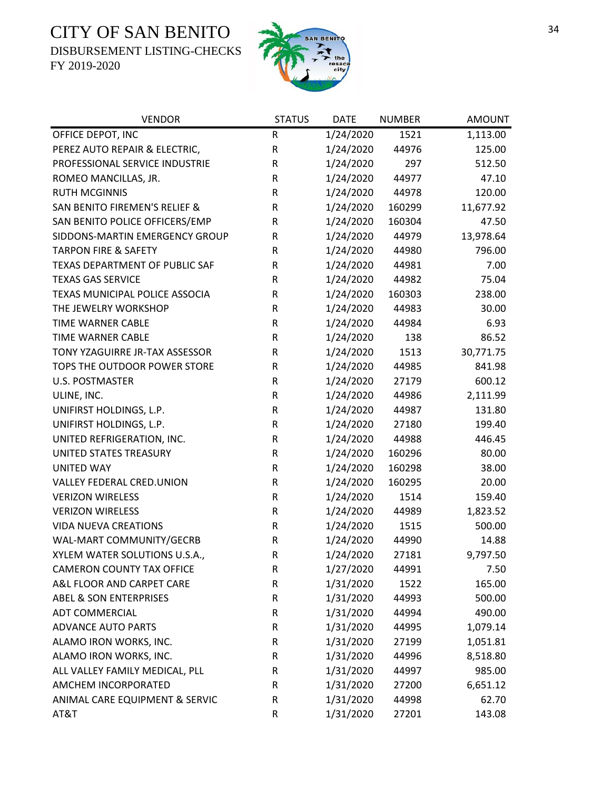DISBURSEMENT LISTING-CHECKS



| <b>VENDOR</b>                     | <b>STATUS</b> | <b>DATE</b> | <b>NUMBER</b> | <b>AMOUNT</b> |
|-----------------------------------|---------------|-------------|---------------|---------------|
| OFFICE DEPOT, INC                 | R             | 1/24/2020   | 1521          | 1,113.00      |
| PEREZ AUTO REPAIR & ELECTRIC,     | ${\sf R}$     | 1/24/2020   | 44976         | 125.00        |
| PROFESSIONAL SERVICE INDUSTRIE    | ${\sf R}$     | 1/24/2020   | 297           | 512.50        |
| ROMEO MANCILLAS, JR.              | ${\sf R}$     | 1/24/2020   | 44977         | 47.10         |
| <b>RUTH MCGINNIS</b>              | ${\sf R}$     | 1/24/2020   | 44978         | 120.00        |
| SAN BENITO FIREMEN'S RELIEF &     | ${\sf R}$     | 1/24/2020   | 160299        | 11,677.92     |
| SAN BENITO POLICE OFFICERS/EMP    | R             | 1/24/2020   | 160304        | 47.50         |
| SIDDONS-MARTIN EMERGENCY GROUP    | ${\sf R}$     | 1/24/2020   | 44979         | 13,978.64     |
| <b>TARPON FIRE &amp; SAFETY</b>   | R             | 1/24/2020   | 44980         | 796.00        |
| TEXAS DEPARTMENT OF PUBLIC SAF    | ${\sf R}$     | 1/24/2020   | 44981         | 7.00          |
| <b>TEXAS GAS SERVICE</b>          | R             | 1/24/2020   | 44982         | 75.04         |
| TEXAS MUNICIPAL POLICE ASSOCIA    | ${\sf R}$     | 1/24/2020   | 160303        | 238.00        |
| THE JEWELRY WORKSHOP              | R             | 1/24/2020   | 44983         | 30.00         |
| TIME WARNER CABLE                 | R             | 1/24/2020   | 44984         | 6.93          |
| TIME WARNER CABLE                 | ${\sf R}$     | 1/24/2020   | 138           | 86.52         |
| TONY YZAGUIRRE JR-TAX ASSESSOR    | ${\sf R}$     | 1/24/2020   | 1513          | 30,771.75     |
| TOPS THE OUTDOOR POWER STORE      | ${\sf R}$     | 1/24/2020   | 44985         | 841.98        |
| <b>U.S. POSTMASTER</b>            | ${\sf R}$     | 1/24/2020   | 27179         | 600.12        |
| ULINE, INC.                       | ${\sf R}$     | 1/24/2020   | 44986         | 2,111.99      |
| UNIFIRST HOLDINGS, L.P.           | ${\sf R}$     | 1/24/2020   | 44987         | 131.80        |
| UNIFIRST HOLDINGS, L.P.           | ${\sf R}$     | 1/24/2020   | 27180         | 199.40        |
| UNITED REFRIGERATION, INC.        | ${\sf R}$     | 1/24/2020   | 44988         | 446.45        |
| UNITED STATES TREASURY            | ${\sf R}$     | 1/24/2020   | 160296        | 80.00         |
| <b>UNITED WAY</b>                 | ${\sf R}$     | 1/24/2020   | 160298        | 38.00         |
| VALLEY FEDERAL CRED.UNION         | ${\sf R}$     | 1/24/2020   | 160295        | 20.00         |
| <b>VERIZON WIRELESS</b>           | R             | 1/24/2020   | 1514          | 159.40        |
| <b>VERIZON WIRELESS</b>           | ${\sf R}$     | 1/24/2020   | 44989         | 1,823.52      |
| <b>VIDA NUEVA CREATIONS</b>       | R             | 1/24/2020   | 1515          | 500.00        |
| WAL-MART COMMUNITY/GECRB          | ${\sf R}$     | 1/24/2020   | 44990         | 14.88         |
| XYLEM WATER SOLUTIONS U.S.A.,     | $\mathsf R$   | 1/24/2020   | 27181         | 9,797.50      |
| <b>CAMERON COUNTY TAX OFFICE</b>  | R             | 1/27/2020   | 44991         | 7.50          |
| A&L FLOOR AND CARPET CARE         | R             | 1/31/2020   | 1522          | 165.00        |
| <b>ABEL &amp; SON ENTERPRISES</b> | ${\sf R}$     | 1/31/2020   | 44993         | 500.00        |
| <b>ADT COMMERCIAL</b>             | ${\sf R}$     | 1/31/2020   | 44994         | 490.00        |
| <b>ADVANCE AUTO PARTS</b>         | ${\sf R}$     | 1/31/2020   | 44995         | 1,079.14      |
| ALAMO IRON WORKS, INC.            | ${\sf R}$     | 1/31/2020   | 27199         | 1,051.81      |
| ALAMO IRON WORKS, INC.            | R             | 1/31/2020   | 44996         | 8,518.80      |
| ALL VALLEY FAMILY MEDICAL, PLL    | R             | 1/31/2020   | 44997         | 985.00        |
| AMCHEM INCORPORATED               | R             | 1/31/2020   | 27200         | 6,651.12      |
| ANIMAL CARE EQUIPMENT & SERVIC    | R             | 1/31/2020   | 44998         | 62.70         |
| AT&T                              | ${\sf R}$     | 1/31/2020   | 27201         | 143.08        |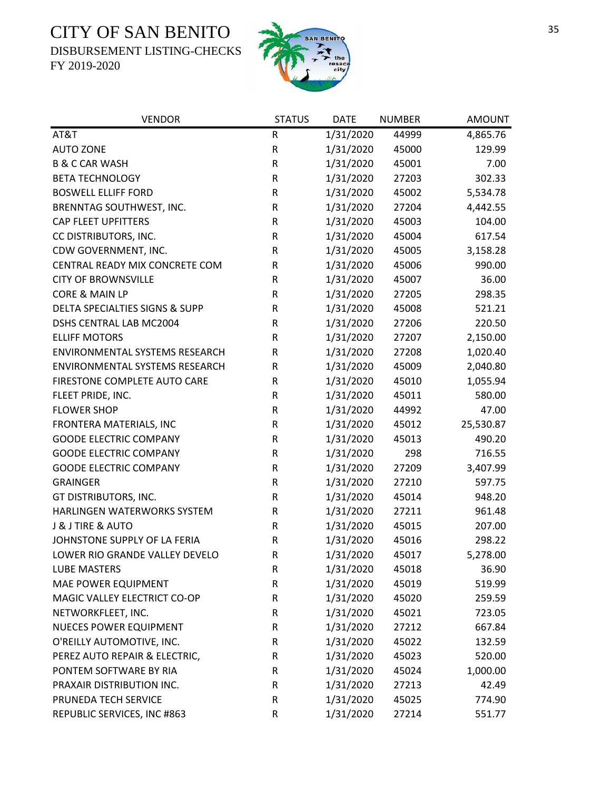DISBURSEMENT LISTING-CHECKS



| <b>VENDOR</b>                    | <b>STATUS</b> | <b>DATE</b> | <b>NUMBER</b> | <b>AMOUNT</b> |
|----------------------------------|---------------|-------------|---------------|---------------|
| AT&T                             | ${\sf R}$     | 1/31/2020   | 44999         | 4,865.76      |
| <b>AUTO ZONE</b>                 | R             | 1/31/2020   | 45000         | 129.99        |
| <b>B &amp; C CAR WASH</b>        | R             | 1/31/2020   | 45001         | 7.00          |
| <b>BETA TECHNOLOGY</b>           | R             | 1/31/2020   | 27203         | 302.33        |
| <b>BOSWELL ELLIFF FORD</b>       | R             | 1/31/2020   | 45002         | 5,534.78      |
| BRENNTAG SOUTHWEST, INC.         | ${\sf R}$     | 1/31/2020   | 27204         | 4,442.55      |
| <b>CAP FLEET UPFITTERS</b>       | R             | 1/31/2020   | 45003         | 104.00        |
| CC DISTRIBUTORS, INC.            | R             | 1/31/2020   | 45004         | 617.54        |
| CDW GOVERNMENT, INC.             | R             | 1/31/2020   | 45005         | 3,158.28      |
| CENTRAL READY MIX CONCRETE COM   | ${\sf R}$     | 1/31/2020   | 45006         | 990.00        |
| <b>CITY OF BROWNSVILLE</b>       | ${\sf R}$     | 1/31/2020   | 45007         | 36.00         |
| <b>CORE &amp; MAIN LP</b>        | R             | 1/31/2020   | 27205         | 298.35        |
| DELTA SPECIALTIES SIGNS & SUPP   | ${\sf R}$     | 1/31/2020   | 45008         | 521.21        |
| DSHS CENTRAL LAB MC2004          | ${\sf R}$     | 1/31/2020   | 27206         | 220.50        |
| <b>ELLIFF MOTORS</b>             | R             | 1/31/2020   | 27207         | 2,150.00      |
| ENVIRONMENTAL SYSTEMS RESEARCH   | ${\sf R}$     | 1/31/2020   | 27208         | 1,020.40      |
| ENVIRONMENTAL SYSTEMS RESEARCH   | ${\sf R}$     | 1/31/2020   | 45009         | 2,040.80      |
| FIRESTONE COMPLETE AUTO CARE     | ${\sf R}$     | 1/31/2020   | 45010         | 1,055.94      |
| FLEET PRIDE, INC.                | R             | 1/31/2020   | 45011         | 580.00        |
| <b>FLOWER SHOP</b>               | ${\sf R}$     | 1/31/2020   | 44992         | 47.00         |
| FRONTERA MATERIALS, INC          | R             | 1/31/2020   | 45012         | 25,530.87     |
| <b>GOODE ELECTRIC COMPANY</b>    | R             | 1/31/2020   | 45013         | 490.20        |
| <b>GOODE ELECTRIC COMPANY</b>    | ${\sf R}$     | 1/31/2020   | 298           | 716.55        |
| <b>GOODE ELECTRIC COMPANY</b>    | R             | 1/31/2020   | 27209         | 3,407.99      |
| <b>GRAINGER</b>                  | ${\sf R}$     | 1/31/2020   | 27210         | 597.75        |
| GT DISTRIBUTORS, INC.            | R             | 1/31/2020   | 45014         | 948.20        |
| HARLINGEN WATERWORKS SYSTEM      | R             | 1/31/2020   | 27211         | 961.48        |
| <b>J &amp; J TIRE &amp; AUTO</b> | R             | 1/31/2020   | 45015         | 207.00        |
| JOHNSTONE SUPPLY OF LA FERIA     | ${\sf R}$     | 1/31/2020   | 45016         | 298.22        |
| LOWER RIO GRANDE VALLEY DEVELO   | R             | 1/31/2020   | 45017         | 5,278.00      |
| <b>LUBE MASTERS</b>              | R             | 1/31/2020   | 45018         | 36.90         |
| MAE POWER EQUIPMENT              | R             | 1/31/2020   | 45019         | 519.99        |
| MAGIC VALLEY ELECTRICT CO-OP     | R             | 1/31/2020   | 45020         | 259.59        |
| NETWORKFLEET, INC.               | R             | 1/31/2020   | 45021         | 723.05        |
| <b>NUECES POWER EQUIPMENT</b>    | R             | 1/31/2020   | 27212         | 667.84        |
| O'REILLY AUTOMOTIVE, INC.        | R             | 1/31/2020   | 45022         | 132.59        |
| PEREZ AUTO REPAIR & ELECTRIC,    | R             | 1/31/2020   | 45023         | 520.00        |
| PONTEM SOFTWARE BY RIA           | R             | 1/31/2020   | 45024         | 1,000.00      |
| PRAXAIR DISTRIBUTION INC.        | R             | 1/31/2020   | 27213         | 42.49         |
| PRUNEDA TECH SERVICE             | R             | 1/31/2020   | 45025         | 774.90        |
| REPUBLIC SERVICES, INC #863      | R             | 1/31/2020   | 27214         | 551.77        |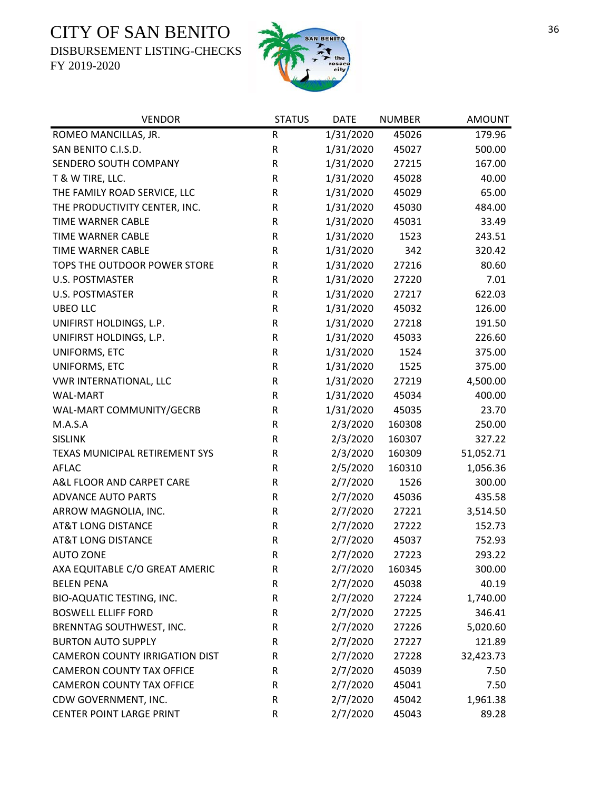DISBURSEMENT LISTING-CHECKS



| <b>VENDOR</b>                         | <b>STATUS</b> | <b>DATE</b> | <b>NUMBER</b> | <b>AMOUNT</b> |
|---------------------------------------|---------------|-------------|---------------|---------------|
| ROMEO MANCILLAS, JR.                  | ${\sf R}$     | 1/31/2020   | 45026         | 179.96        |
| SAN BENITO C.I.S.D.                   | ${\sf R}$     | 1/31/2020   | 45027         | 500.00        |
| SENDERO SOUTH COMPANY                 | ${\sf R}$     | 1/31/2020   | 27215         | 167.00        |
| T & W TIRE, LLC.                      | ${\sf R}$     | 1/31/2020   | 45028         | 40.00         |
| THE FAMILY ROAD SERVICE, LLC          | ${\sf R}$     | 1/31/2020   | 45029         | 65.00         |
| THE PRODUCTIVITY CENTER, INC.         | ${\sf R}$     | 1/31/2020   | 45030         | 484.00        |
| TIME WARNER CABLE                     | ${\sf R}$     | 1/31/2020   | 45031         | 33.49         |
| TIME WARNER CABLE                     | ${\sf R}$     | 1/31/2020   | 1523          | 243.51        |
| <b>TIME WARNER CABLE</b>              | ${\sf R}$     | 1/31/2020   | 342           | 320.42        |
| TOPS THE OUTDOOR POWER STORE          | ${\sf R}$     | 1/31/2020   | 27216         | 80.60         |
| U.S. POSTMASTER                       | ${\sf R}$     | 1/31/2020   | 27220         | 7.01          |
| <b>U.S. POSTMASTER</b>                | ${\sf R}$     | 1/31/2020   | 27217         | 622.03        |
| <b>UBEO LLC</b>                       | ${\sf R}$     | 1/31/2020   | 45032         | 126.00        |
| UNIFIRST HOLDINGS, L.P.               | ${\sf R}$     | 1/31/2020   | 27218         | 191.50        |
| UNIFIRST HOLDINGS, L.P.               | ${\sf R}$     | 1/31/2020   | 45033         | 226.60        |
| UNIFORMS, ETC                         | ${\sf R}$     | 1/31/2020   | 1524          | 375.00        |
| UNIFORMS, ETC                         | ${\sf R}$     | 1/31/2020   | 1525          | 375.00        |
| VWR INTERNATIONAL, LLC                | ${\sf R}$     | 1/31/2020   | 27219         | 4,500.00      |
| <b>WAL-MART</b>                       | $\mathsf R$   | 1/31/2020   | 45034         | 400.00        |
| WAL-MART COMMUNITY/GECRB              | ${\sf R}$     | 1/31/2020   | 45035         | 23.70         |
| M.A.S.A                               | ${\sf R}$     | 2/3/2020    | 160308        | 250.00        |
| <b>SISLINK</b>                        | ${\sf R}$     | 2/3/2020    | 160307        | 327.22        |
| TEXAS MUNICIPAL RETIREMENT SYS        | ${\sf R}$     | 2/3/2020    | 160309        | 51,052.71     |
| AFLAC                                 | ${\sf R}$     | 2/5/2020    | 160310        | 1,056.36      |
| A&L FLOOR AND CARPET CARE             | ${\sf R}$     | 2/7/2020    | 1526          | 300.00        |
| <b>ADVANCE AUTO PARTS</b>             | ${\sf R}$     | 2/7/2020    | 45036         | 435.58        |
| ARROW MAGNOLIA, INC.                  | ${\sf R}$     | 2/7/2020    | 27221         | 3,514.50      |
| <b>AT&amp;T LONG DISTANCE</b>         | ${\sf R}$     | 2/7/2020    | 27222         | 152.73        |
| <b>AT&amp;T LONG DISTANCE</b>         | ${\sf R}$     | 2/7/2020    | 45037         | 752.93        |
| <b>AUTO ZONE</b>                      | $\mathsf{R}$  | 2/7/2020    | 27223         | 293.22        |
| AXA EQUITABLE C/O GREAT AMERIC        | R             | 2/7/2020    | 160345        | 300.00        |
| <b>BELEN PENA</b>                     | ${\sf R}$     | 2/7/2020    | 45038         | 40.19         |
| BIO-AQUATIC TESTING, INC.             | ${\sf R}$     | 2/7/2020    | 27224         | 1,740.00      |
| <b>BOSWELL ELLIFF FORD</b>            | ${\sf R}$     | 2/7/2020    | 27225         | 346.41        |
| BRENNTAG SOUTHWEST, INC.              | ${\sf R}$     | 2/7/2020    | 27226         | 5,020.60      |
| <b>BURTON AUTO SUPPLY</b>             | R             | 2/7/2020    | 27227         | 121.89        |
| <b>CAMERON COUNTY IRRIGATION DIST</b> | R             | 2/7/2020    | 27228         | 32,423.73     |
| <b>CAMERON COUNTY TAX OFFICE</b>      | R             | 2/7/2020    | 45039         | 7.50          |
| <b>CAMERON COUNTY TAX OFFICE</b>      | R             | 2/7/2020    | 45041         | 7.50          |
| CDW GOVERNMENT, INC.                  | R             | 2/7/2020    | 45042         | 1,961.38      |
| CENTER POINT LARGE PRINT              | ${\sf R}$     | 2/7/2020    | 45043         | 89.28         |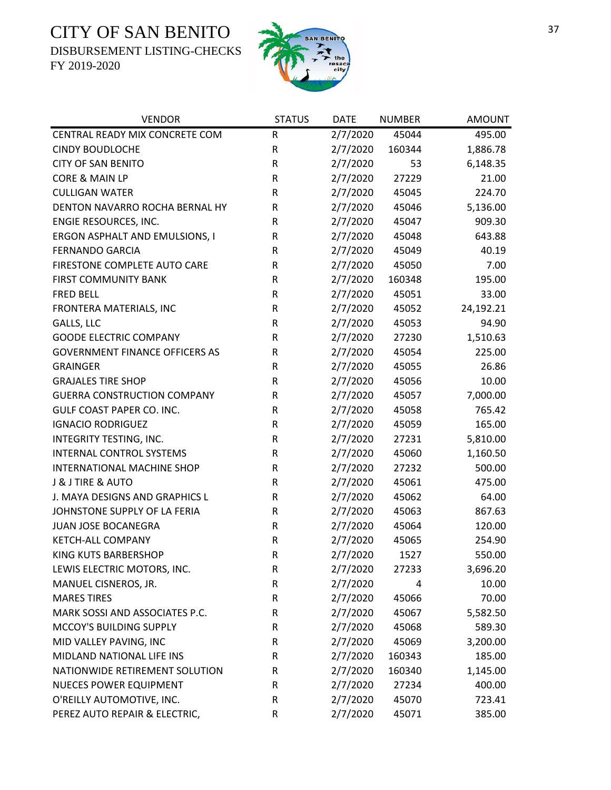DISBURSEMENT LISTING-CHECKS



| <b>VENDOR</b>                         | <b>STATUS</b> | <b>DATE</b> | <b>NUMBER</b> | <b>AMOUNT</b> |
|---------------------------------------|---------------|-------------|---------------|---------------|
| CENTRAL READY MIX CONCRETE COM        | ${\sf R}$     | 2/7/2020    | 45044         | 495.00        |
| <b>CINDY BOUDLOCHE</b>                | ${\sf R}$     | 2/7/2020    | 160344        | 1,886.78      |
| <b>CITY OF SAN BENITO</b>             | R             | 2/7/2020    | 53            | 6,148.35      |
| CORE & MAIN LP                        | ${\sf R}$     | 2/7/2020    | 27229         | 21.00         |
| <b>CULLIGAN WATER</b>                 | ${\sf R}$     | 2/7/2020    | 45045         | 224.70        |
| DENTON NAVARRO ROCHA BERNAL HY        | R             | 2/7/2020    | 45046         | 5,136.00      |
| ENGIE RESOURCES, INC.                 | R             | 2/7/2020    | 45047         | 909.30        |
| ERGON ASPHALT AND EMULSIONS, I        | R             | 2/7/2020    | 45048         | 643.88        |
| <b>FERNANDO GARCIA</b>                | ${\sf R}$     | 2/7/2020    | 45049         | 40.19         |
| FIRESTONE COMPLETE AUTO CARE          | ${\sf R}$     | 2/7/2020    | 45050         | 7.00          |
| FIRST COMMUNITY BANK                  | ${\sf R}$     | 2/7/2020    | 160348        | 195.00        |
| <b>FRED BELL</b>                      | ${\sf R}$     | 2/7/2020    | 45051         | 33.00         |
| FRONTERA MATERIALS, INC               | ${\sf R}$     | 2/7/2020    | 45052         | 24,192.21     |
| GALLS, LLC                            | ${\sf R}$     | 2/7/2020    | 45053         | 94.90         |
| <b>GOODE ELECTRIC COMPANY</b>         | R             | 2/7/2020    | 27230         | 1,510.63      |
| <b>GOVERNMENT FINANCE OFFICERS AS</b> | ${\sf R}$     | 2/7/2020    | 45054         | 225.00        |
| <b>GRAINGER</b>                       | ${\sf R}$     | 2/7/2020    | 45055         | 26.86         |
| <b>GRAJALES TIRE SHOP</b>             | R             | 2/7/2020    | 45056         | 10.00         |
| <b>GUERRA CONSTRUCTION COMPANY</b>    | ${\sf R}$     | 2/7/2020    | 45057         | 7,000.00      |
| GULF COAST PAPER CO. INC.             | ${\sf R}$     | 2/7/2020    | 45058         | 765.42        |
| <b>IGNACIO RODRIGUEZ</b>              | ${\sf R}$     | 2/7/2020    | 45059         | 165.00        |
| INTEGRITY TESTING, INC.               | ${\sf R}$     | 2/7/2020    | 27231         | 5,810.00      |
| INTERNAL CONTROL SYSTEMS              | ${\sf R}$     | 2/7/2020    | 45060         | 1,160.50      |
| INTERNATIONAL MACHINE SHOP            | ${\sf R}$     | 2/7/2020    | 27232         | 500.00        |
| J & J TIRE & AUTO                     | ${\sf R}$     | 2/7/2020    | 45061         | 475.00        |
| J. MAYA DESIGNS AND GRAPHICS L        | ${\sf R}$     | 2/7/2020    | 45062         | 64.00         |
| JOHNSTONE SUPPLY OF LA FERIA          | ${\sf R}$     | 2/7/2020    | 45063         | 867.63        |
| JUAN JOSE BOCANEGRA                   | ${\sf R}$     | 2/7/2020    | 45064         | 120.00        |
| <b>KETCH-ALL COMPANY</b>              | ${\sf R}$     | 2/7/2020    | 45065         | 254.90        |
| <b>KING KUTS BARBERSHOP</b>           | $\mathsf{R}$  | 2/7/2020    | 1527          | 550.00        |
| LEWIS ELECTRIC MOTORS, INC.           | R             | 2/7/2020    | 27233         | 3,696.20      |
| MANUEL CISNEROS, JR.                  | ${\sf R}$     | 2/7/2020    | 4             | 10.00         |
| <b>MARES TIRES</b>                    | ${\sf R}$     | 2/7/2020    | 45066         | 70.00         |
| MARK SOSSI AND ASSOCIATES P.C.        | R             | 2/7/2020    | 45067         | 5,582.50      |
| MCCOY'S BUILDING SUPPLY               | R             | 2/7/2020    | 45068         | 589.30        |
| MID VALLEY PAVING, INC                | R             | 2/7/2020    | 45069         | 3,200.00      |
| MIDLAND NATIONAL LIFE INS             | R             | 2/7/2020    | 160343        | 185.00        |
| NATIONWIDE RETIREMENT SOLUTION        | R             | 2/7/2020    | 160340        | 1,145.00      |
| <b>NUECES POWER EQUIPMENT</b>         | R             | 2/7/2020    | 27234         | 400.00        |
| O'REILLY AUTOMOTIVE, INC.             | R             | 2/7/2020    | 45070         | 723.41        |
| PEREZ AUTO REPAIR & ELECTRIC,         | R             | 2/7/2020    | 45071         | 385.00        |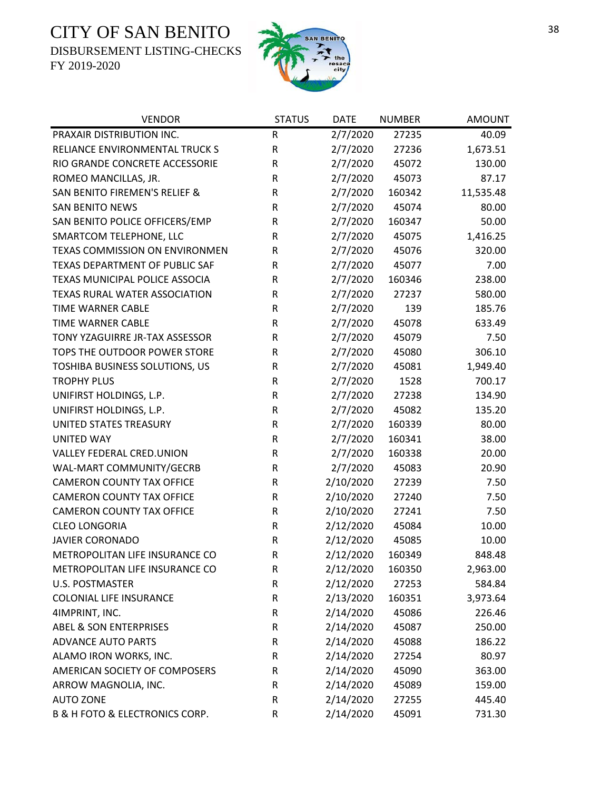DISBURSEMENT LISTING-CHECKS



| <b>VENDOR</b>                                 | <b>STATUS</b> | <b>DATE</b> | <b>NUMBER</b> | <b>AMOUNT</b> |
|-----------------------------------------------|---------------|-------------|---------------|---------------|
| PRAXAIR DISTRIBUTION INC.                     | ${\sf R}$     | 2/7/2020    | 27235         | 40.09         |
| RELIANCE ENVIRONMENTAL TRUCK S                | ${\sf R}$     | 2/7/2020    | 27236         | 1,673.51      |
| RIO GRANDE CONCRETE ACCESSORIE                | $\mathsf R$   | 2/7/2020    | 45072         | 130.00        |
| ROMEO MANCILLAS, JR.                          | R             | 2/7/2020    | 45073         | 87.17         |
| SAN BENITO FIREMEN'S RELIEF &                 | $\mathsf R$   | 2/7/2020    | 160342        | 11,535.48     |
| <b>SAN BENITO NEWS</b>                        | R             | 2/7/2020    | 45074         | 80.00         |
| SAN BENITO POLICE OFFICERS/EMP                | R             | 2/7/2020    | 160347        | 50.00         |
| SMARTCOM TELEPHONE, LLC                       | ${\sf R}$     | 2/7/2020    | 45075         | 1,416.25      |
| TEXAS COMMISSION ON ENVIRONMEN                | R             | 2/7/2020    | 45076         | 320.00        |
| TEXAS DEPARTMENT OF PUBLIC SAF                | ${\sf R}$     | 2/7/2020    | 45077         | 7.00          |
| TEXAS MUNICIPAL POLICE ASSOCIA                | $\mathsf R$   | 2/7/2020    | 160346        | 238.00        |
| TEXAS RURAL WATER ASSOCIATION                 | R             | 2/7/2020    | 27237         | 580.00        |
| TIME WARNER CABLE                             | ${\sf R}$     | 2/7/2020    | 139           | 185.76        |
| <b>TIME WARNER CABLE</b>                      | R             | 2/7/2020    | 45078         | 633.49        |
| TONY YZAGUIRRE JR-TAX ASSESSOR                | ${\sf R}$     | 2/7/2020    | 45079         | 7.50          |
| TOPS THE OUTDOOR POWER STORE                  | ${\sf R}$     | 2/7/2020    | 45080         | 306.10        |
| TOSHIBA BUSINESS SOLUTIONS, US                | ${\sf R}$     | 2/7/2020    | 45081         | 1,949.40      |
| <b>TROPHY PLUS</b>                            | ${\sf R}$     | 2/7/2020    | 1528          | 700.17        |
| UNIFIRST HOLDINGS, L.P.                       | R             | 2/7/2020    | 27238         | 134.90        |
| UNIFIRST HOLDINGS, L.P.                       | ${\sf R}$     | 2/7/2020    | 45082         | 135.20        |
| UNITED STATES TREASURY                        | ${\sf R}$     | 2/7/2020    | 160339        | 80.00         |
| <b>UNITED WAY</b>                             | R             | 2/7/2020    | 160341        | 38.00         |
| VALLEY FEDERAL CRED.UNION                     | ${\sf R}$     | 2/7/2020    | 160338        | 20.00         |
| WAL-MART COMMUNITY/GECRB                      | $\mathsf R$   | 2/7/2020    | 45083         | 20.90         |
| <b>CAMERON COUNTY TAX OFFICE</b>              | ${\sf R}$     | 2/10/2020   | 27239         | 7.50          |
| <b>CAMERON COUNTY TAX OFFICE</b>              | R             | 2/10/2020   | 27240         | 7.50          |
| <b>CAMERON COUNTY TAX OFFICE</b>              | ${\sf R}$     | 2/10/2020   | 27241         | 7.50          |
| <b>CLEO LONGORIA</b>                          | R             | 2/12/2020   | 45084         | 10.00         |
| <b>JAVIER CORONADO</b>                        | ${\sf R}$     | 2/12/2020   | 45085         | 10.00         |
| METROPOLITAN LIFE INSURANCE CO                | $\mathsf{R}$  | 2/12/2020   | 160349        | 848.48        |
| METROPOLITAN LIFE INSURANCE CO                | R             | 2/12/2020   | 160350        | 2,963.00      |
| <b>U.S. POSTMASTER</b>                        | R             | 2/12/2020   | 27253         | 584.84        |
| <b>COLONIAL LIFE INSURANCE</b>                | R             | 2/13/2020   | 160351        | 3,973.64      |
| 4IMPRINT, INC.                                | R             | 2/14/2020   | 45086         | 226.46        |
| <b>ABEL &amp; SON ENTERPRISES</b>             | R             | 2/14/2020   | 45087         | 250.00        |
| <b>ADVANCE AUTO PARTS</b>                     | R             | 2/14/2020   | 45088         | 186.22        |
| ALAMO IRON WORKS, INC.                        | $\mathsf R$   | 2/14/2020   | 27254         | 80.97         |
| AMERICAN SOCIETY OF COMPOSERS                 | R             | 2/14/2020   | 45090         | 363.00        |
| ARROW MAGNOLIA, INC.                          | R             | 2/14/2020   | 45089         | 159.00        |
| <b>AUTO ZONE</b>                              | R             | 2/14/2020   | 27255         | 445.40        |
| <b>B &amp; H FOTO &amp; ELECTRONICS CORP.</b> | R             | 2/14/2020   | 45091         | 731.30        |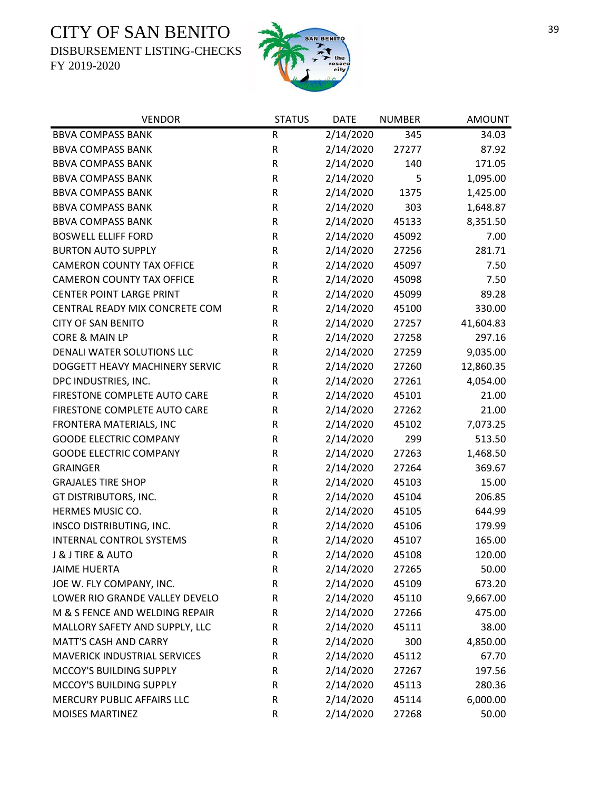DISBURSEMENT LISTING-CHECKS



| <b>VENDOR</b>                       | <b>STATUS</b> | <b>DATE</b> | <b>NUMBER</b> | <b>AMOUNT</b> |
|-------------------------------------|---------------|-------------|---------------|---------------|
| <b>BBVA COMPASS BANK</b>            | ${\sf R}$     | 2/14/2020   | 345           | 34.03         |
| <b>BBVA COMPASS BANK</b>            | ${\sf R}$     | 2/14/2020   | 27277         | 87.92         |
| <b>BBVA COMPASS BANK</b>            | ${\sf R}$     | 2/14/2020   | 140           | 171.05        |
| <b>BBVA COMPASS BANK</b>            | ${\sf R}$     | 2/14/2020   | 5             | 1,095.00      |
| <b>BBVA COMPASS BANK</b>            | ${\sf R}$     | 2/14/2020   | 1375          | 1,425.00      |
| <b>BBVA COMPASS BANK</b>            | ${\sf R}$     | 2/14/2020   | 303           | 1,648.87      |
| <b>BBVA COMPASS BANK</b>            | ${\sf R}$     | 2/14/2020   | 45133         | 8,351.50      |
| <b>BOSWELL ELLIFF FORD</b>          | ${\sf R}$     | 2/14/2020   | 45092         | 7.00          |
| <b>BURTON AUTO SUPPLY</b>           | ${\sf R}$     | 2/14/2020   | 27256         | 281.71        |
| <b>CAMERON COUNTY TAX OFFICE</b>    | ${\sf R}$     | 2/14/2020   | 45097         | 7.50          |
| <b>CAMERON COUNTY TAX OFFICE</b>    | ${\sf R}$     | 2/14/2020   | 45098         | 7.50          |
| <b>CENTER POINT LARGE PRINT</b>     | R             | 2/14/2020   | 45099         | 89.28         |
| CENTRAL READY MIX CONCRETE COM      | ${\sf R}$     | 2/14/2020   | 45100         | 330.00        |
| <b>CITY OF SAN BENITO</b>           | ${\sf R}$     | 2/14/2020   | 27257         | 41,604.83     |
| CORE & MAIN LP                      | ${\sf R}$     | 2/14/2020   | 27258         | 297.16        |
| DENALI WATER SOLUTIONS LLC          | ${\sf R}$     | 2/14/2020   | 27259         | 9,035.00      |
| DOGGETT HEAVY MACHINERY SERVIC      | R             | 2/14/2020   | 27260         | 12,860.35     |
| DPC INDUSTRIES, INC.                | ${\sf R}$     | 2/14/2020   | 27261         | 4,054.00      |
| FIRESTONE COMPLETE AUTO CARE        | $\mathsf R$   | 2/14/2020   | 45101         | 21.00         |
| FIRESTONE COMPLETE AUTO CARE        | ${\sf R}$     | 2/14/2020   | 27262         | 21.00         |
| FRONTERA MATERIALS, INC             | ${\sf R}$     | 2/14/2020   | 45102         | 7,073.25      |
| <b>GOODE ELECTRIC COMPANY</b>       | ${\sf R}$     | 2/14/2020   | 299           | 513.50        |
| <b>GOODE ELECTRIC COMPANY</b>       | ${\sf R}$     | 2/14/2020   | 27263         | 1,468.50      |
| <b>GRAINGER</b>                     | ${\sf R}$     | 2/14/2020   | 27264         | 369.67        |
| <b>GRAJALES TIRE SHOP</b>           | ${\sf R}$     | 2/14/2020   | 45103         | 15.00         |
| GT DISTRIBUTORS, INC.               | ${\sf R}$     | 2/14/2020   | 45104         | 206.85        |
| HERMES MUSIC CO.                    | ${\sf R}$     | 2/14/2020   | 45105         | 644.99        |
| INSCO DISTRIBUTING, INC.            | ${\sf R}$     | 2/14/2020   | 45106         | 179.99        |
| <b>INTERNAL CONTROL SYSTEMS</b>     | ${\sf R}$     | 2/14/2020   | 45107         | 165.00        |
| J & J TIRE & AUTO                   | $\mathsf{R}$  | 2/14/2020   | 45108         | 120.00        |
| <b>JAIME HUERTA</b>                 | R             | 2/14/2020   | 27265         | 50.00         |
| JOE W. FLY COMPANY, INC.            | ${\sf R}$     | 2/14/2020   | 45109         | 673.20        |
| LOWER RIO GRANDE VALLEY DEVELO      | ${\sf R}$     | 2/14/2020   | 45110         | 9,667.00      |
| M & S FENCE AND WELDING REPAIR      | R             | 2/14/2020   | 27266         | 475.00        |
| MALLORY SAFETY AND SUPPLY, LLC      | R             | 2/14/2020   | 45111         | 38.00         |
| <b>MATT'S CASH AND CARRY</b>        | R             | 2/14/2020   | 300           | 4,850.00      |
| <b>MAVERICK INDUSTRIAL SERVICES</b> | R             | 2/14/2020   | 45112         | 67.70         |
| MCCOY'S BUILDING SUPPLY             | R             | 2/14/2020   | 27267         | 197.56        |
| MCCOY'S BUILDING SUPPLY             | R             | 2/14/2020   | 45113         | 280.36        |
| MERCURY PUBLIC AFFAIRS LLC          | R             | 2/14/2020   | 45114         | 6,000.00      |
| <b>MOISES MARTINEZ</b>              | ${\sf R}$     | 2/14/2020   | 27268         | 50.00         |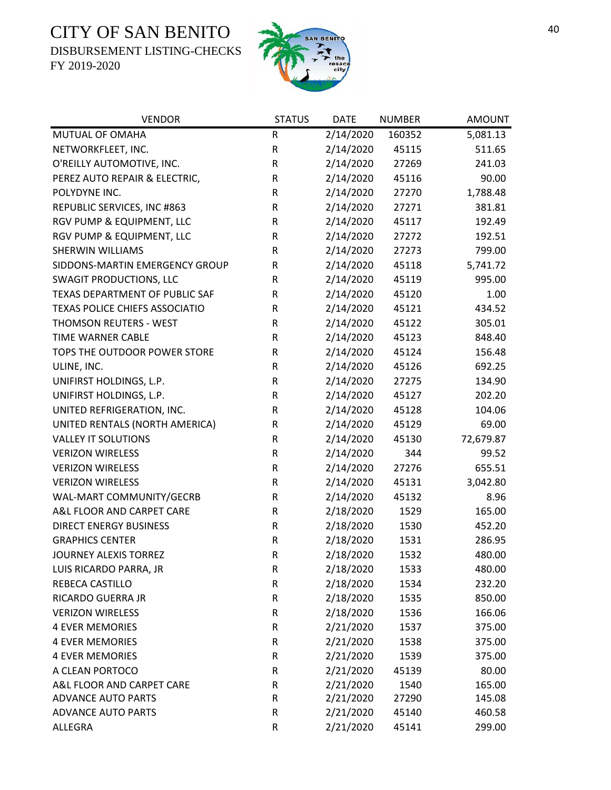DISBURSEMENT LISTING-CHECKS



| <b>VENDOR</b>                  | <b>STATUS</b> | <b>DATE</b> | <b>NUMBER</b> | <b>AMOUNT</b> |
|--------------------------------|---------------|-------------|---------------|---------------|
| MUTUAL OF OMAHA                | ${\sf R}$     | 2/14/2020   | 160352        | 5,081.13      |
| NETWORKFLEET, INC.             | ${\sf R}$     | 2/14/2020   | 45115         | 511.65        |
| O'REILLY AUTOMOTIVE, INC.      | R             | 2/14/2020   | 27269         | 241.03        |
| PEREZ AUTO REPAIR & ELECTRIC,  | R             | 2/14/2020   | 45116         | 90.00         |
| POLYDYNE INC.                  | ${\sf R}$     | 2/14/2020   | 27270         | 1,788.48      |
| REPUBLIC SERVICES, INC #863    | ${\sf R}$     | 2/14/2020   | 27271         | 381.81        |
| RGV PUMP & EQUIPMENT, LLC      | ${\sf R}$     | 2/14/2020   | 45117         | 192.49        |
| RGV PUMP & EQUIPMENT, LLC      | R             | 2/14/2020   | 27272         | 192.51        |
| <b>SHERWIN WILLIAMS</b>        | R             | 2/14/2020   | 27273         | 799.00        |
| SIDDONS-MARTIN EMERGENCY GROUP | R             | 2/14/2020   | 45118         | 5,741.72      |
| <b>SWAGIT PRODUCTIONS, LLC</b> | R             | 2/14/2020   | 45119         | 995.00        |
| TEXAS DEPARTMENT OF PUBLIC SAF | R             | 2/14/2020   | 45120         | 1.00          |
| TEXAS POLICE CHIEFS ASSOCIATIO | R             | 2/14/2020   | 45121         | 434.52        |
| THOMSON REUTERS - WEST         | R             | 2/14/2020   | 45122         | 305.01        |
| TIME WARNER CABLE              | R             | 2/14/2020   | 45123         | 848.40        |
| TOPS THE OUTDOOR POWER STORE   | R             | 2/14/2020   | 45124         | 156.48        |
| ULINE, INC.                    | R             | 2/14/2020   | 45126         | 692.25        |
| UNIFIRST HOLDINGS, L.P.        | R             | 2/14/2020   | 27275         | 134.90        |
| UNIFIRST HOLDINGS, L.P.        | ${\sf R}$     | 2/14/2020   | 45127         | 202.20        |
| UNITED REFRIGERATION, INC.     | ${\sf R}$     | 2/14/2020   | 45128         | 104.06        |
| UNITED RENTALS (NORTH AMERICA) | R             | 2/14/2020   | 45129         | 69.00         |
| <b>VALLEY IT SOLUTIONS</b>     | R             | 2/14/2020   | 45130         | 72,679.87     |
| <b>VERIZON WIRELESS</b>        | ${\sf R}$     | 2/14/2020   | 344           | 99.52         |
| <b>VERIZON WIRELESS</b>        | ${\sf R}$     | 2/14/2020   | 27276         | 655.51        |
| <b>VERIZON WIRELESS</b>        | ${\sf R}$     | 2/14/2020   | 45131         | 3,042.80      |
| WAL-MART COMMUNITY/GECRB       | ${\sf R}$     | 2/14/2020   | 45132         | 8.96          |
| A&L FLOOR AND CARPET CARE      | R             | 2/18/2020   | 1529          | 165.00        |
| <b>DIRECT ENERGY BUSINESS</b>  | ${\sf R}$     | 2/18/2020   | 1530          | 452.20        |
| <b>GRAPHICS CENTER</b>         | ${\sf R}$     | 2/18/2020   | 1531          | 286.95        |
| JOURNEY ALEXIS TORREZ          | $\mathsf R$   | 2/18/2020   | 1532          | 480.00        |
| LUIS RICARDO PARRA, JR         | ${\sf R}$     | 2/18/2020   | 1533          | 480.00        |
| <b>REBECA CASTILLO</b>         | ${\sf R}$     | 2/18/2020   | 1534          | 232.20        |
| RICARDO GUERRA JR              | ${\sf R}$     | 2/18/2020   | 1535          | 850.00        |
| <b>VERIZON WIRELESS</b>        | ${\sf R}$     | 2/18/2020   | 1536          | 166.06        |
| <b>4 EVER MEMORIES</b>         | ${\sf R}$     | 2/21/2020   | 1537          | 375.00        |
| <b>4 EVER MEMORIES</b>         | ${\sf R}$     | 2/21/2020   | 1538          | 375.00        |
| <b>4 EVER MEMORIES</b>         | ${\sf R}$     | 2/21/2020   | 1539          | 375.00        |
| A CLEAN PORTOCO                | ${\sf R}$     | 2/21/2020   | 45139         | 80.00         |
| A&L FLOOR AND CARPET CARE      | ${\sf R}$     | 2/21/2020   | 1540          | 165.00        |
| <b>ADVANCE AUTO PARTS</b>      | R             | 2/21/2020   | 27290         | 145.08        |
| <b>ADVANCE AUTO PARTS</b>      | ${\sf R}$     | 2/21/2020   | 45140         | 460.58        |
| ALLEGRA                        | ${\sf R}$     | 2/21/2020   | 45141         | 299.00        |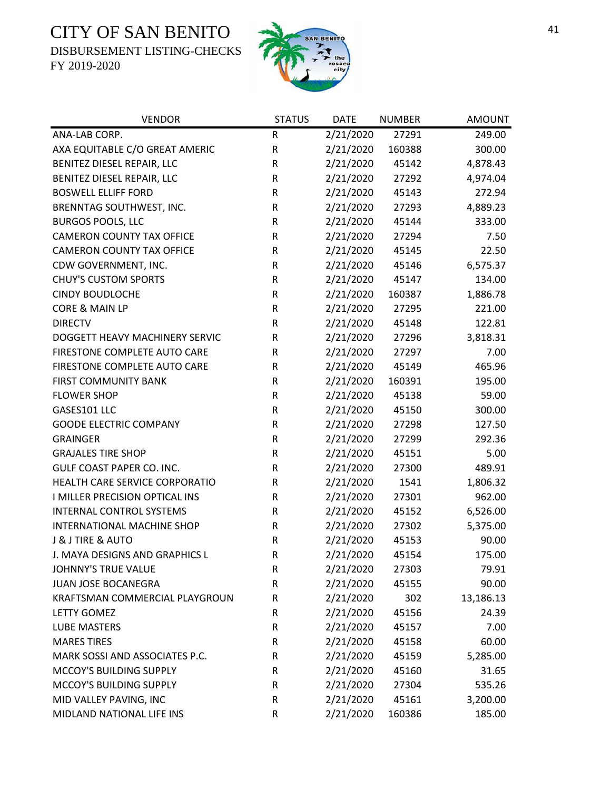DISBURSEMENT LISTING-CHECKS



| <b>VENDOR</b>                    | <b>STATUS</b> | <b>DATE</b> | <b>NUMBER</b> | <b>AMOUNT</b> |
|----------------------------------|---------------|-------------|---------------|---------------|
| ANA-LAB CORP.                    | R             | 2/21/2020   | 27291         | 249.00        |
| AXA EQUITABLE C/O GREAT AMERIC   | R             | 2/21/2020   | 160388        | 300.00        |
| BENITEZ DIESEL REPAIR, LLC       | ${\sf R}$     | 2/21/2020   | 45142         | 4,878.43      |
| BENITEZ DIESEL REPAIR, LLC       | ${\sf R}$     | 2/21/2020   | 27292         | 4,974.04      |
| <b>BOSWELL ELLIFF FORD</b>       | ${\sf R}$     | 2/21/2020   | 45143         | 272.94        |
| BRENNTAG SOUTHWEST, INC.         | $\mathsf R$   | 2/21/2020   | 27293         | 4,889.23      |
| <b>BURGOS POOLS, LLC</b>         | R             | 2/21/2020   | 45144         | 333.00        |
| <b>CAMERON COUNTY TAX OFFICE</b> | R             | 2/21/2020   | 27294         | 7.50          |
| <b>CAMERON COUNTY TAX OFFICE</b> | R             | 2/21/2020   | 45145         | 22.50         |
| CDW GOVERNMENT, INC.             | R             | 2/21/2020   | 45146         | 6,575.37      |
| <b>CHUY'S CUSTOM SPORTS</b>      | ${\sf R}$     | 2/21/2020   | 45147         | 134.00        |
| <b>CINDY BOUDLOCHE</b>           | ${\sf R}$     | 2/21/2020   | 160387        | 1,886.78      |
| CORE & MAIN LP                   | ${\sf R}$     | 2/21/2020   | 27295         | 221.00        |
| <b>DIRECTV</b>                   | R             | 2/21/2020   | 45148         | 122.81        |
| DOGGETT HEAVY MACHINERY SERVIC   | ${\sf R}$     | 2/21/2020   | 27296         | 3,818.31      |
| FIRESTONE COMPLETE AUTO CARE     | R             | 2/21/2020   | 27297         | 7.00          |
| FIRESTONE COMPLETE AUTO CARE     | ${\sf R}$     | 2/21/2020   | 45149         | 465.96        |
| <b>FIRST COMMUNITY BANK</b>      | ${\sf R}$     | 2/21/2020   | 160391        | 195.00        |
| <b>FLOWER SHOP</b>               | R             | 2/21/2020   | 45138         | 59.00         |
| GASES101 LLC                     | ${\sf R}$     | 2/21/2020   | 45150         | 300.00        |
| <b>GOODE ELECTRIC COMPANY</b>    | R             | 2/21/2020   | 27298         | 127.50        |
| <b>GRAINGER</b>                  | ${\sf R}$     | 2/21/2020   | 27299         | 292.36        |
| <b>GRAJALES TIRE SHOP</b>        | ${\sf R}$     | 2/21/2020   | 45151         | 5.00          |
| <b>GULF COAST PAPER CO. INC.</b> | ${\sf R}$     | 2/21/2020   | 27300         | 489.91        |
| HEALTH CARE SERVICE CORPORATIO   | $\mathsf R$   | 2/21/2020   | 1541          | 1,806.32      |
| I MILLER PRECISION OPTICAL INS   | R             | 2/21/2020   | 27301         | 962.00        |
| <b>INTERNAL CONTROL SYSTEMS</b>  | R             | 2/21/2020   | 45152         | 6,526.00      |
| INTERNATIONAL MACHINE SHOP       | ${\sf R}$     | 2/21/2020   | 27302         | 5,375.00      |
| J & J TIRE & AUTO                | ${\sf R}$     | 2/21/2020   | 45153         | 90.00         |
| J. MAYA DESIGNS AND GRAPHICS L   | $\mathsf{R}$  | 2/21/2020   | 45154         | 175.00        |
| JOHNNY'S TRUE VALUE              | R             | 2/21/2020   | 27303         | 79.91         |
| JUAN JOSE BOCANEGRA              | $\mathsf R$   | 2/21/2020   | 45155         | 90.00         |
| KRAFTSMAN COMMERCIAL PLAYGROUN   | R             | 2/21/2020   | 302           | 13,186.13     |
| LETTY GOMEZ                      | R             | 2/21/2020   | 45156         | 24.39         |
| <b>LUBE MASTERS</b>              | R             | 2/21/2020   | 45157         | 7.00          |
| <b>MARES TIRES</b>               | R             | 2/21/2020   | 45158         | 60.00         |
| MARK SOSSI AND ASSOCIATES P.C.   | R             | 2/21/2020   | 45159         | 5,285.00      |
| MCCOY'S BUILDING SUPPLY          | R             | 2/21/2020   | 45160         | 31.65         |
| MCCOY'S BUILDING SUPPLY          | R             | 2/21/2020   | 27304         | 535.26        |
| MID VALLEY PAVING, INC           | R             | 2/21/2020   | 45161         | 3,200.00      |
| MIDLAND NATIONAL LIFE INS        | $\mathsf R$   | 2/21/2020   | 160386        | 185.00        |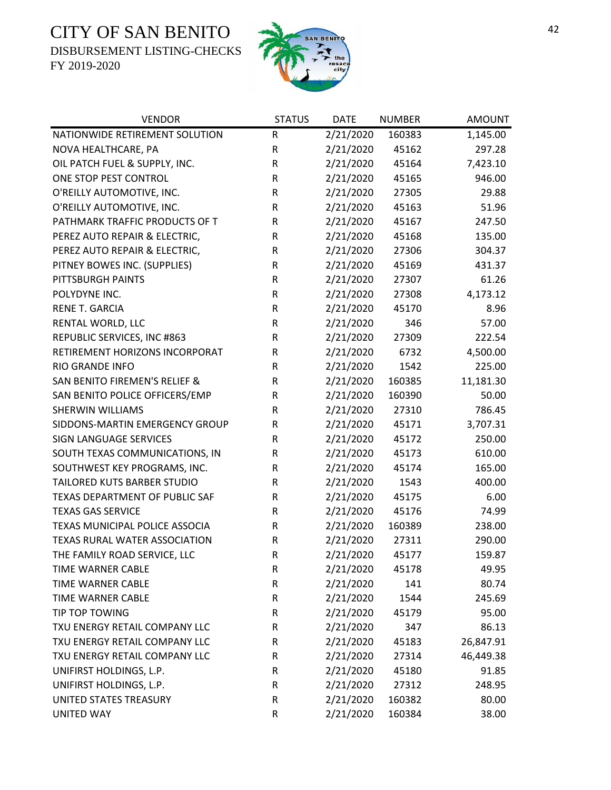DISBURSEMENT LISTING-CHECKS



| <b>VENDOR</b>                  | <b>STATUS</b> | <b>DATE</b> | <b>NUMBER</b> | <b>AMOUNT</b> |
|--------------------------------|---------------|-------------|---------------|---------------|
| NATIONWIDE RETIREMENT SOLUTION | ${\sf R}$     | 2/21/2020   | 160383        | 1,145.00      |
| NOVA HEALTHCARE, PA            | ${\sf R}$     | 2/21/2020   | 45162         | 297.28        |
| OIL PATCH FUEL & SUPPLY, INC.  | R             | 2/21/2020   | 45164         | 7,423.10      |
| ONE STOP PEST CONTROL          | ${\sf R}$     | 2/21/2020   | 45165         | 946.00        |
| O'REILLY AUTOMOTIVE, INC.      | ${\sf R}$     | 2/21/2020   | 27305         | 29.88         |
| O'REILLY AUTOMOTIVE, INC.      | ${\sf R}$     | 2/21/2020   | 45163         | 51.96         |
| PATHMARK TRAFFIC PRODUCTS OF T | R             | 2/21/2020   | 45167         | 247.50        |
| PEREZ AUTO REPAIR & ELECTRIC,  | ${\sf R}$     | 2/21/2020   | 45168         | 135.00        |
| PEREZ AUTO REPAIR & ELECTRIC,  | ${\sf R}$     | 2/21/2020   | 27306         | 304.37        |
| PITNEY BOWES INC. (SUPPLIES)   | R             | 2/21/2020   | 45169         | 431.37        |
| PITTSBURGH PAINTS              | ${\sf R}$     | 2/21/2020   | 27307         | 61.26         |
| POLYDYNE INC.                  | ${\sf R}$     | 2/21/2020   | 27308         | 4,173.12      |
| RENE T. GARCIA                 | R             | 2/21/2020   | 45170         | 8.96          |
| RENTAL WORLD, LLC              | ${\sf R}$     | 2/21/2020   | 346           | 57.00         |
| REPUBLIC SERVICES, INC #863    | R             | 2/21/2020   | 27309         | 222.54        |
| RETIREMENT HORIZONS INCORPORAT | R             | 2/21/2020   | 6732          | 4,500.00      |
| RIO GRANDE INFO                | ${\sf R}$     | 2/21/2020   | 1542          | 225.00        |
| SAN BENITO FIREMEN'S RELIEF &  | ${\sf R}$     | 2/21/2020   | 160385        | 11,181.30     |
| SAN BENITO POLICE OFFICERS/EMP | R             | 2/21/2020   | 160390        | 50.00         |
| <b>SHERWIN WILLIAMS</b>        | R             | 2/21/2020   | 27310         | 786.45        |
| SIDDONS-MARTIN EMERGENCY GROUP | R             | 2/21/2020   | 45171         | 3,707.31      |
| <b>SIGN LANGUAGE SERVICES</b>  | R             | 2/21/2020   | 45172         | 250.00        |
| SOUTH TEXAS COMMUNICATIONS, IN | R             | 2/21/2020   | 45173         | 610.00        |
| SOUTHWEST KEY PROGRAMS, INC.   | R             | 2/21/2020   | 45174         | 165.00        |
| TAILORED KUTS BARBER STUDIO    | R             | 2/21/2020   | 1543          | 400.00        |
| TEXAS DEPARTMENT OF PUBLIC SAF | R             | 2/21/2020   | 45175         | 6.00          |
| <b>TEXAS GAS SERVICE</b>       | R             | 2/21/2020   | 45176         | 74.99         |
| TEXAS MUNICIPAL POLICE ASSOCIA | ${\sf R}$     | 2/21/2020   | 160389        | 238.00        |
| TEXAS RURAL WATER ASSOCIATION  | ${\sf R}$     | 2/21/2020   | 27311         | 290.00        |
| THE FAMILY ROAD SERVICE, LLC   | $\mathsf R$   | 2/21/2020   | 45177         | 159.87        |
| TIME WARNER CABLE              | R             | 2/21/2020   | 45178         | 49.95         |
| TIME WARNER CABLE              | R             | 2/21/2020   | 141           | 80.74         |
| <b>TIME WARNER CABLE</b>       | ${\sf R}$     | 2/21/2020   | 1544          | 245.69        |
| TIP TOP TOWING                 | R             | 2/21/2020   | 45179         | 95.00         |
| TXU ENERGY RETAIL COMPANY LLC  | R             | 2/21/2020   | 347           | 86.13         |
| TXU ENERGY RETAIL COMPANY LLC  | R             | 2/21/2020   | 45183         | 26,847.91     |
| TXU ENERGY RETAIL COMPANY LLC  | R             | 2/21/2020   | 27314         | 46,449.38     |
| UNIFIRST HOLDINGS, L.P.        | R             | 2/21/2020   | 45180         | 91.85         |
| UNIFIRST HOLDINGS, L.P.        | R             | 2/21/2020   | 27312         | 248.95        |
| UNITED STATES TREASURY         | ${\sf R}$     | 2/21/2020   | 160382        | 80.00         |
| <b>UNITED WAY</b>              | ${\sf R}$     | 2/21/2020   | 160384        | 38.00         |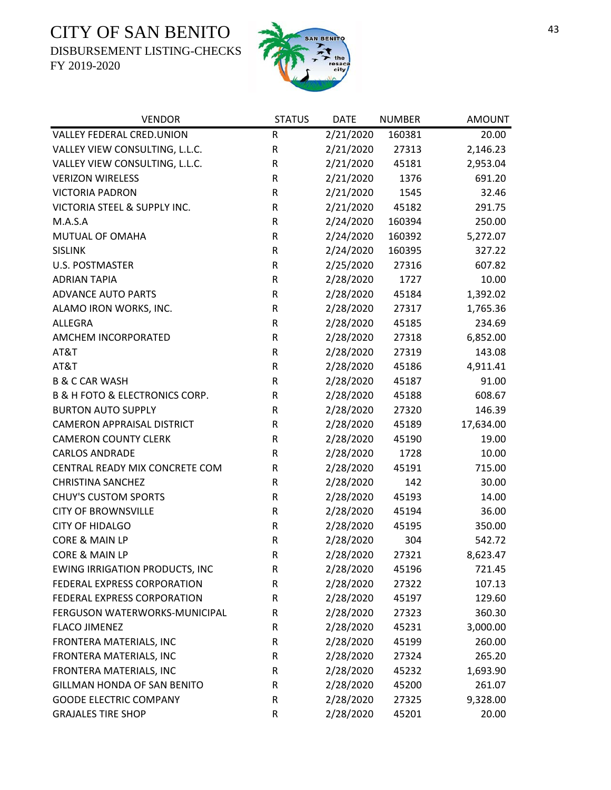DISBURSEMENT LISTING-CHECKS



| <b>VENDOR</b>                                 | <b>STATUS</b> | <b>DATE</b> | <b>NUMBER</b> | <b>AMOUNT</b> |
|-----------------------------------------------|---------------|-------------|---------------|---------------|
| VALLEY FEDERAL CRED.UNION                     | R             | 2/21/2020   | 160381        | 20.00         |
| VALLEY VIEW CONSULTING, L.L.C.                | ${\sf R}$     | 2/21/2020   | 27313         | 2,146.23      |
| VALLEY VIEW CONSULTING, L.L.C.                | ${\sf R}$     | 2/21/2020   | 45181         | 2,953.04      |
| <b>VERIZON WIRELESS</b>                       | ${\sf R}$     | 2/21/2020   | 1376          | 691.20        |
| <b>VICTORIA PADRON</b>                        | ${\sf R}$     | 2/21/2020   | 1545          | 32.46         |
| VICTORIA STEEL & SUPPLY INC.                  | ${\sf R}$     | 2/21/2020   | 45182         | 291.75        |
| M.A.S.A                                       | R             | 2/24/2020   | 160394        | 250.00        |
| MUTUAL OF OMAHA                               | ${\sf R}$     | 2/24/2020   | 160392        | 5,272.07      |
| <b>SISLINK</b>                                | ${\sf R}$     | 2/24/2020   | 160395        | 327.22        |
| <b>U.S. POSTMASTER</b>                        | ${\sf R}$     | 2/25/2020   | 27316         | 607.82        |
| <b>ADRIAN TAPIA</b>                           | ${\sf R}$     | 2/28/2020   | 1727          | 10.00         |
| <b>ADVANCE AUTO PARTS</b>                     | ${\sf R}$     | 2/28/2020   | 45184         | 1,392.02      |
| ALAMO IRON WORKS, INC.                        | ${\sf R}$     | 2/28/2020   | 27317         | 1,765.36      |
| <b>ALLEGRA</b>                                | ${\sf R}$     | 2/28/2020   | 45185         | 234.69        |
| AMCHEM INCORPORATED                           | ${\sf R}$     | 2/28/2020   | 27318         | 6,852.00      |
| AT&T                                          | ${\sf R}$     | 2/28/2020   | 27319         | 143.08        |
| AT&T                                          | ${\sf R}$     | 2/28/2020   | 45186         | 4,911.41      |
| <b>B &amp; C CAR WASH</b>                     | ${\sf R}$     | 2/28/2020   | 45187         | 91.00         |
| <b>B &amp; H FOTO &amp; ELECTRONICS CORP.</b> | ${\sf R}$     | 2/28/2020   | 45188         | 608.67        |
| <b>BURTON AUTO SUPPLY</b>                     | ${\sf R}$     | 2/28/2020   | 27320         | 146.39        |
| <b>CAMERON APPRAISAL DISTRICT</b>             | ${\sf R}$     | 2/28/2020   | 45189         | 17,634.00     |
| <b>CAMERON COUNTY CLERK</b>                   | ${\sf R}$     | 2/28/2020   | 45190         | 19.00         |
| <b>CARLOS ANDRADE</b>                         | ${\sf R}$     | 2/28/2020   | 1728          | 10.00         |
| CENTRAL READY MIX CONCRETE COM                | R             | 2/28/2020   | 45191         | 715.00        |
| <b>CHRISTINA SANCHEZ</b>                      | ${\sf R}$     | 2/28/2020   | 142           | 30.00         |
| <b>CHUY'S CUSTOM SPORTS</b>                   | ${\sf R}$     | 2/28/2020   | 45193         | 14.00         |
| <b>CITY OF BROWNSVILLE</b>                    | ${\sf R}$     | 2/28/2020   | 45194         | 36.00         |
| <b>CITY OF HIDALGO</b>                        | ${\sf R}$     | 2/28/2020   | 45195         | 350.00        |
| CORE & MAIN LP                                | ${\sf R}$     | 2/28/2020   | 304           | 542.72        |
| CORE & MAIN LP                                | $\mathsf R$   | 2/28/2020   | 27321         | 8,623.47      |
| <b>EWING IRRIGATION PRODUCTS, INC</b>         | R             | 2/28/2020   | 45196         | 721.45        |
| FEDERAL EXPRESS CORPORATION                   | R             | 2/28/2020   | 27322         | 107.13        |
| FEDERAL EXPRESS CORPORATION                   | ${\sf R}$     | 2/28/2020   | 45197         | 129.60        |
| FERGUSON WATERWORKS-MUNICIPAL                 | ${\sf R}$     | 2/28/2020   | 27323         | 360.30        |
| <b>FLACO JIMENEZ</b>                          | ${\sf R}$     | 2/28/2020   | 45231         | 3,000.00      |
| FRONTERA MATERIALS, INC                       | ${\sf R}$     | 2/28/2020   | 45199         | 260.00        |
| FRONTERA MATERIALS, INC                       | ${\sf R}$     | 2/28/2020   | 27324         | 265.20        |
| FRONTERA MATERIALS, INC                       | R             | 2/28/2020   | 45232         | 1,693.90      |
| GILLMAN HONDA OF SAN BENITO                   | ${\sf R}$     | 2/28/2020   | 45200         | 261.07        |
| <b>GOODE ELECTRIC COMPANY</b>                 | ${\sf R}$     | 2/28/2020   | 27325         | 9,328.00      |
| <b>GRAJALES TIRE SHOP</b>                     | ${\sf R}$     | 2/28/2020   | 45201         | 20.00         |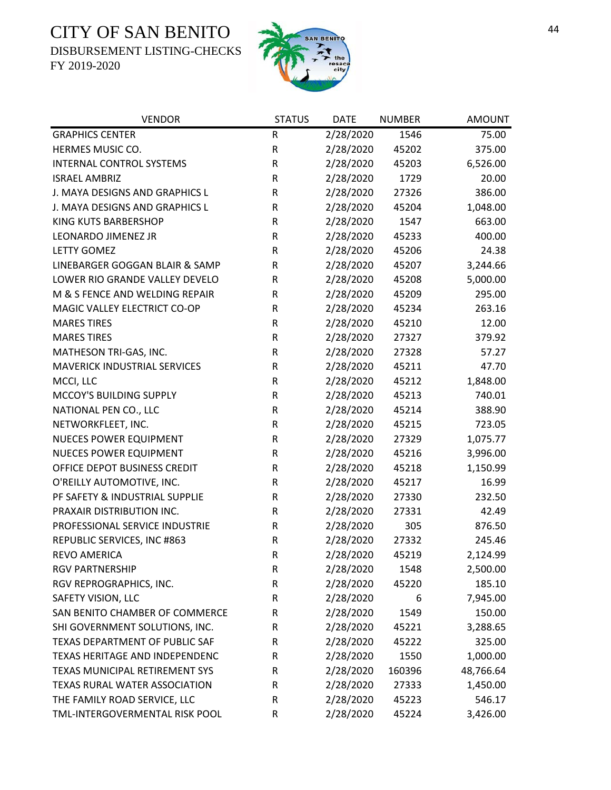DISBURSEMENT LISTING-CHECKS



| <b>VENDOR</b>                       | <b>STATUS</b> | <b>DATE</b> | <b>NUMBER</b> | <b>AMOUNT</b> |
|-------------------------------------|---------------|-------------|---------------|---------------|
| <b>GRAPHICS CENTER</b>              | R             | 2/28/2020   | 1546          | 75.00         |
| HERMES MUSIC CO.                    | ${\sf R}$     | 2/28/2020   | 45202         | 375.00        |
| INTERNAL CONTROL SYSTEMS            | ${\sf R}$     | 2/28/2020   | 45203         | 6,526.00      |
| <b>ISRAEL AMBRIZ</b>                | $\mathsf R$   | 2/28/2020   | 1729          | 20.00         |
| J. MAYA DESIGNS AND GRAPHICS L      | $\mathsf R$   | 2/28/2020   | 27326         | 386.00        |
| J. MAYA DESIGNS AND GRAPHICS L      | ${\sf R}$     | 2/28/2020   | 45204         | 1,048.00      |
| <b>KING KUTS BARBERSHOP</b>         | $\mathsf R$   | 2/28/2020   | 1547          | 663.00        |
| LEONARDO JIMENEZ JR                 | ${\sf R}$     | 2/28/2020   | 45233         | 400.00        |
| <b>LETTY GOMEZ</b>                  | $\mathsf R$   | 2/28/2020   | 45206         | 24.38         |
| LINEBARGER GOGGAN BLAIR & SAMP      | $\mathsf R$   | 2/28/2020   | 45207         | 3,244.66      |
| LOWER RIO GRANDE VALLEY DEVELO      | $\mathsf R$   | 2/28/2020   | 45208         | 5,000.00      |
| M & S FENCE AND WELDING REPAIR      | $\mathsf R$   | 2/28/2020   | 45209         | 295.00        |
| MAGIC VALLEY ELECTRICT CO-OP        | ${\sf R}$     | 2/28/2020   | 45234         | 263.16        |
| <b>MARES TIRES</b>                  | $\mathsf R$   | 2/28/2020   | 45210         | 12.00         |
| <b>MARES TIRES</b>                  | $\mathsf R$   | 2/28/2020   | 27327         | 379.92        |
| MATHESON TRI-GAS, INC.              | R             | 2/28/2020   | 27328         | 57.27         |
| <b>MAVERICK INDUSTRIAL SERVICES</b> | $\mathsf R$   | 2/28/2020   | 45211         | 47.70         |
| MCCI, LLC                           | ${\sf R}$     | 2/28/2020   | 45212         | 1,848.00      |
| MCCOY'S BUILDING SUPPLY             | $\mathsf R$   | 2/28/2020   | 45213         | 740.01        |
| NATIONAL PEN CO., LLC               | ${\sf R}$     | 2/28/2020   | 45214         | 388.90        |
| NETWORKFLEET, INC.                  | ${\sf R}$     | 2/28/2020   | 45215         | 723.05        |
| NUECES POWER EQUIPMENT              | ${\sf R}$     | 2/28/2020   | 27329         | 1,075.77      |
| NUECES POWER EQUIPMENT              | $\mathsf R$   | 2/28/2020   | 45216         | 3,996.00      |
| OFFICE DEPOT BUSINESS CREDIT        | ${\sf R}$     | 2/28/2020   | 45218         | 1,150.99      |
| O'REILLY AUTOMOTIVE, INC.           | ${\sf R}$     | 2/28/2020   | 45217         | 16.99         |
| PF SAFETY & INDUSTRIAL SUPPLIE      | $\mathsf R$   | 2/28/2020   | 27330         | 232.50        |
| PRAXAIR DISTRIBUTION INC.           | ${\sf R}$     | 2/28/2020   | 27331         | 42.49         |
| PROFESSIONAL SERVICE INDUSTRIE      | $\mathsf R$   | 2/28/2020   | 305           | 876.50        |
| REPUBLIC SERVICES, INC #863         | R             | 2/28/2020   | 27332         | 245.46        |
| <b>REVO AMERICA</b>                 | $\mathsf{R}$  | 2/28/2020   | 45219         | 2,124.99      |
| <b>RGV PARTNERSHIP</b>              | R             | 2/28/2020   | 1548          | 2,500.00      |
| RGV REPROGRAPHICS, INC.             | R             | 2/28/2020   | 45220         | 185.10        |
| SAFETY VISION, LLC                  | R             | 2/28/2020   | 6             | 7,945.00      |
| SAN BENITO CHAMBER OF COMMERCE      | R             | 2/28/2020   | 1549          | 150.00        |
| SHI GOVERNMENT SOLUTIONS, INC.      | R             | 2/28/2020   | 45221         | 3,288.65      |
| TEXAS DEPARTMENT OF PUBLIC SAF      | R             | 2/28/2020   | 45222         | 325.00        |
| TEXAS HERITAGE AND INDEPENDENC      | R             | 2/28/2020   | 1550          | 1,000.00      |
| TEXAS MUNICIPAL RETIREMENT SYS      | R             | 2/28/2020   | 160396        | 48,766.64     |
| TEXAS RURAL WATER ASSOCIATION       | R             | 2/28/2020   | 27333         | 1,450.00      |
| THE FAMILY ROAD SERVICE, LLC        | R             | 2/28/2020   | 45223         | 546.17        |
| TML-INTERGOVERMENTAL RISK POOL      | R             | 2/28/2020   | 45224         | 3,426.00      |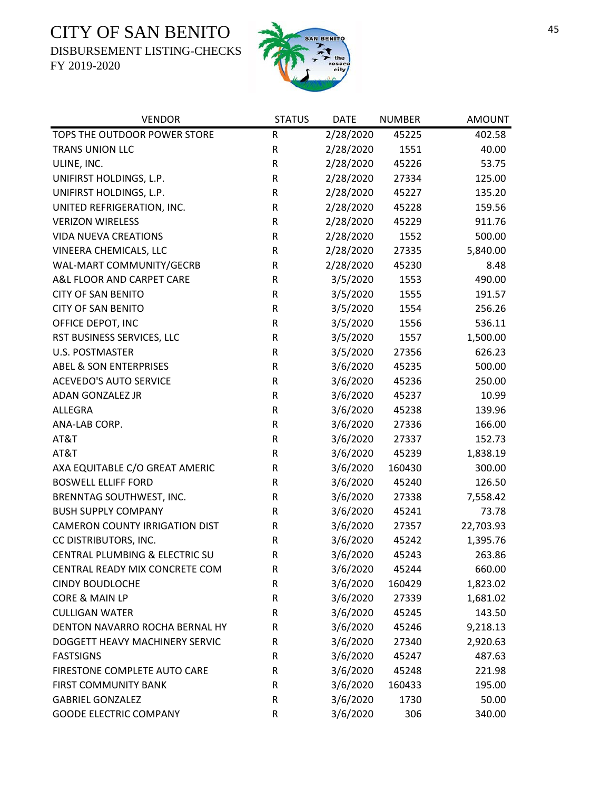DISBURSEMENT LISTING-CHECKS



| <b>VENDOR</b>                         | <b>STATUS</b> | <b>DATE</b> | <b>NUMBER</b> | <b>AMOUNT</b> |
|---------------------------------------|---------------|-------------|---------------|---------------|
| TOPS THE OUTDOOR POWER STORE          | ${\sf R}$     | 2/28/2020   | 45225         | 402.58        |
| TRANS UNION LLC                       | ${\sf R}$     | 2/28/2020   | 1551          | 40.00         |
| ULINE, INC.                           | ${\sf R}$     | 2/28/2020   | 45226         | 53.75         |
| UNIFIRST HOLDINGS, L.P.               | ${\sf R}$     | 2/28/2020   | 27334         | 125.00        |
| UNIFIRST HOLDINGS, L.P.               | ${\sf R}$     | 2/28/2020   | 45227         | 135.20        |
| UNITED REFRIGERATION, INC.            | ${\sf R}$     | 2/28/2020   | 45228         | 159.56        |
| <b>VERIZON WIRELESS</b>               | ${\sf R}$     | 2/28/2020   | 45229         | 911.76        |
| <b>VIDA NUEVA CREATIONS</b>           | ${\sf R}$     | 2/28/2020   | 1552          | 500.00        |
| <b>VINEERA CHEMICALS, LLC</b>         | ${\sf R}$     | 2/28/2020   | 27335         | 5,840.00      |
| WAL-MART COMMUNITY/GECRB              | $\mathsf R$   | 2/28/2020   | 45230         | 8.48          |
| A&L FLOOR AND CARPET CARE             | R             | 3/5/2020    | 1553          | 490.00        |
| <b>CITY OF SAN BENITO</b>             | ${\sf R}$     | 3/5/2020    | 1555          | 191.57        |
| <b>CITY OF SAN BENITO</b>             | ${\sf R}$     | 3/5/2020    | 1554          | 256.26        |
| OFFICE DEPOT, INC                     | ${\sf R}$     | 3/5/2020    | 1556          | 536.11        |
| RST BUSINESS SERVICES, LLC            | ${\sf R}$     | 3/5/2020    | 1557          | 1,500.00      |
| <b>U.S. POSTMASTER</b>                | ${\sf R}$     | 3/5/2020    | 27356         | 626.23        |
| <b>ABEL &amp; SON ENTERPRISES</b>     | ${\sf R}$     | 3/6/2020    | 45235         | 500.00        |
| <b>ACEVEDO'S AUTO SERVICE</b>         | ${\sf R}$     | 3/6/2020    | 45236         | 250.00        |
| ADAN GONZALEZ JR                      | ${\sf R}$     | 3/6/2020    | 45237         | 10.99         |
| ALLEGRA                               | ${\sf R}$     | 3/6/2020    | 45238         | 139.96        |
| ANA-LAB CORP.                         | ${\sf R}$     | 3/6/2020    | 27336         | 166.00        |
| AT&T                                  | ${\sf R}$     | 3/6/2020    | 27337         | 152.73        |
| AT&T                                  | ${\sf R}$     | 3/6/2020    | 45239         | 1,838.19      |
| AXA EQUITABLE C/O GREAT AMERIC        | R             | 3/6/2020    | 160430        | 300.00        |
| <b>BOSWELL ELLIFF FORD</b>            | ${\sf R}$     | 3/6/2020    | 45240         | 126.50        |
| BRENNTAG SOUTHWEST, INC.              | ${\sf R}$     | 3/6/2020    | 27338         | 7,558.42      |
| <b>BUSH SUPPLY COMPANY</b>            | ${\sf R}$     | 3/6/2020    | 45241         | 73.78         |
| <b>CAMERON COUNTY IRRIGATION DIST</b> | R             | 3/6/2020    | 27357         | 22,703.93     |
| CC DISTRIBUTORS, INC.                 | R             | 3/6/2020    | 45242         | 1,395.76      |
| CENTRAL PLUMBING & ELECTRIC SU        | $\mathsf R$   | 3/6/2020    | 45243         | 263.86        |
| CENTRAL READY MIX CONCRETE COM        | R             | 3/6/2020    | 45244         | 660.00        |
| <b>CINDY BOUDLOCHE</b>                | ${\sf R}$     | 3/6/2020    | 160429        | 1,823.02      |
| CORE & MAIN LP                        | ${\sf R}$     | 3/6/2020    | 27339         | 1,681.02      |
| <b>CULLIGAN WATER</b>                 | R             | 3/6/2020    | 45245         | 143.50        |
| DENTON NAVARRO ROCHA BERNAL HY        | ${\sf R}$     | 3/6/2020    | 45246         | 9,218.13      |
| DOGGETT HEAVY MACHINERY SERVIC        | R             | 3/6/2020    | 27340         | 2,920.63      |
| <b>FASTSIGNS</b>                      | R             | 3/6/2020    | 45247         | 487.63        |
| FIRESTONE COMPLETE AUTO CARE          | R             | 3/6/2020    | 45248         | 221.98        |
| <b>FIRST COMMUNITY BANK</b>           | R             | 3/6/2020    | 160433        | 195.00        |
| <b>GABRIEL GONZALEZ</b>               | R             | 3/6/2020    | 1730          | 50.00         |
| <b>GOODE ELECTRIC COMPANY</b>         | ${\sf R}$     | 3/6/2020    | 306           | 340.00        |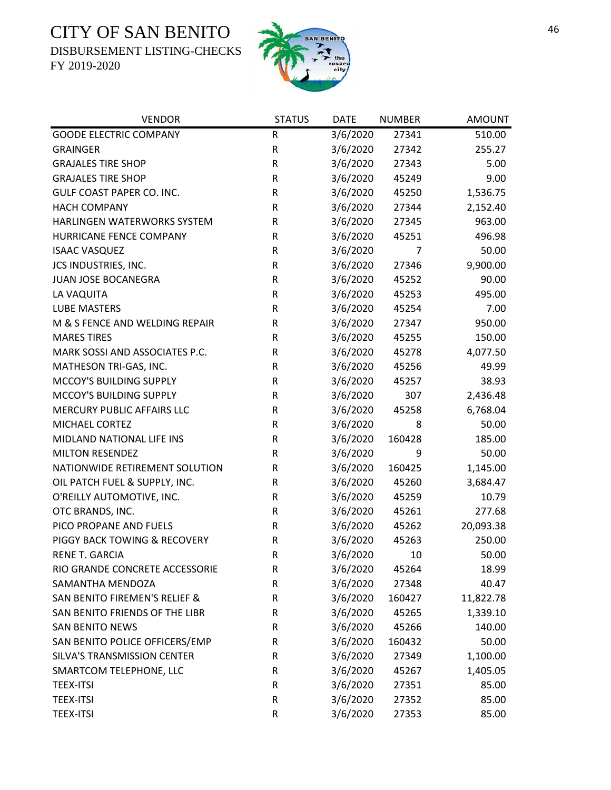DISBURSEMENT LISTING-CHECKS



| <b>VENDOR</b>                            | <b>STATUS</b> | <b>DATE</b> | <b>NUMBER</b> | <b>AMOUNT</b> |
|------------------------------------------|---------------|-------------|---------------|---------------|
| <b>GOODE ELECTRIC COMPANY</b>            | R             | 3/6/2020    | 27341         | 510.00        |
| <b>GRAINGER</b>                          | $\mathsf R$   | 3/6/2020    | 27342         | 255.27        |
| <b>GRAJALES TIRE SHOP</b>                | ${\sf R}$     | 3/6/2020    | 27343         | 5.00          |
| <b>GRAJALES TIRE SHOP</b>                | ${\sf R}$     | 3/6/2020    | 45249         | 9.00          |
| <b>GULF COAST PAPER CO. INC.</b>         | ${\sf R}$     | 3/6/2020    | 45250         | 1,536.75      |
| <b>HACH COMPANY</b>                      | ${\sf R}$     | 3/6/2020    | 27344         | 2,152.40      |
| HARLINGEN WATERWORKS SYSTEM              | R             | 3/6/2020    | 27345         | 963.00        |
| HURRICANE FENCE COMPANY                  | ${\sf R}$     | 3/6/2020    | 45251         | 496.98        |
| <b>ISAAC VASQUEZ</b>                     | $\mathsf R$   | 3/6/2020    | 7             | 50.00         |
| JCS INDUSTRIES, INC.                     | ${\sf R}$     | 3/6/2020    | 27346         | 9,900.00      |
| JUAN JOSE BOCANEGRA                      | ${\sf R}$     | 3/6/2020    | 45252         | 90.00         |
| LA VAQUITA                               | ${\sf R}$     | 3/6/2020    | 45253         | 495.00        |
| <b>LUBE MASTERS</b>                      | R             | 3/6/2020    | 45254         | 7.00          |
| M & S FENCE AND WELDING REPAIR           | ${\sf R}$     | 3/6/2020    | 27347         | 950.00        |
| <b>MARES TIRES</b>                       | ${\sf R}$     | 3/6/2020    | 45255         | 150.00        |
| MARK SOSSI AND ASSOCIATES P.C.           | ${\sf R}$     | 3/6/2020    | 45278         | 4,077.50      |
| MATHESON TRI-GAS, INC.                   | ${\sf R}$     | 3/6/2020    | 45256         | 49.99         |
| MCCOY'S BUILDING SUPPLY                  | ${\sf R}$     | 3/6/2020    | 45257         | 38.93         |
| MCCOY'S BUILDING SUPPLY                  | ${\sf R}$     | 3/6/2020    | 307           | 2,436.48      |
| MERCURY PUBLIC AFFAIRS LLC               | ${\sf R}$     | 3/6/2020    | 45258         | 6,768.04      |
| MICHAEL CORTEZ                           | R             | 3/6/2020    | 8             | 50.00         |
| MIDLAND NATIONAL LIFE INS                | ${\sf R}$     | 3/6/2020    | 160428        | 185.00        |
| <b>MILTON RESENDEZ</b>                   | R             | 3/6/2020    | 9             | 50.00         |
| NATIONWIDE RETIREMENT SOLUTION           | R             | 3/6/2020    | 160425        | 1,145.00      |
| OIL PATCH FUEL & SUPPLY, INC.            | R             | 3/6/2020    | 45260         | 3,684.47      |
| O'REILLY AUTOMOTIVE, INC.                | R             | 3/6/2020    | 45259         | 10.79         |
| OTC BRANDS, INC.                         | ${\sf R}$     | 3/6/2020    | 45261         | 277.68        |
| PICO PROPANE AND FUELS                   | $\mathsf R$   | 3/6/2020    | 45262         | 20,093.38     |
| PIGGY BACK TOWING & RECOVERY             | ${\sf R}$     | 3/6/2020    | 45263         | 250.00        |
| RENE T. GARCIA                           | $\mathsf R$   | 3/6/2020    | 10            | 50.00         |
| RIO GRANDE CONCRETE ACCESSORIE           | R             | 3/6/2020    | 45264         | 18.99         |
| SAMANTHA MENDOZA                         | R             | 3/6/2020    | 27348         | 40.47         |
| <b>SAN BENITO FIREMEN'S RELIEF &amp;</b> | ${\sf R}$     | 3/6/2020    | 160427        | 11,822.78     |
| SAN BENITO FRIENDS OF THE LIBR           | ${\sf R}$     | 3/6/2020    | 45265         | 1,339.10      |
| <b>SAN BENITO NEWS</b>                   | R             | 3/6/2020    | 45266         | 140.00        |
| SAN BENITO POLICE OFFICERS/EMP           | ${\sf R}$     | 3/6/2020    | 160432        | 50.00         |
| SILVA'S TRANSMISSION CENTER              | R             | 3/6/2020    | 27349         | 1,100.00      |
| SMARTCOM TELEPHONE, LLC                  | R             | 3/6/2020    | 45267         | 1,405.05      |
| <b>TEEX-ITSI</b>                         | ${\sf R}$     | 3/6/2020    | 27351         | 85.00         |
| <b>TEEX-ITSI</b>                         | ${\sf R}$     | 3/6/2020    | 27352         | 85.00         |
| <b>TEEX-ITSI</b>                         | ${\sf R}$     | 3/6/2020    | 27353         | 85.00         |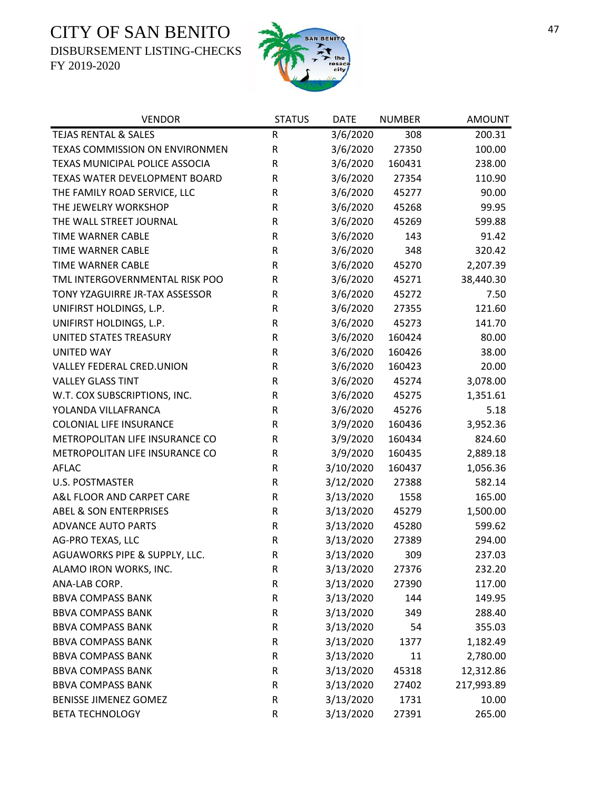DISBURSEMENT LISTING-CHECKS





| <b>VENDOR</b>                     | <b>STATUS</b> | <b>DATE</b> | <b>NUMBER</b> | <b>AMOUNT</b> |
|-----------------------------------|---------------|-------------|---------------|---------------|
| <b>TEJAS RENTAL &amp; SALES</b>   | ${\sf R}$     | 3/6/2020    | 308           | 200.31        |
| TEXAS COMMISSION ON ENVIRONMEN    | ${\sf R}$     | 3/6/2020    | 27350         | 100.00        |
| TEXAS MUNICIPAL POLICE ASSOCIA    | ${\sf R}$     | 3/6/2020    | 160431        | 238.00        |
| TEXAS WATER DEVELOPMENT BOARD     | ${\sf R}$     | 3/6/2020    | 27354         | 110.90        |
| THE FAMILY ROAD SERVICE, LLC      | $\sf R$       | 3/6/2020    | 45277         | 90.00         |
| THE JEWELRY WORKSHOP              | R             | 3/6/2020    | 45268         | 99.95         |
| THE WALL STREET JOURNAL           | R             | 3/6/2020    | 45269         | 599.88        |
| TIME WARNER CABLE                 | ${\sf R}$     | 3/6/2020    | 143           | 91.42         |
| <b>TIME WARNER CABLE</b>          | ${\sf R}$     | 3/6/2020    | 348           | 320.42        |
| TIME WARNER CABLE                 | ${\sf R}$     | 3/6/2020    | 45270         | 2,207.39      |
| TML INTERGOVERNMENTAL RISK POO    | $\sf R$       | 3/6/2020    | 45271         | 38,440.30     |
| TONY YZAGUIRRE JR-TAX ASSESSOR    | R             | 3/6/2020    | 45272         | 7.50          |
| UNIFIRST HOLDINGS, L.P.           | ${\sf R}$     | 3/6/2020    | 27355         | 121.60        |
| UNIFIRST HOLDINGS, L.P.           | ${\sf R}$     | 3/6/2020    | 45273         | 141.70        |
| UNITED STATES TREASURY            | ${\sf R}$     | 3/6/2020    | 160424        | 80.00         |
| <b>UNITED WAY</b>                 | ${\sf R}$     | 3/6/2020    | 160426        | 38.00         |
| VALLEY FEDERAL CRED.UNION         | ${\sf R}$     | 3/6/2020    | 160423        | 20.00         |
| <b>VALLEY GLASS TINT</b>          | ${\sf R}$     | 3/6/2020    | 45274         | 3,078.00      |
| W.T. COX SUBSCRIPTIONS, INC.      | ${\sf R}$     | 3/6/2020    | 45275         | 1,351.61      |
| YOLANDA VILLAFRANCA               | ${\sf R}$     | 3/6/2020    | 45276         | 5.18          |
| <b>COLONIAL LIFE INSURANCE</b>    | ${\sf R}$     | 3/9/2020    | 160436        | 3,952.36      |
| METROPOLITAN LIFE INSURANCE CO    | ${\sf R}$     | 3/9/2020    | 160434        | 824.60        |
| METROPOLITAN LIFE INSURANCE CO    | ${\sf R}$     | 3/9/2020    | 160435        | 2,889.18      |
| AFLAC                             | ${\sf R}$     | 3/10/2020   | 160437        | 1,056.36      |
| <b>U.S. POSTMASTER</b>            | ${\sf R}$     | 3/12/2020   | 27388         | 582.14        |
| A&L FLOOR AND CARPET CARE         | ${\sf R}$     | 3/13/2020   | 1558          | 165.00        |
| <b>ABEL &amp; SON ENTERPRISES</b> | ${\sf R}$     | 3/13/2020   | 45279         | 1,500.00      |
| <b>ADVANCE AUTO PARTS</b>         | ${\sf R}$     | 3/13/2020   | 45280         | 599.62        |
| AG-PRO TEXAS, LLC                 | ${\sf R}$     | 3/13/2020   | 27389         | 294.00        |
| AGUAWORKS PIPE & SUPPLY, LLC.     | $\mathsf R$   | 3/13/2020   | 309           | 237.03        |
| ALAMO IRON WORKS, INC.            | R             | 3/13/2020   | 27376         | 232.20        |
| ANA-LAB CORP.                     | ${\sf R}$     | 3/13/2020   | 27390         | 117.00        |
| <b>BBVA COMPASS BANK</b>          | ${\sf R}$     | 3/13/2020   | 144           | 149.95        |
| <b>BBVA COMPASS BANK</b>          | ${\sf R}$     | 3/13/2020   | 349           | 288.40        |
| <b>BBVA COMPASS BANK</b>          | ${\sf R}$     | 3/13/2020   | 54            | 355.03        |
| <b>BBVA COMPASS BANK</b>          | ${\sf R}$     | 3/13/2020   | 1377          | 1,182.49      |
| <b>BBVA COMPASS BANK</b>          | ${\sf R}$     | 3/13/2020   | 11            | 2,780.00      |
| <b>BBVA COMPASS BANK</b>          | ${\sf R}$     | 3/13/2020   | 45318         | 12,312.86     |
| <b>BBVA COMPASS BANK</b>          | ${\sf R}$     | 3/13/2020   | 27402         | 217,993.89    |
| <b>BENISSE JIMENEZ GOMEZ</b>      | R             | 3/13/2020   | 1731          | 10.00         |
| <b>BETA TECHNOLOGY</b>            | ${\sf R}$     | 3/13/2020   | 27391         | 265.00        |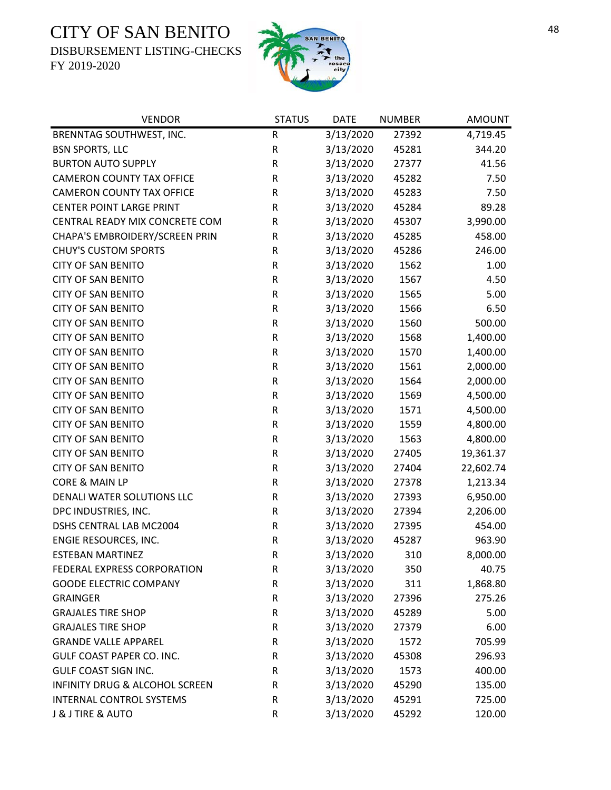DISBURSEMENT LISTING-CHECKS



| <b>VENDOR</b>                    | <b>STATUS</b> | <b>DATE</b> | <b>NUMBER</b> | <b>AMOUNT</b> |
|----------------------------------|---------------|-------------|---------------|---------------|
| BRENNTAG SOUTHWEST, INC.         | ${\sf R}$     | 3/13/2020   | 27392         | 4,719.45      |
| <b>BSN SPORTS, LLC</b>           | ${\sf R}$     | 3/13/2020   | 45281         | 344.20        |
| <b>BURTON AUTO SUPPLY</b>        | ${\sf R}$     | 3/13/2020   | 27377         | 41.56         |
| <b>CAMERON COUNTY TAX OFFICE</b> | ${\sf R}$     | 3/13/2020   | 45282         | 7.50          |
| <b>CAMERON COUNTY TAX OFFICE</b> | ${\sf R}$     | 3/13/2020   | 45283         | 7.50          |
| <b>CENTER POINT LARGE PRINT</b>  | ${\sf R}$     | 3/13/2020   | 45284         | 89.28         |
| CENTRAL READY MIX CONCRETE COM   | R             | 3/13/2020   | 45307         | 3,990.00      |
| CHAPA'S EMBROIDERY/SCREEN PRIN   | R             | 3/13/2020   | 45285         | 458.00        |
| <b>CHUY'S CUSTOM SPORTS</b>      | ${\sf R}$     | 3/13/2020   | 45286         | 246.00        |
| <b>CITY OF SAN BENITO</b>        | ${\sf R}$     | 3/13/2020   | 1562          | 1.00          |
| <b>CITY OF SAN BENITO</b>        | ${\sf R}$     | 3/13/2020   | 1567          | 4.50          |
| <b>CITY OF SAN BENITO</b>        | ${\sf R}$     | 3/13/2020   | 1565          | 5.00          |
| <b>CITY OF SAN BENITO</b>        | ${\sf R}$     | 3/13/2020   | 1566          | 6.50          |
| <b>CITY OF SAN BENITO</b>        | ${\sf R}$     | 3/13/2020   | 1560          | 500.00        |
| <b>CITY OF SAN BENITO</b>        | R             | 3/13/2020   | 1568          | 1,400.00      |
| <b>CITY OF SAN BENITO</b>        | ${\sf R}$     | 3/13/2020   | 1570          | 1,400.00      |
| <b>CITY OF SAN BENITO</b>        | R             | 3/13/2020   | 1561          | 2,000.00      |
| <b>CITY OF SAN BENITO</b>        | ${\sf R}$     | 3/13/2020   | 1564          | 2,000.00      |
| <b>CITY OF SAN BENITO</b>        | ${\sf R}$     | 3/13/2020   | 1569          | 4,500.00      |
| <b>CITY OF SAN BENITO</b>        | ${\sf R}$     | 3/13/2020   | 1571          | 4,500.00      |
| <b>CITY OF SAN BENITO</b>        | ${\sf R}$     | 3/13/2020   | 1559          | 4,800.00      |
| <b>CITY OF SAN BENITO</b>        | ${\sf R}$     | 3/13/2020   | 1563          | 4,800.00      |
| <b>CITY OF SAN BENITO</b>        | ${\sf R}$     | 3/13/2020   | 27405         | 19,361.37     |
| <b>CITY OF SAN BENITO</b>        | ${\sf R}$     | 3/13/2020   | 27404         | 22,602.74     |
| CORE & MAIN LP                   | ${\sf R}$     | 3/13/2020   | 27378         | 1,213.34      |
| DENALI WATER SOLUTIONS LLC       | ${\sf R}$     | 3/13/2020   | 27393         | 6,950.00      |
| DPC INDUSTRIES, INC.             | ${\sf R}$     | 3/13/2020   | 27394         | 2,206.00      |
| DSHS CENTRAL LAB MC2004          | ${\sf R}$     | 3/13/2020   | 27395         | 454.00        |
| ENGIE RESOURCES, INC.            | ${\sf R}$     | 3/13/2020   | 45287         | 963.90        |
| ESTEBAN MARTINEZ                 | $\mathsf R$   | 3/13/2020   | 310           | 8,000.00      |
| FEDERAL EXPRESS CORPORATION      | R             | 3/13/2020   | 350           | 40.75         |
| <b>GOODE ELECTRIC COMPANY</b>    | ${\sf R}$     | 3/13/2020   | 311           | 1,868.80      |
| <b>GRAINGER</b>                  | R             | 3/13/2020   | 27396         | 275.26        |
| <b>GRAJALES TIRE SHOP</b>        | R             | 3/13/2020   | 45289         | 5.00          |
| <b>GRAJALES TIRE SHOP</b>        | R             | 3/13/2020   | 27379         | 6.00          |
| <b>GRANDE VALLE APPAREL</b>      | R             | 3/13/2020   | 1572          | 705.99        |
| GULF COAST PAPER CO. INC.        | ${\sf R}$     | 3/13/2020   | 45308         | 296.93        |
| <b>GULF COAST SIGN INC.</b>      | R             | 3/13/2020   | 1573          | 400.00        |
| INFINITY DRUG & ALCOHOL SCREEN   | R             | 3/13/2020   | 45290         | 135.00        |
| <b>INTERNAL CONTROL SYSTEMS</b>  | ${\sf R}$     | 3/13/2020   | 45291         | 725.00        |
| J & J TIRE & AUTO                | ${\sf R}$     | 3/13/2020   | 45292         | 120.00        |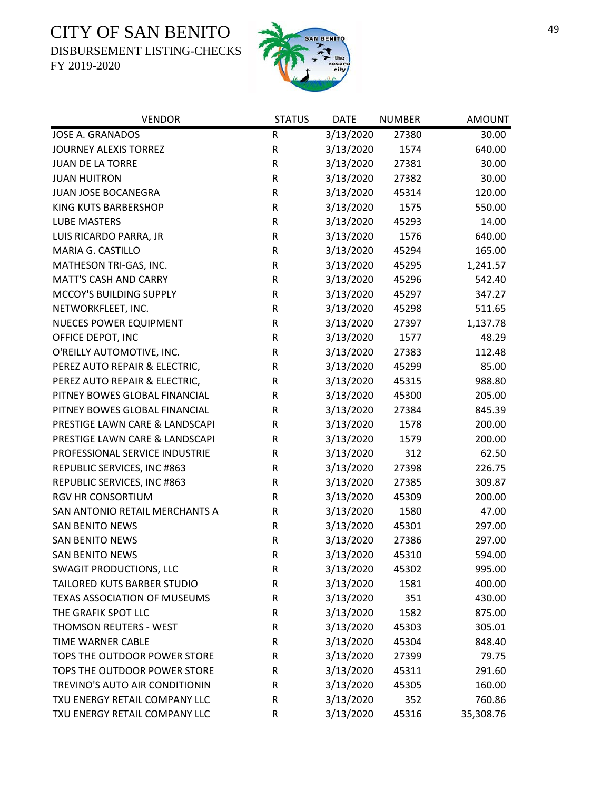DISBURSEMENT LISTING-CHECKS



| <b>VENDOR</b>                       | <b>STATUS</b> | <b>DATE</b> | <b>NUMBER</b> | <b>AMOUNT</b> |
|-------------------------------------|---------------|-------------|---------------|---------------|
| JOSE A. GRANADOS                    | R             | 3/13/2020   | 27380         | 30.00         |
| <b>JOURNEY ALEXIS TORREZ</b>        | R             | 3/13/2020   | 1574          | 640.00        |
| JUAN DE LA TORRE                    | R             | 3/13/2020   | 27381         | 30.00         |
| <b>JUAN HUITRON</b>                 | R             | 3/13/2020   | 27382         | 30.00         |
| JUAN JOSE BOCANEGRA                 | R             | 3/13/2020   | 45314         | 120.00        |
| KING KUTS BARBERSHOP                | R             | 3/13/2020   | 1575          | 550.00        |
| <b>LUBE MASTERS</b>                 | R             | 3/13/2020   | 45293         | 14.00         |
| LUIS RICARDO PARRA, JR              | R             | 3/13/2020   | 1576          | 640.00        |
| MARIA G. CASTILLO                   | R             | 3/13/2020   | 45294         | 165.00        |
| MATHESON TRI-GAS, INC.              | R             | 3/13/2020   | 45295         | 1,241.57      |
| <b>MATT'S CASH AND CARRY</b>        | R             | 3/13/2020   | 45296         | 542.40        |
| MCCOY'S BUILDING SUPPLY             | R             | 3/13/2020   | 45297         | 347.27        |
| NETWORKFLEET, INC.                  | ${\sf R}$     | 3/13/2020   | 45298         | 511.65        |
| <b>NUECES POWER EQUIPMENT</b>       | R             | 3/13/2020   | 27397         | 1,137.78      |
| OFFICE DEPOT, INC                   | R             | 3/13/2020   | 1577          | 48.29         |
| O'REILLY AUTOMOTIVE, INC.           | R             | 3/13/2020   | 27383         | 112.48        |
| PEREZ AUTO REPAIR & ELECTRIC,       | R             | 3/13/2020   | 45299         | 85.00         |
| PEREZ AUTO REPAIR & ELECTRIC,       | R             | 3/13/2020   | 45315         | 988.80        |
| PITNEY BOWES GLOBAL FINANCIAL       | R             | 3/13/2020   | 45300         | 205.00        |
| PITNEY BOWES GLOBAL FINANCIAL       | R             | 3/13/2020   | 27384         | 845.39        |
| PRESTIGE LAWN CARE & LANDSCAPI      | R             | 3/13/2020   | 1578          | 200.00        |
| PRESTIGE LAWN CARE & LANDSCAPI      | R             | 3/13/2020   | 1579          | 200.00        |
| PROFESSIONAL SERVICE INDUSTRIE      | R             | 3/13/2020   | 312           | 62.50         |
| REPUBLIC SERVICES, INC #863         | R             | 3/13/2020   | 27398         | 226.75        |
| REPUBLIC SERVICES, INC #863         | R             | 3/13/2020   | 27385         | 309.87        |
| <b>RGV HR CONSORTIUM</b>            | R             | 3/13/2020   | 45309         | 200.00        |
| SAN ANTONIO RETAIL MERCHANTS A      | R             | 3/13/2020   | 1580          | 47.00         |
| <b>SAN BENITO NEWS</b>              | R             | 3/13/2020   | 45301         | 297.00        |
| <b>SAN BENITO NEWS</b>              | R             | 3/13/2020   | 27386         | 297.00        |
| SAN BENITO NEWS                     | $\mathsf R$   | 3/13/2020   | 45310         | 594.00        |
| <b>SWAGIT PRODUCTIONS, LLC</b>      | R             | 3/13/2020   | 45302         | 995.00        |
| TAILORED KUTS BARBER STUDIO         | R             | 3/13/2020   | 1581          | 400.00        |
| <b>TEXAS ASSOCIATION OF MUSEUMS</b> | R             | 3/13/2020   | 351           | 430.00        |
| THE GRAFIK SPOT LLC                 | R             | 3/13/2020   | 1582          | 875.00        |
| THOMSON REUTERS - WEST              | R             | 3/13/2020   | 45303         | 305.01        |
| <b>TIME WARNER CABLE</b>            | R             | 3/13/2020   | 45304         | 848.40        |
| TOPS THE OUTDOOR POWER STORE        | R             | 3/13/2020   | 27399         | 79.75         |
| TOPS THE OUTDOOR POWER STORE        | R             | 3/13/2020   | 45311         | 291.60        |
| TREVINO'S AUTO AIR CONDITIONIN      | R             | 3/13/2020   | 45305         | 160.00        |
| TXU ENERGY RETAIL COMPANY LLC       | R             | 3/13/2020   | 352           | 760.86        |
| TXU ENERGY RETAIL COMPANY LLC       | R             | 3/13/2020   | 45316         | 35,308.76     |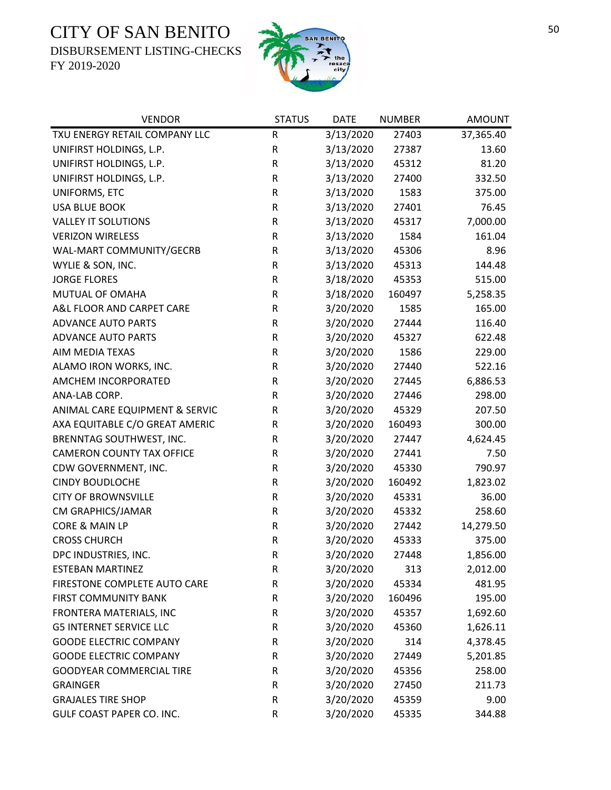DISBURSEMENT LISTING-CHECKS



| <b>VENDOR</b>                    | <b>STATUS</b> | <b>DATE</b> | <b>NUMBER</b> | <b>AMOUNT</b> |
|----------------------------------|---------------|-------------|---------------|---------------|
| TXU ENERGY RETAIL COMPANY LLC    | R             | 3/13/2020   | 27403         | 37,365.40     |
| UNIFIRST HOLDINGS, L.P.          | ${\sf R}$     | 3/13/2020   | 27387         | 13.60         |
| UNIFIRST HOLDINGS, L.P.          | ${\sf R}$     | 3/13/2020   | 45312         | 81.20         |
| UNIFIRST HOLDINGS, L.P.          | R             | 3/13/2020   | 27400         | 332.50        |
| UNIFORMS, ETC                    | R             | 3/13/2020   | 1583          | 375.00        |
| <b>USA BLUE BOOK</b>             | ${\sf R}$     | 3/13/2020   | 27401         | 76.45         |
| <b>VALLEY IT SOLUTIONS</b>       | R             | 3/13/2020   | 45317         | 7,000.00      |
| <b>VERIZON WIRELESS</b>          | R             | 3/13/2020   | 1584          | 161.04        |
| WAL-MART COMMUNITY/GECRB         | R             | 3/13/2020   | 45306         | 8.96          |
| WYLIE & SON, INC.                | R             | 3/13/2020   | 45313         | 144.48        |
| <b>JORGE FLORES</b>              | ${\sf R}$     | 3/18/2020   | 45353         | 515.00        |
| MUTUAL OF OMAHA                  | R             | 3/18/2020   | 160497        | 5,258.35      |
| A&L FLOOR AND CARPET CARE        | ${\sf R}$     | 3/20/2020   | 1585          | 165.00        |
| <b>ADVANCE AUTO PARTS</b>        | $\mathsf R$   | 3/20/2020   | 27444         | 116.40        |
| <b>ADVANCE AUTO PARTS</b>        | R             | 3/20/2020   | 45327         | 622.48        |
| AIM MEDIA TEXAS                  | R             | 3/20/2020   | 1586          | 229.00        |
| ALAMO IRON WORKS, INC.           | R             | 3/20/2020   | 27440         | 522.16        |
| AMCHEM INCORPORATED              | R             | 3/20/2020   | 27445         | 6,886.53      |
| ANA-LAB CORP.                    | R             | 3/20/2020   | 27446         | 298.00        |
| ANIMAL CARE EQUIPMENT & SERVIC   | ${\sf R}$     | 3/20/2020   | 45329         | 207.50        |
| AXA EQUITABLE C/O GREAT AMERIC   | R             | 3/20/2020   | 160493        | 300.00        |
| BRENNTAG SOUTHWEST, INC.         | ${\sf R}$     | 3/20/2020   | 27447         | 4,624.45      |
| <b>CAMERON COUNTY TAX OFFICE</b> | ${\sf R}$     | 3/20/2020   | 27441         | 7.50          |
| CDW GOVERNMENT, INC.             | R             | 3/20/2020   | 45330         | 790.97        |
| <b>CINDY BOUDLOCHE</b>           | ${\sf R}$     | 3/20/2020   | 160492        | 1,823.02      |
| <b>CITY OF BROWNSVILLE</b>       | ${\sf R}$     | 3/20/2020   | 45331         | 36.00         |
| CM GRAPHICS/JAMAR                | R             | 3/20/2020   | 45332         | 258.60        |
| CORE & MAIN LP                   | ${\sf R}$     | 3/20/2020   | 27442         | 14,279.50     |
| <b>CROSS CHURCH</b>              | ${\sf R}$     | 3/20/2020   | 45333         | 375.00        |
| DPC INDUSTRIES, INC.             | $\mathsf R$   | 3/20/2020   | 27448         | 1,856.00      |
| <b>ESTEBAN MARTINEZ</b>          | R             | 3/20/2020   | 313           | 2,012.00      |
| FIRESTONE COMPLETE AUTO CARE     | R             | 3/20/2020   | 45334         | 481.95        |
| <b>FIRST COMMUNITY BANK</b>      | R             | 3/20/2020   | 160496        | 195.00        |
| FRONTERA MATERIALS, INC          | R             | 3/20/2020   | 45357         | 1,692.60      |
| <b>G5 INTERNET SERVICE LLC</b>   | R             | 3/20/2020   | 45360         | 1,626.11      |
| <b>GOODE ELECTRIC COMPANY</b>    | R             | 3/20/2020   | 314           | 4,378.45      |
| <b>GOODE ELECTRIC COMPANY</b>    | R             | 3/20/2020   | 27449         | 5,201.85      |
| GOODYEAR COMMERCIAL TIRE         | R             | 3/20/2020   | 45356         | 258.00        |
| <b>GRAINGER</b>                  | R             | 3/20/2020   | 27450         | 211.73        |
| <b>GRAJALES TIRE SHOP</b>        | R             | 3/20/2020   | 45359         | 9.00          |
| GULF COAST PAPER CO. INC.        | $\mathsf R$   | 3/20/2020   | 45335         | 344.88        |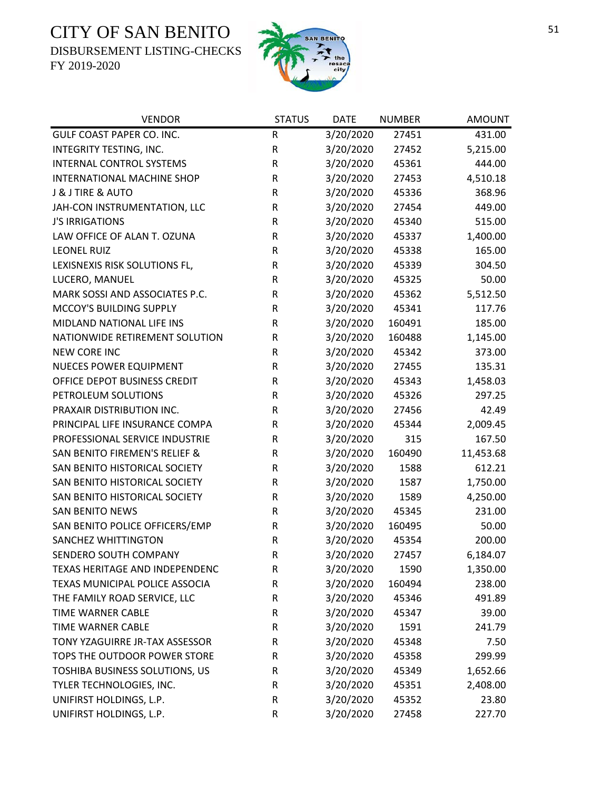DISBURSEMENT LISTING-CHECKS



| <b>VENDOR</b>                  | <b>STATUS</b> | <b>DATE</b> | <b>NUMBER</b> | <b>AMOUNT</b> |
|--------------------------------|---------------|-------------|---------------|---------------|
| GULF COAST PAPER CO. INC.      | $\mathsf R$   | 3/20/2020   | 27451         | 431.00        |
| INTEGRITY TESTING, INC.        | ${\sf R}$     | 3/20/2020   | 27452         | 5,215.00      |
| INTERNAL CONTROL SYSTEMS       | ${\sf R}$     | 3/20/2020   | 45361         | 444.00        |
| INTERNATIONAL MACHINE SHOP     | R             | 3/20/2020   | 27453         | 4,510.18      |
| J & J TIRE & AUTO              | $\mathsf R$   | 3/20/2020   | 45336         | 368.96        |
| JAH-CON INSTRUMENTATION, LLC   | ${\sf R}$     | 3/20/2020   | 27454         | 449.00        |
| <b>J'S IRRIGATIONS</b>         | $\mathsf R$   | 3/20/2020   | 45340         | 515.00        |
| LAW OFFICE OF ALAN T. OZUNA    | ${\sf R}$     | 3/20/2020   | 45337         | 1,400.00      |
| <b>LEONEL RUIZ</b>             | $\mathsf R$   | 3/20/2020   | 45338         | 165.00        |
| LEXISNEXIS RISK SOLUTIONS FL,  | $\mathsf R$   | 3/20/2020   | 45339         | 304.50        |
| LUCERO, MANUEL                 | R             | 3/20/2020   | 45325         | 50.00         |
| MARK SOSSI AND ASSOCIATES P.C. | $\mathsf R$   | 3/20/2020   | 45362         | 5,512.50      |
| MCCOY'S BUILDING SUPPLY        | ${\sf R}$     | 3/20/2020   | 45341         | 117.76        |
| MIDLAND NATIONAL LIFE INS      | $\mathsf R$   | 3/20/2020   | 160491        | 185.00        |
| NATIONWIDE RETIREMENT SOLUTION | ${\sf R}$     | 3/20/2020   | 160488        | 1,145.00      |
| <b>NEW CORE INC</b>            | R             | 3/20/2020   | 45342         | 373.00        |
| NUECES POWER EQUIPMENT         | R             | 3/20/2020   | 27455         | 135.31        |
| OFFICE DEPOT BUSINESS CREDIT   | $\mathsf R$   | 3/20/2020   | 45343         | 1,458.03      |
| PETROLEUM SOLUTIONS            | $\mathsf R$   | 3/20/2020   | 45326         | 297.25        |
| PRAXAIR DISTRIBUTION INC.      | ${\sf R}$     | 3/20/2020   | 27456         | 42.49         |
| PRINCIPAL LIFE INSURANCE COMPA | ${\sf R}$     | 3/20/2020   | 45344         | 2,009.45      |
| PROFESSIONAL SERVICE INDUSTRIE | $\mathsf R$   | 3/20/2020   | 315           | 167.50        |
| SAN BENITO FIREMEN'S RELIEF &  | R             | 3/20/2020   | 160490        | 11,453.68     |
| SAN BENITO HISTORICAL SOCIETY  | $\mathsf R$   | 3/20/2020   | 1588          | 612.21        |
| SAN BENITO HISTORICAL SOCIETY  | ${\sf R}$     | 3/20/2020   | 1587          | 1,750.00      |
| SAN BENITO HISTORICAL SOCIETY  | $\mathsf R$   | 3/20/2020   | 1589          | 4,250.00      |
| <b>SAN BENITO NEWS</b>         | ${\sf R}$     | 3/20/2020   | 45345         | 231.00        |
| SAN BENITO POLICE OFFICERS/EMP | ${\sf R}$     | 3/20/2020   | 160495        | 50.00         |
| SANCHEZ WHITTINGTON            | ${\sf R}$     | 3/20/2020   | 45354         | 200.00        |
| SENDERO SOUTH COMPANY          | $\mathsf{R}$  | 3/20/2020   | 27457         | 6,184.07      |
| TEXAS HERITAGE AND INDEPENDENC | R             | 3/20/2020   | 1590          | 1,350.00      |
| TEXAS MUNICIPAL POLICE ASSOCIA | R             | 3/20/2020   | 160494        | 238.00        |
| THE FAMILY ROAD SERVICE, LLC   | R             | 3/20/2020   | 45346         | 491.89        |
| <b>TIME WARNER CABLE</b>       | R             | 3/20/2020   | 45347         | 39.00         |
| TIME WARNER CABLE              | R             | 3/20/2020   | 1591          | 241.79        |
| TONY YZAGUIRRE JR-TAX ASSESSOR | R             | 3/20/2020   | 45348         | 7.50          |
| TOPS THE OUTDOOR POWER STORE   | R             | 3/20/2020   | 45358         | 299.99        |
| TOSHIBA BUSINESS SOLUTIONS, US | R             | 3/20/2020   | 45349         | 1,652.66      |
| TYLER TECHNOLOGIES, INC.       | R             | 3/20/2020   | 45351         | 2,408.00      |
| UNIFIRST HOLDINGS, L.P.        | R             | 3/20/2020   | 45352         | 23.80         |
| UNIFIRST HOLDINGS, L.P.        | R             | 3/20/2020   | 27458         | 227.70        |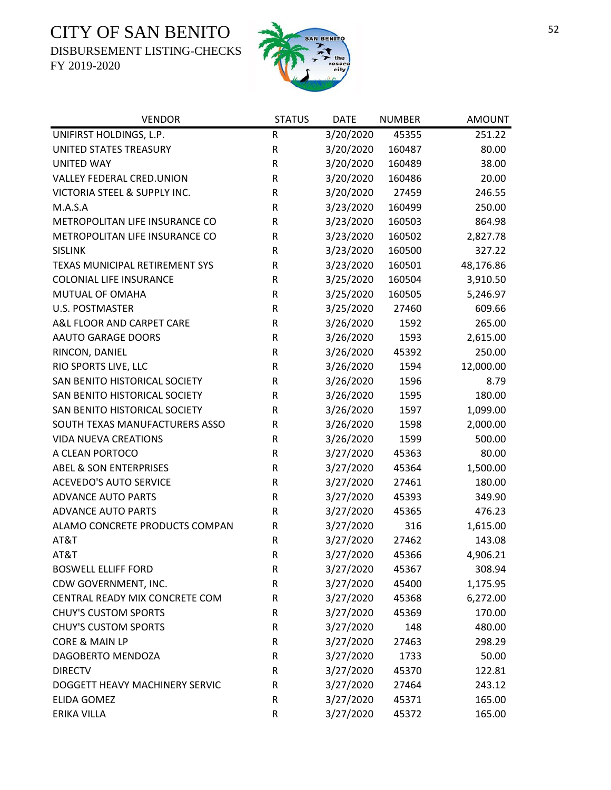DISBURSEMENT LISTING-CHECKS



| <b>VENDOR</b>                     | <b>STATUS</b> | <b>DATE</b> | <b>NUMBER</b> | <b>AMOUNT</b> |
|-----------------------------------|---------------|-------------|---------------|---------------|
| UNIFIRST HOLDINGS, L.P.           | R             | 3/20/2020   | 45355         | 251.22        |
| UNITED STATES TREASURY            | ${\sf R}$     | 3/20/2020   | 160487        | 80.00         |
| <b>UNITED WAY</b>                 | ${\sf R}$     | 3/20/2020   | 160489        | 38.00         |
| VALLEY FEDERAL CRED.UNION         | ${\sf R}$     | 3/20/2020   | 160486        | 20.00         |
| VICTORIA STEEL & SUPPLY INC.      | ${\sf R}$     | 3/20/2020   | 27459         | 246.55        |
| M.A.S.A                           | R             | 3/23/2020   | 160499        | 250.00        |
| METROPOLITAN LIFE INSURANCE CO    | R             | 3/23/2020   | 160503        | 864.98        |
| METROPOLITAN LIFE INSURANCE CO    | ${\sf R}$     | 3/23/2020   | 160502        | 2,827.78      |
| <b>SISLINK</b>                    | $\mathsf R$   | 3/23/2020   | 160500        | 327.22        |
| TEXAS MUNICIPAL RETIREMENT SYS    | ${\sf R}$     | 3/23/2020   | 160501        | 48,176.86     |
| <b>COLONIAL LIFE INSURANCE</b>    | R             | 3/25/2020   | 160504        | 3,910.50      |
| MUTUAL OF OMAHA                   | R             | 3/25/2020   | 160505        | 5,246.97      |
| <b>U.S. POSTMASTER</b>            | $\mathsf R$   | 3/25/2020   | 27460         | 609.66        |
| A&L FLOOR AND CARPET CARE         | $\mathsf R$   | 3/26/2020   | 1592          | 265.00        |
| AAUTO GARAGE DOORS                | ${\sf R}$     | 3/26/2020   | 1593          | 2,615.00      |
| RINCON, DANIEL                    | $\mathsf R$   | 3/26/2020   | 45392         | 250.00        |
| RIO SPORTS LIVE, LLC              | ${\sf R}$     | 3/26/2020   | 1594          | 12,000.00     |
| SAN BENITO HISTORICAL SOCIETY     | ${\sf R}$     | 3/26/2020   | 1596          | 8.79          |
| SAN BENITO HISTORICAL SOCIETY     | $\mathsf R$   | 3/26/2020   | 1595          | 180.00        |
| SAN BENITO HISTORICAL SOCIETY     | ${\sf R}$     | 3/26/2020   | 1597          | 1,099.00      |
| SOUTH TEXAS MANUFACTURERS ASSO    | $\mathsf R$   | 3/26/2020   | 1598          | 2,000.00      |
| <b>VIDA NUEVA CREATIONS</b>       | R             | 3/26/2020   | 1599          | 500.00        |
| A CLEAN PORTOCO                   | ${\sf R}$     | 3/27/2020   | 45363         | 80.00         |
| <b>ABEL &amp; SON ENTERPRISES</b> | $\mathsf R$   | 3/27/2020   | 45364         | 1,500.00      |
| <b>ACEVEDO'S AUTO SERVICE</b>     | ${\sf R}$     | 3/27/2020   | 27461         | 180.00        |
| <b>ADVANCE AUTO PARTS</b>         | $\mathsf R$   | 3/27/2020   | 45393         | 349.90        |
| <b>ADVANCE AUTO PARTS</b>         | ${\sf R}$     | 3/27/2020   | 45365         | 476.23        |
| ALAMO CONCRETE PRODUCTS COMPAN    | $\mathsf R$   | 3/27/2020   | 316           | 1,615.00      |
| AT&T                              | ${\sf R}$     | 3/27/2020   | 27462         | 143.08        |
| AT&T                              | $\mathsf{R}$  | 3/27/2020   | 45366         | 4,906.21      |
| <b>BOSWELL ELLIFF FORD</b>        | R             | 3/27/2020   | 45367         | 308.94        |
| CDW GOVERNMENT, INC.              | ${\sf R}$     | 3/27/2020   | 45400         | 1,175.95      |
| CENTRAL READY MIX CONCRETE COM    | ${\sf R}$     | 3/27/2020   | 45368         | 6,272.00      |
| <b>CHUY'S CUSTOM SPORTS</b>       | $\mathsf R$   | 3/27/2020   | 45369         | 170.00        |
| <b>CHUY'S CUSTOM SPORTS</b>       | ${\sf R}$     | 3/27/2020   | 148           | 480.00        |
| CORE & MAIN LP                    | ${\sf R}$     | 3/27/2020   | 27463         | 298.29        |
| DAGOBERTO MENDOZA                 | ${\sf R}$     | 3/27/2020   | 1733          | 50.00         |
| <b>DIRECTV</b>                    | R             | 3/27/2020   | 45370         | 122.81        |
| DOGGETT HEAVY MACHINERY SERVIC    | R             | 3/27/2020   | 27464         | 243.12        |
| <b>ELIDA GOMEZ</b>                | ${\sf R}$     | 3/27/2020   | 45371         | 165.00        |
| ERIKA VILLA                       | ${\sf R}$     | 3/27/2020   | 45372         | 165.00        |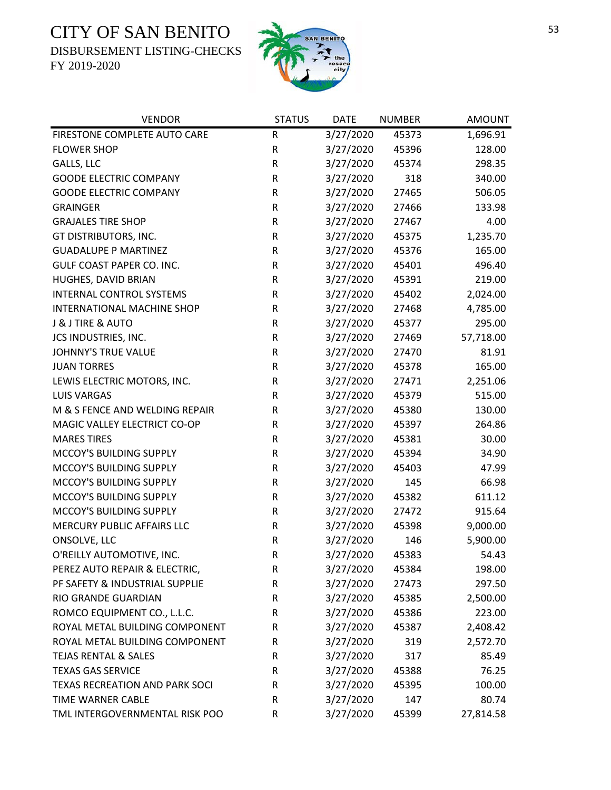DISBURSEMENT LISTING-CHECKS



| <b>VENDOR</b>                         | <b>STATUS</b> | <b>DATE</b> | <b>NUMBER</b> | <b>AMOUNT</b> |
|---------------------------------------|---------------|-------------|---------------|---------------|
| FIRESTONE COMPLETE AUTO CARE          | ${\sf R}$     | 3/27/2020   | 45373         | 1,696.91      |
| <b>FLOWER SHOP</b>                    | ${\sf R}$     | 3/27/2020   | 45396         | 128.00        |
| GALLS, LLC                            | ${\sf R}$     | 3/27/2020   | 45374         | 298.35        |
| <b>GOODE ELECTRIC COMPANY</b>         | ${\sf R}$     | 3/27/2020   | 318           | 340.00        |
| <b>GOODE ELECTRIC COMPANY</b>         | R             | 3/27/2020   | 27465         | 506.05        |
| <b>GRAINGER</b>                       | R             | 3/27/2020   | 27466         | 133.98        |
| <b>GRAJALES TIRE SHOP</b>             | ${\sf R}$     | 3/27/2020   | 27467         | 4.00          |
| GT DISTRIBUTORS, INC.                 | ${\sf R}$     | 3/27/2020   | 45375         | 1,235.70      |
| <b>GUADALUPE P MARTINEZ</b>           | ${\sf R}$     | 3/27/2020   | 45376         | 165.00        |
| GULF COAST PAPER CO. INC.             | ${\sf R}$     | 3/27/2020   | 45401         | 496.40        |
| HUGHES, DAVID BRIAN                   | ${\sf R}$     | 3/27/2020   | 45391         | 219.00        |
| INTERNAL CONTROL SYSTEMS              | R             | 3/27/2020   | 45402         | 2,024.00      |
| INTERNATIONAL MACHINE SHOP            | ${\sf R}$     | 3/27/2020   | 27468         | 4,785.00      |
| J & J TIRE & AUTO                     | ${\sf R}$     | 3/27/2020   | 45377         | 295.00        |
| JCS INDUSTRIES, INC.                  | ${\sf R}$     | 3/27/2020   | 27469         | 57,718.00     |
| <b>JOHNNY'S TRUE VALUE</b>            | ${\sf R}$     | 3/27/2020   | 27470         | 81.91         |
| <b>JUAN TORRES</b>                    | ${\sf R}$     | 3/27/2020   | 45378         | 165.00        |
| LEWIS ELECTRIC MOTORS, INC.           | ${\sf R}$     | 3/27/2020   | 27471         | 2,251.06      |
| <b>LUIS VARGAS</b>                    | $\mathsf R$   | 3/27/2020   | 45379         | 515.00        |
| M & S FENCE AND WELDING REPAIR        | ${\sf R}$     | 3/27/2020   | 45380         | 130.00        |
| MAGIC VALLEY ELECTRICT CO-OP          | ${\sf R}$     | 3/27/2020   | 45397         | 264.86        |
| <b>MARES TIRES</b>                    | ${\sf R}$     | 3/27/2020   | 45381         | 30.00         |
| MCCOY'S BUILDING SUPPLY               | ${\sf R}$     | 3/27/2020   | 45394         | 34.90         |
| MCCOY'S BUILDING SUPPLY               | ${\sf R}$     | 3/27/2020   | 45403         | 47.99         |
| MCCOY'S BUILDING SUPPLY               | ${\sf R}$     | 3/27/2020   | 145           | 66.98         |
| MCCOY'S BUILDING SUPPLY               | $\mathsf R$   | 3/27/2020   | 45382         | 611.12        |
| MCCOY'S BUILDING SUPPLY               | ${\sf R}$     | 3/27/2020   | 27472         | 915.64        |
| MERCURY PUBLIC AFFAIRS LLC            | ${\sf R}$     | 3/27/2020   | 45398         | 9,000.00      |
| ONSOLVE, LLC                          | ${\sf R}$     | 3/27/2020   | 146           | 5,900.00      |
| O'REILLY AUTOMOTIVE, INC.             | $\mathsf{R}$  | 3/27/2020   | 45383         | 54.43         |
| PEREZ AUTO REPAIR & ELECTRIC,         | R             | 3/27/2020   | 45384         | 198.00        |
| PF SAFETY & INDUSTRIAL SUPPLIE        | R             | 3/27/2020   | 27473         | 297.50        |
| RIO GRANDE GUARDIAN                   | $\mathsf R$   | 3/27/2020   | 45385         | 2,500.00      |
| ROMCO EQUIPMENT CO., L.L.C.           | R             | 3/27/2020   | 45386         | 223.00        |
| ROYAL METAL BUILDING COMPONENT        | R             | 3/27/2020   | 45387         | 2,408.42      |
| ROYAL METAL BUILDING COMPONENT        | R             | 3/27/2020   | 319           | 2,572.70      |
| <b>TEJAS RENTAL &amp; SALES</b>       | R             | 3/27/2020   | 317           | 85.49         |
| <b>TEXAS GAS SERVICE</b>              | R             | 3/27/2020   | 45388         | 76.25         |
| <b>TEXAS RECREATION AND PARK SOCI</b> | R             | 3/27/2020   | 45395         | 100.00        |
| TIME WARNER CABLE                     | R             | 3/27/2020   | 147           | 80.74         |
| TML INTERGOVERNMENTAL RISK POO        | ${\sf R}$     | 3/27/2020   | 45399         | 27,814.58     |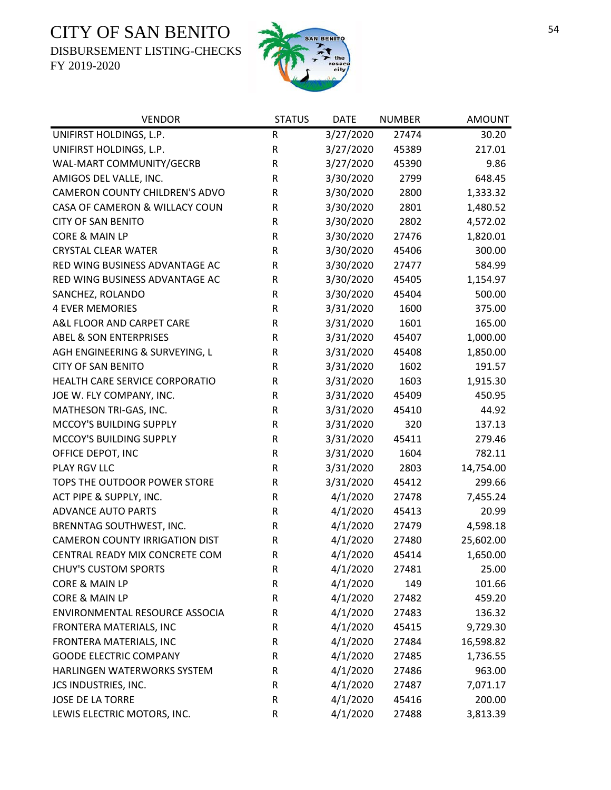DISBURSEMENT LISTING-CHECKS



| <b>VENDOR</b>                         | <b>STATUS</b> | <b>DATE</b> | <b>NUMBER</b> | <b>AMOUNT</b> |
|---------------------------------------|---------------|-------------|---------------|---------------|
| UNIFIRST HOLDINGS, L.P.               | ${\sf R}$     | 3/27/2020   | 27474         | 30.20         |
| UNIFIRST HOLDINGS, L.P.               | ${\sf R}$     | 3/27/2020   | 45389         | 217.01        |
| WAL-MART COMMUNITY/GECRB              | ${\sf R}$     | 3/27/2020   | 45390         | 9.86          |
| AMIGOS DEL VALLE, INC.                | R             | 3/30/2020   | 2799          | 648.45        |
| CAMERON COUNTY CHILDREN'S ADVO        | $\sf R$       | 3/30/2020   | 2800          | 1,333.32      |
| CASA OF CAMERON & WILLACY COUN        | $\sf R$       | 3/30/2020   | 2801          | 1,480.52      |
| <b>CITY OF SAN BENITO</b>             | R             | 3/30/2020   | 2802          | 4,572.02      |
| CORE & MAIN LP                        | ${\sf R}$     | 3/30/2020   | 27476         | 1,820.01      |
| <b>CRYSTAL CLEAR WATER</b>            | R             | 3/30/2020   | 45406         | 300.00        |
| RED WING BUSINESS ADVANTAGE AC        | ${\sf R}$     | 3/30/2020   | 27477         | 584.99        |
| RED WING BUSINESS ADVANTAGE AC        | R             | 3/30/2020   | 45405         | 1,154.97      |
| SANCHEZ, ROLANDO                      | R             | 3/30/2020   | 45404         | 500.00        |
| <b>4 EVER MEMORIES</b>                | ${\sf R}$     | 3/31/2020   | 1600          | 375.00        |
| A&L FLOOR AND CARPET CARE             | ${\sf R}$     | 3/31/2020   | 1601          | 165.00        |
| <b>ABEL &amp; SON ENTERPRISES</b>     | ${\sf R}$     | 3/31/2020   | 45407         | 1,000.00      |
| AGH ENGINEERING & SURVEYING, L        | ${\sf R}$     | 3/31/2020   | 45408         | 1,850.00      |
| <b>CITY OF SAN BENITO</b>             | R             | 3/31/2020   | 1602          | 191.57        |
| HEALTH CARE SERVICE CORPORATIO        | $\sf R$       | 3/31/2020   | 1603          | 1,915.30      |
| JOE W. FLY COMPANY, INC.              | $\mathsf R$   | 3/31/2020   | 45409         | 450.95        |
| MATHESON TRI-GAS, INC.                | ${\sf R}$     | 3/31/2020   | 45410         | 44.92         |
| MCCOY'S BUILDING SUPPLY               | ${\sf R}$     | 3/31/2020   | 320           | 137.13        |
| MCCOY'S BUILDING SUPPLY               | ${\sf R}$     | 3/31/2020   | 45411         | 279.46        |
| OFFICE DEPOT, INC                     | ${\sf R}$     | 3/31/2020   | 1604          | 782.11        |
| PLAY RGV LLC                          | $\sf R$       | 3/31/2020   | 2803          | 14,754.00     |
| TOPS THE OUTDOOR POWER STORE          | ${\sf R}$     | 3/31/2020   | 45412         | 299.66        |
| ACT PIPE & SUPPLY, INC.               | R             | 4/1/2020    | 27478         | 7,455.24      |
| <b>ADVANCE AUTO PARTS</b>             | ${\sf R}$     | 4/1/2020    | 45413         | 20.99         |
| BRENNTAG SOUTHWEST, INC.              | R             | 4/1/2020    | 27479         | 4,598.18      |
| <b>CAMERON COUNTY IRRIGATION DIST</b> | ${\sf R}$     | 4/1/2020    | 27480         | 25,602.00     |
| CENTRAL READY MIX CONCRETE COM        | $\mathsf R$   | 4/1/2020    | 45414         | 1,650.00      |
| <b>CHUY'S CUSTOM SPORTS</b>           | R             | 4/1/2020    | 27481         | 25.00         |
| CORE & MAIN LP                        | ${\sf R}$     | 4/1/2020    | 149           | 101.66        |
| CORE & MAIN LP                        | ${\sf R}$     | 4/1/2020    | 27482         | 459.20        |
| ENVIRONMENTAL RESOURCE ASSOCIA        | ${\sf R}$     | 4/1/2020    | 27483         | 136.32        |
| FRONTERA MATERIALS, INC               | ${\sf R}$     | 4/1/2020    | 45415         | 9,729.30      |
| FRONTERA MATERIALS, INC               | R             | 4/1/2020    | 27484         | 16,598.82     |
| <b>GOODE ELECTRIC COMPANY</b>         | R             | 4/1/2020    | 27485         | 1,736.55      |
| HARLINGEN WATERWORKS SYSTEM           | R             | 4/1/2020    | 27486         | 963.00        |
| JCS INDUSTRIES, INC.                  | ${\sf R}$     | 4/1/2020    | 27487         | 7,071.17      |
| <b>JOSE DE LA TORRE</b>               | R             | 4/1/2020    | 45416         | 200.00        |
| LEWIS ELECTRIC MOTORS, INC.           | ${\sf R}$     | 4/1/2020    | 27488         | 3,813.39      |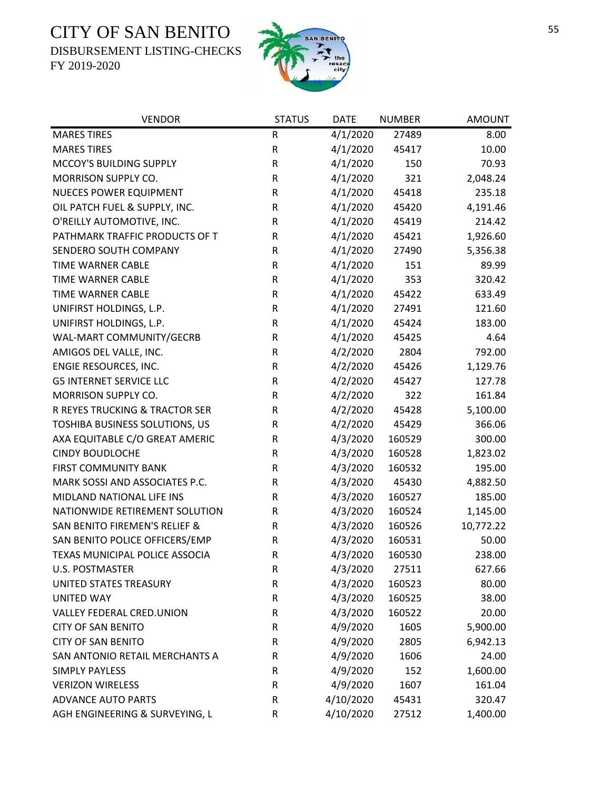DISBURSEMENT LISTING-CHECKS



| <b>VENDOR</b>                            | <b>STATUS</b> | <b>DATE</b> | <b>NUMBER</b> | <b>AMOUNT</b> |
|------------------------------------------|---------------|-------------|---------------|---------------|
| <b>MARES TIRES</b>                       | ${\sf R}$     | 4/1/2020    | 27489         | 8.00          |
| <b>MARES TIRES</b>                       | ${\sf R}$     | 4/1/2020    | 45417         | 10.00         |
| MCCOY'S BUILDING SUPPLY                  | R             | 4/1/2020    | 150           | 70.93         |
| MORRISON SUPPLY CO.                      | ${\sf R}$     | 4/1/2020    | 321           | 2,048.24      |
| NUECES POWER EQUIPMENT                   | ${\sf R}$     | 4/1/2020    | 45418         | 235.18        |
| OIL PATCH FUEL & SUPPLY, INC.            | R             | 4/1/2020    | 45420         | 4,191.46      |
| O'REILLY AUTOMOTIVE, INC.                | ${\sf R}$     | 4/1/2020    | 45419         | 214.42        |
| PATHMARK TRAFFIC PRODUCTS OF T           | R             | 4/1/2020    | 45421         | 1,926.60      |
| SENDERO SOUTH COMPANY                    | ${\sf R}$     | 4/1/2020    | 27490         | 5,356.38      |
| <b>TIME WARNER CABLE</b>                 | ${\sf R}$     | 4/1/2020    | 151           | 89.99         |
| TIME WARNER CABLE                        | ${\sf R}$     | 4/1/2020    | 353           | 320.42        |
| <b>TIME WARNER CABLE</b>                 | ${\sf R}$     | 4/1/2020    | 45422         | 633.49        |
| UNIFIRST HOLDINGS, L.P.                  | ${\sf R}$     | 4/1/2020    | 27491         | 121.60        |
| UNIFIRST HOLDINGS, L.P.                  | ${\sf R}$     | 4/1/2020    | 45424         | 183.00        |
| WAL-MART COMMUNITY/GECRB                 | R             | 4/1/2020    | 45425         | 4.64          |
| AMIGOS DEL VALLE, INC.                   | ${\sf R}$     | 4/2/2020    | 2804          | 792.00        |
| ENGIE RESOURCES, INC.                    | ${\sf R}$     | 4/2/2020    | 45426         | 1,129.76      |
| <b>G5 INTERNET SERVICE LLC</b>           | ${\sf R}$     | 4/2/2020    | 45427         | 127.78        |
| MORRISON SUPPLY CO.                      | R             | 4/2/2020    | 322           | 161.84        |
| R REYES TRUCKING & TRACTOR SER           | R             | 4/2/2020    | 45428         | 5,100.00      |
| TOSHIBA BUSINESS SOLUTIONS, US           | R             | 4/2/2020    | 45429         | 366.06        |
| AXA EQUITABLE C/O GREAT AMERIC           | R             | 4/3/2020    | 160529        | 300.00        |
| <b>CINDY BOUDLOCHE</b>                   | R             | 4/3/2020    | 160528        | 1,823.02      |
| <b>FIRST COMMUNITY BANK</b>              | ${\sf R}$     | 4/3/2020    | 160532        | 195.00        |
| MARK SOSSI AND ASSOCIATES P.C.           | R             | 4/3/2020    | 45430         | 4,882.50      |
| MIDLAND NATIONAL LIFE INS                | R             | 4/3/2020    | 160527        | 185.00        |
| NATIONWIDE RETIREMENT SOLUTION           | R             | 4/3/2020    | 160524        | 1,145.00      |
| <b>SAN BENITO FIREMEN'S RELIEF &amp;</b> | R             | 4/3/2020    | 160526        | 10,772.22     |
| SAN BENITO POLICE OFFICERS/EMP           | ${\sf R}$     | 4/3/2020    | 160531        | 50.00         |
| TEXAS MUNICIPAL POLICE ASSOCIA           | $\mathsf{R}$  | 4/3/2020    | 160530        | 238.00        |
| <b>U.S. POSTMASTER</b>                   | R             | 4/3/2020    | 27511         | 627.66        |
| UNITED STATES TREASURY                   | R             | 4/3/2020    | 160523        | 80.00         |
| <b>UNITED WAY</b>                        | R             | 4/3/2020    | 160525        | 38.00         |
| VALLEY FEDERAL CRED.UNION                | R             | 4/3/2020    | 160522        | 20.00         |
| <b>CITY OF SAN BENITO</b>                | R             | 4/9/2020    | 1605          | 5,900.00      |
| <b>CITY OF SAN BENITO</b>                | R             | 4/9/2020    | 2805          | 6,942.13      |
| SAN ANTONIO RETAIL MERCHANTS A           | R             | 4/9/2020    | 1606          | 24.00         |
| <b>SIMPLY PAYLESS</b>                    | ${\sf R}$     | 4/9/2020    | 152           | 1,600.00      |
| <b>VERIZON WIRELESS</b>                  | R             | 4/9/2020    | 1607          | 161.04        |
| <b>ADVANCE AUTO PARTS</b>                | ${\sf R}$     | 4/10/2020   | 45431         | 320.47        |
| AGH ENGINEERING & SURVEYING, L           | ${\sf R}$     | 4/10/2020   | 27512         | 1,400.00      |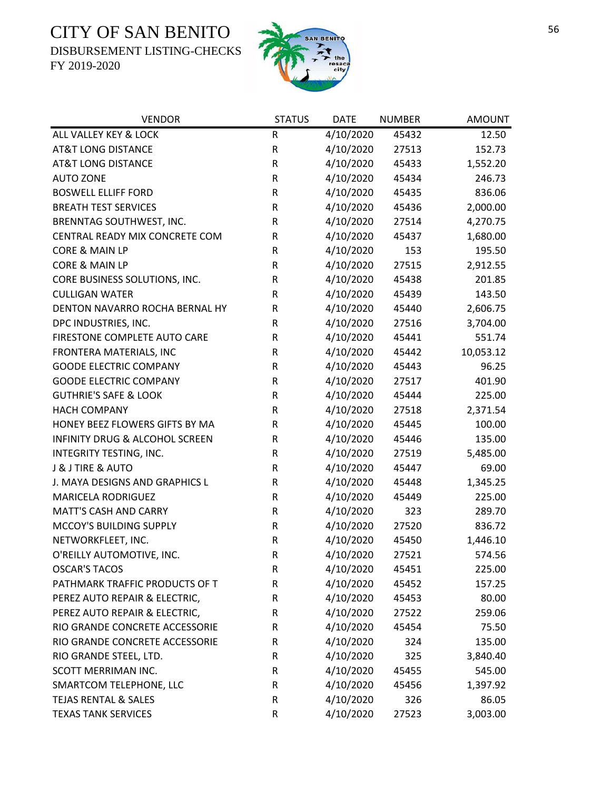DISBURSEMENT LISTING-CHECKS



| <b>VENDOR</b>                    | <b>STATUS</b> | <b>DATE</b> | <b>NUMBER</b> | <b>AMOUNT</b> |
|----------------------------------|---------------|-------------|---------------|---------------|
| ALL VALLEY KEY & LOCK            | R             | 4/10/2020   | 45432         | 12.50         |
| <b>AT&amp;T LONG DISTANCE</b>    | $\mathsf R$   | 4/10/2020   | 27513         | 152.73        |
| <b>AT&amp;T LONG DISTANCE</b>    | ${\sf R}$     | 4/10/2020   | 45433         | 1,552.20      |
| <b>AUTO ZONE</b>                 | $\mathsf R$   | 4/10/2020   | 45434         | 246.73        |
| <b>BOSWELL ELLIFF FORD</b>       | ${\sf R}$     | 4/10/2020   | 45435         | 836.06        |
| <b>BREATH TEST SERVICES</b>      | ${\sf R}$     | 4/10/2020   | 45436         | 2,000.00      |
| BRENNTAG SOUTHWEST, INC.         | ${\sf R}$     | 4/10/2020   | 27514         | 4,270.75      |
| CENTRAL READY MIX CONCRETE COM   | ${\sf R}$     | 4/10/2020   | 45437         | 1,680.00      |
| CORE & MAIN LP                   | $\mathsf R$   | 4/10/2020   | 153           | 195.50        |
| CORE & MAIN LP                   | ${\sf R}$     | 4/10/2020   | 27515         | 2,912.55      |
| CORE BUSINESS SOLUTIONS, INC.    | ${\sf R}$     | 4/10/2020   | 45438         | 201.85        |
| <b>CULLIGAN WATER</b>            | R             | 4/10/2020   | 45439         | 143.50        |
| DENTON NAVARRO ROCHA BERNAL HY   | ${\sf R}$     | 4/10/2020   | 45440         | 2,606.75      |
| DPC INDUSTRIES, INC.             | R             | 4/10/2020   | 27516         | 3,704.00      |
| FIRESTONE COMPLETE AUTO CARE     | ${\sf R}$     | 4/10/2020   | 45441         | 551.74        |
| FRONTERA MATERIALS, INC          | ${\sf R}$     | 4/10/2020   | 45442         | 10,053.12     |
| <b>GOODE ELECTRIC COMPANY</b>    | ${\sf R}$     | 4/10/2020   | 45443         | 96.25         |
| <b>GOODE ELECTRIC COMPANY</b>    | ${\sf R}$     | 4/10/2020   | 27517         | 401.90        |
| <b>GUTHRIE'S SAFE &amp; LOOK</b> | R             | 4/10/2020   | 45444         | 225.00        |
| <b>HACH COMPANY</b>              | R             | 4/10/2020   | 27518         | 2,371.54      |
| HONEY BEEZ FLOWERS GIFTS BY MA   | ${\sf R}$     | 4/10/2020   | 45445         | 100.00        |
| INFINITY DRUG & ALCOHOL SCREEN   | ${\sf R}$     | 4/10/2020   | 45446         | 135.00        |
| INTEGRITY TESTING, INC.          | $\mathsf R$   | 4/10/2020   | 27519         | 5,485.00      |
| J & J TIRE & AUTO                | ${\sf R}$     | 4/10/2020   | 45447         | 69.00         |
| J. MAYA DESIGNS AND GRAPHICS L   | ${\sf R}$     | 4/10/2020   | 45448         | 1,345.25      |
| MARICELA RODRIGUEZ               | ${\sf R}$     | 4/10/2020   | 45449         | 225.00        |
| <b>MATT'S CASH AND CARRY</b>     | ${\sf R}$     | 4/10/2020   | 323           | 289.70        |
| MCCOY'S BUILDING SUPPLY          | ${\sf R}$     | 4/10/2020   | 27520         | 836.72        |
| NETWORKFLEET, INC.               | ${\sf R}$     | 4/10/2020   | 45450         | 1,446.10      |
| O'REILLY AUTOMOTIVE, INC.        | $\mathsf R$   | 4/10/2020   | 27521         | 574.56        |
| <b>OSCAR'S TACOS</b>             | R             | 4/10/2020   | 45451         | 225.00        |
| PATHMARK TRAFFIC PRODUCTS OF T   | ${\sf R}$     | 4/10/2020   | 45452         | 157.25        |
| PEREZ AUTO REPAIR & ELECTRIC,    | R             | 4/10/2020   | 45453         | 80.00         |
| PEREZ AUTO REPAIR & ELECTRIC,    | ${\sf R}$     | 4/10/2020   | 27522         | 259.06        |
| RIO GRANDE CONCRETE ACCESSORIE   | R             | 4/10/2020   | 45454         | 75.50         |
| RIO GRANDE CONCRETE ACCESSORIE   | R             | 4/10/2020   | 324           | 135.00        |
| RIO GRANDE STEEL, LTD.           | R             | 4/10/2020   | 325           | 3,840.40      |
| SCOTT MERRIMAN INC.              | R             | 4/10/2020   | 45455         | 545.00        |
| SMARTCOM TELEPHONE, LLC          | ${\sf R}$     | 4/10/2020   | 45456         | 1,397.92      |
| <b>TEJAS RENTAL &amp; SALES</b>  | R             | 4/10/2020   | 326           | 86.05         |
| <b>TEXAS TANK SERVICES</b>       | ${\sf R}$     | 4/10/2020   | 27523         | 3,003.00      |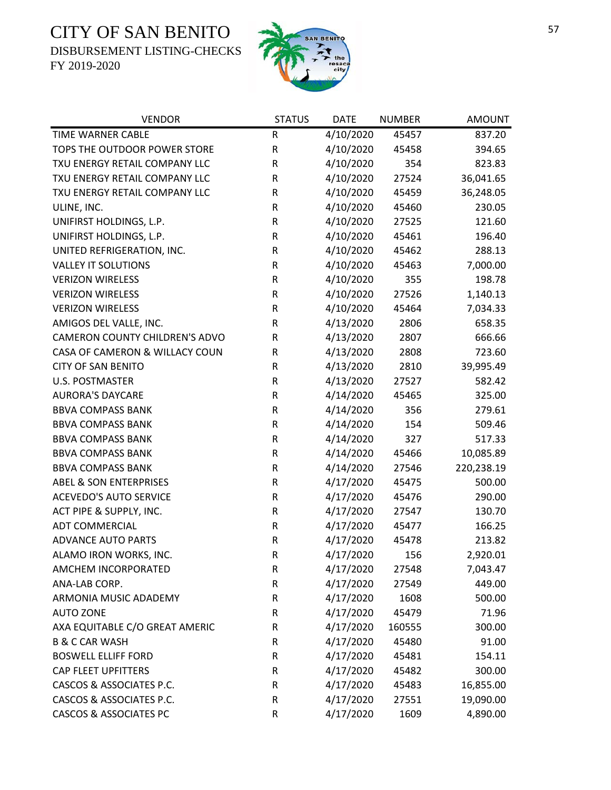DISBURSEMENT LISTING-CHECKS



| <b>VENDOR</b>                     | <b>STATUS</b> | <b>DATE</b> | <b>NUMBER</b> | <b>AMOUNT</b> |
|-----------------------------------|---------------|-------------|---------------|---------------|
| TIME WARNER CABLE                 | $\mathsf R$   | 4/10/2020   | 45457         | 837.20        |
| TOPS THE OUTDOOR POWER STORE      | ${\sf R}$     | 4/10/2020   | 45458         | 394.65        |
| TXU ENERGY RETAIL COMPANY LLC     | R             | 4/10/2020   | 354           | 823.83        |
| TXU ENERGY RETAIL COMPANY LLC     | R             | 4/10/2020   | 27524         | 36,041.65     |
| TXU ENERGY RETAIL COMPANY LLC     | $\mathsf R$   | 4/10/2020   | 45459         | 36,248.05     |
| ULINE, INC.                       | ${\sf R}$     | 4/10/2020   | 45460         | 230.05        |
| UNIFIRST HOLDINGS, L.P.           | ${\sf R}$     | 4/10/2020   | 27525         | 121.60        |
| UNIFIRST HOLDINGS, L.P.           | ${\sf R}$     | 4/10/2020   | 45461         | 196.40        |
| UNITED REFRIGERATION, INC.        | ${\sf R}$     | 4/10/2020   | 45462         | 288.13        |
| <b>VALLEY IT SOLUTIONS</b>        | $\mathsf R$   | 4/10/2020   | 45463         | 7,000.00      |
| <b>VERIZON WIRELESS</b>           | ${\sf R}$     | 4/10/2020   | 355           | 198.78        |
| <b>VERIZON WIRELESS</b>           | ${\sf R}$     | 4/10/2020   | 27526         | 1,140.13      |
| <b>VERIZON WIRELESS</b>           | ${\sf R}$     | 4/10/2020   | 45464         | 7,034.33      |
| AMIGOS DEL VALLE, INC.            | $\mathsf R$   | 4/13/2020   | 2806          | 658.35        |
| CAMERON COUNTY CHILDREN'S ADVO    | ${\sf R}$     | 4/13/2020   | 2807          | 666.66        |
| CASA OF CAMERON & WILLACY COUN    | R             | 4/13/2020   | 2808          | 723.60        |
| <b>CITY OF SAN BENITO</b>         | $\mathsf R$   | 4/13/2020   | 2810          | 39,995.49     |
| <b>U.S. POSTMASTER</b>            | ${\sf R}$     | 4/13/2020   | 27527         | 582.42        |
| <b>AURORA'S DAYCARE</b>           | ${\sf R}$     | 4/14/2020   | 45465         | 325.00        |
| <b>BBVA COMPASS BANK</b>          | ${\sf R}$     | 4/14/2020   | 356           | 279.61        |
| <b>BBVA COMPASS BANK</b>          | ${\sf R}$     | 4/14/2020   | 154           | 509.46        |
| <b>BBVA COMPASS BANK</b>          | ${\sf R}$     | 4/14/2020   | 327           | 517.33        |
| <b>BBVA COMPASS BANK</b>          | ${\sf R}$     | 4/14/2020   | 45466         | 10,085.89     |
| <b>BBVA COMPASS BANK</b>          | R             | 4/14/2020   | 27546         | 220,238.19    |
| <b>ABEL &amp; SON ENTERPRISES</b> | ${\sf R}$     | 4/17/2020   | 45475         | 500.00        |
| <b>ACEVEDO'S AUTO SERVICE</b>     | ${\sf R}$     | 4/17/2020   | 45476         | 290.00        |
| ACT PIPE & SUPPLY, INC.           | ${\sf R}$     | 4/17/2020   | 27547         | 130.70        |
| <b>ADT COMMERCIAL</b>             | ${\sf R}$     | 4/17/2020   | 45477         | 166.25        |
| <b>ADVANCE AUTO PARTS</b>         | R             | 4/17/2020   | 45478         | 213.82        |
| ALAMO IRON WORKS, INC.            | $\mathsf{R}$  | 4/17/2020   | 156           | 2,920.01      |
| AMCHEM INCORPORATED               | R             | 4/17/2020   | 27548         | 7,043.47      |
| ANA-LAB CORP.                     | ${\sf R}$     | 4/17/2020   | 27549         | 449.00        |
| ARMONIA MUSIC ADADEMY             | ${\sf R}$     | 4/17/2020   | 1608          | 500.00        |
| <b>AUTO ZONE</b>                  | $\mathsf R$   | 4/17/2020   | 45479         | 71.96         |
| AXA EQUITABLE C/O GREAT AMERIC    | ${\sf R}$     | 4/17/2020   | 160555        | 300.00        |
| <b>B &amp; C CAR WASH</b>         | ${\sf R}$     | 4/17/2020   | 45480         | 91.00         |
| <b>BOSWELL ELLIFF FORD</b>        | ${\sf R}$     | 4/17/2020   | 45481         | 154.11        |
| CAP FLEET UPFITTERS               | ${\sf R}$     | 4/17/2020   | 45482         | 300.00        |
| CASCOS & ASSOCIATES P.C.          | ${\sf R}$     | 4/17/2020   | 45483         | 16,855.00     |
| CASCOS & ASSOCIATES P.C.          | $\mathsf R$   | 4/17/2020   | 27551         | 19,090.00     |
| <b>CASCOS &amp; ASSOCIATES PC</b> | R             | 4/17/2020   | 1609          | 4,890.00      |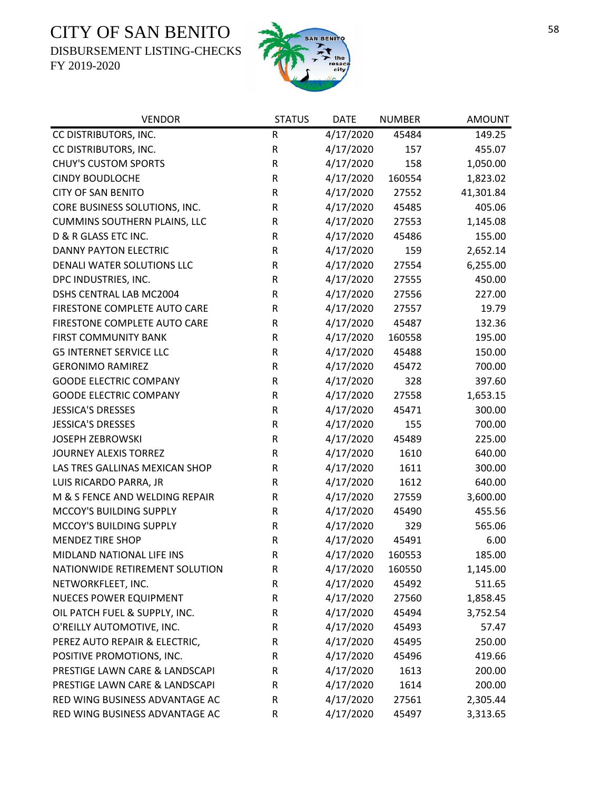DISBURSEMENT LISTING-CHECKS



| <b>VENDOR</b>                       | <b>STATUS</b> | <b>DATE</b> | <b>NUMBER</b> | <b>AMOUNT</b> |
|-------------------------------------|---------------|-------------|---------------|---------------|
| CC DISTRIBUTORS, INC.               | R             | 4/17/2020   | 45484         | 149.25        |
| CC DISTRIBUTORS, INC.               | ${\sf R}$     | 4/17/2020   | 157           | 455.07        |
| <b>CHUY'S CUSTOM SPORTS</b>         | ${\sf R}$     | 4/17/2020   | 158           | 1,050.00      |
| <b>CINDY BOUDLOCHE</b>              | ${\sf R}$     | 4/17/2020   | 160554        | 1,823.02      |
| <b>CITY OF SAN BENITO</b>           | R             | 4/17/2020   | 27552         | 41,301.84     |
| CORE BUSINESS SOLUTIONS, INC.       | ${\sf R}$     | 4/17/2020   | 45485         | 405.06        |
| <b>CUMMINS SOUTHERN PLAINS, LLC</b> | ${\sf R}$     | 4/17/2020   | 27553         | 1,145.08      |
| D & R GLASS ETC INC.                | ${\sf R}$     | 4/17/2020   | 45486         | 155.00        |
| <b>DANNY PAYTON ELECTRIC</b>        | ${\sf R}$     | 4/17/2020   | 159           | 2,652.14      |
| DENALI WATER SOLUTIONS LLC          | ${\sf R}$     | 4/17/2020   | 27554         | 6,255.00      |
| DPC INDUSTRIES, INC.                | ${\sf R}$     | 4/17/2020   | 27555         | 450.00        |
| DSHS CENTRAL LAB MC2004             | ${\sf R}$     | 4/17/2020   | 27556         | 227.00        |
| FIRESTONE COMPLETE AUTO CARE        | ${\sf R}$     | 4/17/2020   | 27557         | 19.79         |
| FIRESTONE COMPLETE AUTO CARE        | ${\sf R}$     | 4/17/2020   | 45487         | 132.36        |
| <b>FIRST COMMUNITY BANK</b>         | ${\sf R}$     | 4/17/2020   | 160558        | 195.00        |
| <b>G5 INTERNET SERVICE LLC</b>      | ${\sf R}$     | 4/17/2020   | 45488         | 150.00        |
| <b>GERONIMO RAMIREZ</b>             | ${\sf R}$     | 4/17/2020   | 45472         | 700.00        |
| <b>GOODE ELECTRIC COMPANY</b>       | ${\sf R}$     | 4/17/2020   | 328           | 397.60        |
| <b>GOODE ELECTRIC COMPANY</b>       | ${\sf R}$     | 4/17/2020   | 27558         | 1,653.15      |
| <b>JESSICA'S DRESSES</b>            | ${\sf R}$     | 4/17/2020   | 45471         | 300.00        |
| <b>JESSICA'S DRESSES</b>            | R             | 4/17/2020   | 155           | 700.00        |
| <b>JOSEPH ZEBROWSKI</b>             | ${\sf R}$     | 4/17/2020   | 45489         | 225.00        |
| <b>JOURNEY ALEXIS TORREZ</b>        | ${\sf R}$     | 4/17/2020   | 1610          | 640.00        |
| LAS TRES GALLINAS MEXICAN SHOP      | R             | 4/17/2020   | 1611          | 300.00        |
| LUIS RICARDO PARRA, JR              | ${\sf R}$     | 4/17/2020   | 1612          | 640.00        |
| M & S FENCE AND WELDING REPAIR      | R             | 4/17/2020   | 27559         | 3,600.00      |
| MCCOY'S BUILDING SUPPLY             | R             | 4/17/2020   | 45490         | 455.56        |
| MCCOY'S BUILDING SUPPLY             | ${\sf R}$     | 4/17/2020   | 329           | 565.06        |
| <b>MENDEZ TIRE SHOP</b>             | ${\sf R}$     | 4/17/2020   | 45491         | 6.00          |
| MIDLAND NATIONAL LIFE INS           | $\mathsf R$   | 4/17/2020   | 160553        | 185.00        |
| NATIONWIDE RETIREMENT SOLUTION      | R             | 4/17/2020   | 160550        | 1,145.00      |
| NETWORKFLEET, INC.                  | R             | 4/17/2020   | 45492         | 511.65        |
| NUECES POWER EQUIPMENT              | R             | 4/17/2020   | 27560         | 1,858.45      |
| OIL PATCH FUEL & SUPPLY, INC.       | R             | 4/17/2020   | 45494         | 3,752.54      |
| O'REILLY AUTOMOTIVE, INC.           | R             | 4/17/2020   | 45493         | 57.47         |
| PEREZ AUTO REPAIR & ELECTRIC,       | R             | 4/17/2020   | 45495         | 250.00        |
| POSITIVE PROMOTIONS, INC.           | R             | 4/17/2020   | 45496         | 419.66        |
| PRESTIGE LAWN CARE & LANDSCAPI      | R             | 4/17/2020   | 1613          | 200.00        |
| PRESTIGE LAWN CARE & LANDSCAPI      | R             | 4/17/2020   | 1614          | 200.00        |
| RED WING BUSINESS ADVANTAGE AC      | R             | 4/17/2020   | 27561         | 2,305.44      |
| RED WING BUSINESS ADVANTAGE AC      | ${\sf R}$     | 4/17/2020   | 45497         | 3,313.65      |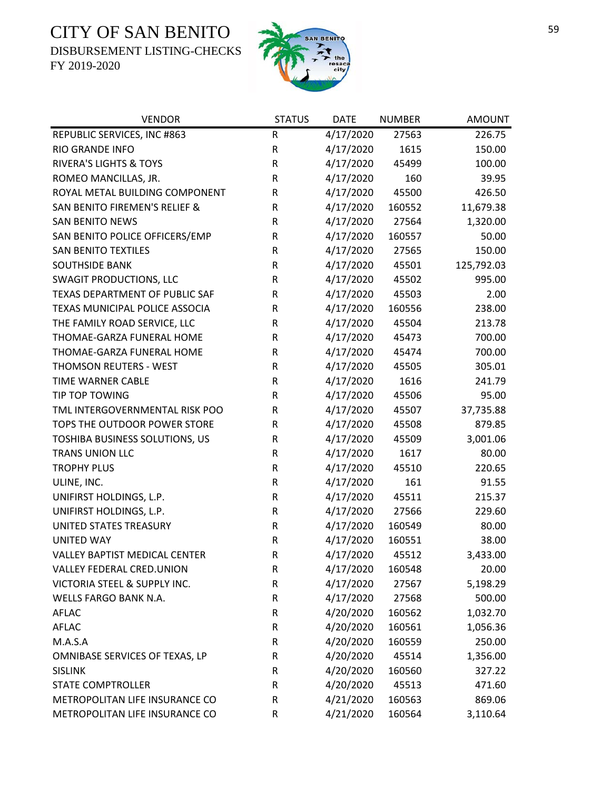DISBURSEMENT LISTING-CHECKS



| <b>VENDOR</b>                     | <b>STATUS</b> | <b>DATE</b> | <b>NUMBER</b> | <b>AMOUNT</b> |
|-----------------------------------|---------------|-------------|---------------|---------------|
| REPUBLIC SERVICES, INC #863       | ${\sf R}$     | 4/17/2020   | 27563         | 226.75        |
| <b>RIO GRANDE INFO</b>            | ${\sf R}$     | 4/17/2020   | 1615          | 150.00        |
| <b>RIVERA'S LIGHTS &amp; TOYS</b> | ${\sf R}$     | 4/17/2020   | 45499         | 100.00        |
| ROMEO MANCILLAS, JR.              | ${\sf R}$     | 4/17/2020   | 160           | 39.95         |
| ROYAL METAL BUILDING COMPONENT    | R             | 4/17/2020   | 45500         | 426.50        |
| SAN BENITO FIREMEN'S RELIEF &     | ${\sf R}$     | 4/17/2020   | 160552        | 11,679.38     |
| <b>SAN BENITO NEWS</b>            | R             | 4/17/2020   | 27564         | 1,320.00      |
| SAN BENITO POLICE OFFICERS/EMP    | R             | 4/17/2020   | 160557        | 50.00         |
| <b>SAN BENITO TEXTILES</b>        | R             | 4/17/2020   | 27565         | 150.00        |
| <b>SOUTHSIDE BANK</b>             | ${\sf R}$     | 4/17/2020   | 45501         | 125,792.03    |
| <b>SWAGIT PRODUCTIONS, LLC</b>    | R             | 4/17/2020   | 45502         | 995.00        |
| TEXAS DEPARTMENT OF PUBLIC SAF    | ${\sf R}$     | 4/17/2020   | 45503         | 2.00          |
| TEXAS MUNICIPAL POLICE ASSOCIA    | R             | 4/17/2020   | 160556        | 238.00        |
| THE FAMILY ROAD SERVICE, LLC      | R             | 4/17/2020   | 45504         | 213.78        |
| THOMAE-GARZA FUNERAL HOME         | ${\sf R}$     | 4/17/2020   | 45473         | 700.00        |
| THOMAE-GARZA FUNERAL HOME         | R             | 4/17/2020   | 45474         | 700.00        |
| THOMSON REUTERS - WEST            | R             | 4/17/2020   | 45505         | 305.01        |
| <b>TIME WARNER CABLE</b>          | ${\sf R}$     | 4/17/2020   | 1616          | 241.79        |
| TIP TOP TOWING                    | R             | 4/17/2020   | 45506         | 95.00         |
| TML INTERGOVERNMENTAL RISK POO    | ${\sf R}$     | 4/17/2020   | 45507         | 37,735.88     |
| TOPS THE OUTDOOR POWER STORE      | ${\sf R}$     | 4/17/2020   | 45508         | 879.85        |
| TOSHIBA BUSINESS SOLUTIONS, US    | ${\sf R}$     | 4/17/2020   | 45509         | 3,001.06      |
| <b>TRANS UNION LLC</b>            | ${\sf R}$     | 4/17/2020   | 1617          | 80.00         |
| <b>TROPHY PLUS</b>                | ${\sf R}$     | 4/17/2020   | 45510         | 220.65        |
| ULINE, INC.                       | R             | 4/17/2020   | 161           | 91.55         |
| UNIFIRST HOLDINGS, L.P.           | ${\sf R}$     | 4/17/2020   | 45511         | 215.37        |
| UNIFIRST HOLDINGS, L.P.           | R             | 4/17/2020   | 27566         | 229.60        |
| UNITED STATES TREASURY            | ${\sf R}$     | 4/17/2020   | 160549        | 80.00         |
| <b>UNITED WAY</b>                 | R             | 4/17/2020   | 160551        | 38.00         |
| VALLEY BAPTIST MEDICAL CENTER     | $\mathsf{R}$  | 4/17/2020   | 45512         | 3,433.00      |
| VALLEY FEDERAL CRED.UNION         | R             | 4/17/2020   | 160548        | 20.00         |
| VICTORIA STEEL & SUPPLY INC.      | R             | 4/17/2020   | 27567         | 5,198.29      |
| <b>WELLS FARGO BANK N.A.</b>      | R             | 4/17/2020   | 27568         | 500.00        |
| <b>AFLAC</b>                      | ${\sf R}$     | 4/20/2020   | 160562        | 1,032.70      |
| <b>AFLAC</b>                      | R             | 4/20/2020   | 160561        | 1,056.36      |
| M.A.S.A                           | R             | 4/20/2020   | 160559        | 250.00        |
| OMNIBASE SERVICES OF TEXAS, LP    | R             | 4/20/2020   | 45514         | 1,356.00      |
| <b>SISLINK</b>                    | R             | 4/20/2020   | 160560        | 327.22        |
| <b>STATE COMPTROLLER</b>          | R             | 4/20/2020   | 45513         | 471.60        |
| METROPOLITAN LIFE INSURANCE CO    | R             | 4/21/2020   | 160563        | 869.06        |
| METROPOLITAN LIFE INSURANCE CO    | ${\sf R}$     | 4/21/2020   | 160564        | 3,110.64      |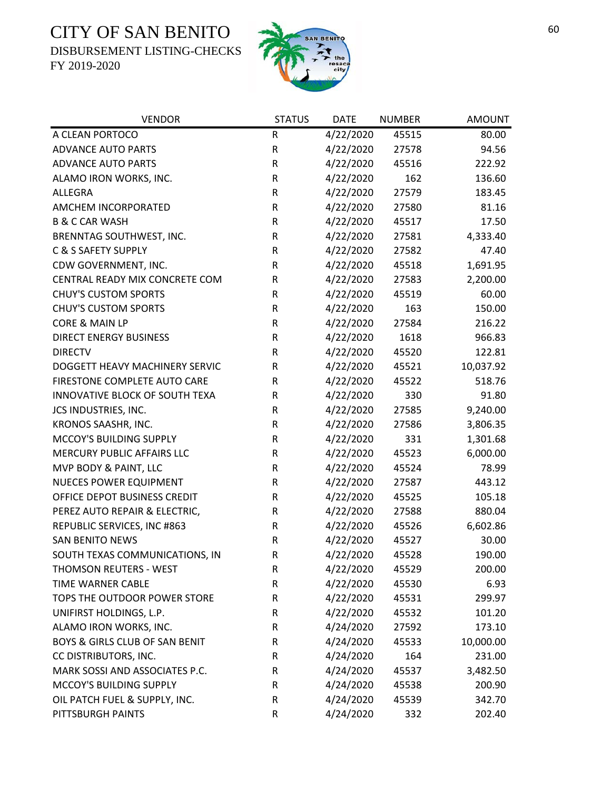DISBURSEMENT LISTING-CHECKS



| <b>VENDOR</b>                  | <b>STATUS</b> | <b>DATE</b> | <b>NUMBER</b> | <b>AMOUNT</b> |
|--------------------------------|---------------|-------------|---------------|---------------|
| A CLEAN PORTOCO                | ${\sf R}$     | 4/22/2020   | 45515         | 80.00         |
| <b>ADVANCE AUTO PARTS</b>      | ${\sf R}$     | 4/22/2020   | 27578         | 94.56         |
| <b>ADVANCE AUTO PARTS</b>      | ${\sf R}$     | 4/22/2020   | 45516         | 222.92        |
| ALAMO IRON WORKS, INC.         | ${\sf R}$     | 4/22/2020   | 162           | 136.60        |
| ALLEGRA                        | R             | 4/22/2020   | 27579         | 183.45        |
| AMCHEM INCORPORATED            | ${\sf R}$     | 4/22/2020   | 27580         | 81.16         |
| <b>B &amp; C CAR WASH</b>      | R             | 4/22/2020   | 45517         | 17.50         |
| BRENNTAG SOUTHWEST, INC.       | ${\sf R}$     | 4/22/2020   | 27581         | 4,333.40      |
| C & S SAFETY SUPPLY            | ${\sf R}$     | 4/22/2020   | 27582         | 47.40         |
| CDW GOVERNMENT, INC.           | ${\sf R}$     | 4/22/2020   | 45518         | 1,691.95      |
| CENTRAL READY MIX CONCRETE COM | R             | 4/22/2020   | 27583         | 2,200.00      |
| <b>CHUY'S CUSTOM SPORTS</b>    | $\mathsf R$   | 4/22/2020   | 45519         | 60.00         |
| <b>CHUY'S CUSTOM SPORTS</b>    | ${\sf R}$     | 4/22/2020   | 163           | 150.00        |
| CORE & MAIN LP                 | ${\sf R}$     | 4/22/2020   | 27584         | 216.22        |
| DIRECT ENERGY BUSINESS         | ${\sf R}$     | 4/22/2020   | 1618          | 966.83        |
| <b>DIRECTV</b>                 | R             | 4/22/2020   | 45520         | 122.81        |
| DOGGETT HEAVY MACHINERY SERVIC | ${\sf R}$     | 4/22/2020   | 45521         | 10,037.92     |
| FIRESTONE COMPLETE AUTO CARE   | R             | 4/22/2020   | 45522         | 518.76        |
| INNOVATIVE BLOCK OF SOUTH TEXA | R             | 4/22/2020   | 330           | 91.80         |
| JCS INDUSTRIES, INC.           | ${\sf R}$     | 4/22/2020   | 27585         | 9,240.00      |
| KRONOS SAASHR, INC.            | ${\sf R}$     | 4/22/2020   | 27586         | 3,806.35      |
| MCCOY'S BUILDING SUPPLY        | ${\sf R}$     | 4/22/2020   | 331           | 1,301.68      |
| MERCURY PUBLIC AFFAIRS LLC     | ${\sf R}$     | 4/22/2020   | 45523         | 6,000.00      |
| MVP BODY & PAINT, LLC          | R             | 4/22/2020   | 45524         | 78.99         |
| NUECES POWER EQUIPMENT         | ${\sf R}$     | 4/22/2020   | 27587         | 443.12        |
| OFFICE DEPOT BUSINESS CREDIT   | ${\sf R}$     | 4/22/2020   | 45525         | 105.18        |
| PEREZ AUTO REPAIR & ELECTRIC,  | ${\sf R}$     | 4/22/2020   | 27588         | 880.04        |
| REPUBLIC SERVICES, INC #863    | R             | 4/22/2020   | 45526         | 6,602.86      |
| <b>SAN BENITO NEWS</b>         | R             | 4/22/2020   | 45527         | 30.00         |
| SOUTH TEXAS COMMUNICATIONS, IN | $\mathsf R$   | 4/22/2020   | 45528         | 190.00        |
| <b>THOMSON REUTERS - WEST</b>  | R             | 4/22/2020   | 45529         | 200.00        |
| TIME WARNER CABLE              | ${\sf R}$     | 4/22/2020   | 45530         | 6.93          |
| TOPS THE OUTDOOR POWER STORE   | ${\sf R}$     | 4/22/2020   | 45531         | 299.97        |
| UNIFIRST HOLDINGS, L.P.        | R             | 4/22/2020   | 45532         | 101.20        |
| ALAMO IRON WORKS, INC.         | ${\sf R}$     | 4/24/2020   | 27592         | 173.10        |
| BOYS & GIRLS CLUB OF SAN BENIT | R             | 4/24/2020   | 45533         | 10,000.00     |
| CC DISTRIBUTORS, INC.          | R             | 4/24/2020   | 164           | 231.00        |
| MARK SOSSI AND ASSOCIATES P.C. | R             | 4/24/2020   | 45537         | 3,482.50      |
| MCCOY'S BUILDING SUPPLY        | R             | 4/24/2020   | 45538         | 200.90        |
| OIL PATCH FUEL & SUPPLY, INC.  | R             | 4/24/2020   | 45539         | 342.70        |
| PITTSBURGH PAINTS              | ${\sf R}$     | 4/24/2020   | 332           | 202.40        |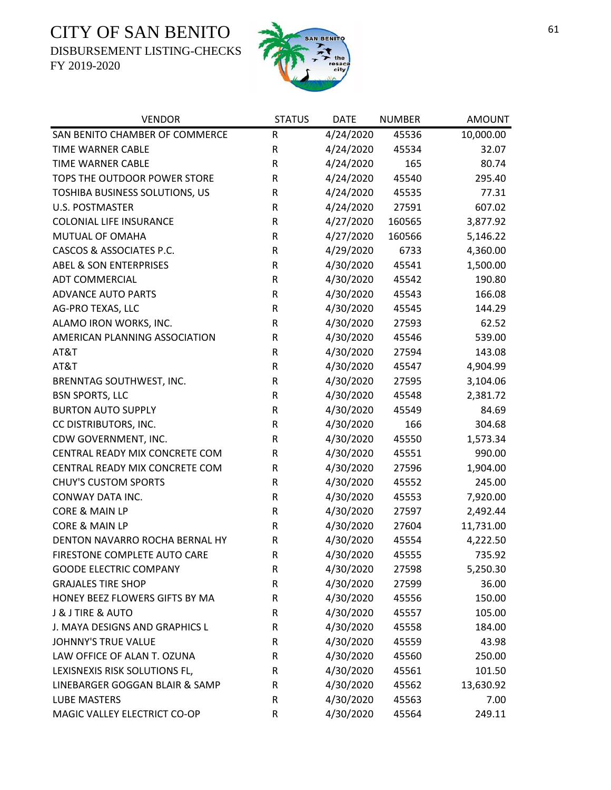DISBURSEMENT LISTING-CHECKS



| <b>VENDOR</b>                     | <b>STATUS</b> | <b>DATE</b> | <b>NUMBER</b> | <b>AMOUNT</b> |
|-----------------------------------|---------------|-------------|---------------|---------------|
| SAN BENITO CHAMBER OF COMMERCE    | ${\sf R}$     | 4/24/2020   | 45536         | 10,000.00     |
| TIME WARNER CABLE                 | ${\sf R}$     | 4/24/2020   | 45534         | 32.07         |
| <b>TIME WARNER CABLE</b>          | R             | 4/24/2020   | 165           | 80.74         |
| TOPS THE OUTDOOR POWER STORE      | R             | 4/24/2020   | 45540         | 295.40        |
| TOSHIBA BUSINESS SOLUTIONS, US    | ${\sf R}$     | 4/24/2020   | 45535         | 77.31         |
| <b>U.S. POSTMASTER</b>            | ${\sf R}$     | 4/24/2020   | 27591         | 607.02        |
| <b>COLONIAL LIFE INSURANCE</b>    | ${\sf R}$     | 4/27/2020   | 160565        | 3,877.92      |
| MUTUAL OF OMAHA                   | ${\sf R}$     | 4/27/2020   | 160566        | 5,146.22      |
| CASCOS & ASSOCIATES P.C.          | ${\sf R}$     | 4/29/2020   | 6733          | 4,360.00      |
| <b>ABEL &amp; SON ENTERPRISES</b> | ${\sf R}$     | 4/30/2020   | 45541         | 1,500.00      |
| <b>ADT COMMERCIAL</b>             | ${\sf R}$     | 4/30/2020   | 45542         | 190.80        |
| <b>ADVANCE AUTO PARTS</b>         | ${\sf R}$     | 4/30/2020   | 45543         | 166.08        |
| AG-PRO TEXAS, LLC                 | ${\sf R}$     | 4/30/2020   | 45545         | 144.29        |
| ALAMO IRON WORKS, INC.            | ${\sf R}$     | 4/30/2020   | 27593         | 62.52         |
| AMERICAN PLANNING ASSOCIATION     | R             | 4/30/2020   | 45546         | 539.00        |
| AT&T                              | ${\sf R}$     | 4/30/2020   | 27594         | 143.08        |
| AT&T                              | ${\sf R}$     | 4/30/2020   | 45547         | 4,904.99      |
| BRENNTAG SOUTHWEST, INC.          | ${\sf R}$     | 4/30/2020   | 27595         | 3,104.06      |
| <b>BSN SPORTS, LLC</b>            | ${\sf R}$     | 4/30/2020   | 45548         | 2,381.72      |
| <b>BURTON AUTO SUPPLY</b>         | R             | 4/30/2020   | 45549         | 84.69         |
| CC DISTRIBUTORS, INC.             | R             | 4/30/2020   | 166           | 304.68        |
| CDW GOVERNMENT, INC.              | R             | 4/30/2020   | 45550         | 1,573.34      |
| CENTRAL READY MIX CONCRETE COM    | R             | 4/30/2020   | 45551         | 990.00        |
| CENTRAL READY MIX CONCRETE COM    | R             | 4/30/2020   | 27596         | 1,904.00      |
| <b>CHUY'S CUSTOM SPORTS</b>       | R             | 4/30/2020   | 45552         | 245.00        |
| CONWAY DATA INC.                  | ${\sf R}$     | 4/30/2020   | 45553         | 7,920.00      |
| <b>CORE &amp; MAIN LP</b>         | R             | 4/30/2020   | 27597         | 2,492.44      |
| CORE & MAIN LP                    | ${\sf R}$     | 4/30/2020   | 27604         | 11,731.00     |
| DENTON NAVARRO ROCHA BERNAL HY    | $\sf R$       | 4/30/2020   | 45554         | 4,222.50      |
| FIRESTONE COMPLETE AUTO CARE      | $\mathsf{R}$  | 4/30/2020   | 45555         | 735.92        |
| <b>GOODE ELECTRIC COMPANY</b>     | R             | 4/30/2020   | 27598         | 5,250.30      |
| <b>GRAJALES TIRE SHOP</b>         | R             | 4/30/2020   | 27599         | 36.00         |
| HONEY BEEZ FLOWERS GIFTS BY MA    | R             | 4/30/2020   | 45556         | 150.00        |
| <b>J &amp; J TIRE &amp; AUTO</b>  | R             | 4/30/2020   | 45557         | 105.00        |
| J. MAYA DESIGNS AND GRAPHICS L    | ${\sf R}$     | 4/30/2020   | 45558         | 184.00        |
| <b>JOHNNY'S TRUE VALUE</b>        | R             | 4/30/2020   | 45559         | 43.98         |
| LAW OFFICE OF ALAN T. OZUNA       | R             | 4/30/2020   | 45560         | 250.00        |
| LEXISNEXIS RISK SOLUTIONS FL,     | R             | 4/30/2020   | 45561         | 101.50        |
| LINEBARGER GOGGAN BLAIR & SAMP    | R             | 4/30/2020   | 45562         | 13,630.92     |
| <b>LUBE MASTERS</b>               | R             | 4/30/2020   | 45563         | 7.00          |
| MAGIC VALLEY ELECTRICT CO-OP      | ${\sf R}$     | 4/30/2020   | 45564         | 249.11        |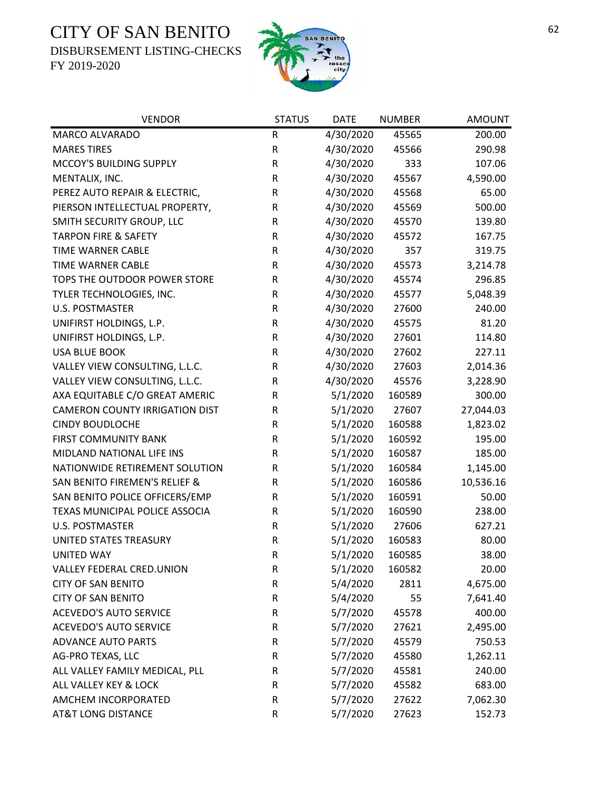DISBURSEMENT LISTING-CHECKS



| <b>VENDOR</b>                         | <b>STATUS</b> | <b>DATE</b> | <b>NUMBER</b> | <b>AMOUNT</b> |
|---------------------------------------|---------------|-------------|---------------|---------------|
| MARCO ALVARADO                        | ${\sf R}$     | 4/30/2020   | 45565         | 200.00        |
| <b>MARES TIRES</b>                    | ${\sf R}$     | 4/30/2020   | 45566         | 290.98        |
| MCCOY'S BUILDING SUPPLY               | ${\sf R}$     | 4/30/2020   | 333           | 107.06        |
| MENTALIX, INC.                        | ${\sf R}$     | 4/30/2020   | 45567         | 4,590.00      |
| PEREZ AUTO REPAIR & ELECTRIC,         | ${\sf R}$     | 4/30/2020   | 45568         | 65.00         |
| PIERSON INTELLECTUAL PROPERTY,        | ${\sf R}$     | 4/30/2020   | 45569         | 500.00        |
| SMITH SECURITY GROUP, LLC             | R             | 4/30/2020   | 45570         | 139.80        |
| <b>TARPON FIRE &amp; SAFETY</b>       | ${\sf R}$     | 4/30/2020   | 45572         | 167.75        |
| <b>TIME WARNER CABLE</b>              | ${\sf R}$     | 4/30/2020   | 357           | 319.75        |
| TIME WARNER CABLE                     | ${\sf R}$     | 4/30/2020   | 45573         | 3,214.78      |
| TOPS THE OUTDOOR POWER STORE          | ${\sf R}$     | 4/30/2020   | 45574         | 296.85        |
| TYLER TECHNOLOGIES, INC.              | R             | 4/30/2020   | 45577         | 5,048.39      |
| <b>U.S. POSTMASTER</b>                | ${\sf R}$     | 4/30/2020   | 27600         | 240.00        |
| UNIFIRST HOLDINGS, L.P.               | ${\sf R}$     | 4/30/2020   | 45575         | 81.20         |
| UNIFIRST HOLDINGS, L.P.               | ${\sf R}$     | 4/30/2020   | 27601         | 114.80        |
| <b>USA BLUE BOOK</b>                  | ${\sf R}$     | 4/30/2020   | 27602         | 227.11        |
| VALLEY VIEW CONSULTING, L.L.C.        | ${\sf R}$     | 4/30/2020   | 27603         | 2,014.36      |
| VALLEY VIEW CONSULTING, L.L.C.        | ${\sf R}$     | 4/30/2020   | 45576         | 3,228.90      |
| AXA EQUITABLE C/O GREAT AMERIC        | R             | 5/1/2020    | 160589        | 300.00        |
| <b>CAMERON COUNTY IRRIGATION DIST</b> | ${\sf R}$     | 5/1/2020    | 27607         | 27,044.03     |
| <b>CINDY BOUDLOCHE</b>                | ${\sf R}$     | 5/1/2020    | 160588        | 1,823.02      |
| <b>FIRST COMMUNITY BANK</b>           | ${\sf R}$     | 5/1/2020    | 160592        | 195.00        |
| MIDLAND NATIONAL LIFE INS             | ${\sf R}$     | 5/1/2020    | 160587        | 185.00        |
| NATIONWIDE RETIREMENT SOLUTION        | ${\sf R}$     | 5/1/2020    | 160584        | 1,145.00      |
| SAN BENITO FIREMEN'S RELIEF &         | ${\sf R}$     | 5/1/2020    | 160586        | 10,536.16     |
| SAN BENITO POLICE OFFICERS/EMP        | R             | 5/1/2020    | 160591        | 50.00         |
| TEXAS MUNICIPAL POLICE ASSOCIA        | ${\sf R}$     | 5/1/2020    | 160590        | 238.00        |
| <b>U.S. POSTMASTER</b>                | R             | 5/1/2020    | 27606         | 627.21        |
| UNITED STATES TREASURY                | ${\sf R}$     | 5/1/2020    | 160583        | 80.00         |
| <b>UNITED WAY</b>                     | $\mathsf{R}$  | 5/1/2020    | 160585        | 38.00         |
| VALLEY FEDERAL CRED.UNION             | R             | 5/1/2020    | 160582        | 20.00         |
| <b>CITY OF SAN BENITO</b>             | ${\sf R}$     | 5/4/2020    | 2811          | 4,675.00      |
| <b>CITY OF SAN BENITO</b>             | ${\sf R}$     | 5/4/2020    | 55            | 7,641.40      |
| <b>ACEVEDO'S AUTO SERVICE</b>         | ${\sf R}$     | 5/7/2020    | 45578         | 400.00        |
| <b>ACEVEDO'S AUTO SERVICE</b>         | R             | 5/7/2020    | 27621         | 2,495.00      |
| <b>ADVANCE AUTO PARTS</b>             | R             | 5/7/2020    | 45579         | 750.53        |
| AG-PRO TEXAS, LLC                     | R             | 5/7/2020    | 45580         | 1,262.11      |
| ALL VALLEY FAMILY MEDICAL, PLL        | R             | 5/7/2020    | 45581         | 240.00        |
| ALL VALLEY KEY & LOCK                 | R             | 5/7/2020    | 45582         | 683.00        |
| AMCHEM INCORPORATED                   | R             | 5/7/2020    | 27622         | 7,062.30      |
| <b>AT&amp;T LONG DISTANCE</b>         | ${\sf R}$     | 5/7/2020    | 27623         | 152.73        |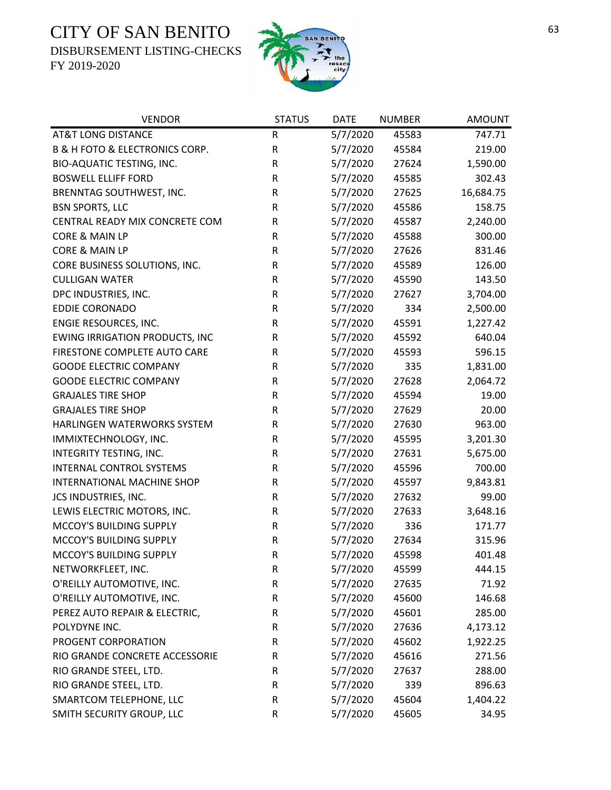DISBURSEMENT LISTING-CHECKS



| <b>VENDOR</b>                                 | <b>STATUS</b> | <b>DATE</b> | <b>NUMBER</b> | <b>AMOUNT</b> |
|-----------------------------------------------|---------------|-------------|---------------|---------------|
| <b>AT&amp;T LONG DISTANCE</b>                 | R             | 5/7/2020    | 45583         | 747.71        |
| <b>B &amp; H FOTO &amp; ELECTRONICS CORP.</b> | R             | 5/7/2020    | 45584         | 219.00        |
| BIO-AQUATIC TESTING, INC.                     | ${\sf R}$     | 5/7/2020    | 27624         | 1,590.00      |
| <b>BOSWELL ELLIFF FORD</b>                    | R             | 5/7/2020    | 45585         | 302.43        |
| BRENNTAG SOUTHWEST, INC.                      | ${\sf R}$     | 5/7/2020    | 27625         | 16,684.75     |
| <b>BSN SPORTS, LLC</b>                        | ${\sf R}$     | 5/7/2020    | 45586         | 158.75        |
| CENTRAL READY MIX CONCRETE COM                | R             | 5/7/2020    | 45587         | 2,240.00      |
| <b>CORE &amp; MAIN LP</b>                     | R             | 5/7/2020    | 45588         | 300.00        |
| CORE & MAIN LP                                | R             | 5/7/2020    | 27626         | 831.46        |
| CORE BUSINESS SOLUTIONS, INC.                 | R             | 5/7/2020    | 45589         | 126.00        |
| <b>CULLIGAN WATER</b>                         | R             | 5/7/2020    | 45590         | 143.50        |
| DPC INDUSTRIES, INC.                          | R             | 5/7/2020    | 27627         | 3,704.00      |
| <b>EDDIE CORONADO</b>                         | R             | 5/7/2020    | 334           | 2,500.00      |
| ENGIE RESOURCES, INC.                         | R             | 5/7/2020    | 45591         | 1,227.42      |
| <b>EWING IRRIGATION PRODUCTS, INC</b>         | R             | 5/7/2020    | 45592         | 640.04        |
| FIRESTONE COMPLETE AUTO CARE                  | R             | 5/7/2020    | 45593         | 596.15        |
| <b>GOODE ELECTRIC COMPANY</b>                 | ${\sf R}$     | 5/7/2020    | 335           | 1,831.00      |
| <b>GOODE ELECTRIC COMPANY</b>                 | ${\sf R}$     | 5/7/2020    | 27628         | 2,064.72      |
| <b>GRAJALES TIRE SHOP</b>                     | R             | 5/7/2020    | 45594         | 19.00         |
| <b>GRAJALES TIRE SHOP</b>                     | ${\sf R}$     | 5/7/2020    | 27629         | 20.00         |
| HARLINGEN WATERWORKS SYSTEM                   | R             | 5/7/2020    | 27630         | 963.00        |
| IMMIXTECHNOLOGY, INC.                         | R             | 5/7/2020    | 45595         | 3,201.30      |
| INTEGRITY TESTING, INC.                       | ${\sf R}$     | 5/7/2020    | 27631         | 5,675.00      |
| <b>INTERNAL CONTROL SYSTEMS</b>               | R             | 5/7/2020    | 45596         | 700.00        |
| INTERNATIONAL MACHINE SHOP                    | ${\sf R}$     | 5/7/2020    | 45597         | 9,843.81      |
| JCS INDUSTRIES, INC.                          | R             | 5/7/2020    | 27632         | 99.00         |
| LEWIS ELECTRIC MOTORS, INC.                   | R             | 5/7/2020    | 27633         | 3,648.16      |
| MCCOY'S BUILDING SUPPLY                       | R             | 5/7/2020    | 336           | 171.77        |
| MCCOY'S BUILDING SUPPLY                       | ${\sf R}$     | 5/7/2020    | 27634         | 315.96        |
| MCCOY'S BUILDING SUPPLY                       | $\mathsf R$   | 5/7/2020    | 45598         | 401.48        |
| NETWORKFLEET, INC.                            | R             | 5/7/2020    | 45599         | 444.15        |
| O'REILLY AUTOMOTIVE, INC.                     | R             | 5/7/2020    | 27635         | 71.92         |
| O'REILLY AUTOMOTIVE, INC.                     | R             | 5/7/2020    | 45600         | 146.68        |
| PEREZ AUTO REPAIR & ELECTRIC,                 | R             | 5/7/2020    | 45601         | 285.00        |
| POLYDYNE INC.                                 | R             | 5/7/2020    | 27636         | 4,173.12      |
| PROGENT CORPORATION                           | R             | 5/7/2020    | 45602         | 1,922.25      |
| RIO GRANDE CONCRETE ACCESSORIE                | R             | 5/7/2020    | 45616         | 271.56        |
| RIO GRANDE STEEL, LTD.                        | R             | 5/7/2020    | 27637         | 288.00        |
| RIO GRANDE STEEL, LTD.                        | R             | 5/7/2020    | 339           | 896.63        |
| SMARTCOM TELEPHONE, LLC                       | R             | 5/7/2020    | 45604         | 1,404.22      |
| SMITH SECURITY GROUP, LLC                     | R             | 5/7/2020    | 45605         | 34.95         |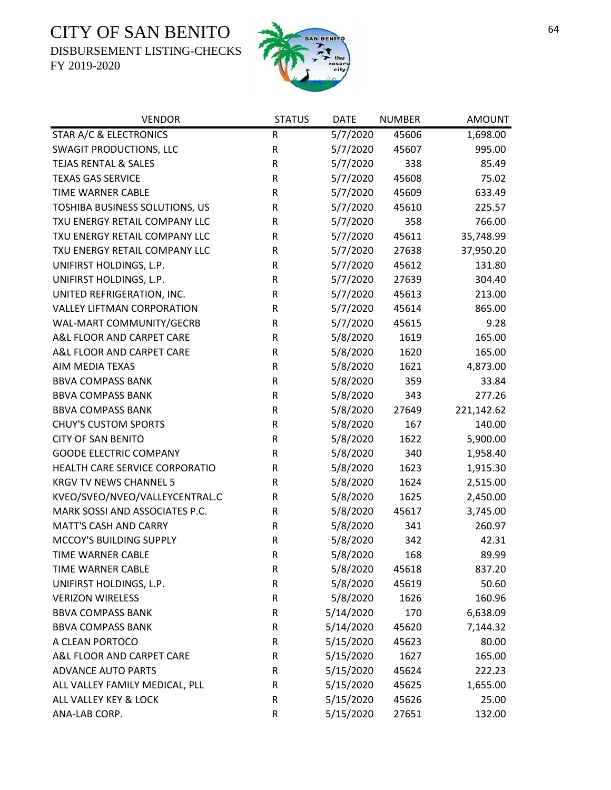DISBURSEMENT LISTING-CHECKS



| <b>VENDOR</b>                     | <b>STATUS</b> | <b>DATE</b> | <b>NUMBER</b> | <b>AMOUNT</b> |
|-----------------------------------|---------------|-------------|---------------|---------------|
| STAR A/C & ELECTRONICS            | ${\sf R}$     | 5/7/2020    | 45606         | 1,698.00      |
| <b>SWAGIT PRODUCTIONS, LLC</b>    | ${\sf R}$     | 5/7/2020    | 45607         | 995.00        |
| <b>TEJAS RENTAL &amp; SALES</b>   | R             | 5/7/2020    | 338           | 85.49         |
| <b>TEXAS GAS SERVICE</b>          | R             | 5/7/2020    | 45608         | 75.02         |
| <b>TIME WARNER CABLE</b>          | ${\sf R}$     | 5/7/2020    | 45609         | 633.49        |
| TOSHIBA BUSINESS SOLUTIONS, US    | R             | 5/7/2020    | 45610         | 225.57        |
| TXU ENERGY RETAIL COMPANY LLC     | R             | 5/7/2020    | 358           | 766.00        |
| TXU ENERGY RETAIL COMPANY LLC     | R             | 5/7/2020    | 45611         | 35,748.99     |
| TXU ENERGY RETAIL COMPANY LLC     | ${\sf R}$     | 5/7/2020    | 27638         | 37,950.20     |
| UNIFIRST HOLDINGS, L.P.           | ${\sf R}$     | 5/7/2020    | 45612         | 131.80        |
| UNIFIRST HOLDINGS, L.P.           | ${\sf R}$     | 5/7/2020    | 27639         | 304.40        |
| UNITED REFRIGERATION, INC.        | ${\sf R}$     | 5/7/2020    | 45613         | 213.00        |
| <b>VALLEY LIFTMAN CORPORATION</b> | ${\sf R}$     | 5/7/2020    | 45614         | 865.00        |
| WAL-MART COMMUNITY/GECRB          | ${\sf R}$     | 5/7/2020    | 45615         | 9.28          |
| A&L FLOOR AND CARPET CARE         | R             | 5/8/2020    | 1619          | 165.00        |
| A&L FLOOR AND CARPET CARE         | ${\sf R}$     | 5/8/2020    | 1620          | 165.00        |
| AIM MEDIA TEXAS                   | ${\sf R}$     | 5/8/2020    | 1621          | 4,873.00      |
| <b>BBVA COMPASS BANK</b>          | ${\sf R}$     | 5/8/2020    | 359           | 33.84         |
| <b>BBVA COMPASS BANK</b>          | ${\sf R}$     | 5/8/2020    | 343           | 277.26        |
| <b>BBVA COMPASS BANK</b>          | ${\sf R}$     | 5/8/2020    | 27649         | 221,142.62    |
| <b>CHUY'S CUSTOM SPORTS</b>       | ${\sf R}$     | 5/8/2020    | 167           | 140.00        |
| <b>CITY OF SAN BENITO</b>         | ${\sf R}$     | 5/8/2020    | 1622          | 5,900.00      |
| <b>GOODE ELECTRIC COMPANY</b>     | ${\sf R}$     | 5/8/2020    | 340           | 1,958.40      |
| HEALTH CARE SERVICE CORPORATIO    | ${\sf R}$     | 5/8/2020    | 1623          | 1,915.30      |
| <b>KRGV TV NEWS CHANNEL 5</b>     | R             | 5/8/2020    | 1624          | 2,515.00      |
| KVEO/SVEO/NVEO/VALLEYCENTRAL.C    | R             | 5/8/2020    | 1625          | 2,450.00      |
| MARK SOSSI AND ASSOCIATES P.C.    | R             | 5/8/2020    | 45617         | 3,745.00      |
| <b>MATT'S CASH AND CARRY</b>      | ${\sf R}$     | 5/8/2020    | 341           | 260.97        |
| MCCOY'S BUILDING SUPPLY           | ${\sf R}$     | 5/8/2020    | 342           | 42.31         |
| TIME WARNER CABLE                 | $\mathsf{R}$  | 5/8/2020    | 168           | 89.99         |
| TIME WARNER CABLE                 | R             | 5/8/2020    | 45618         | 837.20        |
| UNIFIRST HOLDINGS, L.P.           | ${\sf R}$     | 5/8/2020    | 45619         | 50.60         |
| <b>VERIZON WIRELESS</b>           | ${\sf R}$     | 5/8/2020    | 1626          | 160.96        |
| <b>BBVA COMPASS BANK</b>          | R             | 5/14/2020   | 170           | 6,638.09      |
| <b>BBVA COMPASS BANK</b>          | ${\sf R}$     | 5/14/2020   | 45620         | 7,144.32      |
| A CLEAN PORTOCO                   | R             | 5/15/2020   | 45623         | 80.00         |
| A&L FLOOR AND CARPET CARE         | ${\sf R}$     | 5/15/2020   | 1627          | 165.00        |
| <b>ADVANCE AUTO PARTS</b>         | ${\sf R}$     | 5/15/2020   | 45624         | 222.23        |
| ALL VALLEY FAMILY MEDICAL, PLL    | R             | 5/15/2020   | 45625         | 1,655.00      |
| ALL VALLEY KEY & LOCK             | ${\sf R}$     | 5/15/2020   | 45626         | 25.00         |
| ANA-LAB CORP.                     | ${\sf R}$     | 5/15/2020   | 27651         | 132.00        |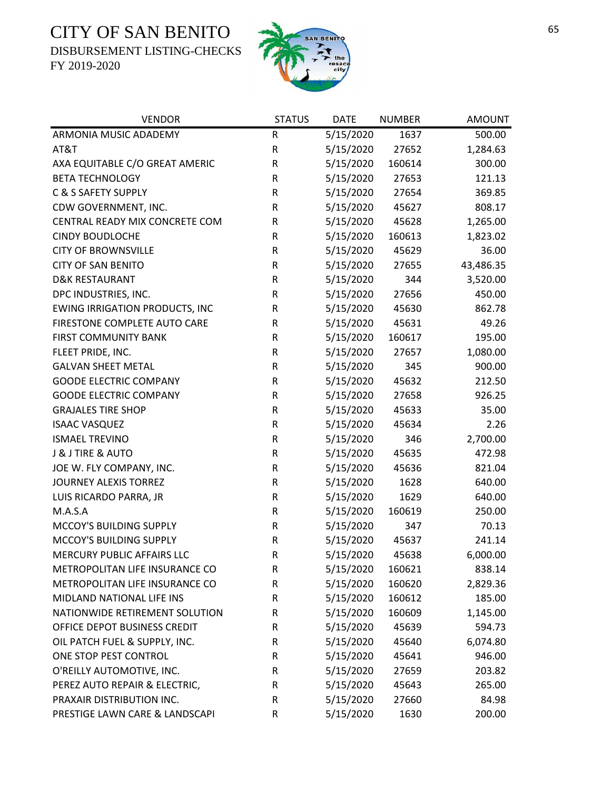DISBURSEMENT LISTING-CHECKS



| <b>VENDOR</b>                         | <b>STATUS</b> | <b>DATE</b> | <b>NUMBER</b> | <b>AMOUNT</b> |
|---------------------------------------|---------------|-------------|---------------|---------------|
| ARMONIA MUSIC ADADEMY                 | R             | 5/15/2020   | 1637          | 500.00        |
| AT&T                                  | $\mathsf R$   | 5/15/2020   | 27652         | 1,284.63      |
| AXA EQUITABLE C/O GREAT AMERIC        | ${\sf R}$     | 5/15/2020   | 160614        | 300.00        |
| <b>BETA TECHNOLOGY</b>                | ${\sf R}$     | 5/15/2020   | 27653         | 121.13        |
| C & S SAFETY SUPPLY                   | ${\sf R}$     | 5/15/2020   | 27654         | 369.85        |
| CDW GOVERNMENT, INC.                  | $\mathsf R$   | 5/15/2020   | 45627         | 808.17        |
| CENTRAL READY MIX CONCRETE COM        | $\mathsf R$   | 5/15/2020   | 45628         | 1,265.00      |
| <b>CINDY BOUDLOCHE</b>                | ${\sf R}$     | 5/15/2020   | 160613        | 1,823.02      |
| <b>CITY OF BROWNSVILLE</b>            | $\mathsf R$   | 5/15/2020   | 45629         | 36.00         |
| <b>CITY OF SAN BENITO</b>             | ${\sf R}$     | 5/15/2020   | 27655         | 43,486.35     |
| <b>D&amp;K RESTAURANT</b>             | $\mathsf R$   | 5/15/2020   | 344           | 3,520.00      |
| DPC INDUSTRIES, INC.                  | $\mathsf R$   | 5/15/2020   | 27656         | 450.00        |
| <b>EWING IRRIGATION PRODUCTS, INC</b> | $\mathsf R$   | 5/15/2020   | 45630         | 862.78        |
| FIRESTONE COMPLETE AUTO CARE          | $\mathsf R$   | 5/15/2020   | 45631         | 49.26         |
| <b>FIRST COMMUNITY BANK</b>           | ${\sf R}$     | 5/15/2020   | 160617        | 195.00        |
| FLEET PRIDE, INC.                     | ${\sf R}$     | 5/15/2020   | 27657         | 1,080.00      |
| <b>GALVAN SHEET METAL</b>             | ${\sf R}$     | 5/15/2020   | 345           | 900.00        |
| <b>GOODE ELECTRIC COMPANY</b>         | ${\sf R}$     | 5/15/2020   | 45632         | 212.50        |
| <b>GOODE ELECTRIC COMPANY</b>         | $\mathsf R$   | 5/15/2020   | 27658         | 926.25        |
| <b>GRAJALES TIRE SHOP</b>             | ${\sf R}$     | 5/15/2020   | 45633         | 35.00         |
| <b>ISAAC VASQUEZ</b>                  | ${\sf R}$     | 5/15/2020   | 45634         | 2.26          |
| <b>ISMAEL TREVINO</b>                 | ${\sf R}$     | 5/15/2020   | 346           | 2,700.00      |
| J & J TIRE & AUTO                     | ${\sf R}$     | 5/15/2020   | 45635         | 472.98        |
| JOE W. FLY COMPANY, INC.              | $\mathsf R$   | 5/15/2020   | 45636         | 821.04        |
| <b>JOURNEY ALEXIS TORREZ</b>          | ${\sf R}$     | 5/15/2020   | 1628          | 640.00        |
| LUIS RICARDO PARRA, JR                | $\mathsf R$   | 5/15/2020   | 1629          | 640.00        |
| M.A.S.A                               | ${\sf R}$     | 5/15/2020   | 160619        | 250.00        |
| MCCOY'S BUILDING SUPPLY               | ${\sf R}$     | 5/15/2020   | 347           | 70.13         |
| MCCOY'S BUILDING SUPPLY               | ${\sf R}$     | 5/15/2020   | 45637         | 241.14        |
| MERCURY PUBLIC AFFAIRS LLC            | $\mathsf{R}$  | 5/15/2020   | 45638         | 6,000.00      |
| METROPOLITAN LIFE INSURANCE CO        | R             | 5/15/2020   | 160621        | 838.14        |
| METROPOLITAN LIFE INSURANCE CO        | R             | 5/15/2020   | 160620        | 2,829.36      |
| MIDLAND NATIONAL LIFE INS             | R             | 5/15/2020   | 160612        | 185.00        |
| NATIONWIDE RETIREMENT SOLUTION        | R             | 5/15/2020   | 160609        | 1,145.00      |
| OFFICE DEPOT BUSINESS CREDIT          | R             | 5/15/2020   | 45639         | 594.73        |
| OIL PATCH FUEL & SUPPLY, INC.         | R             | 5/15/2020   | 45640         | 6,074.80      |
| ONE STOP PEST CONTROL                 | R             | 5/15/2020   | 45641         | 946.00        |
| O'REILLY AUTOMOTIVE, INC.             | R             | 5/15/2020   | 27659         | 203.82        |
| PEREZ AUTO REPAIR & ELECTRIC,         | $\mathsf R$   | 5/15/2020   | 45643         | 265.00        |
| PRAXAIR DISTRIBUTION INC.             | R             | 5/15/2020   | 27660         | 84.98         |
| PRESTIGE LAWN CARE & LANDSCAPI        | R             | 5/15/2020   | 1630          | 200.00        |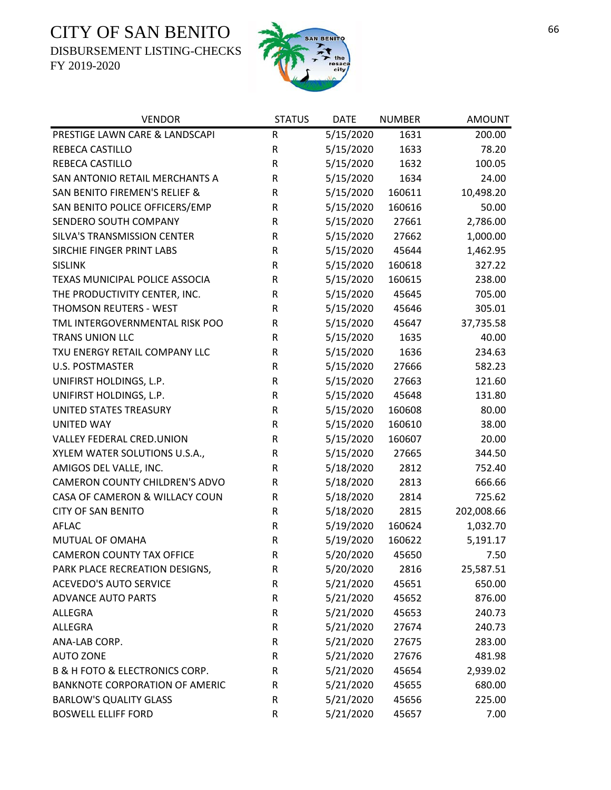DISBURSEMENT LISTING-CHECKS



| <b>VENDOR</b>                                 | <b>STATUS</b> | <b>DATE</b> | <b>NUMBER</b> | <b>AMOUNT</b> |
|-----------------------------------------------|---------------|-------------|---------------|---------------|
| PRESTIGE LAWN CARE & LANDSCAPI                | R             | 5/15/2020   | 1631          | 200.00        |
| REBECA CASTILLO                               | R             | 5/15/2020   | 1633          | 78.20         |
| REBECA CASTILLO                               | ${\sf R}$     | 5/15/2020   | 1632          | 100.05        |
| SAN ANTONIO RETAIL MERCHANTS A                | ${\sf R}$     | 5/15/2020   | 1634          | 24.00         |
| SAN BENITO FIREMEN'S RELIEF &                 | R             | 5/15/2020   | 160611        | 10,498.20     |
| SAN BENITO POLICE OFFICERS/EMP                | ${\sf R}$     | 5/15/2020   | 160616        | 50.00         |
| SENDERO SOUTH COMPANY                         | ${\sf R}$     | 5/15/2020   | 27661         | 2,786.00      |
| SILVA'S TRANSMISSION CENTER                   | R             | 5/15/2020   | 27662         | 1,000.00      |
| SIRCHIE FINGER PRINT LABS                     | ${\sf R}$     | 5/15/2020   | 45644         | 1,462.95      |
| <b>SISLINK</b>                                | R             | 5/15/2020   | 160618        | 327.22        |
| TEXAS MUNICIPAL POLICE ASSOCIA                | R             | 5/15/2020   | 160615        | 238.00        |
| THE PRODUCTIVITY CENTER, INC.                 | ${\sf R}$     | 5/15/2020   | 45645         | 705.00        |
| THOMSON REUTERS - WEST                        | ${\sf R}$     | 5/15/2020   | 45646         | 305.01        |
| TML INTERGOVERNMENTAL RISK POO                | ${\sf R}$     | 5/15/2020   | 45647         | 37,735.58     |
| <b>TRANS UNION LLC</b>                        | R             | 5/15/2020   | 1635          | 40.00         |
| TXU ENERGY RETAIL COMPANY LLC                 | ${\sf R}$     | 5/15/2020   | 1636          | 234.63        |
| <b>U.S. POSTMASTER</b>                        | R             | 5/15/2020   | 27666         | 582.23        |
| UNIFIRST HOLDINGS, L.P.                       | R             | 5/15/2020   | 27663         | 121.60        |
| UNIFIRST HOLDINGS, L.P.                       | ${\sf R}$     | 5/15/2020   | 45648         | 131.80        |
| UNITED STATES TREASURY                        | ${\sf R}$     | 5/15/2020   | 160608        | 80.00         |
| <b>UNITED WAY</b>                             | R             | 5/15/2020   | 160610        | 38.00         |
| VALLEY FEDERAL CRED.UNION                     | ${\sf R}$     | 5/15/2020   | 160607        | 20.00         |
| XYLEM WATER SOLUTIONS U.S.A.,                 | ${\sf R}$     | 5/15/2020   | 27665         | 344.50        |
| AMIGOS DEL VALLE, INC.                        | R             | 5/18/2020   | 2812          | 752.40        |
| CAMERON COUNTY CHILDREN'S ADVO                | ${\sf R}$     | 5/18/2020   | 2813          | 666.66        |
| CASA OF CAMERON & WILLACY COUN                | R             | 5/18/2020   | 2814          | 725.62        |
| <b>CITY OF SAN BENITO</b>                     | R             | 5/18/2020   | 2815          | 202,008.66    |
| <b>AFLAC</b>                                  | ${\sf R}$     | 5/19/2020   | 160624        | 1,032.70      |
| MUTUAL OF OMAHA                               | ${\sf R}$     | 5/19/2020   | 160622        | 5,191.17      |
| <b>CAMERON COUNTY TAX OFFICE</b>              | $\mathsf R$   | 5/20/2020   | 45650         | 7.50          |
| PARK PLACE RECREATION DESIGNS,                | R             | 5/20/2020   | 2816          | 25,587.51     |
| <b>ACEVEDO'S AUTO SERVICE</b>                 | R             | 5/21/2020   | 45651         | 650.00        |
| <b>ADVANCE AUTO PARTS</b>                     | ${\sf R}$     | 5/21/2020   | 45652         | 876.00        |
| <b>ALLEGRA</b>                                | ${\sf R}$     | 5/21/2020   | 45653         | 240.73        |
| <b>ALLEGRA</b>                                | ${\sf R}$     | 5/21/2020   | 27674         | 240.73        |
| ANA-LAB CORP.                                 | R             | 5/21/2020   | 27675         | 283.00        |
| <b>AUTO ZONE</b>                              | R             | 5/21/2020   | 27676         | 481.98        |
| <b>B &amp; H FOTO &amp; ELECTRONICS CORP.</b> | R             | 5/21/2020   | 45654         | 2,939.02      |
| <b>BANKNOTE CORPORATION OF AMERIC</b>         | R             | 5/21/2020   | 45655         | 680.00        |
| <b>BARLOW'S QUALITY GLASS</b>                 | ${\sf R}$     | 5/21/2020   | 45656         | 225.00        |
| <b>BOSWELL ELLIFF FORD</b>                    | R             | 5/21/2020   | 45657         | 7.00          |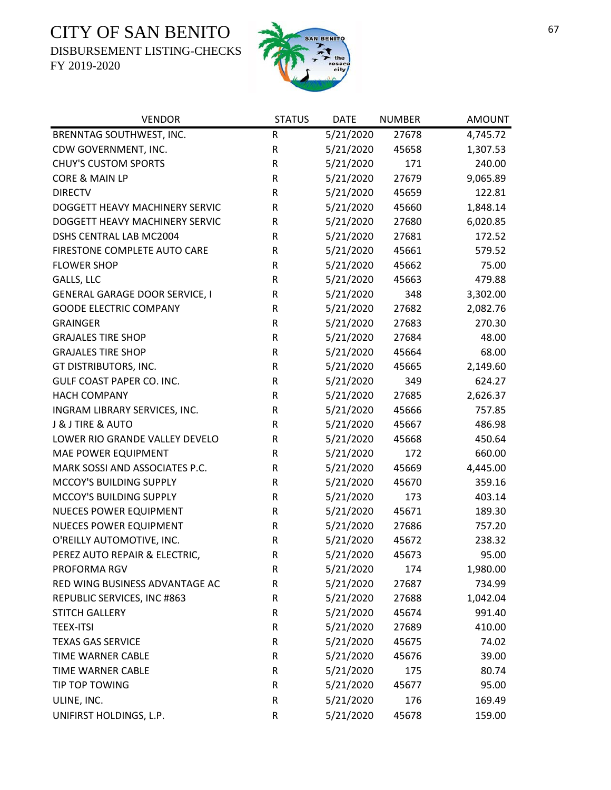DISBURSEMENT LISTING-CHECKS



| <b>VENDOR</b>                         | <b>STATUS</b> | <b>DATE</b> | <b>NUMBER</b> | <b>AMOUNT</b> |
|---------------------------------------|---------------|-------------|---------------|---------------|
| BRENNTAG SOUTHWEST, INC.              | R             | 5/21/2020   | 27678         | 4,745.72      |
| CDW GOVERNMENT, INC.                  | $\mathsf R$   | 5/21/2020   | 45658         | 1,307.53      |
| <b>CHUY'S CUSTOM SPORTS</b>           | ${\sf R}$     | 5/21/2020   | 171           | 240.00        |
| CORE & MAIN LP                        | ${\sf R}$     | 5/21/2020   | 27679         | 9,065.89      |
| <b>DIRECTV</b>                        | R             | 5/21/2020   | 45659         | 122.81        |
| DOGGETT HEAVY MACHINERY SERVIC        | $\sf R$       | 5/21/2020   | 45660         | 1,848.14      |
| DOGGETT HEAVY MACHINERY SERVIC        | ${\sf R}$     | 5/21/2020   | 27680         | 6,020.85      |
| DSHS CENTRAL LAB MC2004               | R             | 5/21/2020   | 27681         | 172.52        |
| FIRESTONE COMPLETE AUTO CARE          | ${\sf R}$     | 5/21/2020   | 45661         | 579.52        |
| <b>FLOWER SHOP</b>                    | R             | 5/21/2020   | 45662         | 75.00         |
| GALLS, LLC                            | R             | 5/21/2020   | 45663         | 479.88        |
| <b>GENERAL GARAGE DOOR SERVICE, I</b> | R             | 5/21/2020   | 348           | 3,302.00      |
| <b>GOODE ELECTRIC COMPANY</b>         | ${\sf R}$     | 5/21/2020   | 27682         | 2,082.76      |
| <b>GRAINGER</b>                       | ${\sf R}$     | 5/21/2020   | 27683         | 270.30        |
| <b>GRAJALES TIRE SHOP</b>             | ${\sf R}$     | 5/21/2020   | 27684         | 48.00         |
| <b>GRAJALES TIRE SHOP</b>             | ${\sf R}$     | 5/21/2020   | 45664         | 68.00         |
| GT DISTRIBUTORS, INC.                 | R             | 5/21/2020   | 45665         | 2,149.60      |
| <b>GULF COAST PAPER CO. INC.</b>      | ${\sf R}$     | 5/21/2020   | 349           | 624.27        |
| <b>HACH COMPANY</b>                   | $\sf R$       | 5/21/2020   | 27685         | 2,626.37      |
| INGRAM LIBRARY SERVICES, INC.         | R             | 5/21/2020   | 45666         | 757.85        |
| <b>J &amp; J TIRE &amp; AUTO</b>      | R             | 5/21/2020   | 45667         | 486.98        |
| LOWER RIO GRANDE VALLEY DEVELO        | R             | 5/21/2020   | 45668         | 450.64        |
| MAE POWER EQUIPMENT                   | R             | 5/21/2020   | 172           | 660.00        |
| MARK SOSSI AND ASSOCIATES P.C.        | ${\sf R}$     | 5/21/2020   | 45669         | 4,445.00      |
| MCCOY'S BUILDING SUPPLY               | ${\sf R}$     | 5/21/2020   | 45670         | 359.16        |
| MCCOY'S BUILDING SUPPLY               | ${\sf R}$     | 5/21/2020   | 173           | 403.14        |
| <b>NUECES POWER EQUIPMENT</b>         | ${\sf R}$     | 5/21/2020   | 45671         | 189.30        |
| <b>NUECES POWER EQUIPMENT</b>         | ${\sf R}$     | 5/21/2020   | 27686         | 757.20        |
| O'REILLY AUTOMOTIVE, INC.             | ${\sf R}$     | 5/21/2020   | 45672         | 238.32        |
| PEREZ AUTO REPAIR & ELECTRIC,         | $\mathsf R$   | 5/21/2020   | 45673         | 95.00         |
| PROFORMA RGV                          | R             | 5/21/2020   | 174           | 1,980.00      |
| RED WING BUSINESS ADVANTAGE AC        | R             | 5/21/2020   | 27687         | 734.99        |
| REPUBLIC SERVICES, INC #863           | ${\sf R}$     | 5/21/2020   | 27688         | 1,042.04      |
| <b>STITCH GALLERY</b>                 | ${\sf R}$     | 5/21/2020   | 45674         | 991.40        |
| <b>TEEX-ITSI</b>                      | ${\sf R}$     | 5/21/2020   | 27689         | 410.00        |
| <b>TEXAS GAS SERVICE</b>              | ${\sf R}$     | 5/21/2020   | 45675         | 74.02         |
| <b>TIME WARNER CABLE</b>              | ${\sf R}$     | 5/21/2020   | 45676         | 39.00         |
| TIME WARNER CABLE                     | ${\sf R}$     | 5/21/2020   | 175           | 80.74         |
| TIP TOP TOWING                        | ${\sf R}$     | 5/21/2020   | 45677         | 95.00         |
| ULINE, INC.                           | ${\sf R}$     | 5/21/2020   | 176           | 169.49        |
| UNIFIRST HOLDINGS, L.P.               | R             | 5/21/2020   | 45678         | 159.00        |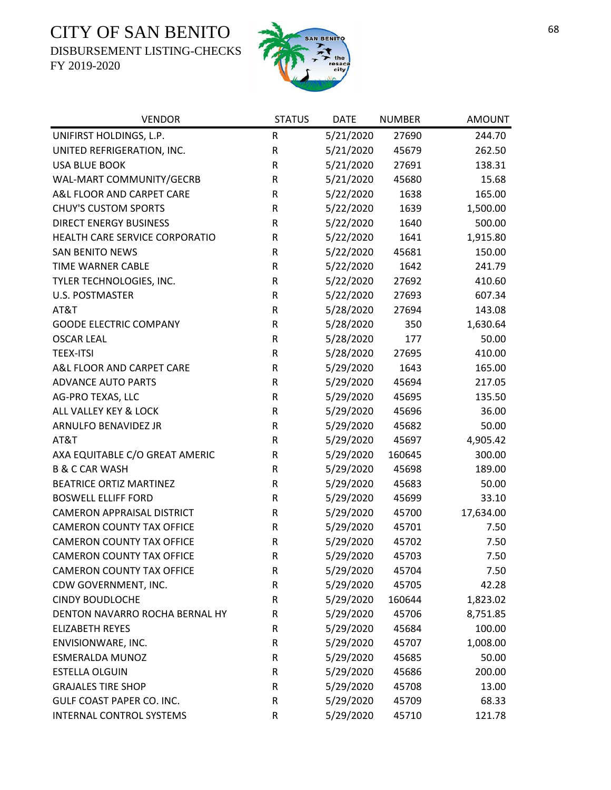DISBURSEMENT LISTING-CHECKS



| <b>VENDOR</b>                     | <b>STATUS</b> | <b>DATE</b> | <b>NUMBER</b> | <b>AMOUNT</b> |
|-----------------------------------|---------------|-------------|---------------|---------------|
| UNIFIRST HOLDINGS, L.P.           | $\mathsf R$   | 5/21/2020   | 27690         | 244.70        |
| UNITED REFRIGERATION, INC.        | ${\sf R}$     | 5/21/2020   | 45679         | 262.50        |
| <b>USA BLUE BOOK</b>              | ${\sf R}$     | 5/21/2020   | 27691         | 138.31        |
| WAL-MART COMMUNITY/GECRB          | R             | 5/21/2020   | 45680         | 15.68         |
| A&L FLOOR AND CARPET CARE         | ${\sf R}$     | 5/22/2020   | 1638          | 165.00        |
| <b>CHUY'S CUSTOM SPORTS</b>       | ${\sf R}$     | 5/22/2020   | 1639          | 1,500.00      |
| <b>DIRECT ENERGY BUSINESS</b>     | ${\sf R}$     | 5/22/2020   | 1640          | 500.00        |
| HEALTH CARE SERVICE CORPORATIO    | ${\sf R}$     | 5/22/2020   | 1641          | 1,915.80      |
| <b>SAN BENITO NEWS</b>            | R             | 5/22/2020   | 45681         | 150.00        |
| TIME WARNER CABLE                 | ${\sf R}$     | 5/22/2020   | 1642          | 241.79        |
| TYLER TECHNOLOGIES, INC.          | $\mathsf R$   | 5/22/2020   | 27692         | 410.60        |
| U.S. POSTMASTER                   | ${\sf R}$     | 5/22/2020   | 27693         | 607.34        |
| AT&T                              | ${\sf R}$     | 5/28/2020   | 27694         | 143.08        |
| <b>GOODE ELECTRIC COMPANY</b>     | ${\sf R}$     | 5/28/2020   | 350           | 1,630.64      |
| <b>OSCAR LEAL</b>                 | ${\sf R}$     | 5/28/2020   | 177           | 50.00         |
| <b>TEEX-ITSI</b>                  | R             | 5/28/2020   | 27695         | 410.00        |
| A&L FLOOR AND CARPET CARE         | ${\sf R}$     | 5/29/2020   | 1643          | 165.00        |
| <b>ADVANCE AUTO PARTS</b>         | $\mathsf R$   | 5/29/2020   | 45694         | 217.05        |
| AG-PRO TEXAS, LLC                 | ${\sf R}$     | 5/29/2020   | 45695         | 135.50        |
| ALL VALLEY KEY & LOCK             | ${\sf R}$     | 5/29/2020   | 45696         | 36.00         |
| ARNULFO BENAVIDEZ JR              | ${\sf R}$     | 5/29/2020   | 45682         | 50.00         |
| AT&T                              | ${\sf R}$     | 5/29/2020   | 45697         | 4,905.42      |
| AXA EQUITABLE C/O GREAT AMERIC    | ${\sf R}$     | 5/29/2020   | 160645        | 300.00        |
| <b>B &amp; C CAR WASH</b>         | ${\sf R}$     | 5/29/2020   | 45698         | 189.00        |
| <b>BEATRICE ORTIZ MARTINEZ</b>    | ${\sf R}$     | 5/29/2020   | 45683         | 50.00         |
| <b>BOSWELL ELLIFF FORD</b>        | ${\sf R}$     | 5/29/2020   | 45699         | 33.10         |
| <b>CAMERON APPRAISAL DISTRICT</b> | ${\sf R}$     | 5/29/2020   | 45700         | 17,634.00     |
| <b>CAMERON COUNTY TAX OFFICE</b>  | R             | 5/29/2020   | 45701         | 7.50          |
| <b>CAMERON COUNTY TAX OFFICE</b>  | ${\sf R}$     | 5/29/2020   | 45702         | 7.50          |
| <b>CAMERON COUNTY TAX OFFICE</b>  | R             | 5/29/2020   | 45703         | 7.50          |
| <b>CAMERON COUNTY TAX OFFICE</b>  | R             | 5/29/2020   | 45704         | 7.50          |
| CDW GOVERNMENT, INC.              | ${\sf R}$     | 5/29/2020   | 45705         | 42.28         |
| <b>CINDY BOUDLOCHE</b>            | R             | 5/29/2020   | 160644        | 1,823.02      |
| DENTON NAVARRO ROCHA BERNAL HY    | R             | 5/29/2020   | 45706         | 8,751.85      |
| <b>ELIZABETH REYES</b>            | R             | 5/29/2020   | 45684         | 100.00        |
| ENVISIONWARE, INC.                | R             | 5/29/2020   | 45707         | 1,008.00      |
| <b>ESMERALDA MUNOZ</b>            | R             | 5/29/2020   | 45685         | 50.00         |
| <b>ESTELLA OLGUIN</b>             | R             | 5/29/2020   | 45686         | 200.00        |
| <b>GRAJALES TIRE SHOP</b>         | R             | 5/29/2020   | 45708         | 13.00         |
| <b>GULF COAST PAPER CO. INC.</b>  | R             | 5/29/2020   | 45709         | 68.33         |
| INTERNAL CONTROL SYSTEMS          | R             | 5/29/2020   | 45710         | 121.78        |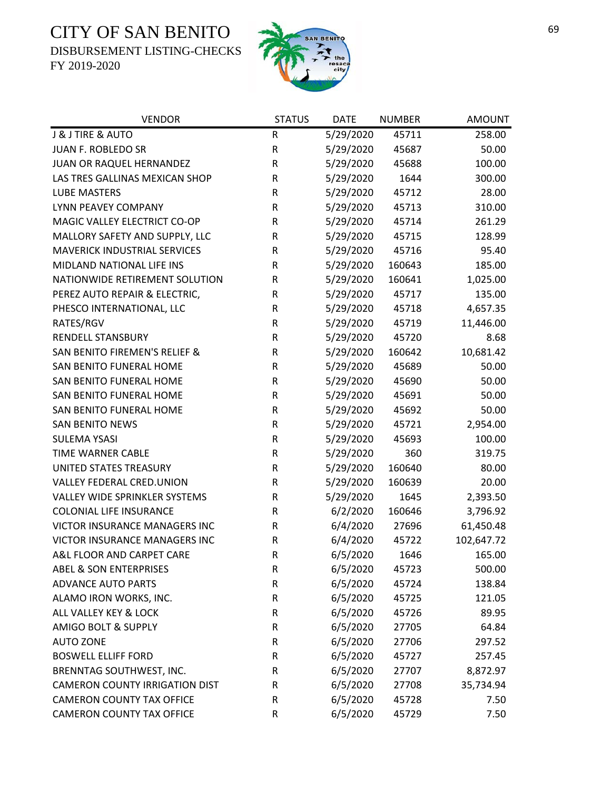DISBURSEMENT LISTING-CHECKS



| <b>VENDOR</b>                            | <b>STATUS</b> | <b>DATE</b> | <b>NUMBER</b> | <b>AMOUNT</b> |
|------------------------------------------|---------------|-------------|---------------|---------------|
| J & J TIRE & AUTO                        | R             | 5/29/2020   | 45711         | 258.00        |
| JUAN F. ROBLEDO SR                       | ${\sf R}$     | 5/29/2020   | 45687         | 50.00         |
| JUAN OR RAQUEL HERNANDEZ                 | R             | 5/29/2020   | 45688         | 100.00        |
| LAS TRES GALLINAS MEXICAN SHOP           | ${\sf R}$     | 5/29/2020   | 1644          | 300.00        |
| <b>LUBE MASTERS</b>                      | R             | 5/29/2020   | 45712         | 28.00         |
| LYNN PEAVEY COMPANY                      | R             | 5/29/2020   | 45713         | 310.00        |
| MAGIC VALLEY ELECTRICT CO-OP             | ${\sf R}$     | 5/29/2020   | 45714         | 261.29        |
| MALLORY SAFETY AND SUPPLY, LLC           | R             | 5/29/2020   | 45715         | 128.99        |
| <b>MAVERICK INDUSTRIAL SERVICES</b>      | R             | 5/29/2020   | 45716         | 95.40         |
| MIDLAND NATIONAL LIFE INS                | R             | 5/29/2020   | 160643        | 185.00        |
| NATIONWIDE RETIREMENT SOLUTION           | R             | 5/29/2020   | 160641        | 1,025.00      |
| PEREZ AUTO REPAIR & ELECTRIC,            | R             | 5/29/2020   | 45717         | 135.00        |
| PHESCO INTERNATIONAL, LLC                | R             | 5/29/2020   | 45718         | 4,657.35      |
| RATES/RGV                                | ${\sf R}$     | 5/29/2020   | 45719         | 11,446.00     |
| RENDELL STANSBURY                        | R             | 5/29/2020   | 45720         | 8.68          |
| <b>SAN BENITO FIREMEN'S RELIEF &amp;</b> | ${\sf R}$     | 5/29/2020   | 160642        | 10,681.42     |
| SAN BENITO FUNERAL HOME                  | ${\sf R}$     | 5/29/2020   | 45689         | 50.00         |
| SAN BENITO FUNERAL HOME                  | ${\sf R}$     | 5/29/2020   | 45690         | 50.00         |
| SAN BENITO FUNERAL HOME                  | ${\sf R}$     | 5/29/2020   | 45691         | 50.00         |
| SAN BENITO FUNERAL HOME                  | ${\sf R}$     | 5/29/2020   | 45692         | 50.00         |
| <b>SAN BENITO NEWS</b>                   | ${\sf R}$     | 5/29/2020   | 45721         | 2,954.00      |
| <b>SULEMA YSASI</b>                      | R             | 5/29/2020   | 45693         | 100.00        |
| TIME WARNER CABLE                        | R             | 5/29/2020   | 360           | 319.75        |
| UNITED STATES TREASURY                   | ${\sf R}$     | 5/29/2020   | 160640        | 80.00         |
| VALLEY FEDERAL CRED.UNION                | ${\sf R}$     | 5/29/2020   | 160639        | 20.00         |
| VALLEY WIDE SPRINKLER SYSTEMS            | ${\sf R}$     | 5/29/2020   | 1645          | 2,393.50      |
| <b>COLONIAL LIFE INSURANCE</b>           | R             | 6/2/2020    | 160646        | 3,796.92      |
| VICTOR INSURANCE MANAGERS INC            | R             | 6/4/2020    | 27696         | 61,450.48     |
| VICTOR INSURANCE MANAGERS INC            | ${\sf R}$     | 6/4/2020    | 45722         | 102,647.72    |
| A&L FLOOR AND CARPET CARE                | $\mathsf R$   | 6/5/2020    | 1646          | 165.00        |
| <b>ABEL &amp; SON ENTERPRISES</b>        | R             | 6/5/2020    | 45723         | 500.00        |
| <b>ADVANCE AUTO PARTS</b>                | ${\sf R}$     | 6/5/2020    | 45724         | 138.84        |
| ALAMO IRON WORKS, INC.                   | ${\sf R}$     | 6/5/2020    | 45725         | 121.05        |
| ALL VALLEY KEY & LOCK                    | R             | 6/5/2020    | 45726         | 89.95         |
| <b>AMIGO BOLT &amp; SUPPLY</b>           | ${\sf R}$     | 6/5/2020    | 27705         | 64.84         |
| <b>AUTO ZONE</b>                         | R             | 6/5/2020    | 27706         | 297.52        |
| <b>BOSWELL ELLIFF FORD</b>               | R             | 6/5/2020    | 45727         | 257.45        |
| BRENNTAG SOUTHWEST, INC.                 | ${\sf R}$     | 6/5/2020    | 27707         | 8,872.97      |
| <b>CAMERON COUNTY IRRIGATION DIST</b>    | R             | 6/5/2020    | 27708         | 35,734.94     |
| <b>CAMERON COUNTY TAX OFFICE</b>         | R             | 6/5/2020    | 45728         | 7.50          |
| <b>CAMERON COUNTY TAX OFFICE</b>         | ${\sf R}$     | 6/5/2020    | 45729         | 7.50          |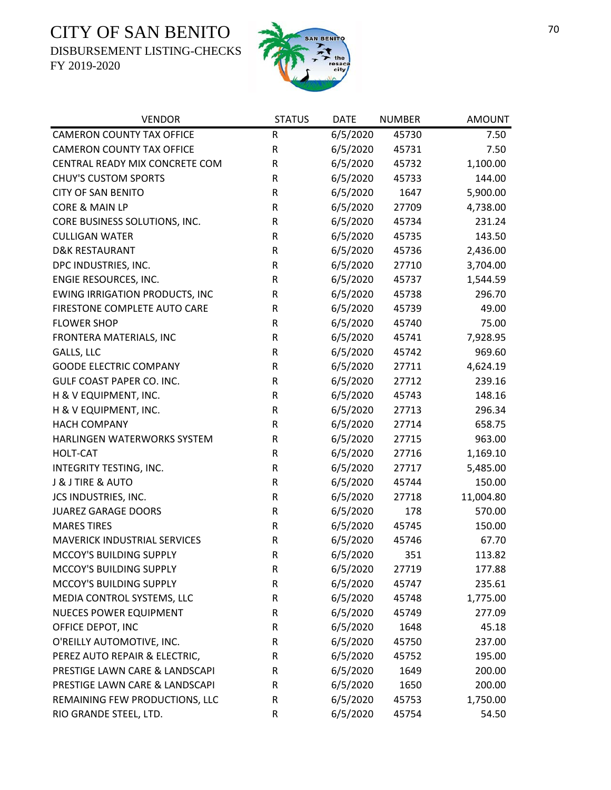DISBURSEMENT LISTING-CHECKS



| <b>VENDOR</b>                         | <b>STATUS</b> | <b>DATE</b> | <b>NUMBER</b> | <b>AMOUNT</b> |
|---------------------------------------|---------------|-------------|---------------|---------------|
| <b>CAMERON COUNTY TAX OFFICE</b>      | R             | 6/5/2020    | 45730         | 7.50          |
| <b>CAMERON COUNTY TAX OFFICE</b>      | R             | 6/5/2020    | 45731         | 7.50          |
| CENTRAL READY MIX CONCRETE COM        | R             | 6/5/2020    | 45732         | 1,100.00      |
| <b>CHUY'S CUSTOM SPORTS</b>           | R             | 6/5/2020    | 45733         | 144.00        |
| <b>CITY OF SAN BENITO</b>             | R             | 6/5/2020    | 1647          | 5,900.00      |
| CORE & MAIN LP                        | R             | 6/5/2020    | 27709         | 4,738.00      |
| CORE BUSINESS SOLUTIONS, INC.         | R             | 6/5/2020    | 45734         | 231.24        |
| <b>CULLIGAN WATER</b>                 | R             | 6/5/2020    | 45735         | 143.50        |
| <b>D&amp;K RESTAURANT</b>             | R             | 6/5/2020    | 45736         | 2,436.00      |
| DPC INDUSTRIES, INC.                  | ${\sf R}$     | 6/5/2020    | 27710         | 3,704.00      |
| ENGIE RESOURCES, INC.                 | R             | 6/5/2020    | 45737         | 1,544.59      |
| <b>EWING IRRIGATION PRODUCTS, INC</b> | R             | 6/5/2020    | 45738         | 296.70        |
| FIRESTONE COMPLETE AUTO CARE          | R             | 6/5/2020    | 45739         | 49.00         |
| <b>FLOWER SHOP</b>                    | R             | 6/5/2020    | 45740         | 75.00         |
| FRONTERA MATERIALS, INC               | R             | 6/5/2020    | 45741         | 7,928.95      |
| GALLS, LLC                            | ${\sf R}$     | 6/5/2020    | 45742         | 969.60        |
| <b>GOODE ELECTRIC COMPANY</b>         | R             | 6/5/2020    | 27711         | 4,624.19      |
| <b>GULF COAST PAPER CO. INC.</b>      | ${\sf R}$     | 6/5/2020    | 27712         | 239.16        |
| H & V EQUIPMENT, INC.                 | R             | 6/5/2020    | 45743         | 148.16        |
| H & V EQUIPMENT, INC.                 | ${\sf R}$     | 6/5/2020    | 27713         | 296.34        |
| <b>HACH COMPANY</b>                   | R             | 6/5/2020    | 27714         | 658.75        |
| HARLINGEN WATERWORKS SYSTEM           | R             | 6/5/2020    | 27715         | 963.00        |
| <b>HOLT-CAT</b>                       | R             | 6/5/2020    | 27716         | 1,169.10      |
| INTEGRITY TESTING, INC.               | R             | 6/5/2020    | 27717         | 5,485.00      |
| J & J TIRE & AUTO                     | ${\sf R}$     | 6/5/2020    | 45744         | 150.00        |
| JCS INDUSTRIES, INC.                  | R             | 6/5/2020    | 27718         | 11,004.80     |
| <b>JUAREZ GARAGE DOORS</b>            | R             | 6/5/2020    | 178           | 570.00        |
| <b>MARES TIRES</b>                    | R             | 6/5/2020    | 45745         | 150.00        |
| <b>MAVERICK INDUSTRIAL SERVICES</b>   | ${\sf R}$     | 6/5/2020    | 45746         | 67.70         |
| MCCOY'S BUILDING SUPPLY               | $\mathsf R$   | 6/5/2020    | 351           | 113.82        |
| MCCOY'S BUILDING SUPPLY               | R             | 6/5/2020    | 27719         | 177.88        |
| MCCOY'S BUILDING SUPPLY               | R             | 6/5/2020    | 45747         | 235.61        |
| MEDIA CONTROL SYSTEMS, LLC            | R             | 6/5/2020    | 45748         | 1,775.00      |
| NUECES POWER EQUIPMENT                | R             | 6/5/2020    | 45749         | 277.09        |
| OFFICE DEPOT, INC                     | R             | 6/5/2020    | 1648          | 45.18         |
| O'REILLY AUTOMOTIVE, INC.             | R             | 6/5/2020    | 45750         | 237.00        |
| PEREZ AUTO REPAIR & ELECTRIC,         | R             | 6/5/2020    | 45752         | 195.00        |
| PRESTIGE LAWN CARE & LANDSCAPI        | R             | 6/5/2020    | 1649          | 200.00        |
| PRESTIGE LAWN CARE & LANDSCAPI        | R             | 6/5/2020    | 1650          | 200.00        |
| REMAINING FEW PRODUCTIONS, LLC        | R             | 6/5/2020    | 45753         | 1,750.00      |
| RIO GRANDE STEEL, LTD.                | R             | 6/5/2020    | 45754         | 54.50         |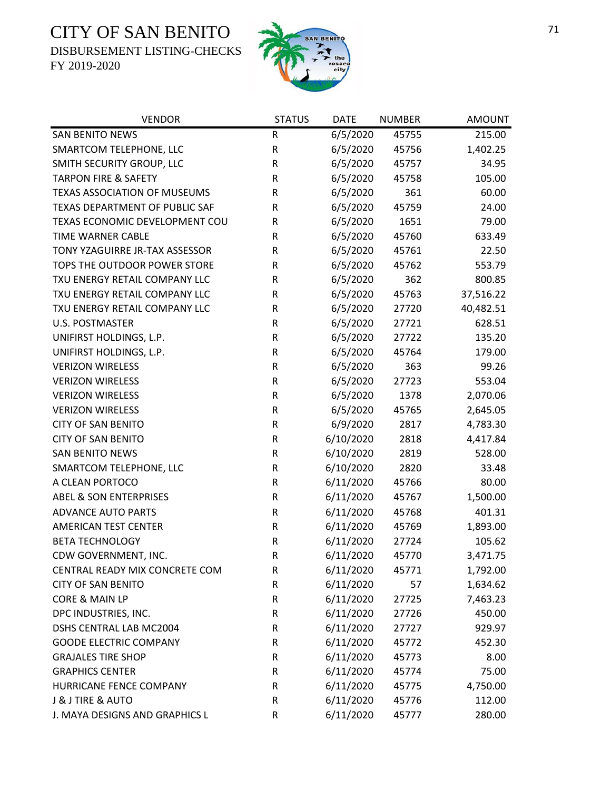DISBURSEMENT LISTING-CHECKS



| <b>VENDOR</b>                       | <b>STATUS</b> | <b>DATE</b> | <b>NUMBER</b> | <b>AMOUNT</b> |
|-------------------------------------|---------------|-------------|---------------|---------------|
| <b>SAN BENITO NEWS</b>              | ${\sf R}$     | 6/5/2020    | 45755         | 215.00        |
| SMARTCOM TELEPHONE, LLC             | ${\sf R}$     | 6/5/2020    | 45756         | 1,402.25      |
| SMITH SECURITY GROUP, LLC           | ${\sf R}$     | 6/5/2020    | 45757         | 34.95         |
| <b>TARPON FIRE &amp; SAFETY</b>     | ${\sf R}$     | 6/5/2020    | 45758         | 105.00        |
| <b>TEXAS ASSOCIATION OF MUSEUMS</b> | ${\sf R}$     | 6/5/2020    | 361           | 60.00         |
| TEXAS DEPARTMENT OF PUBLIC SAF      | R             | 6/5/2020    | 45759         | 24.00         |
| TEXAS ECONOMIC DEVELOPMENT COU      | R             | 6/5/2020    | 1651          | 79.00         |
| TIME WARNER CABLE                   | R             | 6/5/2020    | 45760         | 633.49        |
| TONY YZAGUIRRE JR-TAX ASSESSOR      | ${\sf R}$     | 6/5/2020    | 45761         | 22.50         |
| TOPS THE OUTDOOR POWER STORE        | ${\sf R}$     | 6/5/2020    | 45762         | 553.79        |
| TXU ENERGY RETAIL COMPANY LLC       | ${\sf R}$     | 6/5/2020    | 362           | 800.85        |
| TXU ENERGY RETAIL COMPANY LLC       | ${\sf R}$     | 6/5/2020    | 45763         | 37,516.22     |
| TXU ENERGY RETAIL COMPANY LLC       | ${\sf R}$     | 6/5/2020    | 27720         | 40,482.51     |
| <b>U.S. POSTMASTER</b>              | ${\sf R}$     | 6/5/2020    | 27721         | 628.51        |
| UNIFIRST HOLDINGS, L.P.             | ${\sf R}$     | 6/5/2020    | 27722         | 135.20        |
| UNIFIRST HOLDINGS, L.P.             | ${\sf R}$     | 6/5/2020    | 45764         | 179.00        |
| <b>VERIZON WIRELESS</b>             | ${\sf R}$     | 6/5/2020    | 363           | 99.26         |
| <b>VERIZON WIRELESS</b>             | ${\sf R}$     | 6/5/2020    | 27723         | 553.04        |
| <b>VERIZON WIRELESS</b>             | ${\sf R}$     | 6/5/2020    | 1378          | 2,070.06      |
| <b>VERIZON WIRELESS</b>             | ${\sf R}$     | 6/5/2020    | 45765         | 2,645.05      |
| <b>CITY OF SAN BENITO</b>           | ${\sf R}$     | 6/9/2020    | 2817          | 4,783.30      |
| <b>CITY OF SAN BENITO</b>           | ${\sf R}$     | 6/10/2020   | 2818          | 4,417.84      |
| <b>SAN BENITO NEWS</b>              | ${\sf R}$     | 6/10/2020   | 2819          | 528.00        |
| SMARTCOM TELEPHONE, LLC             | ${\sf R}$     | 6/10/2020   | 2820          | 33.48         |
| A CLEAN PORTOCO                     | ${\sf R}$     | 6/11/2020   | 45766         | 80.00         |
| <b>ABEL &amp; SON ENTERPRISES</b>   | ${\sf R}$     | 6/11/2020   | 45767         | 1,500.00      |
| <b>ADVANCE AUTO PARTS</b>           | ${\sf R}$     | 6/11/2020   | 45768         | 401.31        |
| <b>AMERICAN TEST CENTER</b>         | ${\sf R}$     | 6/11/2020   | 45769         | 1,893.00      |
| <b>BETA TECHNOLOGY</b>              | ${\sf R}$     | 6/11/2020   | 27724         | 105.62        |
| CDW GOVERNMENT, INC.                | $\mathsf R$   | 6/11/2020   | 45770         | 3,471.75      |
| CENTRAL READY MIX CONCRETE COM      | R             | 6/11/2020   | 45771         | 1,792.00      |
| <b>CITY OF SAN BENITO</b>           | R             | 6/11/2020   | 57            | 1,634.62      |
| CORE & MAIN LP                      | ${\sf R}$     | 6/11/2020   | 27725         | 7,463.23      |
| DPC INDUSTRIES, INC.                | R             | 6/11/2020   | 27726         | 450.00        |
| <b>DSHS CENTRAL LAB MC2004</b>      | R             | 6/11/2020   | 27727         | 929.97        |
| <b>GOODE ELECTRIC COMPANY</b>       | ${\sf R}$     | 6/11/2020   | 45772         | 452.30        |
| <b>GRAJALES TIRE SHOP</b>           | R             | 6/11/2020   | 45773         | 8.00          |
| <b>GRAPHICS CENTER</b>              | R             | 6/11/2020   | 45774         | 75.00         |
| HURRICANE FENCE COMPANY             | R             | 6/11/2020   | 45775         | 4,750.00      |
| J & J TIRE & AUTO                   | ${\sf R}$     | 6/11/2020   | 45776         | 112.00        |
| J. MAYA DESIGNS AND GRAPHICS L      | ${\sf R}$     | 6/11/2020   | 45777         | 280.00        |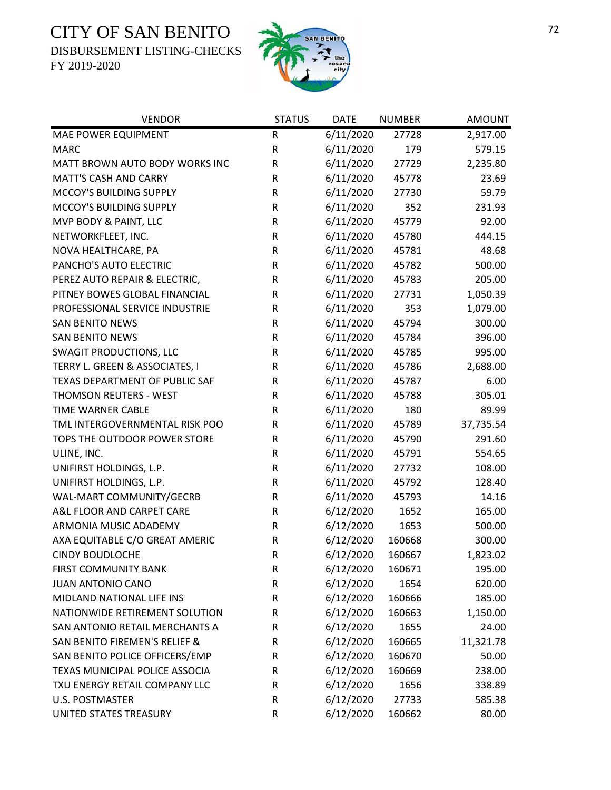DISBURSEMENT LISTING-CHECKS



| <b>VENDOR</b>                  | <b>STATUS</b> | <b>DATE</b> | <b>NUMBER</b> | <b>AMOUNT</b> |
|--------------------------------|---------------|-------------|---------------|---------------|
| MAE POWER EQUIPMENT            | R             | 6/11/2020   | 27728         | 2,917.00      |
| <b>MARC</b>                    | R             | 6/11/2020   | 179           | 579.15        |
| MATT BROWN AUTO BODY WORKS INC | ${\sf R}$     | 6/11/2020   | 27729         | 2,235.80      |
| <b>MATT'S CASH AND CARRY</b>   | R             | 6/11/2020   | 45778         | 23.69         |
| MCCOY'S BUILDING SUPPLY        | R             | 6/11/2020   | 27730         | 59.79         |
| MCCOY'S BUILDING SUPPLY        | ${\sf R}$     | 6/11/2020   | 352           | 231.93        |
| MVP BODY & PAINT, LLC          | R             | 6/11/2020   | 45779         | 92.00         |
| NETWORKFLEET, INC.             | ${\sf R}$     | 6/11/2020   | 45780         | 444.15        |
| NOVA HEALTHCARE, PA            | ${\sf R}$     | 6/11/2020   | 45781         | 48.68         |
| PANCHO'S AUTO ELECTRIC         | ${\sf R}$     | 6/11/2020   | 45782         | 500.00        |
| PEREZ AUTO REPAIR & ELECTRIC,  | R             | 6/11/2020   | 45783         | 205.00        |
| PITNEY BOWES GLOBAL FINANCIAL  | $\sf R$       | 6/11/2020   | 27731         | 1,050.39      |
| PROFESSIONAL SERVICE INDUSTRIE | R             | 6/11/2020   | 353           | 1,079.00      |
| <b>SAN BENITO NEWS</b>         | R             | 6/11/2020   | 45794         | 300.00        |
| <b>SAN BENITO NEWS</b>         | ${\sf R}$     | 6/11/2020   | 45784         | 396.00        |
| <b>SWAGIT PRODUCTIONS, LLC</b> | R             | 6/11/2020   | 45785         | 995.00        |
| TERRY L. GREEN & ASSOCIATES, I | ${\sf R}$     | 6/11/2020   | 45786         | 2,688.00      |
| TEXAS DEPARTMENT OF PUBLIC SAF | ${\sf R}$     | 6/11/2020   | 45787         | 6.00          |
| THOMSON REUTERS - WEST         | R             | 6/11/2020   | 45788         | 305.01        |
| TIME WARNER CABLE              | ${\sf R}$     | 6/11/2020   | 180           | 89.99         |
| TML INTERGOVERNMENTAL RISK POO | R             | 6/11/2020   | 45789         | 37,735.54     |
| TOPS THE OUTDOOR POWER STORE   | ${\sf R}$     | 6/11/2020   | 45790         | 291.60        |
| ULINE, INC.                    | R             | 6/11/2020   | 45791         | 554.65        |
| UNIFIRST HOLDINGS, L.P.        | ${\sf R}$     | 6/11/2020   | 27732         | 108.00        |
| UNIFIRST HOLDINGS, L.P.        | ${\sf R}$     | 6/11/2020   | 45792         | 128.40        |
| WAL-MART COMMUNITY/GECRB       | ${\sf R}$     | 6/11/2020   | 45793         | 14.16         |
| A&L FLOOR AND CARPET CARE      | ${\sf R}$     | 6/12/2020   | 1652          | 165.00        |
| ARMONIA MUSIC ADADEMY          | R             | 6/12/2020   | 1653          | 500.00        |
| AXA EQUITABLE C/O GREAT AMERIC | ${\sf R}$     | 6/12/2020   | 160668        | 300.00        |
| <b>CINDY BOUDLOCHE</b>         | $\mathsf R$   | 6/12/2020   | 160667        | 1,823.02      |
| FIRST COMMUNITY BANK           | R             | 6/12/2020   | 160671        | 195.00        |
| <b>JUAN ANTONIO CANO</b>       | ${\sf R}$     | 6/12/2020   | 1654          | 620.00        |
| MIDLAND NATIONAL LIFE INS      | ${\sf R}$     | 6/12/2020   | 160666        | 185.00        |
| NATIONWIDE RETIREMENT SOLUTION | ${\sf R}$     | 6/12/2020   | 160663        | 1,150.00      |
| SAN ANTONIO RETAIL MERCHANTS A | R             | 6/12/2020   | 1655          | 24.00         |
| SAN BENITO FIREMEN'S RELIEF &  | R             | 6/12/2020   | 160665        | 11,321.78     |
| SAN BENITO POLICE OFFICERS/EMP | R             | 6/12/2020   | 160670        | 50.00         |
| TEXAS MUNICIPAL POLICE ASSOCIA | R             | 6/12/2020   | 160669        | 238.00        |
| TXU ENERGY RETAIL COMPANY LLC  | R             | 6/12/2020   | 1656          | 338.89        |
| <b>U.S. POSTMASTER</b>         | ${\sf R}$     | 6/12/2020   | 27733         | 585.38        |
| UNITED STATES TREASURY         | ${\sf R}$     | 6/12/2020   | 160662        | 80.00         |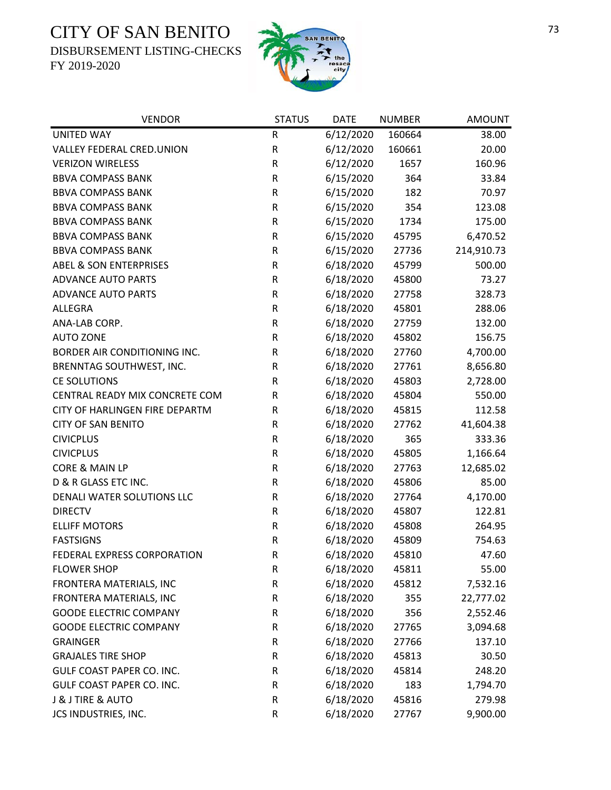DISBURSEMENT LISTING-CHECKS



| <b>VENDOR</b>                     | <b>STATUS</b> | <b>DATE</b> | <b>NUMBER</b> | <b>AMOUNT</b> |
|-----------------------------------|---------------|-------------|---------------|---------------|
| <b>UNITED WAY</b>                 | R             | 6/12/2020   | 160664        | 38.00         |
| <b>VALLEY FEDERAL CRED.UNION</b>  | ${\sf R}$     | 6/12/2020   | 160661        | 20.00         |
| <b>VERIZON WIRELESS</b>           | ${\sf R}$     | 6/12/2020   | 1657          | 160.96        |
| <b>BBVA COMPASS BANK</b>          | R             | 6/15/2020   | 364           | 33.84         |
| <b>BBVA COMPASS BANK</b>          | R             | 6/15/2020   | 182           | 70.97         |
| <b>BBVA COMPASS BANK</b>          | R             | 6/15/2020   | 354           | 123.08        |
| <b>BBVA COMPASS BANK</b>          | ${\sf R}$     | 6/15/2020   | 1734          | 175.00        |
| <b>BBVA COMPASS BANK</b>          | ${\sf R}$     | 6/15/2020   | 45795         | 6,470.52      |
| <b>BBVA COMPASS BANK</b>          | R             | 6/15/2020   | 27736         | 214,910.73    |
| <b>ABEL &amp; SON ENTERPRISES</b> | R             | 6/18/2020   | 45799         | 500.00        |
| <b>ADVANCE AUTO PARTS</b>         | ${\sf R}$     | 6/18/2020   | 45800         | 73.27         |
| <b>ADVANCE AUTO PARTS</b>         | R             | 6/18/2020   | 27758         | 328.73        |
| <b>ALLEGRA</b>                    | $\mathsf R$   | 6/18/2020   | 45801         | 288.06        |
| ANA-LAB CORP.                     | R             | 6/18/2020   | 27759         | 132.00        |
| <b>AUTO ZONE</b>                  | ${\sf R}$     | 6/18/2020   | 45802         | 156.75        |
| BORDER AIR CONDITIONING INC.      | $\mathsf R$   | 6/18/2020   | 27760         | 4,700.00      |
| BRENNTAG SOUTHWEST, INC.          | R             | 6/18/2020   | 27761         | 8,656.80      |
| <b>CE SOLUTIONS</b>               | R             | 6/18/2020   | 45803         | 2,728.00      |
| CENTRAL READY MIX CONCRETE COM    | R             | 6/18/2020   | 45804         | 550.00        |
| CITY OF HARLINGEN FIRE DEPARTM    | ${\sf R}$     | 6/18/2020   | 45815         | 112.58        |
| <b>CITY OF SAN BENITO</b>         | ${\sf R}$     | 6/18/2020   | 27762         | 41,604.38     |
| <b>CIVICPLUS</b>                  | ${\sf R}$     | 6/18/2020   | 365           | 333.36        |
| <b>CIVICPLUS</b>                  | R             | 6/18/2020   | 45805         | 1,166.64      |
| CORE & MAIN LP                    | R             | 6/18/2020   | 27763         | 12,685.02     |
| D & R GLASS ETC INC.              | R             | 6/18/2020   | 45806         | 85.00         |
| DENALI WATER SOLUTIONS LLC        | ${\sf R}$     | 6/18/2020   | 27764         | 4,170.00      |
| <b>DIRECTV</b>                    | ${\sf R}$     | 6/18/2020   | 45807         | 122.81        |
| <b>ELLIFF MOTORS</b>              | R             | 6/18/2020   | 45808         | 264.95        |
| <b>FASTSIGNS</b>                  | $\mathsf R$   | 6/18/2020   | 45809         | 754.63        |
| FEDERAL EXPRESS CORPORATION       | $\mathsf R$   | 6/18/2020   | 45810         | 47.60         |
| <b>FLOWER SHOP</b>                | R             | 6/18/2020   | 45811         | 55.00         |
| FRONTERA MATERIALS, INC           | R             | 6/18/2020   | 45812         | 7,532.16      |
| FRONTERA MATERIALS, INC           | R             | 6/18/2020   | 355           | 22,777.02     |
| <b>GOODE ELECTRIC COMPANY</b>     | R             | 6/18/2020   | 356           | 2,552.46      |
| <b>GOODE ELECTRIC COMPANY</b>     | $\mathsf R$   | 6/18/2020   | 27765         | 3,094.68      |
| <b>GRAINGER</b>                   | R             | 6/18/2020   | 27766         | 137.10        |
| <b>GRAJALES TIRE SHOP</b>         | R             | 6/18/2020   | 45813         | 30.50         |
| GULF COAST PAPER CO. INC.         | R             | 6/18/2020   | 45814         | 248.20        |
| GULF COAST PAPER CO. INC.         | R             | 6/18/2020   | 183           | 1,794.70      |
| <b>J &amp; J TIRE &amp; AUTO</b>  | R             | 6/18/2020   | 45816         | 279.98        |
| JCS INDUSTRIES, INC.              | R             | 6/18/2020   | 27767         | 9,900.00      |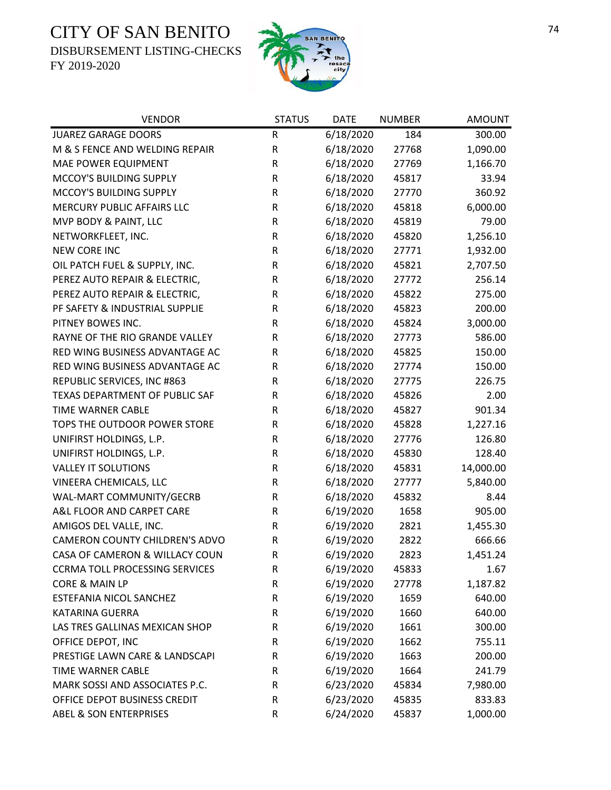DISBURSEMENT LISTING-CHECKS



| <b>VENDOR</b>                         | <b>STATUS</b> | <b>DATE</b> | <b>NUMBER</b> | <b>AMOUNT</b> |
|---------------------------------------|---------------|-------------|---------------|---------------|
| <b>JUAREZ GARAGE DOORS</b>            | R             | 6/18/2020   | 184           | 300.00        |
| M & S FENCE AND WELDING REPAIR        | ${\sf R}$     | 6/18/2020   | 27768         | 1,090.00      |
| <b>MAE POWER EQUIPMENT</b>            | ${\sf R}$     | 6/18/2020   | 27769         | 1,166.70      |
| MCCOY'S BUILDING SUPPLY               | ${\sf R}$     | 6/18/2020   | 45817         | 33.94         |
| MCCOY'S BUILDING SUPPLY               | R             | 6/18/2020   | 27770         | 360.92        |
| MERCURY PUBLIC AFFAIRS LLC            | ${\sf R}$     | 6/18/2020   | 45818         | 6,000.00      |
| MVP BODY & PAINT, LLC                 | R             | 6/18/2020   | 45819         | 79.00         |
| NETWORKFLEET, INC.                    | ${\sf R}$     | 6/18/2020   | 45820         | 1,256.10      |
| <b>NEW CORE INC</b>                   | R             | 6/18/2020   | 27771         | 1,932.00      |
| OIL PATCH FUEL & SUPPLY, INC.         | ${\sf R}$     | 6/18/2020   | 45821         | 2,707.50      |
| PEREZ AUTO REPAIR & ELECTRIC,         | ${\sf R}$     | 6/18/2020   | 27772         | 256.14        |
| PEREZ AUTO REPAIR & ELECTRIC,         | ${\sf R}$     | 6/18/2020   | 45822         | 275.00        |
| PF SAFETY & INDUSTRIAL SUPPLIE        | R             | 6/18/2020   | 45823         | 200.00        |
| PITNEY BOWES INC.                     | R             | 6/18/2020   | 45824         | 3,000.00      |
| RAYNE OF THE RIO GRANDE VALLEY        | ${\sf R}$     | 6/18/2020   | 27773         | 586.00        |
| RED WING BUSINESS ADVANTAGE AC        | R             | 6/18/2020   | 45825         | 150.00        |
| RED WING BUSINESS ADVANTAGE AC        | ${\sf R}$     | 6/18/2020   | 27774         | 150.00        |
| REPUBLIC SERVICES, INC #863           | R             | 6/18/2020   | 27775         | 226.75        |
| TEXAS DEPARTMENT OF PUBLIC SAF        | R             | 6/18/2020   | 45826         | 2.00          |
| TIME WARNER CABLE                     | ${\sf R}$     | 6/18/2020   | 45827         | 901.34        |
| TOPS THE OUTDOOR POWER STORE          | ${\sf R}$     | 6/18/2020   | 45828         | 1,227.16      |
| UNIFIRST HOLDINGS, L.P.               | ${\sf R}$     | 6/18/2020   | 27776         | 126.80        |
| UNIFIRST HOLDINGS, L.P.               | R             | 6/18/2020   | 45830         | 128.40        |
| <b>VALLEY IT SOLUTIONS</b>            | ${\sf R}$     | 6/18/2020   | 45831         | 14,000.00     |
| VINEERA CHEMICALS, LLC                | ${\sf R}$     | 6/18/2020   | 27777         | 5,840.00      |
| WAL-MART COMMUNITY/GECRB              | R             | 6/18/2020   | 45832         | 8.44          |
| A&L FLOOR AND CARPET CARE             | ${\sf R}$     | 6/19/2020   | 1658          | 905.00        |
| AMIGOS DEL VALLE, INC.                | R             | 6/19/2020   | 2821          | 1,455.30      |
| CAMERON COUNTY CHILDREN'S ADVO        | ${\sf R}$     | 6/19/2020   | 2822          | 666.66        |
| CASA OF CAMERON & WILLACY COUN        | $\mathsf R$   | 6/19/2020   | 2823          | 1,451.24      |
| <b>CCRMA TOLL PROCESSING SERVICES</b> | R             | 6/19/2020   | 45833         | 1.67          |
| CORE & MAIN LP                        | ${\sf R}$     | 6/19/2020   | 27778         | 1,187.82      |
| ESTEFANIA NICOL SANCHEZ               | ${\sf R}$     | 6/19/2020   | 1659          | 640.00        |
| KATARINA GUERRA                       | R             | 6/19/2020   | 1660          | 640.00        |
| LAS TRES GALLINAS MEXICAN SHOP        | ${\sf R}$     | 6/19/2020   | 1661          | 300.00        |
| OFFICE DEPOT, INC                     | R             | 6/19/2020   | 1662          | 755.11        |
| PRESTIGE LAWN CARE & LANDSCAPI        | ${\sf R}$     | 6/19/2020   | 1663          | 200.00        |
| TIME WARNER CABLE                     | R             | 6/19/2020   | 1664          | 241.79        |
| MARK SOSSI AND ASSOCIATES P.C.        | R             | 6/23/2020   | 45834         | 7,980.00      |
| OFFICE DEPOT BUSINESS CREDIT          | R             | 6/23/2020   | 45835         | 833.83        |
| <b>ABEL &amp; SON ENTERPRISES</b>     | ${\sf R}$     | 6/24/2020   | 45837         | 1,000.00      |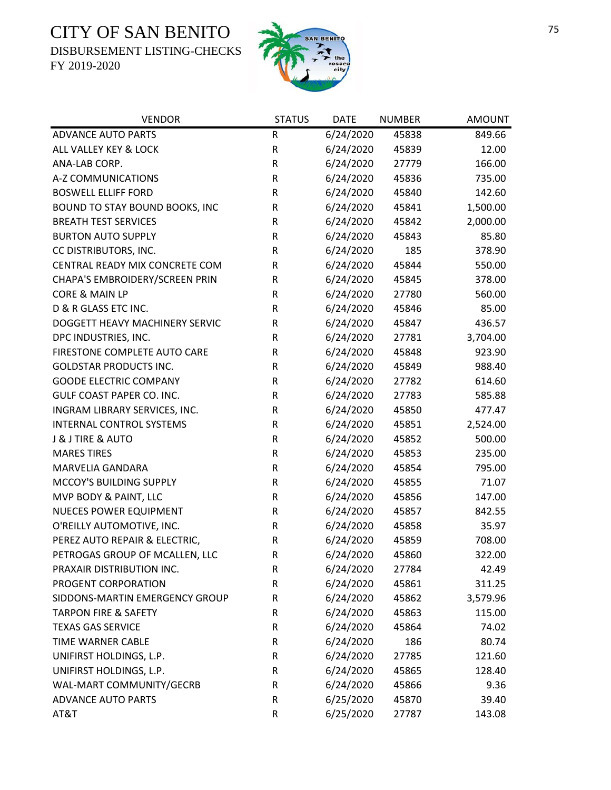DISBURSEMENT LISTING-CHECKS



| <b>VENDOR</b>                   | <b>STATUS</b> | <b>DATE</b> | <b>NUMBER</b> | <b>AMOUNT</b> |
|---------------------------------|---------------|-------------|---------------|---------------|
| <b>ADVANCE AUTO PARTS</b>       | R             | 6/24/2020   | 45838         | 849.66        |
| ALL VALLEY KEY & LOCK           | R             | 6/24/2020   | 45839         | 12.00         |
| ANA-LAB CORP.                   | R             | 6/24/2020   | 27779         | 166.00        |
| A-Z COMMUNICATIONS              | ${\sf R}$     | 6/24/2020   | 45836         | 735.00        |
| <b>BOSWELL ELLIFF FORD</b>      | R             | 6/24/2020   | 45840         | 142.60        |
| BOUND TO STAY BOUND BOOKS, INC  | R             | 6/24/2020   | 45841         | 1,500.00      |
| <b>BREATH TEST SERVICES</b>     | R             | 6/24/2020   | 45842         | 2,000.00      |
| <b>BURTON AUTO SUPPLY</b>       | R             | 6/24/2020   | 45843         | 85.80         |
| CC DISTRIBUTORS, INC.           | R             | 6/24/2020   | 185           | 378.90        |
| CENTRAL READY MIX CONCRETE COM  | R             | 6/24/2020   | 45844         | 550.00        |
| CHAPA'S EMBROIDERY/SCREEN PRIN  | R             | 6/24/2020   | 45845         | 378.00        |
| CORE & MAIN LP                  | R             | 6/24/2020   | 27780         | 560.00        |
| D & R GLASS ETC INC.            | R             | 6/24/2020   | 45846         | 85.00         |
| DOGGETT HEAVY MACHINERY SERVIC  | R             | 6/24/2020   | 45847         | 436.57        |
| DPC INDUSTRIES, INC.            | R             | 6/24/2020   | 27781         | 3,704.00      |
| FIRESTONE COMPLETE AUTO CARE    | R             | 6/24/2020   | 45848         | 923.90        |
| <b>GOLDSTAR PRODUCTS INC.</b>   | ${\sf R}$     | 6/24/2020   | 45849         | 988.40        |
| <b>GOODE ELECTRIC COMPANY</b>   | ${\sf R}$     | 6/24/2020   | 27782         | 614.60        |
| GULF COAST PAPER CO. INC.       | R             | 6/24/2020   | 27783         | 585.88        |
| INGRAM LIBRARY SERVICES, INC.   | ${\sf R}$     | 6/24/2020   | 45850         | 477.47        |
| <b>INTERNAL CONTROL SYSTEMS</b> | R             | 6/24/2020   | 45851         | 2,524.00      |
| J & J TIRE & AUTO               | R             | 6/24/2020   | 45852         | 500.00        |
| <b>MARES TIRES</b>              | R             | 6/24/2020   | 45853         | 235.00        |
| MARVELIA GANDARA                | R             | 6/24/2020   | 45854         | 795.00        |
| MCCOY'S BUILDING SUPPLY         | ${\sf R}$     | 6/24/2020   | 45855         | 71.07         |
| MVP BODY & PAINT, LLC           | R             | 6/24/2020   | 45856         | 147.00        |
| <b>NUECES POWER EQUIPMENT</b>   | R             | 6/24/2020   | 45857         | 842.55        |
| O'REILLY AUTOMOTIVE, INC.       | R             | 6/24/2020   | 45858         | 35.97         |
| PEREZ AUTO REPAIR & ELECTRIC,   | ${\sf R}$     | 6/24/2020   | 45859         | 708.00        |
| PETROGAS GROUP OF MCALLEN, LLC  | $\mathsf R$   | 6/24/2020   | 45860         | 322.00        |
| PRAXAIR DISTRIBUTION INC.       | R             | 6/24/2020   | 27784         | 42.49         |
| PROGENT CORPORATION             | R             | 6/24/2020   | 45861         | 311.25        |
| SIDDONS-MARTIN EMERGENCY GROUP  | R             | 6/24/2020   | 45862         | 3,579.96      |
| <b>TARPON FIRE &amp; SAFETY</b> | R             | 6/24/2020   | 45863         | 115.00        |
| <b>TEXAS GAS SERVICE</b>        | R             | 6/24/2020   | 45864         | 74.02         |
| TIME WARNER CABLE               | R             | 6/24/2020   | 186           | 80.74         |
| UNIFIRST HOLDINGS, L.P.         | R             | 6/24/2020   | 27785         | 121.60        |
| UNIFIRST HOLDINGS, L.P.         | R             | 6/24/2020   | 45865         | 128.40        |
| WAL-MART COMMUNITY/GECRB        | R             | 6/24/2020   | 45866         | 9.36          |
| <b>ADVANCE AUTO PARTS</b>       | R             | 6/25/2020   | 45870         | 39.40         |
| AT&T                            | R             | 6/25/2020   | 27787         | 143.08        |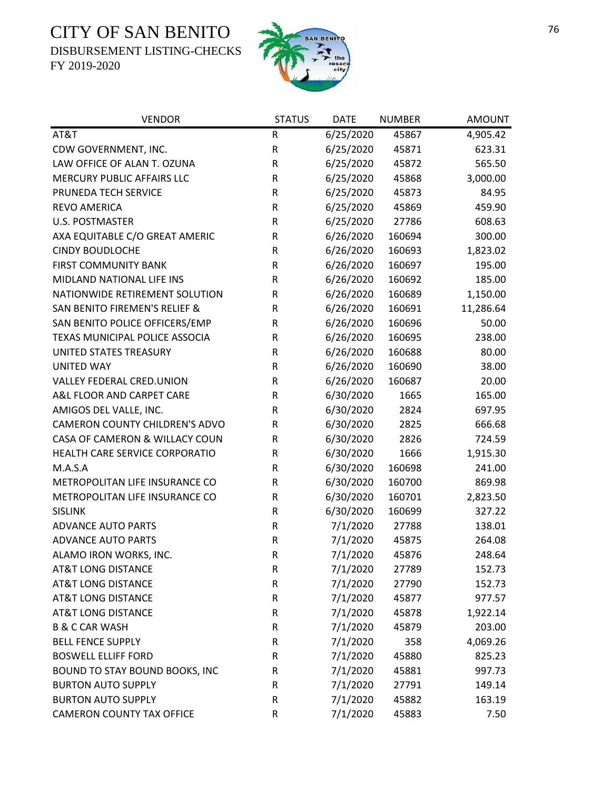DISBURSEMENT LISTING-CHECKS



| <b>VENDOR</b>                            | <b>STATUS</b> | <b>DATE</b> | <b>NUMBER</b> | <b>AMOUNT</b> |
|------------------------------------------|---------------|-------------|---------------|---------------|
| AT&T                                     | ${\sf R}$     | 6/25/2020   | 45867         | 4,905.42      |
| CDW GOVERNMENT, INC.                     | R             | 6/25/2020   | 45871         | 623.31        |
| LAW OFFICE OF ALAN T. OZUNA              | ${\sf R}$     | 6/25/2020   | 45872         | 565.50        |
| MERCURY PUBLIC AFFAIRS LLC               | ${\sf R}$     | 6/25/2020   | 45868         | 3,000.00      |
| PRUNEDA TECH SERVICE                     | ${\sf R}$     | 6/25/2020   | 45873         | 84.95         |
| <b>REVO AMERICA</b>                      | $\mathsf R$   | 6/25/2020   | 45869         | 459.90        |
| <b>U.S. POSTMASTER</b>                   | R             | 6/25/2020   | 27786         | 608.63        |
| AXA EQUITABLE C/O GREAT AMERIC           | R             | 6/26/2020   | 160694        | 300.00        |
| <b>CINDY BOUDLOCHE</b>                   | ${\sf R}$     | 6/26/2020   | 160693        | 1,823.02      |
| <b>FIRST COMMUNITY BANK</b>              | ${\sf R}$     | 6/26/2020   | 160697        | 195.00        |
| MIDLAND NATIONAL LIFE INS                | ${\sf R}$     | 6/26/2020   | 160692        | 185.00        |
| NATIONWIDE RETIREMENT SOLUTION           | $\mathsf R$   | 6/26/2020   | 160689        | 1,150.00      |
| <b>SAN BENITO FIREMEN'S RELIEF &amp;</b> | ${\sf R}$     | 6/26/2020   | 160691        | 11,286.64     |
| SAN BENITO POLICE OFFICERS/EMP           | R             | 6/26/2020   | 160696        | 50.00         |
| TEXAS MUNICIPAL POLICE ASSOCIA           | ${\sf R}$     | 6/26/2020   | 160695        | 238.00        |
| UNITED STATES TREASURY                   | ${\sf R}$     | 6/26/2020   | 160688        | 80.00         |
| <b>UNITED WAY</b>                        | ${\sf R}$     | 6/26/2020   | 160690        | 38.00         |
| VALLEY FEDERAL CRED.UNION                | ${\sf R}$     | 6/26/2020   | 160687        | 20.00         |
| A&L FLOOR AND CARPET CARE                | R             | 6/30/2020   | 1665          | 165.00        |
| AMIGOS DEL VALLE, INC.                   | ${\sf R}$     | 6/30/2020   | 2824          | 697.95        |
| CAMERON COUNTY CHILDREN'S ADVO           | ${\sf R}$     | 6/30/2020   | 2825          | 666.68        |
| CASA OF CAMERON & WILLACY COUN           | ${\sf R}$     | 6/30/2020   | 2826          | 724.59        |
| HEALTH CARE SERVICE CORPORATIO           | ${\sf R}$     | 6/30/2020   | 1666          | 1,915.30      |
| M.A.S.A                                  | R             | 6/30/2020   | 160698        | 241.00        |
| METROPOLITAN LIFE INSURANCE CO           | $\mathsf R$   | 6/30/2020   | 160700        | 869.98        |
| METROPOLITAN LIFE INSURANCE CO           | R             | 6/30/2020   | 160701        | 2,823.50      |
| <b>SISLINK</b>                           | R             | 6/30/2020   | 160699        | 327.22        |
| <b>ADVANCE AUTO PARTS</b>                | R             | 7/1/2020    | 27788         | 138.01        |
| <b>ADVANCE AUTO PARTS</b>                | ${\sf R}$     | 7/1/2020    | 45875         | 264.08        |
| ALAMO IRON WORKS, INC.                   | $\mathsf{R}$  | 7/1/2020    | 45876         | 248.64        |
| <b>AT&amp;T LONG DISTANCE</b>            | R             | 7/1/2020    | 27789         | 152.73        |
| <b>AT&amp;T LONG DISTANCE</b>            | R             | 7/1/2020    | 27790         | 152.73        |
| <b>AT&amp;T LONG DISTANCE</b>            | R             | 7/1/2020    | 45877         | 977.57        |
| <b>AT&amp;T LONG DISTANCE</b>            | R             | 7/1/2020    | 45878         | 1,922.14      |
| <b>B &amp; C CAR WASH</b>                | R             | 7/1/2020    | 45879         | 203.00        |
| <b>BELL FENCE SUPPLY</b>                 | $\mathsf R$   | 7/1/2020    | 358           | 4,069.26      |
| <b>BOSWELL ELLIFF FORD</b>               | $\mathsf R$   | 7/1/2020    | 45880         | 825.23        |
| BOUND TO STAY BOUND BOOKS, INC           | R             | 7/1/2020    | 45881         | 997.73        |
| <b>BURTON AUTO SUPPLY</b>                | R             | 7/1/2020    | 27791         | 149.14        |
| <b>BURTON AUTO SUPPLY</b>                | R             | 7/1/2020    | 45882         | 163.19        |
| CAMERON COUNTY TAX OFFICE                | $\mathsf R$   | 7/1/2020    | 45883         | 7.50          |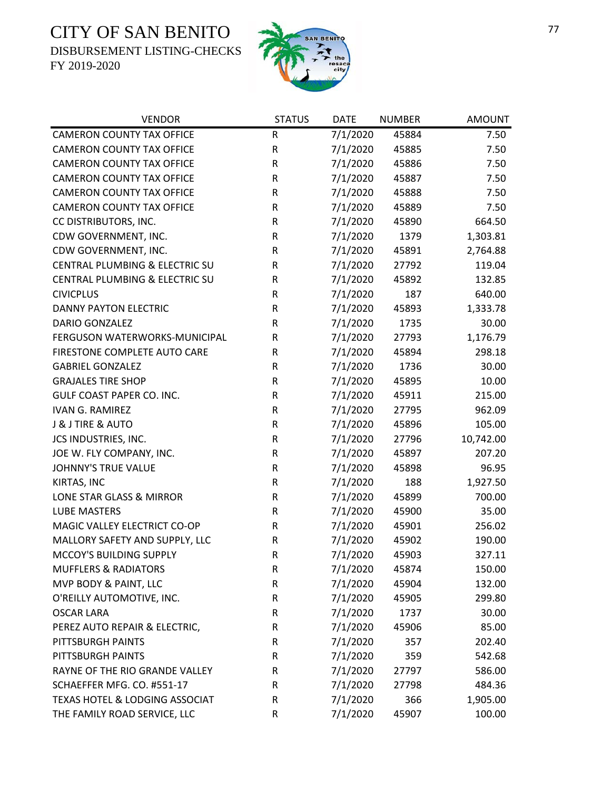DISBURSEMENT LISTING-CHECKS



| <b>VENDOR</b>                    | <b>STATUS</b> | <b>DATE</b> | <b>NUMBER</b> | <b>AMOUNT</b> |
|----------------------------------|---------------|-------------|---------------|---------------|
| <b>CAMERON COUNTY TAX OFFICE</b> | ${\sf R}$     | 7/1/2020    | 45884         | 7.50          |
| <b>CAMERON COUNTY TAX OFFICE</b> | R             | 7/1/2020    | 45885         | 7.50          |
| <b>CAMERON COUNTY TAX OFFICE</b> | R             | 7/1/2020    | 45886         | 7.50          |
| <b>CAMERON COUNTY TAX OFFICE</b> | R             | 7/1/2020    | 45887         | 7.50          |
| <b>CAMERON COUNTY TAX OFFICE</b> | R             | 7/1/2020    | 45888         | 7.50          |
| <b>CAMERON COUNTY TAX OFFICE</b> | R             | 7/1/2020    | 45889         | 7.50          |
| CC DISTRIBUTORS, INC.            | R             | 7/1/2020    | 45890         | 664.50        |
| CDW GOVERNMENT, INC.             | R             | 7/1/2020    | 1379          | 1,303.81      |
| CDW GOVERNMENT, INC.             | R             | 7/1/2020    | 45891         | 2,764.88      |
| CENTRAL PLUMBING & ELECTRIC SU   | R             | 7/1/2020    | 27792         | 119.04        |
| CENTRAL PLUMBING & ELECTRIC SU   | R             | 7/1/2020    | 45892         | 132.85        |
| <b>CIVICPLUS</b>                 | R             | 7/1/2020    | 187           | 640.00        |
| <b>DANNY PAYTON ELECTRIC</b>     | R             | 7/1/2020    | 45893         | 1,333.78      |
| <b>DARIO GONZALEZ</b>            | R             | 7/1/2020    | 1735          | 30.00         |
| FERGUSON WATERWORKS-MUNICIPAL    | R             | 7/1/2020    | 27793         | 1,176.79      |
| FIRESTONE COMPLETE AUTO CARE     | R             | 7/1/2020    | 45894         | 298.18        |
| <b>GABRIEL GONZALEZ</b>          | R             | 7/1/2020    | 1736          | 30.00         |
| <b>GRAJALES TIRE SHOP</b>        | R             | 7/1/2020    | 45895         | 10.00         |
| <b>GULF COAST PAPER CO. INC.</b> | R             | 7/1/2020    | 45911         | 215.00        |
| <b>IVAN G. RAMIREZ</b>           | R             | 7/1/2020    | 27795         | 962.09        |
| J & J TIRE & AUTO                | R             | 7/1/2020    | 45896         | 105.00        |
| JCS INDUSTRIES, INC.             | R             | 7/1/2020    | 27796         | 10,742.00     |
| JOE W. FLY COMPANY, INC.         | R             | 7/1/2020    | 45897         | 207.20        |
| JOHNNY'S TRUE VALUE              | R             | 7/1/2020    | 45898         | 96.95         |
| KIRTAS, INC                      | R             | 7/1/2020    | 188           | 1,927.50      |
| LONE STAR GLASS & MIRROR         | R             | 7/1/2020    | 45899         | 700.00        |
| <b>LUBE MASTERS</b>              | R             | 7/1/2020    | 45900         | 35.00         |
| MAGIC VALLEY ELECTRICT CO-OP     | R             | 7/1/2020    | 45901         | 256.02        |
| MALLORY SAFETY AND SUPPLY, LLC   | R             | 7/1/2020    | 45902         | 190.00        |
| MCCOY'S BUILDING SUPPLY          | $\mathsf R$   | 7/1/2020    | 45903         | 327.11        |
| <b>MUFFLERS &amp; RADIATORS</b>  | R             | 7/1/2020    | 45874         | 150.00        |
| MVP BODY & PAINT, LLC            | R             | 7/1/2020    | 45904         | 132.00        |
| O'REILLY AUTOMOTIVE, INC.        | R             | 7/1/2020    | 45905         | 299.80        |
| <b>OSCAR LARA</b>                | R             | 7/1/2020    | 1737          | 30.00         |
| PEREZ AUTO REPAIR & ELECTRIC,    | R             | 7/1/2020    | 45906         | 85.00         |
| PITTSBURGH PAINTS                | R             | 7/1/2020    | 357           | 202.40        |
| PITTSBURGH PAINTS                | R             | 7/1/2020    | 359           | 542.68        |
| RAYNE OF THE RIO GRANDE VALLEY   | R             | 7/1/2020    | 27797         | 586.00        |
| SCHAEFFER MFG. CO. #551-17       | R             | 7/1/2020    | 27798         | 484.36        |
| TEXAS HOTEL & LODGING ASSOCIAT   | R             | 7/1/2020    | 366           | 1,905.00      |
| THE FAMILY ROAD SERVICE, LLC     | R             | 7/1/2020    | 45907         | 100.00        |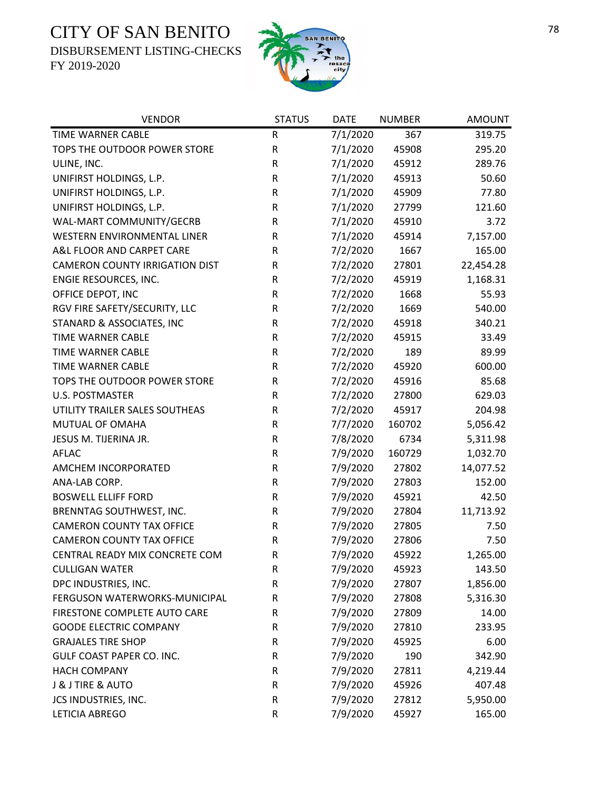DISBURSEMENT LISTING-CHECKS



| <b>VENDOR</b>                         | <b>STATUS</b> | <b>DATE</b> | <b>NUMBER</b> | <b>AMOUNT</b> |
|---------------------------------------|---------------|-------------|---------------|---------------|
| TIME WARNER CABLE                     | ${\sf R}$     | 7/1/2020    | 367           | 319.75        |
| TOPS THE OUTDOOR POWER STORE          | ${\sf R}$     | 7/1/2020    | 45908         | 295.20        |
| ULINE, INC.                           | ${\sf R}$     | 7/1/2020    | 45912         | 289.76        |
| UNIFIRST HOLDINGS, L.P.               | ${\sf R}$     | 7/1/2020    | 45913         | 50.60         |
| UNIFIRST HOLDINGS, L.P.               | ${\sf R}$     | 7/1/2020    | 45909         | 77.80         |
| UNIFIRST HOLDINGS, L.P.               | ${\sf R}$     | 7/1/2020    | 27799         | 121.60        |
| WAL-MART COMMUNITY/GECRB              | ${\sf R}$     | 7/1/2020    | 45910         | 3.72          |
| WESTERN ENVIRONMENTAL LINER           | ${\sf R}$     | 7/1/2020    | 45914         | 7,157.00      |
| A&L FLOOR AND CARPET CARE             | ${\sf R}$     | 7/2/2020    | 1667          | 165.00        |
| <b>CAMERON COUNTY IRRIGATION DIST</b> | ${\sf R}$     | 7/2/2020    | 27801         | 22,454.28     |
| ENGIE RESOURCES, INC.                 | ${\sf R}$     | 7/2/2020    | 45919         | 1,168.31      |
| OFFICE DEPOT, INC                     | R             | 7/2/2020    | 1668          | 55.93         |
| RGV FIRE SAFETY/SECURITY, LLC         | ${\sf R}$     | 7/2/2020    | 1669          | 540.00        |
| STANARD & ASSOCIATES, INC             | ${\sf R}$     | 7/2/2020    | 45918         | 340.21        |
| TIME WARNER CABLE                     | ${\sf R}$     | 7/2/2020    | 45915         | 33.49         |
| <b>TIME WARNER CABLE</b>              | ${\sf R}$     | 7/2/2020    | 189           | 89.99         |
| <b>TIME WARNER CABLE</b>              | ${\sf R}$     | 7/2/2020    | 45920         | 600.00        |
| TOPS THE OUTDOOR POWER STORE          | ${\sf R}$     | 7/2/2020    | 45916         | 85.68         |
| <b>U.S. POSTMASTER</b>                | $\mathsf R$   | 7/2/2020    | 27800         | 629.03        |
| UTILITY TRAILER SALES SOUTHEAS        | ${\sf R}$     | 7/2/2020    | 45917         | 204.98        |
| MUTUAL OF OMAHA                       | ${\sf R}$     | 7/7/2020    | 160702        | 5,056.42      |
| JESUS M. TIJERINA JR.                 | ${\sf R}$     | 7/8/2020    | 6734          | 5,311.98      |
| <b>AFLAC</b>                          | ${\sf R}$     | 7/9/2020    | 160729        | 1,032.70      |
| AMCHEM INCORPORATED                   | ${\sf R}$     | 7/9/2020    | 27802         | 14,077.52     |
| ANA-LAB CORP.                         | ${\sf R}$     | 7/9/2020    | 27803         | 152.00        |
| <b>BOSWELL ELLIFF FORD</b>            | ${\sf R}$     | 7/9/2020    | 45921         | 42.50         |
| BRENNTAG SOUTHWEST, INC.              | ${\sf R}$     | 7/9/2020    | 27804         | 11,713.92     |
| <b>CAMERON COUNTY TAX OFFICE</b>      | ${\sf R}$     | 7/9/2020    | 27805         | 7.50          |
| <b>CAMERON COUNTY TAX OFFICE</b>      | ${\sf R}$     | 7/9/2020    | 27806         | 7.50          |
| CENTRAL READY MIX CONCRETE COM        | $\mathsf R$   | 7/9/2020    | 45922         | 1,265.00      |
| <b>CULLIGAN WATER</b>                 | R             | 7/9/2020    | 45923         | 143.50        |
| DPC INDUSTRIES, INC.                  | ${\sf R}$     | 7/9/2020    | 27807         | 1,856.00      |
| FERGUSON WATERWORKS-MUNICIPAL         | ${\sf R}$     | 7/9/2020    | 27808         | 5,316.30      |
| FIRESTONE COMPLETE AUTO CARE          | $\mathsf R$   | 7/9/2020    | 27809         | 14.00         |
| <b>GOODE ELECTRIC COMPANY</b>         | R             | 7/9/2020    | 27810         | 233.95        |
| <b>GRAJALES TIRE SHOP</b>             | R             | 7/9/2020    | 45925         | 6.00          |
| GULF COAST PAPER CO. INC.             | R             | 7/9/2020    | 190           | 342.90        |
| <b>HACH COMPANY</b>                   | R             | 7/9/2020    | 27811         | 4,219.44      |
| <b>J &amp; J TIRE &amp; AUTO</b>      | ${\sf R}$     | 7/9/2020    | 45926         | 407.48        |
| JCS INDUSTRIES, INC.                  | R             | 7/9/2020    | 27812         | 5,950.00      |
| LETICIA ABREGO                        | ${\sf R}$     | 7/9/2020    | 45927         | 165.00        |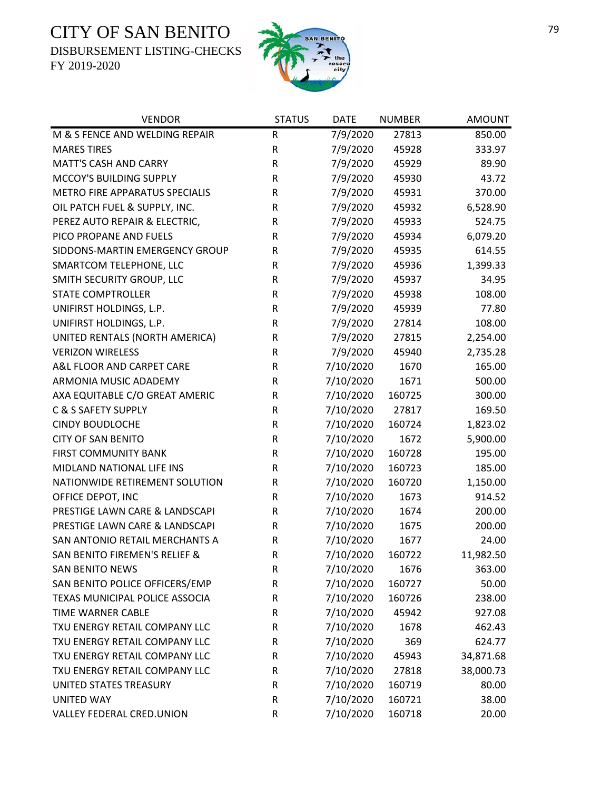DISBURSEMENT LISTING-CHECKS



| <b>VENDOR</b>                  | <b>STATUS</b> | <b>DATE</b> | <b>NUMBER</b> | <b>AMOUNT</b> |
|--------------------------------|---------------|-------------|---------------|---------------|
| M & S FENCE AND WELDING REPAIR | ${\sf R}$     | 7/9/2020    | 27813         | 850.00        |
| <b>MARES TIRES</b>             | R             | 7/9/2020    | 45928         | 333.97        |
| <b>MATT'S CASH AND CARRY</b>   | R             | 7/9/2020    | 45929         | 89.90         |
| MCCOY'S BUILDING SUPPLY        | R             | 7/9/2020    | 45930         | 43.72         |
| METRO FIRE APPARATUS SPECIALIS | R             | 7/9/2020    | 45931         | 370.00        |
| OIL PATCH FUEL & SUPPLY, INC.  | R             | 7/9/2020    | 45932         | 6,528.90      |
| PEREZ AUTO REPAIR & ELECTRIC,  | ${\sf R}$     | 7/9/2020    | 45933         | 524.75        |
| PICO PROPANE AND FUELS         | R             | 7/9/2020    | 45934         | 6,079.20      |
| SIDDONS-MARTIN EMERGENCY GROUP | R             | 7/9/2020    | 45935         | 614.55        |
| SMARTCOM TELEPHONE, LLC        | ${\sf R}$     | 7/9/2020    | 45936         | 1,399.33      |
| SMITH SECURITY GROUP, LLC      | ${\sf R}$     | 7/9/2020    | 45937         | 34.95         |
| <b>STATE COMPTROLLER</b>       | R             | 7/9/2020    | 45938         | 108.00        |
| UNIFIRST HOLDINGS, L.P.        | R             | 7/9/2020    | 45939         | 77.80         |
| UNIFIRST HOLDINGS, L.P.        | R             | 7/9/2020    | 27814         | 108.00        |
| UNITED RENTALS (NORTH AMERICA) | R             | 7/9/2020    | 27815         | 2,254.00      |
| <b>VERIZON WIRELESS</b>        | ${\sf R}$     | 7/9/2020    | 45940         | 2,735.28      |
| A&L FLOOR AND CARPET CARE      | R             | 7/10/2020   | 1670          | 165.00        |
| ARMONIA MUSIC ADADEMY          | ${\sf R}$     | 7/10/2020   | 1671          | 500.00        |
| AXA EQUITABLE C/O GREAT AMERIC | R             | 7/10/2020   | 160725        | 300.00        |
| C & S SAFETY SUPPLY            | ${\sf R}$     | 7/10/2020   | 27817         | 169.50        |
| <b>CINDY BOUDLOCHE</b>         | R             | 7/10/2020   | 160724        | 1,823.02      |
| <b>CITY OF SAN BENITO</b>      | R             | 7/10/2020   | 1672          | 5,900.00      |
| <b>FIRST COMMUNITY BANK</b>    | R             | 7/10/2020   | 160728        | 195.00        |
| MIDLAND NATIONAL LIFE INS      | R             | 7/10/2020   | 160723        | 185.00        |
| NATIONWIDE RETIREMENT SOLUTION | R             | 7/10/2020   | 160720        | 1,150.00      |
| OFFICE DEPOT, INC              | R             | 7/10/2020   | 1673          | 914.52        |
| PRESTIGE LAWN CARE & LANDSCAPI | R             | 7/10/2020   | 1674          | 200.00        |
| PRESTIGE LAWN CARE & LANDSCAPI | R             | 7/10/2020   | 1675          | 200.00        |
| SAN ANTONIO RETAIL MERCHANTS A | ${\sf R}$     | 7/10/2020   | 1677          | 24.00         |
| SAN BENITO FIREMEN'S RELIEF &  | $\mathsf R$   | 7/10/2020   | 160722        | 11,982.50     |
| <b>SAN BENITO NEWS</b>         | R             | 7/10/2020   | 1676          | 363.00        |
| SAN BENITO POLICE OFFICERS/EMP | R             | 7/10/2020   | 160727        | 50.00         |
| TEXAS MUNICIPAL POLICE ASSOCIA | R             | 7/10/2020   | 160726        | 238.00        |
| <b>TIME WARNER CABLE</b>       | R             | 7/10/2020   | 45942         | 927.08        |
| TXU ENERGY RETAIL COMPANY LLC  | R             | 7/10/2020   | 1678          | 462.43        |
| TXU ENERGY RETAIL COMPANY LLC  | R             | 7/10/2020   | 369           | 624.77        |
| TXU ENERGY RETAIL COMPANY LLC  | R             | 7/10/2020   | 45943         | 34,871.68     |
| TXU ENERGY RETAIL COMPANY LLC  | R             | 7/10/2020   | 27818         | 38,000.73     |
| UNITED STATES TREASURY         | R             | 7/10/2020   | 160719        | 80.00         |
| <b>UNITED WAY</b>              | R             | 7/10/2020   | 160721        | 38.00         |
| VALLEY FEDERAL CRED.UNION      | R             | 7/10/2020   | 160718        | 20.00         |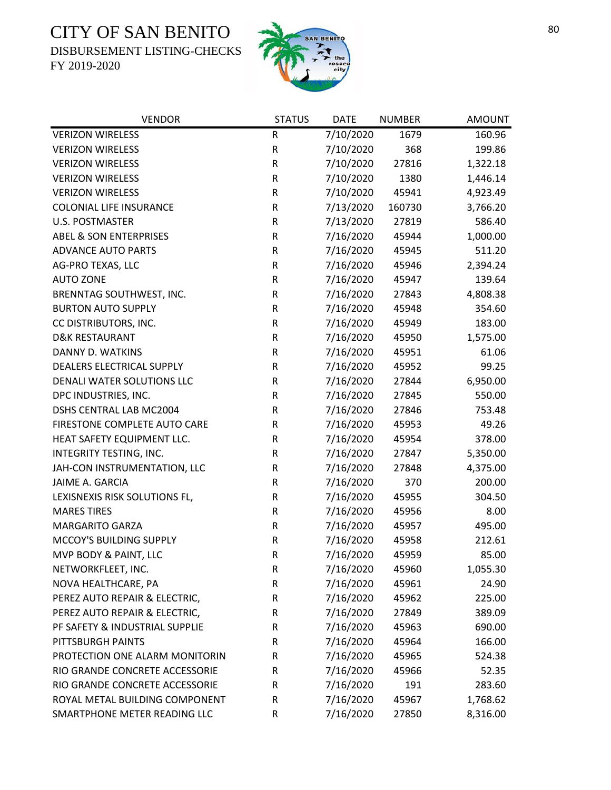DISBURSEMENT LISTING-CHECKS



| <b>VENDOR</b>                     | <b>STATUS</b> | <b>DATE</b> | <b>NUMBER</b> | <b>AMOUNT</b> |
|-----------------------------------|---------------|-------------|---------------|---------------|
| <b>VERIZON WIRELESS</b>           | R             | 7/10/2020   | 1679          | 160.96        |
| <b>VERIZON WIRELESS</b>           | ${\sf R}$     | 7/10/2020   | 368           | 199.86        |
| <b>VERIZON WIRELESS</b>           | ${\sf R}$     | 7/10/2020   | 27816         | 1,322.18      |
| <b>VERIZON WIRELESS</b>           | ${\sf R}$     | 7/10/2020   | 1380          | 1,446.14      |
| <b>VERIZON WIRELESS</b>           | ${\sf R}$     | 7/10/2020   | 45941         | 4,923.49      |
| <b>COLONIAL LIFE INSURANCE</b>    | ${\sf R}$     | 7/13/2020   | 160730        | 3,766.20      |
| <b>U.S. POSTMASTER</b>            | R             | 7/13/2020   | 27819         | 586.40        |
| <b>ABEL &amp; SON ENTERPRISES</b> | ${\sf R}$     | 7/16/2020   | 45944         | 1,000.00      |
| <b>ADVANCE AUTO PARTS</b>         | ${\sf R}$     | 7/16/2020   | 45945         | 511.20        |
| AG-PRO TEXAS, LLC                 | ${\sf R}$     | 7/16/2020   | 45946         | 2,394.24      |
| <b>AUTO ZONE</b>                  | ${\sf R}$     | 7/16/2020   | 45947         | 139.64        |
| BRENNTAG SOUTHWEST, INC.          | ${\sf R}$     | 7/16/2020   | 27843         | 4,808.38      |
| <b>BURTON AUTO SUPPLY</b>         | ${\sf R}$     | 7/16/2020   | 45948         | 354.60        |
| CC DISTRIBUTORS, INC.             | ${\sf R}$     | 7/16/2020   | 45949         | 183.00        |
| <b>D&amp;K RESTAURANT</b>         | ${\sf R}$     | 7/16/2020   | 45950         | 1,575.00      |
| DANNY D. WATKINS                  | ${\sf R}$     | 7/16/2020   | 45951         | 61.06         |
| <b>DEALERS ELECTRICAL SUPPLY</b>  | ${\sf R}$     | 7/16/2020   | 45952         | 99.25         |
| DENALI WATER SOLUTIONS LLC        | ${\sf R}$     | 7/16/2020   | 27844         | 6,950.00      |
| DPC INDUSTRIES, INC.              | R             | 7/16/2020   | 27845         | 550.00        |
| DSHS CENTRAL LAB MC2004           | ${\sf R}$     | 7/16/2020   | 27846         | 753.48        |
| FIRESTONE COMPLETE AUTO CARE      | ${\sf R}$     | 7/16/2020   | 45953         | 49.26         |
| HEAT SAFETY EQUIPMENT LLC.        | ${\sf R}$     | 7/16/2020   | 45954         | 378.00        |
| INTEGRITY TESTING, INC.           | ${\sf R}$     | 7/16/2020   | 27847         | 5,350.00      |
| JAH-CON INSTRUMENTATION, LLC      | ${\sf R}$     | 7/16/2020   | 27848         | 4,375.00      |
| JAIME A. GARCIA                   | ${\sf R}$     | 7/16/2020   | 370           | 200.00        |
| LEXISNEXIS RISK SOLUTIONS FL,     | ${\sf R}$     | 7/16/2020   | 45955         | 304.50        |
| <b>MARES TIRES</b>                | ${\sf R}$     | 7/16/2020   | 45956         | 8.00          |
| <b>MARGARITO GARZA</b>            | ${\sf R}$     | 7/16/2020   | 45957         | 495.00        |
| MCCOY'S BUILDING SUPPLY           | ${\sf R}$     | 7/16/2020   | 45958         | 212.61        |
| MVP BODY & PAINT, LLC             | $\mathsf R$   | 7/16/2020   | 45959         | 85.00         |
| NETWORKFLEET, INC.                | R             | 7/16/2020   | 45960         | 1,055.30      |
| NOVA HEALTHCARE, PA               | R             | 7/16/2020   | 45961         | 24.90         |
| PEREZ AUTO REPAIR & ELECTRIC,     | R             | 7/16/2020   | 45962         | 225.00        |
| PEREZ AUTO REPAIR & ELECTRIC,     | ${\sf R}$     | 7/16/2020   | 27849         | 389.09        |
| PF SAFETY & INDUSTRIAL SUPPLIE    | R             | 7/16/2020   | 45963         | 690.00        |
| PITTSBURGH PAINTS                 | R             | 7/16/2020   | 45964         | 166.00        |
| PROTECTION ONE ALARM MONITORIN    | R             | 7/16/2020   | 45965         | 524.38        |
| RIO GRANDE CONCRETE ACCESSORIE    | R             | 7/16/2020   | 45966         | 52.35         |
| RIO GRANDE CONCRETE ACCESSORIE    | R             | 7/16/2020   | 191           | 283.60        |
| ROYAL METAL BUILDING COMPONENT    | R             | 7/16/2020   | 45967         | 1,768.62      |
| SMARTPHONE METER READING LLC      | ${\sf R}$     | 7/16/2020   | 27850         | 8,316.00      |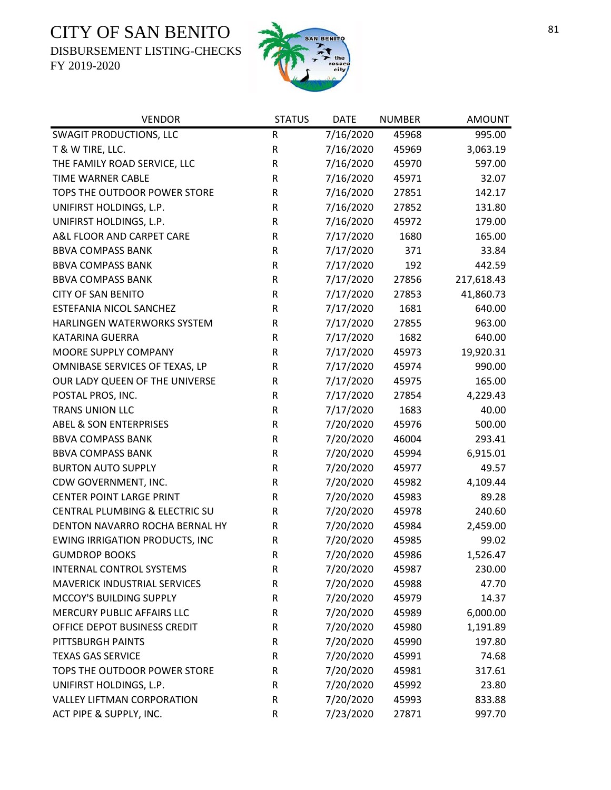DISBURSEMENT LISTING-CHECKS



| <b>VENDOR</b>                         | <b>STATUS</b> | <b>DATE</b> | <b>NUMBER</b> | <b>AMOUNT</b> |
|---------------------------------------|---------------|-------------|---------------|---------------|
| <b>SWAGIT PRODUCTIONS, LLC</b>        | ${\sf R}$     | 7/16/2020   | 45968         | 995.00        |
| T & W TIRE, LLC.                      | ${\sf R}$     | 7/16/2020   | 45969         | 3,063.19      |
| THE FAMILY ROAD SERVICE, LLC          | ${\sf R}$     | 7/16/2020   | 45970         | 597.00        |
| TIME WARNER CABLE                     | R             | 7/16/2020   | 45971         | 32.07         |
| TOPS THE OUTDOOR POWER STORE          | $\sf R$       | 7/16/2020   | 27851         | 142.17        |
| UNIFIRST HOLDINGS, L.P.               | R             | 7/16/2020   | 27852         | 131.80        |
| UNIFIRST HOLDINGS, L.P.               | R             | 7/16/2020   | 45972         | 179.00        |
| A&L FLOOR AND CARPET CARE             | ${\sf R}$     | 7/17/2020   | 1680          | 165.00        |
| <b>BBVA COMPASS BANK</b>              | ${\sf R}$     | 7/17/2020   | 371           | 33.84         |
| <b>BBVA COMPASS BANK</b>              | ${\sf R}$     | 7/17/2020   | 192           | 442.59        |
| <b>BBVA COMPASS BANK</b>              | ${\sf R}$     | 7/17/2020   | 27856         | 217,618.43    |
| <b>CITY OF SAN BENITO</b>             | R             | 7/17/2020   | 27853         | 41,860.73     |
| ESTEFANIA NICOL SANCHEZ               | ${\sf R}$     | 7/17/2020   | 1681          | 640.00        |
| HARLINGEN WATERWORKS SYSTEM           | ${\sf R}$     | 7/17/2020   | 27855         | 963.00        |
| KATARINA GUERRA                       | ${\sf R}$     | 7/17/2020   | 1682          | 640.00        |
| MOORE SUPPLY COMPANY                  | ${\sf R}$     | 7/17/2020   | 45973         | 19,920.31     |
| OMNIBASE SERVICES OF TEXAS, LP        | R             | 7/17/2020   | 45974         | 990.00        |
| OUR LADY QUEEN OF THE UNIVERSE        | ${\sf R}$     | 7/17/2020   | 45975         | 165.00        |
| POSTAL PROS, INC.                     | $\mathsf R$   | 7/17/2020   | 27854         | 4,229.43      |
| <b>TRANS UNION LLC</b>                | ${\sf R}$     | 7/17/2020   | 1683          | 40.00         |
| <b>ABEL &amp; SON ENTERPRISES</b>     | ${\sf R}$     | 7/20/2020   | 45976         | 500.00        |
| <b>BBVA COMPASS BANK</b>              | ${\sf R}$     | 7/20/2020   | 46004         | 293.41        |
| <b>BBVA COMPASS BANK</b>              | ${\sf R}$     | 7/20/2020   | 45994         | 6,915.01      |
| <b>BURTON AUTO SUPPLY</b>             | ${\sf R}$     | 7/20/2020   | 45977         | 49.57         |
| CDW GOVERNMENT, INC.                  | ${\sf R}$     | 7/20/2020   | 45982         | 4,109.44      |
| <b>CENTER POINT LARGE PRINT</b>       | R             | 7/20/2020   | 45983         | 89.28         |
| CENTRAL PLUMBING & ELECTRIC SU        | ${\sf R}$     | 7/20/2020   | 45978         | 240.60        |
| DENTON NAVARRO ROCHA BERNAL HY        | R             | 7/20/2020   | 45984         | 2,459.00      |
| <b>EWING IRRIGATION PRODUCTS, INC</b> | ${\sf R}$     | 7/20/2020   | 45985         | 99.02         |
| <b>GUMDROP BOOKS</b>                  | $\mathsf{R}$  | 7/20/2020   | 45986         | 1,526.47      |
| <b>INTERNAL CONTROL SYSTEMS</b>       | R             | 7/20/2020   | 45987         | 230.00        |
| <b>MAVERICK INDUSTRIAL SERVICES</b>   | R             | 7/20/2020   | 45988         | 47.70         |
| MCCOY'S BUILDING SUPPLY               | ${\sf R}$     | 7/20/2020   | 45979         | 14.37         |
| MERCURY PUBLIC AFFAIRS LLC            | R             | 7/20/2020   | 45989         | 6,000.00      |
| OFFICE DEPOT BUSINESS CREDIT          | R             | 7/20/2020   | 45980         | 1,191.89      |
| PITTSBURGH PAINTS                     | R             | 7/20/2020   | 45990         | 197.80        |
| <b>TEXAS GAS SERVICE</b>              | ${\sf R}$     | 7/20/2020   | 45991         | 74.68         |
| TOPS THE OUTDOOR POWER STORE          | ${\sf R}$     | 7/20/2020   | 45981         | 317.61        |
| UNIFIRST HOLDINGS, L.P.               | R             | 7/20/2020   | 45992         | 23.80         |
| <b>VALLEY LIFTMAN CORPORATION</b>     | R             | 7/20/2020   | 45993         | 833.88        |
| ACT PIPE & SUPPLY, INC.               | ${\sf R}$     | 7/23/2020   | 27871         | 997.70        |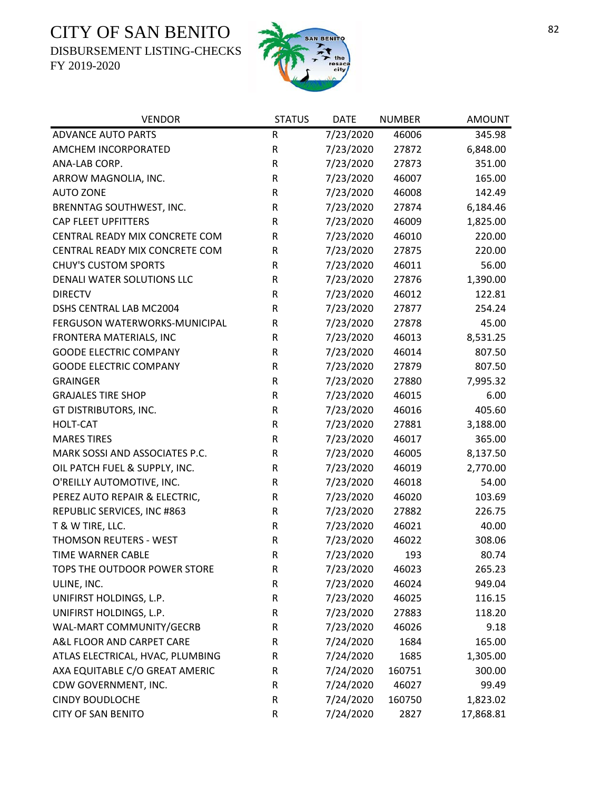DISBURSEMENT LISTING-CHECKS



| <b>VENDOR</b>                    | <b>STATUS</b> | <b>DATE</b> | <b>NUMBER</b> | <b>AMOUNT</b> |
|----------------------------------|---------------|-------------|---------------|---------------|
| <b>ADVANCE AUTO PARTS</b>        | $\mathsf R$   | 7/23/2020   | 46006         | 345.98        |
| AMCHEM INCORPORATED              | ${\sf R}$     | 7/23/2020   | 27872         | 6,848.00      |
| ANA-LAB CORP.                    | ${\sf R}$     | 7/23/2020   | 27873         | 351.00        |
| ARROW MAGNOLIA, INC.             | ${\sf R}$     | 7/23/2020   | 46007         | 165.00        |
| <b>AUTO ZONE</b>                 | R             | 7/23/2020   | 46008         | 142.49        |
| BRENNTAG SOUTHWEST, INC.         | ${\sf R}$     | 7/23/2020   | 27874         | 6,184.46      |
| <b>CAP FLEET UPFITTERS</b>       | R             | 7/23/2020   | 46009         | 1,825.00      |
| CENTRAL READY MIX CONCRETE COM   | ${\sf R}$     | 7/23/2020   | 46010         | 220.00        |
| CENTRAL READY MIX CONCRETE COM   | R             | 7/23/2020   | 27875         | 220.00        |
| <b>CHUY'S CUSTOM SPORTS</b>      | R             | 7/23/2020   | 46011         | 56.00         |
| DENALI WATER SOLUTIONS LLC       | R             | 7/23/2020   | 27876         | 1,390.00      |
| <b>DIRECTV</b>                   | R             | 7/23/2020   | 46012         | 122.81        |
| DSHS CENTRAL LAB MC2004          | ${\sf R}$     | 7/23/2020   | 27877         | 254.24        |
| FERGUSON WATERWORKS-MUNICIPAL    | ${\sf R}$     | 7/23/2020   | 27878         | 45.00         |
| FRONTERA MATERIALS, INC          | R             | 7/23/2020   | 46013         | 8,531.25      |
| <b>GOODE ELECTRIC COMPANY</b>    | ${\sf R}$     | 7/23/2020   | 46014         | 807.50        |
| <b>GOODE ELECTRIC COMPANY</b>    | R             | 7/23/2020   | 27879         | 807.50        |
| <b>GRAINGER</b>                  | ${\sf R}$     | 7/23/2020   | 27880         | 7,995.32      |
| <b>GRAJALES TIRE SHOP</b>        | $\mathsf R$   | 7/23/2020   | 46015         | 6.00          |
| GT DISTRIBUTORS, INC.            | ${\sf R}$     | 7/23/2020   | 46016         | 405.60        |
| <b>HOLT-CAT</b>                  | ${\sf R}$     | 7/23/2020   | 27881         | 3,188.00      |
| <b>MARES TIRES</b>               | R             | 7/23/2020   | 46017         | 365.00        |
| MARK SOSSI AND ASSOCIATES P.C.   | R             | 7/23/2020   | 46005         | 8,137.50      |
| OIL PATCH FUEL & SUPPLY, INC.    | ${\sf R}$     | 7/23/2020   | 46019         | 2,770.00      |
| O'REILLY AUTOMOTIVE, INC.        | ${\sf R}$     | 7/23/2020   | 46018         | 54.00         |
| PEREZ AUTO REPAIR & ELECTRIC,    | ${\sf R}$     | 7/23/2020   | 46020         | 103.69        |
| REPUBLIC SERVICES, INC #863      | ${\sf R}$     | 7/23/2020   | 27882         | 226.75        |
| T & W TIRE, LLC.                 | ${\sf R}$     | 7/23/2020   | 46021         | 40.00         |
| THOMSON REUTERS - WEST           | $\sf R$       | 7/23/2020   | 46022         | 308.06        |
| TIME WARNER CABLE                | $\mathsf R$   | 7/23/2020   | 193           | 80.74         |
| TOPS THE OUTDOOR POWER STORE     | R             | 7/23/2020   | 46023         | 265.23        |
| ULINE, INC.                      | ${\sf R}$     | 7/23/2020   | 46024         | 949.04        |
| UNIFIRST HOLDINGS, L.P.          | ${\sf R}$     | 7/23/2020   | 46025         | 116.15        |
| UNIFIRST HOLDINGS, L.P.          | ${\sf R}$     | 7/23/2020   | 27883         | 118.20        |
| WAL-MART COMMUNITY/GECRB         | R             | 7/23/2020   | 46026         | 9.18          |
| A&L FLOOR AND CARPET CARE        | R             | 7/24/2020   | 1684          | 165.00        |
| ATLAS ELECTRICAL, HVAC, PLUMBING | R             | 7/24/2020   | 1685          | 1,305.00      |
| AXA EQUITABLE C/O GREAT AMERIC   | R             | 7/24/2020   | 160751        | 300.00        |
| CDW GOVERNMENT, INC.             | R             | 7/24/2020   | 46027         | 99.49         |
| <b>CINDY BOUDLOCHE</b>           | R             | 7/24/2020   | 160750        | 1,823.02      |
| <b>CITY OF SAN BENITO</b>        | ${\sf R}$     | 7/24/2020   | 2827          | 17,868.81     |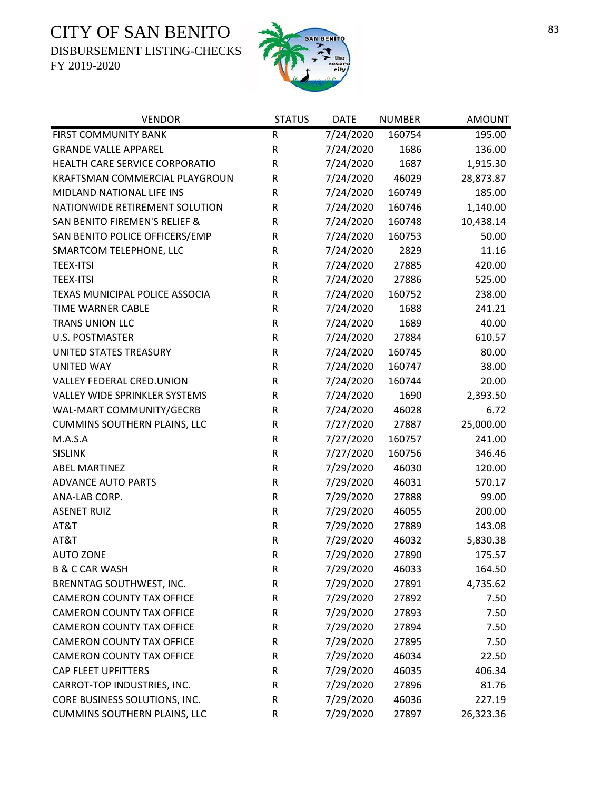DISBURSEMENT LISTING-CHECKS



| <b>VENDOR</b>                            | <b>STATUS</b> | <b>DATE</b> | <b>NUMBER</b> | <b>AMOUNT</b> |
|------------------------------------------|---------------|-------------|---------------|---------------|
| FIRST COMMUNITY BANK                     | R             | 7/24/2020   | 160754        | 195.00        |
| <b>GRANDE VALLE APPAREL</b>              | ${\sf R}$     | 7/24/2020   | 1686          | 136.00        |
| HEALTH CARE SERVICE CORPORATIO           | ${\sf R}$     | 7/24/2020   | 1687          | 1,915.30      |
| KRAFTSMAN COMMERCIAL PLAYGROUN           | ${\sf R}$     | 7/24/2020   | 46029         | 28,873.87     |
| MIDLAND NATIONAL LIFE INS                | R             | 7/24/2020   | 160749        | 185.00        |
| NATIONWIDE RETIREMENT SOLUTION           | ${\sf R}$     | 7/24/2020   | 160746        | 1,140.00      |
| <b>SAN BENITO FIREMEN'S RELIEF &amp;</b> | R             | 7/24/2020   | 160748        | 10,438.14     |
| SAN BENITO POLICE OFFICERS/EMP           | R             | 7/24/2020   | 160753        | 50.00         |
| SMARTCOM TELEPHONE, LLC                  | ${\sf R}$     | 7/24/2020   | 2829          | 11.16         |
| <b>TEEX-ITSI</b>                         | R             | 7/24/2020   | 27885         | 420.00        |
| <b>TEEX-ITSI</b>                         | R             | 7/24/2020   | 27886         | 525.00        |
| TEXAS MUNICIPAL POLICE ASSOCIA           | R             | 7/24/2020   | 160752        | 238.00        |
| TIME WARNER CABLE                        | R             | 7/24/2020   | 1688          | 241.21        |
| <b>TRANS UNION LLC</b>                   | R             | 7/24/2020   | 1689          | 40.00         |
| <b>U.S. POSTMASTER</b>                   | R             | 7/24/2020   | 27884         | 610.57        |
| UNITED STATES TREASURY                   | ${\sf R}$     | 7/24/2020   | 160745        | 80.00         |
| <b>UNITED WAY</b>                        | R             | 7/24/2020   | 160747        | 38.00         |
| VALLEY FEDERAL CRED.UNION                | R             | 7/24/2020   | 160744        | 20.00         |
| VALLEY WIDE SPRINKLER SYSTEMS            | R             | 7/24/2020   | 1690          | 2,393.50      |
| WAL-MART COMMUNITY/GECRB                 | R             | 7/24/2020   | 46028         | 6.72          |
| <b>CUMMINS SOUTHERN PLAINS, LLC</b>      | ${\sf R}$     | 7/27/2020   | 27887         | 25,000.00     |
| M.A.S.A                                  | R             | 7/27/2020   | 160757        | 241.00        |
| <b>SISLINK</b>                           | R             | 7/27/2020   | 160756        | 346.46        |
| <b>ABEL MARTINEZ</b>                     | R             | 7/29/2020   | 46030         | 120.00        |
| <b>ADVANCE AUTO PARTS</b>                | R             | 7/29/2020   | 46031         | 570.17        |
| ANA-LAB CORP.                            | R             | 7/29/2020   | 27888         | 99.00         |
| <b>ASENET RUIZ</b>                       | R             | 7/29/2020   | 46055         | 200.00        |
| AT&T                                     | R             | 7/29/2020   | 27889         | 143.08        |
| AT&T                                     | R             | 7/29/2020   | 46032         | 5,830.38      |
| <b>AUTO ZONE</b>                         | $\mathsf R$   | 7/29/2020   | 27890         | 175.57        |
| <b>B &amp; C CAR WASH</b>                | R             | 7/29/2020   | 46033         | 164.50        |
| BRENNTAG SOUTHWEST, INC.                 | R             | 7/29/2020   | 27891         | 4,735.62      |
| <b>CAMERON COUNTY TAX OFFICE</b>         | R             | 7/29/2020   | 27892         | 7.50          |
| <b>CAMERON COUNTY TAX OFFICE</b>         | R             | 7/29/2020   | 27893         | 7.50          |
| <b>CAMERON COUNTY TAX OFFICE</b>         | R             | 7/29/2020   | 27894         | 7.50          |
| <b>CAMERON COUNTY TAX OFFICE</b>         | R             | 7/29/2020   | 27895         | 7.50          |
| <b>CAMERON COUNTY TAX OFFICE</b>         | R             | 7/29/2020   | 46034         | 22.50         |
| <b>CAP FLEET UPFITTERS</b>               | R             | 7/29/2020   | 46035         | 406.34        |
| CARROT-TOP INDUSTRIES, INC.              | R             | 7/29/2020   | 27896         | 81.76         |
| CORE BUSINESS SOLUTIONS, INC.            | R             | 7/29/2020   | 46036         | 227.19        |
| <b>CUMMINS SOUTHERN PLAINS, LLC</b>      | R             | 7/29/2020   | 27897         | 26,323.36     |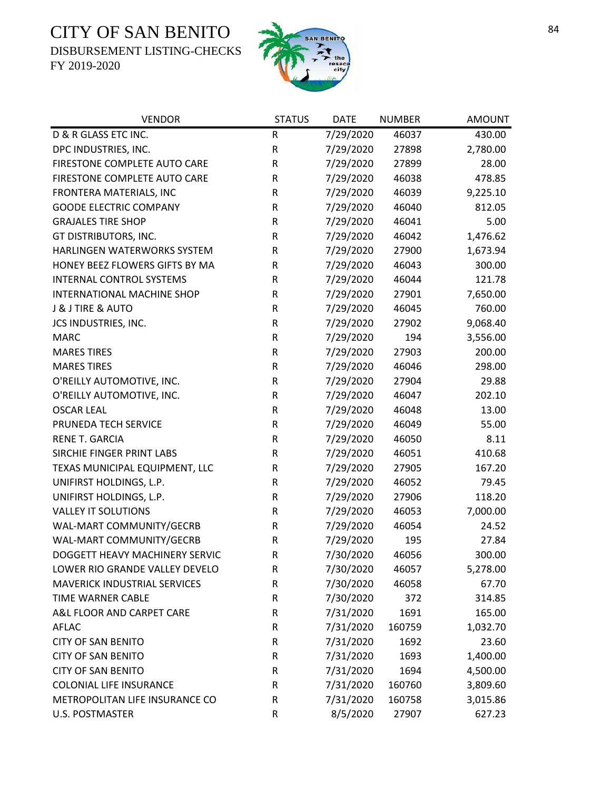DISBURSEMENT LISTING-CHECKS



| <b>VENDOR</b>                    | <b>STATUS</b> | <b>DATE</b> | <b>NUMBER</b> | <b>AMOUNT</b> |
|----------------------------------|---------------|-------------|---------------|---------------|
| D & R GLASS ETC INC.             | R             | 7/29/2020   | 46037         | 430.00        |
| DPC INDUSTRIES, INC.             | R             | 7/29/2020   | 27898         | 2,780.00      |
| FIRESTONE COMPLETE AUTO CARE     | $\mathsf R$   | 7/29/2020   | 27899         | 28.00         |
| FIRESTONE COMPLETE AUTO CARE     | R             | 7/29/2020   | 46038         | 478.85        |
| FRONTERA MATERIALS, INC          | R             | 7/29/2020   | 46039         | 9,225.10      |
| <b>GOODE ELECTRIC COMPANY</b>    | ${\sf R}$     | 7/29/2020   | 46040         | 812.05        |
| <b>GRAJALES TIRE SHOP</b>        | R             | 7/29/2020   | 46041         | 5.00          |
| GT DISTRIBUTORS, INC.            | R             | 7/29/2020   | 46042         | 1,476.62      |
| HARLINGEN WATERWORKS SYSTEM      | R             | 7/29/2020   | 27900         | 1,673.94      |
| HONEY BEEZ FLOWERS GIFTS BY MA   | R             | 7/29/2020   | 46043         | 300.00        |
| <b>INTERNAL CONTROL SYSTEMS</b>  | R             | 7/29/2020   | 46044         | 121.78        |
| INTERNATIONAL MACHINE SHOP       | R             | 7/29/2020   | 27901         | 7,650.00      |
| <b>J &amp; J TIRE &amp; AUTO</b> | ${\sf R}$     | 7/29/2020   | 46045         | 760.00        |
| JCS INDUSTRIES, INC.             | R             | 7/29/2020   | 27902         | 9,068.40      |
| <b>MARC</b>                      | R             | 7/29/2020   | 194           | 3,556.00      |
| <b>MARES TIRES</b>               | R             | 7/29/2020   | 27903         | 200.00        |
| <b>MARES TIRES</b>               | R             | 7/29/2020   | 46046         | 298.00        |
| O'REILLY AUTOMOTIVE, INC.        | R             | 7/29/2020   | 27904         | 29.88         |
| O'REILLY AUTOMOTIVE, INC.        | ${\sf R}$     | 7/29/2020   | 46047         | 202.10        |
| <b>OSCAR LEAL</b>                | R             | 7/29/2020   | 46048         | 13.00         |
| PRUNEDA TECH SERVICE             | ${\sf R}$     | 7/29/2020   | 46049         | 55.00         |
| RENE T. GARCIA                   | R             | 7/29/2020   | 46050         | 8.11          |
| SIRCHIE FINGER PRINT LABS        | R             | 7/29/2020   | 46051         | 410.68        |
| TEXAS MUNICIPAL EQUIPMENT, LLC   | R             | 7/29/2020   | 27905         | 167.20        |
| UNIFIRST HOLDINGS, L.P.          | ${\sf R}$     | 7/29/2020   | 46052         | 79.45         |
| UNIFIRST HOLDINGS, L.P.          | R             | 7/29/2020   | 27906         | 118.20        |
| <b>VALLEY IT SOLUTIONS</b>       | R             | 7/29/2020   | 46053         | 7,000.00      |
| WAL-MART COMMUNITY/GECRB         | R             | 7/29/2020   | 46054         | 24.52         |
| WAL-MART COMMUNITY/GECRB         | ${\sf R}$     | 7/29/2020   | 195           | 27.84         |
| DOGGETT HEAVY MACHINERY SERVIC   | $\mathsf R$   | 7/30/2020   | 46056         | 300.00        |
| LOWER RIO GRANDE VALLEY DEVELO   | R             | 7/30/2020   | 46057         | 5,278.00      |
| MAVERICK INDUSTRIAL SERVICES     | $\mathsf R$   | 7/30/2020   | 46058         | 67.70         |
| TIME WARNER CABLE                | R             | 7/30/2020   | 372           | 314.85        |
| A&L FLOOR AND CARPET CARE        | ${\sf R}$     | 7/31/2020   | 1691          | 165.00        |
| <b>AFLAC</b>                     | R             | 7/31/2020   | 160759        | 1,032.70      |
| <b>CITY OF SAN BENITO</b>        | R             | 7/31/2020   | 1692          | 23.60         |
| <b>CITY OF SAN BENITO</b>        | R             | 7/31/2020   | 1693          | 1,400.00      |
| <b>CITY OF SAN BENITO</b>        | R             | 7/31/2020   | 1694          | 4,500.00      |
| <b>COLONIAL LIFE INSURANCE</b>   | R             | 7/31/2020   | 160760        | 3,809.60      |
| METROPOLITAN LIFE INSURANCE CO   | R             | 7/31/2020   | 160758        | 3,015.86      |
| <b>U.S. POSTMASTER</b>           | ${\sf R}$     | 8/5/2020    | 27907         | 627.23        |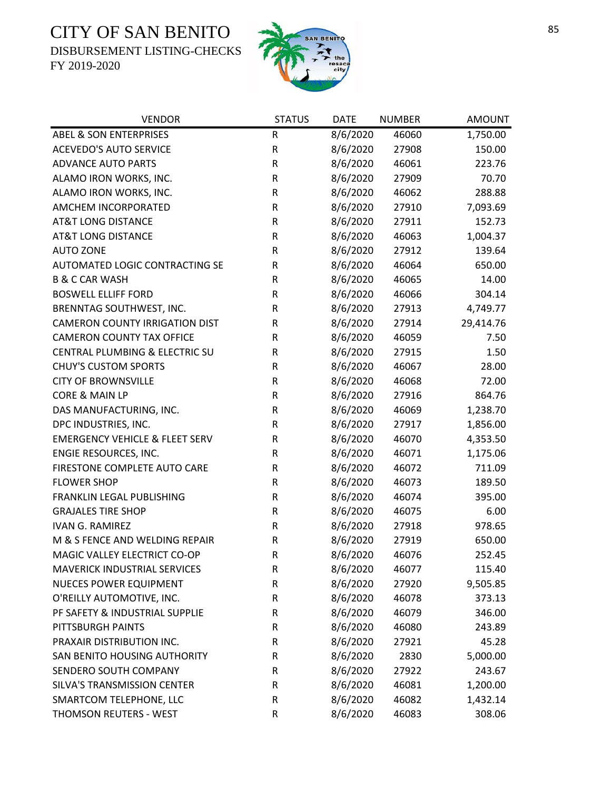DISBURSEMENT LISTING-CHECKS



| <b>VENDOR</b>                             | <b>STATUS</b> | <b>DATE</b> | <b>NUMBER</b> | <b>AMOUNT</b> |
|-------------------------------------------|---------------|-------------|---------------|---------------|
| <b>ABEL &amp; SON ENTERPRISES</b>         | ${\sf R}$     | 8/6/2020    | 46060         | 1,750.00      |
| <b>ACEVEDO'S AUTO SERVICE</b>             | ${\sf R}$     | 8/6/2020    | 27908         | 150.00        |
| <b>ADVANCE AUTO PARTS</b>                 | R             | 8/6/2020    | 46061         | 223.76        |
| ALAMO IRON WORKS, INC.                    | ${\sf R}$     | 8/6/2020    | 27909         | 70.70         |
| ALAMO IRON WORKS, INC.                    | ${\sf R}$     | 8/6/2020    | 46062         | 288.88        |
| AMCHEM INCORPORATED                       | ${\sf R}$     | 8/6/2020    | 27910         | 7,093.69      |
| <b>AT&amp;T LONG DISTANCE</b>             | ${\sf R}$     | 8/6/2020    | 27911         | 152.73        |
| <b>AT&amp;T LONG DISTANCE</b>             | R             | 8/6/2020    | 46063         | 1,004.37      |
| <b>AUTO ZONE</b>                          | ${\sf R}$     | 8/6/2020    | 27912         | 139.64        |
| AUTOMATED LOGIC CONTRACTING SE            | ${\sf R}$     | 8/6/2020    | 46064         | 650.00        |
| <b>B &amp; C CAR WASH</b>                 | ${\sf R}$     | 8/6/2020    | 46065         | 14.00         |
| <b>BOSWELL ELLIFF FORD</b>                | ${\sf R}$     | 8/6/2020    | 46066         | 304.14        |
| BRENNTAG SOUTHWEST, INC.                  | R             | 8/6/2020    | 27913         | 4,749.77      |
| <b>CAMERON COUNTY IRRIGATION DIST</b>     | ${\sf R}$     | 8/6/2020    | 27914         | 29,414.76     |
| <b>CAMERON COUNTY TAX OFFICE</b>          | R             | 8/6/2020    | 46059         | 7.50          |
| CENTRAL PLUMBING & ELECTRIC SU            | R             | 8/6/2020    | 27915         | 1.50          |
| <b>CHUY'S CUSTOM SPORTS</b>               | ${\sf R}$     | 8/6/2020    | 46067         | 28.00         |
| <b>CITY OF BROWNSVILLE</b>                | ${\sf R}$     | 8/6/2020    | 46068         | 72.00         |
| CORE & MAIN LP                            | ${\sf R}$     | 8/6/2020    | 27916         | 864.76        |
| DAS MANUFACTURING, INC.                   | ${\sf R}$     | 8/6/2020    | 46069         | 1,238.70      |
| DPC INDUSTRIES, INC.                      | ${\sf R}$     | 8/6/2020    | 27917         | 1,856.00      |
| <b>EMERGENCY VEHICLE &amp; FLEET SERV</b> | ${\sf R}$     | 8/6/2020    | 46070         | 4,353.50      |
| ENGIE RESOURCES, INC.                     | ${\sf R}$     | 8/6/2020    | 46071         | 1,175.06      |
| FIRESTONE COMPLETE AUTO CARE              | ${\sf R}$     | 8/6/2020    | 46072         | 711.09        |
| <b>FLOWER SHOP</b>                        | R             | 8/6/2020    | 46073         | 189.50        |
| FRANKLIN LEGAL PUBLISHING                 | ${\sf R}$     | 8/6/2020    | 46074         | 395.00        |
| <b>GRAJALES TIRE SHOP</b>                 | R             | 8/6/2020    | 46075         | 6.00          |
| <b>IVAN G. RAMIREZ</b>                    | ${\sf R}$     | 8/6/2020    | 27918         | 978.65        |
| M & S FENCE AND WELDING REPAIR            | ${\sf R}$     | 8/6/2020    | 27919         | 650.00        |
| MAGIC VALLEY ELECTRICT CO-OP              | $\mathsf{R}$  | 8/6/2020    | 46076         | 252.45        |
| <b>MAVERICK INDUSTRIAL SERVICES</b>       | R             | 8/6/2020    | 46077         | 115.40        |
| NUECES POWER EQUIPMENT                    | R             | 8/6/2020    | 27920         | 9,505.85      |
| O'REILLY AUTOMOTIVE, INC.                 | R             | 8/6/2020    | 46078         | 373.13        |
| PF SAFETY & INDUSTRIAL SUPPLIE            | R             | 8/6/2020    | 46079         | 346.00        |
| PITTSBURGH PAINTS                         | R             | 8/6/2020    | 46080         | 243.89        |
| PRAXAIR DISTRIBUTION INC.                 | R             | 8/6/2020    | 27921         | 45.28         |
| SAN BENITO HOUSING AUTHORITY              | R             | 8/6/2020    | 2830          | 5,000.00      |
| SENDERO SOUTH COMPANY                     | R             | 8/6/2020    | 27922         | 243.67        |
| SILVA'S TRANSMISSION CENTER               | R             | 8/6/2020    | 46081         | 1,200.00      |
| SMARTCOM TELEPHONE, LLC                   | R             | 8/6/2020    | 46082         | 1,432.14      |
| THOMSON REUTERS - WEST                    | ${\sf R}$     | 8/6/2020    | 46083         | 308.06        |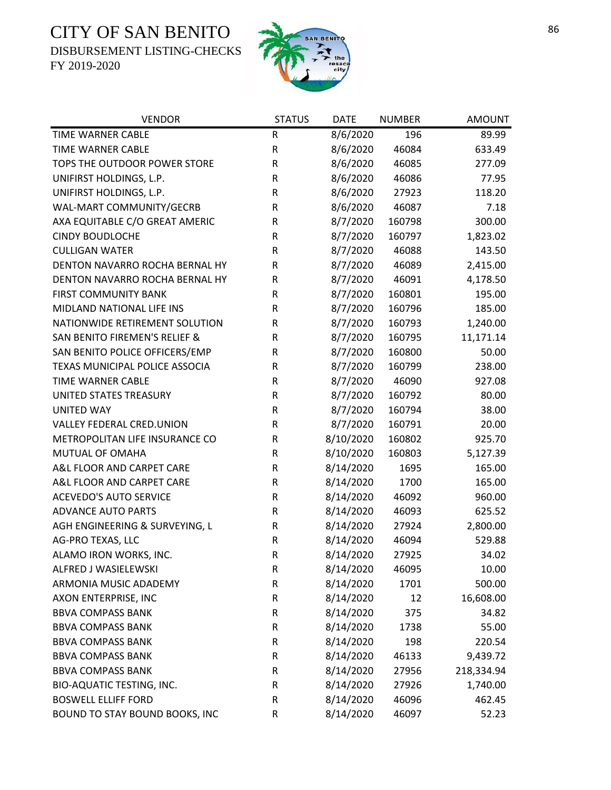DISBURSEMENT LISTING-CHECKS



| <b>VENDOR</b>                  | <b>STATUS</b> | <b>DATE</b> | <b>NUMBER</b> | <b>AMOUNT</b> |
|--------------------------------|---------------|-------------|---------------|---------------|
| TIME WARNER CABLE              | ${\sf R}$     | 8/6/2020    | 196           | 89.99         |
| <b>TIME WARNER CABLE</b>       | R             | 8/6/2020    | 46084         | 633.49        |
| TOPS THE OUTDOOR POWER STORE   | ${\sf R}$     | 8/6/2020    | 46085         | 277.09        |
| UNIFIRST HOLDINGS, L.P.        | ${\sf R}$     | 8/6/2020    | 46086         | 77.95         |
| UNIFIRST HOLDINGS, L.P.        | R             | 8/6/2020    | 27923         | 118.20        |
| WAL-MART COMMUNITY/GECRB       | ${\sf R}$     | 8/6/2020    | 46087         | 7.18          |
| AXA EQUITABLE C/O GREAT AMERIC | ${\sf R}$     | 8/7/2020    | 160798        | 300.00        |
| <b>CINDY BOUDLOCHE</b>         | R             | 8/7/2020    | 160797        | 1,823.02      |
| <b>CULLIGAN WATER</b>          | R             | 8/7/2020    | 46088         | 143.50        |
| DENTON NAVARRO ROCHA BERNAL HY | R             | 8/7/2020    | 46089         | 2,415.00      |
| DENTON NAVARRO ROCHA BERNAL HY | $\mathsf R$   | 8/7/2020    | 46091         | 4,178.50      |
| <b>FIRST COMMUNITY BANK</b>    | R             | 8/7/2020    | 160801        | 195.00        |
| MIDLAND NATIONAL LIFE INS      | R             | 8/7/2020    | 160796        | 185.00        |
| NATIONWIDE RETIREMENT SOLUTION | R             | 8/7/2020    | 160793        | 1,240.00      |
| SAN BENITO FIREMEN'S RELIEF &  | ${\sf R}$     | 8/7/2020    | 160795        | 11,171.14     |
| SAN BENITO POLICE OFFICERS/EMP | ${\sf R}$     | 8/7/2020    | 160800        | 50.00         |
| TEXAS MUNICIPAL POLICE ASSOCIA | ${\sf R}$     | 8/7/2020    | 160799        | 238.00        |
| TIME WARNER CABLE              | ${\sf R}$     | 8/7/2020    | 46090         | 927.08        |
| UNITED STATES TREASURY         | R             | 8/7/2020    | 160792        | 80.00         |
| <b>UNITED WAY</b>              | ${\sf R}$     | 8/7/2020    | 160794        | 38.00         |
| VALLEY FEDERAL CRED.UNION      | ${\sf R}$     | 8/7/2020    | 160791        | 20.00         |
| METROPOLITAN LIFE INSURANCE CO | ${\sf R}$     | 8/10/2020   | 160802        | 925.70        |
| MUTUAL OF OMAHA                | ${\sf R}$     | 8/10/2020   | 160803        | 5,127.39      |
| A&L FLOOR AND CARPET CARE      | R             | 8/14/2020   | 1695          | 165.00        |
| A&L FLOOR AND CARPET CARE      | ${\sf R}$     | 8/14/2020   | 1700          | 165.00        |
| <b>ACEVEDO'S AUTO SERVICE</b>  | R             | 8/14/2020   | 46092         | 960.00        |
| <b>ADVANCE AUTO PARTS</b>      | R             | 8/14/2020   | 46093         | 625.52        |
| AGH ENGINEERING & SURVEYING, L | R             | 8/14/2020   | 27924         | 2,800.00      |
| AG-PRO TEXAS, LLC              | ${\sf R}$     | 8/14/2020   | 46094         | 529.88        |
| ALAMO IRON WORKS, INC.         | $\mathsf{R}$  | 8/14/2020   | 27925         | 34.02         |
| ALFRED J WASIELEWSKI           | R             | 8/14/2020   | 46095         | 10.00         |
| ARMONIA MUSIC ADADEMY          | R             | 8/14/2020   | 1701          | 500.00        |
| AXON ENTERPRISE, INC           | R             | 8/14/2020   | 12            | 16,608.00     |
| <b>BBVA COMPASS BANK</b>       | R             | 8/14/2020   | 375           | 34.82         |
| <b>BBVA COMPASS BANK</b>       | R             | 8/14/2020   | 1738          | 55.00         |
| <b>BBVA COMPASS BANK</b>       | $\mathsf R$   | 8/14/2020   | 198           | 220.54        |
| <b>BBVA COMPASS BANK</b>       | $\mathsf R$   | 8/14/2020   | 46133         | 9,439.72      |
| <b>BBVA COMPASS BANK</b>       | R             | 8/14/2020   | 27956         | 218,334.94    |
| BIO-AQUATIC TESTING, INC.      | $\mathsf R$   | 8/14/2020   | 27926         | 1,740.00      |
| <b>BOSWELL ELLIFF FORD</b>     | R             | 8/14/2020   | 46096         | 462.45        |
| BOUND TO STAY BOUND BOOKS, INC | R             | 8/14/2020   | 46097         | 52.23         |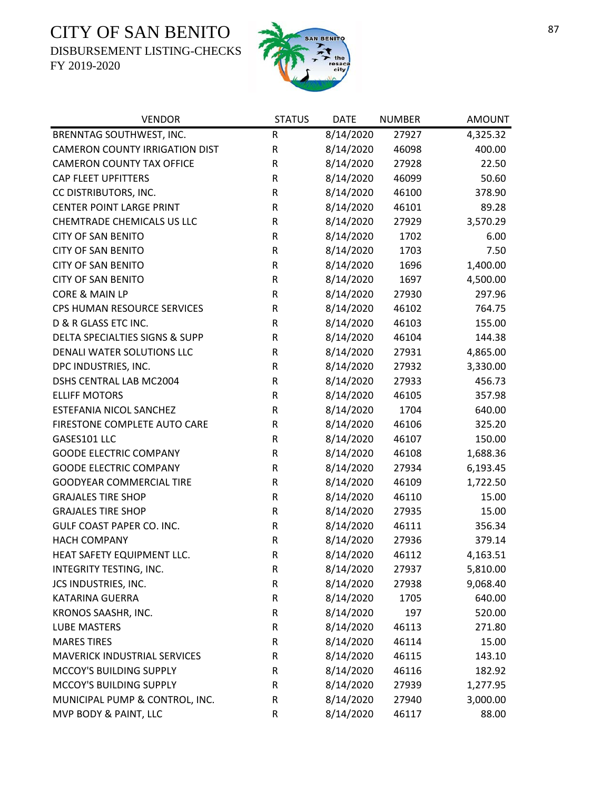DISBURSEMENT LISTING-CHECKS



| <b>VENDOR</b>                         | <b>STATUS</b> | <b>DATE</b> | <b>NUMBER</b> | <b>AMOUNT</b> |
|---------------------------------------|---------------|-------------|---------------|---------------|
| BRENNTAG SOUTHWEST, INC.              | ${\sf R}$     | 8/14/2020   | 27927         | 4,325.32      |
| <b>CAMERON COUNTY IRRIGATION DIST</b> | ${\sf R}$     | 8/14/2020   | 46098         | 400.00        |
| <b>CAMERON COUNTY TAX OFFICE</b>      | ${\sf R}$     | 8/14/2020   | 27928         | 22.50         |
| <b>CAP FLEET UPFITTERS</b>            | ${\sf R}$     | 8/14/2020   | 46099         | 50.60         |
| CC DISTRIBUTORS, INC.                 | ${\sf R}$     | 8/14/2020   | 46100         | 378.90        |
| <b>CENTER POINT LARGE PRINT</b>       | ${\sf R}$     | 8/14/2020   | 46101         | 89.28         |
| <b>CHEMTRADE CHEMICALS US LLC</b>     | ${\sf R}$     | 8/14/2020   | 27929         | 3,570.29      |
| <b>CITY OF SAN BENITO</b>             | ${\sf R}$     | 8/14/2020   | 1702          | 6.00          |
| <b>CITY OF SAN BENITO</b>             | ${\sf R}$     | 8/14/2020   | 1703          | 7.50          |
| <b>CITY OF SAN BENITO</b>             | ${\sf R}$     | 8/14/2020   | 1696          | 1,400.00      |
| <b>CITY OF SAN BENITO</b>             | ${\sf R}$     | 8/14/2020   | 1697          | 4,500.00      |
| CORE & MAIN LP                        | R             | 8/14/2020   | 27930         | 297.96        |
| CPS HUMAN RESOURCE SERVICES           | ${\sf R}$     | 8/14/2020   | 46102         | 764.75        |
| D & R GLASS ETC INC.                  | ${\sf R}$     | 8/14/2020   | 46103         | 155.00        |
| DELTA SPECIALTIES SIGNS & SUPP        | ${\sf R}$     | 8/14/2020   | 46104         | 144.38        |
| DENALI WATER SOLUTIONS LLC            | ${\sf R}$     | 8/14/2020   | 27931         | 4,865.00      |
| DPC INDUSTRIES, INC.                  | ${\sf R}$     | 8/14/2020   | 27932         | 3,330.00      |
| <b>DSHS CENTRAL LAB MC2004</b>        | ${\sf R}$     | 8/14/2020   | 27933         | 456.73        |
| <b>ELLIFF MOTORS</b>                  | $\mathsf R$   | 8/14/2020   | 46105         | 357.98        |
| ESTEFANIA NICOL SANCHEZ               | ${\sf R}$     | 8/14/2020   | 1704          | 640.00        |
| FIRESTONE COMPLETE AUTO CARE          | ${\sf R}$     | 8/14/2020   | 46106         | 325.20        |
| GASES101 LLC                          | ${\sf R}$     | 8/14/2020   | 46107         | 150.00        |
| <b>GOODE ELECTRIC COMPANY</b>         | ${\sf R}$     | 8/14/2020   | 46108         | 1,688.36      |
| <b>GOODE ELECTRIC COMPANY</b>         | ${\sf R}$     | 8/14/2020   | 27934         | 6,193.45      |
| <b>GOODYEAR COMMERCIAL TIRE</b>       | ${\sf R}$     | 8/14/2020   | 46109         | 1,722.50      |
| <b>GRAJALES TIRE SHOP</b>             | ${\sf R}$     | 8/14/2020   | 46110         | 15.00         |
| <b>GRAJALES TIRE SHOP</b>             | ${\sf R}$     | 8/14/2020   | 27935         | 15.00         |
| <b>GULF COAST PAPER CO. INC.</b>      | ${\sf R}$     | 8/14/2020   | 46111         | 356.34        |
| <b>HACH COMPANY</b>                   | ${\sf R}$     | 8/14/2020   | 27936         | 379.14        |
| HEAT SAFETY EQUIPMENT LLC.            | $\mathsf R$   | 8/14/2020   | 46112         | 4,163.51      |
| INTEGRITY TESTING, INC.               | R             | 8/14/2020   | 27937         | 5,810.00      |
| JCS INDUSTRIES, INC.                  | ${\sf R}$     | 8/14/2020   | 27938         | 9,068.40      |
| <b>KATARINA GUERRA</b>                | ${\sf R}$     | 8/14/2020   | 1705          | 640.00        |
| KRONOS SAASHR, INC.                   | ${\sf R}$     | 8/14/2020   | 197           | 520.00        |
| <b>LUBE MASTERS</b>                   | R             | 8/14/2020   | 46113         | 271.80        |
| <b>MARES TIRES</b>                    | R             | 8/14/2020   | 46114         | 15.00         |
| <b>MAVERICK INDUSTRIAL SERVICES</b>   | R             | 8/14/2020   | 46115         | 143.10        |
| MCCOY'S BUILDING SUPPLY               | ${\sf R}$     | 8/14/2020   | 46116         | 182.92        |
| MCCOY'S BUILDING SUPPLY               | R             | 8/14/2020   | 27939         | 1,277.95      |
| MUNICIPAL PUMP & CONTROL, INC.        | ${\sf R}$     | 8/14/2020   | 27940         | 3,000.00      |
| MVP BODY & PAINT, LLC                 | ${\sf R}$     | 8/14/2020   | 46117         | 88.00         |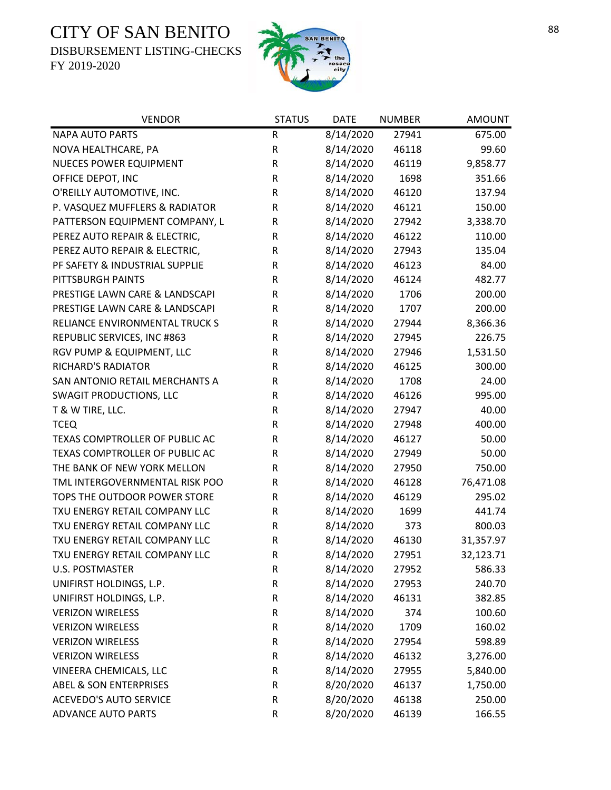DISBURSEMENT LISTING-CHECKS



| <b>VENDOR</b>                     | <b>STATUS</b> | <b>DATE</b> | <b>NUMBER</b> | <b>AMOUNT</b> |
|-----------------------------------|---------------|-------------|---------------|---------------|
| <b>NAPA AUTO PARTS</b>            | R             | 8/14/2020   | 27941         | 675.00        |
| NOVA HEALTHCARE, PA               | ${\sf R}$     | 8/14/2020   | 46118         | 99.60         |
| NUECES POWER EQUIPMENT            | ${\sf R}$     | 8/14/2020   | 46119         | 9,858.77      |
| OFFICE DEPOT, INC                 | ${\sf R}$     | 8/14/2020   | 1698          | 351.66        |
| O'REILLY AUTOMOTIVE, INC.         | ${\sf R}$     | 8/14/2020   | 46120         | 137.94        |
| P. VASQUEZ MUFFLERS & RADIATOR    | R             | 8/14/2020   | 46121         | 150.00        |
| PATTERSON EQUIPMENT COMPANY, L    | R             | 8/14/2020   | 27942         | 3,338.70      |
| PEREZ AUTO REPAIR & ELECTRIC,     | R             | 8/14/2020   | 46122         | 110.00        |
| PEREZ AUTO REPAIR & ELECTRIC,     | ${\sf R}$     | 8/14/2020   | 27943         | 135.04        |
| PF SAFETY & INDUSTRIAL SUPPLIE    | R             | 8/14/2020   | 46123         | 84.00         |
| PITTSBURGH PAINTS                 | R             | 8/14/2020   | 46124         | 482.77        |
| PRESTIGE LAWN CARE & LANDSCAPI    | R             | 8/14/2020   | 1706          | 200.00        |
| PRESTIGE LAWN CARE & LANDSCAPI    | R             | 8/14/2020   | 1707          | 200.00        |
| RELIANCE ENVIRONMENTAL TRUCK S    | R             | 8/14/2020   | 27944         | 8,366.36      |
| REPUBLIC SERVICES, INC #863       | R             | 8/14/2020   | 27945         | 226.75        |
| RGV PUMP & EQUIPMENT, LLC         | R             | 8/14/2020   | 27946         | 1,531.50      |
| <b>RICHARD'S RADIATOR</b>         | R             | 8/14/2020   | 46125         | 300.00        |
| SAN ANTONIO RETAIL MERCHANTS A    | ${\sf R}$     | 8/14/2020   | 1708          | 24.00         |
| <b>SWAGIT PRODUCTIONS, LLC</b>    | R             | 8/14/2020   | 46126         | 995.00        |
| T & W TIRE, LLC.                  | ${\sf R}$     | 8/14/2020   | 27947         | 40.00         |
| <b>TCEQ</b>                       | ${\sf R}$     | 8/14/2020   | 27948         | 400.00        |
| TEXAS COMPTROLLER OF PUBLIC AC    | R             | 8/14/2020   | 46127         | 50.00         |
| TEXAS COMPTROLLER OF PUBLIC AC    | R             | 8/14/2020   | 27949         | 50.00         |
| THE BANK OF NEW YORK MELLON       | R             | 8/14/2020   | 27950         | 750.00        |
| TML INTERGOVERNMENTAL RISK POO    | R             | 8/14/2020   | 46128         | 76,471.08     |
| TOPS THE OUTDOOR POWER STORE      | R             | 8/14/2020   | 46129         | 295.02        |
| TXU ENERGY RETAIL COMPANY LLC     | R             | 8/14/2020   | 1699          | 441.74        |
| TXU ENERGY RETAIL COMPANY LLC     | ${\sf R}$     | 8/14/2020   | 373           | 800.03        |
| TXU ENERGY RETAIL COMPANY LLC     | ${\sf R}$     | 8/14/2020   | 46130         | 31,357.97     |
| TXU ENERGY RETAIL COMPANY LLC     | $\mathsf R$   | 8/14/2020   | 27951         | 32,123.71     |
| <b>U.S. POSTMASTER</b>            | R             | 8/14/2020   | 27952         | 586.33        |
| UNIFIRST HOLDINGS, L.P.           | ${\sf R}$     | 8/14/2020   | 27953         | 240.70        |
| UNIFIRST HOLDINGS, L.P.           | ${\sf R}$     | 8/14/2020   | 46131         | 382.85        |
| <b>VERIZON WIRELESS</b>           | R             | 8/14/2020   | 374           | 100.60        |
| <b>VERIZON WIRELESS</b>           | ${\sf R}$     | 8/14/2020   | 1709          | 160.02        |
| <b>VERIZON WIRELESS</b>           | ${\sf R}$     | 8/14/2020   | 27954         | 598.89        |
| <b>VERIZON WIRELESS</b>           | ${\sf R}$     | 8/14/2020   | 46132         | 3,276.00      |
| VINEERA CHEMICALS, LLC            | ${\sf R}$     | 8/14/2020   | 27955         | 5,840.00      |
| <b>ABEL &amp; SON ENTERPRISES</b> | ${\sf R}$     | 8/20/2020   | 46137         | 1,750.00      |
| <b>ACEVEDO'S AUTO SERVICE</b>     | ${\sf R}$     | 8/20/2020   | 46138         | 250.00        |
| <b>ADVANCE AUTO PARTS</b>         | ${\sf R}$     | 8/20/2020   | 46139         | 166.55        |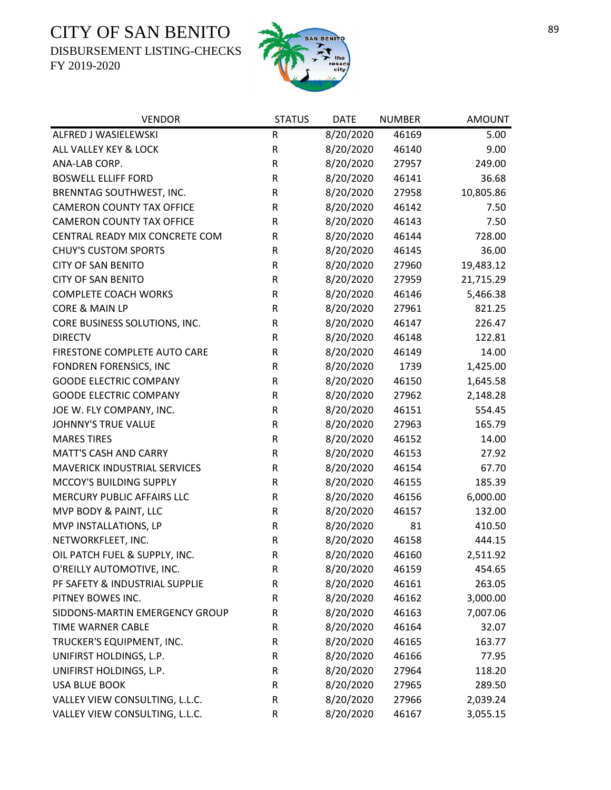DISBURSEMENT LISTING-CHECKS



| <b>VENDOR</b>                       | <b>STATUS</b> | <b>DATE</b> | <b>NUMBER</b> | <b>AMOUNT</b> |
|-------------------------------------|---------------|-------------|---------------|---------------|
| ALFRED J WASIELEWSKI                | ${\sf R}$     | 8/20/2020   | 46169         | 5.00          |
| ALL VALLEY KEY & LOCK               | ${\sf R}$     | 8/20/2020   | 46140         | 9.00          |
| ANA-LAB CORP.                       | ${\sf R}$     | 8/20/2020   | 27957         | 249.00        |
| <b>BOSWELL ELLIFF FORD</b>          | ${\sf R}$     | 8/20/2020   | 46141         | 36.68         |
| BRENNTAG SOUTHWEST, INC.            | ${\sf R}$     | 8/20/2020   | 27958         | 10,805.86     |
| <b>CAMERON COUNTY TAX OFFICE</b>    | ${\sf R}$     | 8/20/2020   | 46142         | 7.50          |
| <b>CAMERON COUNTY TAX OFFICE</b>    | R             | 8/20/2020   | 46143         | 7.50          |
| CENTRAL READY MIX CONCRETE COM      | ${\sf R}$     | 8/20/2020   | 46144         | 728.00        |
| <b>CHUY'S CUSTOM SPORTS</b>         | ${\sf R}$     | 8/20/2020   | 46145         | 36.00         |
| <b>CITY OF SAN BENITO</b>           | ${\sf R}$     | 8/20/2020   | 27960         | 19,483.12     |
| <b>CITY OF SAN BENITO</b>           | ${\sf R}$     | 8/20/2020   | 27959         | 21,715.29     |
| <b>COMPLETE COACH WORKS</b>         | R             | 8/20/2020   | 46146         | 5,466.38      |
| CORE & MAIN LP                      | ${\sf R}$     | 8/20/2020   | 27961         | 821.25        |
| CORE BUSINESS SOLUTIONS, INC.       | ${\sf R}$     | 8/20/2020   | 46147         | 226.47        |
| <b>DIRECTV</b>                      | ${\sf R}$     | 8/20/2020   | 46148         | 122.81        |
| FIRESTONE COMPLETE AUTO CARE        | ${\sf R}$     | 8/20/2020   | 46149         | 14.00         |
| FONDREN FORENSICS, INC              | ${\sf R}$     | 8/20/2020   | 1739          | 1,425.00      |
| <b>GOODE ELECTRIC COMPANY</b>       | ${\sf R}$     | 8/20/2020   | 46150         | 1,645.58      |
| <b>GOODE ELECTRIC COMPANY</b>       | $\mathsf R$   | 8/20/2020   | 27962         | 2,148.28      |
| JOE W. FLY COMPANY, INC.            | ${\sf R}$     | 8/20/2020   | 46151         | 554.45        |
| <b>JOHNNY'S TRUE VALUE</b>          | ${\sf R}$     | 8/20/2020   | 27963         | 165.79        |
| <b>MARES TIRES</b>                  | ${\sf R}$     | 8/20/2020   | 46152         | 14.00         |
| <b>MATT'S CASH AND CARRY</b>        | ${\sf R}$     | 8/20/2020   | 46153         | 27.92         |
| <b>MAVERICK INDUSTRIAL SERVICES</b> | ${\sf R}$     | 8/20/2020   | 46154         | 67.70         |
| MCCOY'S BUILDING SUPPLY             | ${\sf R}$     | 8/20/2020   | 46155         | 185.39        |
| MERCURY PUBLIC AFFAIRS LLC          | ${\sf R}$     | 8/20/2020   | 46156         | 6,000.00      |
| MVP BODY & PAINT, LLC               | ${\sf R}$     | 8/20/2020   | 46157         | 132.00        |
| MVP INSTALLATIONS, LP               | ${\sf R}$     | 8/20/2020   | 81            | 410.50        |
| NETWORKFLEET, INC.                  | ${\sf R}$     | 8/20/2020   | 46158         | 444.15        |
| OIL PATCH FUEL & SUPPLY, INC.       | $\mathsf{R}$  | 8/20/2020   | 46160         | 2,511.92      |
| O'REILLY AUTOMOTIVE, INC.           | R             | 8/20/2020   | 46159         | 454.65        |
| PF SAFETY & INDUSTRIAL SUPPLIE      | ${\sf R}$     | 8/20/2020   | 46161         | 263.05        |
| PITNEY BOWES INC.                   | ${\sf R}$     | 8/20/2020   | 46162         | 3,000.00      |
| SIDDONS-MARTIN EMERGENCY GROUP      | ${\sf R}$     | 8/20/2020   | 46163         | 7,007.06      |
| <b>TIME WARNER CABLE</b>            | ${\sf R}$     | 8/20/2020   | 46164         | 32.07         |
| TRUCKER'S EQUIPMENT, INC.           | R             | 8/20/2020   | 46165         | 163.77        |
| UNIFIRST HOLDINGS, L.P.             | R             | 8/20/2020   | 46166         | 77.95         |
| UNIFIRST HOLDINGS, L.P.             | ${\sf R}$     | 8/20/2020   | 27964         | 118.20        |
| <b>USA BLUE BOOK</b>                | ${\sf R}$     | 8/20/2020   | 27965         | 289.50        |
| VALLEY VIEW CONSULTING, L.L.C.      | R             | 8/20/2020   | 27966         | 2,039.24      |
| VALLEY VIEW CONSULTING, L.L.C.      | ${\sf R}$     | 8/20/2020   | 46167         | 3,055.15      |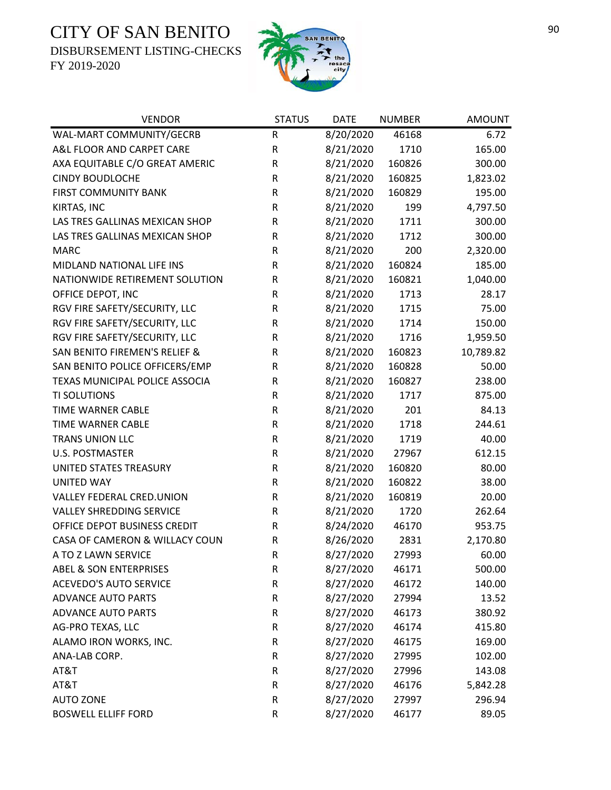DISBURSEMENT LISTING-CHECKS



| <b>VENDOR</b>                            | <b>STATUS</b> | <b>DATE</b> | <b>NUMBER</b> | <b>AMOUNT</b> |
|------------------------------------------|---------------|-------------|---------------|---------------|
| WAL-MART COMMUNITY/GECRB                 | R             | 8/20/2020   | 46168         | 6.72          |
| A&L FLOOR AND CARPET CARE                | R             | 8/21/2020   | 1710          | 165.00        |
| AXA EQUITABLE C/O GREAT AMERIC           | ${\sf R}$     | 8/21/2020   | 160826        | 300.00        |
| <b>CINDY BOUDLOCHE</b>                   | ${\sf R}$     | 8/21/2020   | 160825        | 1,823.02      |
| <b>FIRST COMMUNITY BANK</b>              | R             | 8/21/2020   | 160829        | 195.00        |
| KIRTAS, INC                              | ${\sf R}$     | 8/21/2020   | 199           | 4,797.50      |
| LAS TRES GALLINAS MEXICAN SHOP           | R             | 8/21/2020   | 1711          | 300.00        |
| LAS TRES GALLINAS MEXICAN SHOP           | ${\sf R}$     | 8/21/2020   | 1712          | 300.00        |
| <b>MARC</b>                              | R             | 8/21/2020   | 200           | 2,320.00      |
| MIDLAND NATIONAL LIFE INS                | ${\sf R}$     | 8/21/2020   | 160824        | 185.00        |
| NATIONWIDE RETIREMENT SOLUTION           | R             | 8/21/2020   | 160821        | 1,040.00      |
| OFFICE DEPOT, INC                        | R             | 8/21/2020   | 1713          | 28.17         |
| RGV FIRE SAFETY/SECURITY, LLC            | R             | 8/21/2020   | 1715          | 75.00         |
| RGV FIRE SAFETY/SECURITY, LLC            | R             | 8/21/2020   | 1714          | 150.00        |
| RGV FIRE SAFETY/SECURITY, LLC            | ${\sf R}$     | 8/21/2020   | 1716          | 1,959.50      |
| <b>SAN BENITO FIREMEN'S RELIEF &amp;</b> | ${\sf R}$     | 8/21/2020   | 160823        | 10,789.82     |
| SAN BENITO POLICE OFFICERS/EMP           | ${\sf R}$     | 8/21/2020   | 160828        | 50.00         |
| TEXAS MUNICIPAL POLICE ASSOCIA           | ${\sf R}$     | 8/21/2020   | 160827        | 238.00        |
| <b>TI SOLUTIONS</b>                      | R             | 8/21/2020   | 1717          | 875.00        |
| TIME WARNER CABLE                        | ${\sf R}$     | 8/21/2020   | 201           | 84.13         |
| TIME WARNER CABLE                        | ${\sf R}$     | 8/21/2020   | 1718          | 244.61        |
| TRANS UNION LLC                          | ${\sf R}$     | 8/21/2020   | 1719          | 40.00         |
| <b>U.S. POSTMASTER</b>                   | ${\sf R}$     | 8/21/2020   | 27967         | 612.15        |
| UNITED STATES TREASURY                   | R             | 8/21/2020   | 160820        | 80.00         |
| <b>UNITED WAY</b>                        | ${\sf R}$     | 8/21/2020   | 160822        | 38.00         |
| <b>VALLEY FEDERAL CRED.UNION</b>         | R             | 8/21/2020   | 160819        | 20.00         |
| <b>VALLEY SHREDDING SERVICE</b>          | ${\sf R}$     | 8/21/2020   | 1720          | 262.64        |
| OFFICE DEPOT BUSINESS CREDIT             | R             | 8/24/2020   | 46170         | 953.75        |
| CASA OF CAMERON & WILLACY COUN           | ${\sf R}$     | 8/26/2020   | 2831          | 2,170.80      |
| A TO Z LAWN SERVICE                      | $\mathsf R$   | 8/27/2020   | 27993         | 60.00         |
| <b>ABEL &amp; SON ENTERPRISES</b>        | R             | 8/27/2020   | 46171         | 500.00        |
| <b>ACEVEDO'S AUTO SERVICE</b>            | R             | 8/27/2020   | 46172         | 140.00        |
| <b>ADVANCE AUTO PARTS</b>                | ${\sf R}$     | 8/27/2020   | 27994         | 13.52         |
| <b>ADVANCE AUTO PARTS</b>                | ${\sf R}$     | 8/27/2020   | 46173         | 380.92        |
| AG-PRO TEXAS, LLC                        | ${\sf R}$     | 8/27/2020   | 46174         | 415.80        |
| ALAMO IRON WORKS, INC.                   | ${\sf R}$     | 8/27/2020   | 46175         | 169.00        |
| ANA-LAB CORP.                            | ${\sf R}$     | 8/27/2020   | 27995         | 102.00        |
| AT&T                                     | ${\sf R}$     | 8/27/2020   | 27996         | 143.08        |
| AT&T                                     | R             | 8/27/2020   | 46176         | 5,842.28      |
| <b>AUTO ZONE</b>                         | ${\sf R}$     | 8/27/2020   | 27997         | 296.94        |
| <b>BOSWELL ELLIFF FORD</b>               | ${\sf R}$     | 8/27/2020   | 46177         | 89.05         |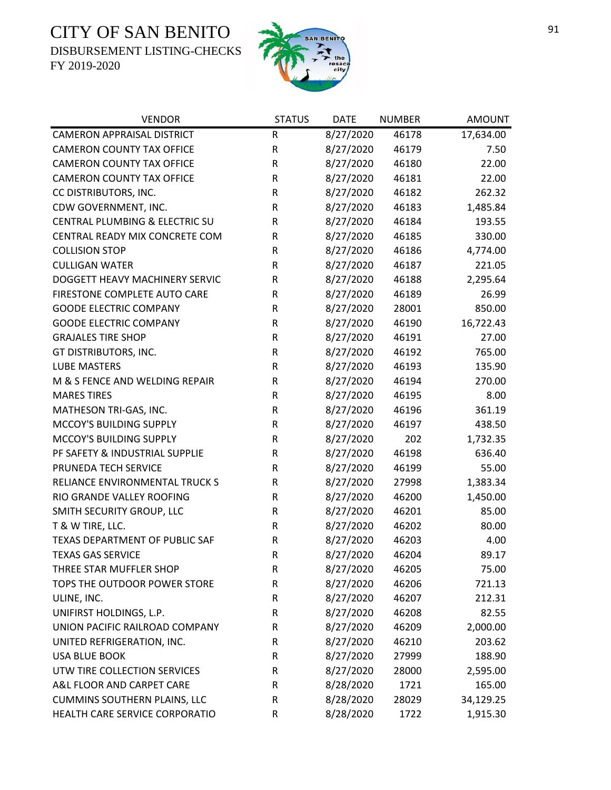DISBURSEMENT LISTING-CHECKS



| <b>VENDOR</b>                       | <b>STATUS</b> | <b>DATE</b> | <b>NUMBER</b> | <b>AMOUNT</b> |
|-------------------------------------|---------------|-------------|---------------|---------------|
| <b>CAMERON APPRAISAL DISTRICT</b>   | R             | 8/27/2020   | 46178         | 17,634.00     |
| <b>CAMERON COUNTY TAX OFFICE</b>    | R             | 8/27/2020   | 46179         | 7.50          |
| <b>CAMERON COUNTY TAX OFFICE</b>    | $\mathsf R$   | 8/27/2020   | 46180         | 22.00         |
| <b>CAMERON COUNTY TAX OFFICE</b>    | R             | 8/27/2020   | 46181         | 22.00         |
| CC DISTRIBUTORS, INC.               | ${\sf R}$     | 8/27/2020   | 46182         | 262.32        |
| CDW GOVERNMENT, INC.                | $\mathsf R$   | 8/27/2020   | 46183         | 1,485.84      |
| CENTRAL PLUMBING & ELECTRIC SU      | R             | 8/27/2020   | 46184         | 193.55        |
| CENTRAL READY MIX CONCRETE COM      | R             | 8/27/2020   | 46185         | 330.00        |
| <b>COLLISION STOP</b>               | R             | 8/27/2020   | 46186         | 4,774.00      |
| <b>CULLIGAN WATER</b>               | ${\sf R}$     | 8/27/2020   | 46187         | 221.05        |
| DOGGETT HEAVY MACHINERY SERVIC      | R             | 8/27/2020   | 46188         | 2,295.64      |
| FIRESTONE COMPLETE AUTO CARE        | R             | 8/27/2020   | 46189         | 26.99         |
| <b>GOODE ELECTRIC COMPANY</b>       | R             | 8/27/2020   | 28001         | 850.00        |
| <b>GOODE ELECTRIC COMPANY</b>       | R             | 8/27/2020   | 46190         | 16,722.43     |
| <b>GRAJALES TIRE SHOP</b>           | R             | 8/27/2020   | 46191         | 27.00         |
| GT DISTRIBUTORS, INC.               | R             | 8/27/2020   | 46192         | 765.00        |
| <b>LUBE MASTERS</b>                 | ${\sf R}$     | 8/27/2020   | 46193         | 135.90        |
| M & S FENCE AND WELDING REPAIR      | R             | 8/27/2020   | 46194         | 270.00        |
| <b>MARES TIRES</b>                  | R             | 8/27/2020   | 46195         | 8.00          |
| MATHESON TRI-GAS, INC.              | ${\sf R}$     | 8/27/2020   | 46196         | 361.19        |
| MCCOY'S BUILDING SUPPLY             | R             | 8/27/2020   | 46197         | 438.50        |
| MCCOY'S BUILDING SUPPLY             | ${\sf R}$     | 8/27/2020   | 202           | 1,732.35      |
| PF SAFETY & INDUSTRIAL SUPPLIE      | ${\sf R}$     | 8/27/2020   | 46198         | 636.40        |
| PRUNEDA TECH SERVICE                | R             | 8/27/2020   | 46199         | 55.00         |
| RELIANCE ENVIRONMENTAL TRUCK S      | $\mathsf R$   | 8/27/2020   | 27998         | 1,383.34      |
| RIO GRANDE VALLEY ROOFING           | R             | 8/27/2020   | 46200         | 1,450.00      |
| SMITH SECURITY GROUP, LLC           | R             | 8/27/2020   | 46201         | 85.00         |
| T & W TIRE, LLC.                    | R             | 8/27/2020   | 46202         | 80.00         |
| TEXAS DEPARTMENT OF PUBLIC SAF      | ${\sf R}$     | 8/27/2020   | 46203         | 4.00          |
| <b>TEXAS GAS SERVICE</b>            | $\mathsf R$   | 8/27/2020   | 46204         | 89.17         |
| THREE STAR MUFFLER SHOP             | R             | 8/27/2020   | 46205         | 75.00         |
| TOPS THE OUTDOOR POWER STORE        | R             | 8/27/2020   | 46206         | 721.13        |
| ULINE, INC.                         | R             | 8/27/2020   | 46207         | 212.31        |
| UNIFIRST HOLDINGS, L.P.             | R             | 8/27/2020   | 46208         | 82.55         |
| UNION PACIFIC RAILROAD COMPANY      | R             | 8/27/2020   | 46209         | 2,000.00      |
| UNITED REFRIGERATION, INC.          | R             | 8/27/2020   | 46210         | 203.62        |
| <b>USA BLUE BOOK</b>                | R             | 8/27/2020   | 27999         | 188.90        |
| UTW TIRE COLLECTION SERVICES        | R             | 8/27/2020   | 28000         | 2,595.00      |
| A&L FLOOR AND CARPET CARE           | R             | 8/28/2020   | 1721          | 165.00        |
| <b>CUMMINS SOUTHERN PLAINS, LLC</b> | R             | 8/28/2020   | 28029         | 34,129.25     |
| HEALTH CARE SERVICE CORPORATIO      | R             | 8/28/2020   | 1722          | 1,915.30      |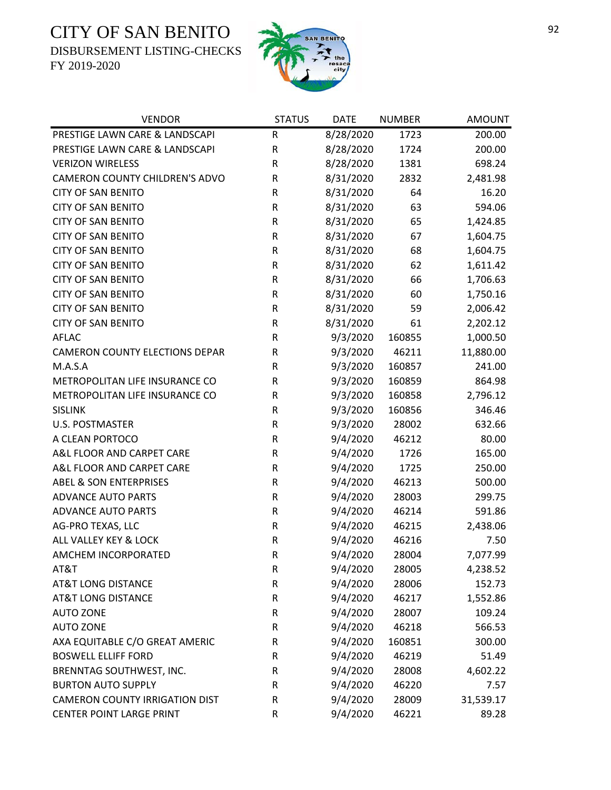DISBURSEMENT LISTING-CHECKS



| <b>VENDOR</b>                         | <b>STATUS</b> | <b>DATE</b> | <b>NUMBER</b> | <b>AMOUNT</b> |
|---------------------------------------|---------------|-------------|---------------|---------------|
| PRESTIGE LAWN CARE & LANDSCAPI        | R             | 8/28/2020   | 1723          | 200.00        |
| PRESTIGE LAWN CARE & LANDSCAPI        | ${\sf R}$     | 8/28/2020   | 1724          | 200.00        |
| <b>VERIZON WIRELESS</b>               | ${\sf R}$     | 8/28/2020   | 1381          | 698.24        |
| CAMERON COUNTY CHILDREN'S ADVO        | R             | 8/31/2020   | 2832          | 2,481.98      |
| <b>CITY OF SAN BENITO</b>             | R             | 8/31/2020   | 64            | 16.20         |
| <b>CITY OF SAN BENITO</b>             | ${\sf R}$     | 8/31/2020   | 63            | 594.06        |
| <b>CITY OF SAN BENITO</b>             | R             | 8/31/2020   | 65            | 1,424.85      |
| <b>CITY OF SAN BENITO</b>             | R             | 8/31/2020   | 67            | 1,604.75      |
| <b>CITY OF SAN BENITO</b>             | R             | 8/31/2020   | 68            | 1,604.75      |
| <b>CITY OF SAN BENITO</b>             | R             | 8/31/2020   | 62            | 1,611.42      |
| <b>CITY OF SAN BENITO</b>             | R             | 8/31/2020   | 66            | 1,706.63      |
| <b>CITY OF SAN BENITO</b>             | ${\sf R}$     | 8/31/2020   | 60            | 1,750.16      |
| <b>CITY OF SAN BENITO</b>             | R             | 8/31/2020   | 59            | 2,006.42      |
| <b>CITY OF SAN BENITO</b>             | R             | 8/31/2020   | 61            | 2,202.12      |
| <b>AFLAC</b>                          | R             | 9/3/2020    | 160855        | 1,000.50      |
| <b>CAMERON COUNTY ELECTIONS DEPAR</b> | ${\sf R}$     | 9/3/2020    | 46211         | 11,880.00     |
| M.A.S.A                               | R             | 9/3/2020    | 160857        | 241.00        |
| METROPOLITAN LIFE INSURANCE CO        | R             | 9/3/2020    | 160859        | 864.98        |
| METROPOLITAN LIFE INSURANCE CO        | R             | 9/3/2020    | 160858        | 2,796.12      |
| <b>SISLINK</b>                        | R             | 9/3/2020    | 160856        | 346.46        |
| <b>U.S. POSTMASTER</b>                | ${\sf R}$     | 9/3/2020    | 28002         | 632.66        |
| A CLEAN PORTOCO                       | ${\sf R}$     | 9/4/2020    | 46212         | 80.00         |
| A&L FLOOR AND CARPET CARE             | R             | 9/4/2020    | 1726          | 165.00        |
| A&L FLOOR AND CARPET CARE             | R             | 9/4/2020    | 1725          | 250.00        |
| <b>ABEL &amp; SON ENTERPRISES</b>     | ${\sf R}$     | 9/4/2020    | 46213         | 500.00        |
| <b>ADVANCE AUTO PARTS</b>             | R             | 9/4/2020    | 28003         | 299.75        |
| <b>ADVANCE AUTO PARTS</b>             | ${\sf R}$     | 9/4/2020    | 46214         | 591.86        |
| AG-PRO TEXAS, LLC                     | R             | 9/4/2020    | 46215         | 2,438.06      |
| ALL VALLEY KEY & LOCK                 | R             | 9/4/2020    | 46216         | 7.50          |
| AMCHEM INCORPORATED                   | $\mathsf R$   | 9/4/2020    | 28004         | 7,077.99      |
| AT&T                                  | R             | 9/4/2020    | 28005         | 4,238.52      |
| <b>AT&amp;T LONG DISTANCE</b>         | R             | 9/4/2020    | 28006         | 152.73        |
| <b>AT&amp;T LONG DISTANCE</b>         | R             | 9/4/2020    | 46217         | 1,552.86      |
| <b>AUTO ZONE</b>                      | R             | 9/4/2020    | 28007         | 109.24        |
| <b>AUTO ZONE</b>                      | R             | 9/4/2020    | 46218         | 566.53        |
| AXA EQUITABLE C/O GREAT AMERIC        | R             | 9/4/2020    | 160851        | 300.00        |
| <b>BOSWELL ELLIFF FORD</b>            | R             | 9/4/2020    | 46219         | 51.49         |
| BRENNTAG SOUTHWEST, INC.              | R             | 9/4/2020    | 28008         | 4,602.22      |
| <b>BURTON AUTO SUPPLY</b>             | R             | 9/4/2020    | 46220         | 7.57          |
| <b>CAMERON COUNTY IRRIGATION DIST</b> | R             | 9/4/2020    | 28009         | 31,539.17     |
| CENTER POINT LARGE PRINT              | R             | 9/4/2020    | 46221         | 89.28         |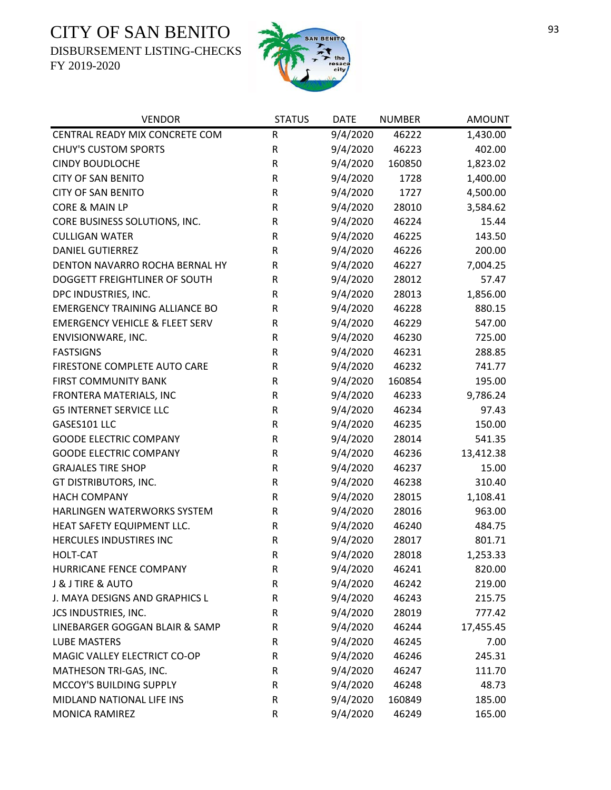DISBURSEMENT LISTING-CHECKS



| <b>VENDOR</b>                             | <b>STATUS</b> | <b>DATE</b> | <b>NUMBER</b> | <b>AMOUNT</b> |
|-------------------------------------------|---------------|-------------|---------------|---------------|
| CENTRAL READY MIX CONCRETE COM            | ${\sf R}$     | 9/4/2020    | 46222         | 1,430.00      |
| <b>CHUY'S CUSTOM SPORTS</b>               | ${\sf R}$     | 9/4/2020    | 46223         | 402.00        |
| <b>CINDY BOUDLOCHE</b>                    | ${\sf R}$     | 9/4/2020    | 160850        | 1,823.02      |
| <b>CITY OF SAN BENITO</b>                 | ${\sf R}$     | 9/4/2020    | 1728          | 1,400.00      |
| <b>CITY OF SAN BENITO</b>                 | ${\sf R}$     | 9/4/2020    | 1727          | 4,500.00      |
| CORE & MAIN LP                            | ${\sf R}$     | 9/4/2020    | 28010         | 3,584.62      |
| CORE BUSINESS SOLUTIONS, INC.             | ${\sf R}$     | 9/4/2020    | 46224         | 15.44         |
| <b>CULLIGAN WATER</b>                     | ${\sf R}$     | 9/4/2020    | 46225         | 143.50        |
| <b>DANIEL GUTIERREZ</b>                   | ${\sf R}$     | 9/4/2020    | 46226         | 200.00        |
| DENTON NAVARRO ROCHA BERNAL HY            | R             | 9/4/2020    | 46227         | 7,004.25      |
| DOGGETT FREIGHTLINER OF SOUTH             | R             | 9/4/2020    | 28012         | 57.47         |
| DPC INDUSTRIES, INC.                      | R             | 9/4/2020    | 28013         | 1,856.00      |
| <b>EMERGENCY TRAINING ALLIANCE BO</b>     | R             | 9/4/2020    | 46228         | 880.15        |
| <b>EMERGENCY VEHICLE &amp; FLEET SERV</b> | ${\sf R}$     | 9/4/2020    | 46229         | 547.00        |
| ENVISIONWARE, INC.                        | R             | 9/4/2020    | 46230         | 725.00        |
| <b>FASTSIGNS</b>                          | R             | 9/4/2020    | 46231         | 288.85        |
| FIRESTONE COMPLETE AUTO CARE              | ${\sf R}$     | 9/4/2020    | 46232         | 741.77        |
| <b>FIRST COMMUNITY BANK</b>               | ${\sf R}$     | 9/4/2020    | 160854        | 195.00        |
| FRONTERA MATERIALS, INC                   | ${\sf R}$     | 9/4/2020    | 46233         | 9,786.24      |
| <b>G5 INTERNET SERVICE LLC</b>            | ${\sf R}$     | 9/4/2020    | 46234         | 97.43         |
| GASES101 LLC                              | ${\sf R}$     | 9/4/2020    | 46235         | 150.00        |
| <b>GOODE ELECTRIC COMPANY</b>             | ${\sf R}$     | 9/4/2020    | 28014         | 541.35        |
| <b>GOODE ELECTRIC COMPANY</b>             | ${\sf R}$     | 9/4/2020    | 46236         | 13,412.38     |
| <b>GRAJALES TIRE SHOP</b>                 | R             | 9/4/2020    | 46237         | 15.00         |
| GT DISTRIBUTORS, INC.                     | ${\sf R}$     | 9/4/2020    | 46238         | 310.40        |
| <b>HACH COMPANY</b>                       | R             | 9/4/2020    | 28015         | 1,108.41      |
| HARLINGEN WATERWORKS SYSTEM               | ${\sf R}$     | 9/4/2020    | 28016         | 963.00        |
| HEAT SAFETY EQUIPMENT LLC.                | ${\sf R}$     | 9/4/2020    | 46240         | 484.75        |
| HERCULES INDUSTIRES INC                   | ${\sf R}$     | 9/4/2020    | 28017         | 801.71        |
| <b>HOLT-CAT</b>                           | $\mathsf R$   | 9/4/2020    | 28018         | 1,253.33      |
| HURRICANE FENCE COMPANY                   | R             | 9/4/2020    | 46241         | 820.00        |
| <b>J &amp; J TIRE &amp; AUTO</b>          | R             | 9/4/2020    | 46242         | 219.00        |
| J. MAYA DESIGNS AND GRAPHICS L            | ${\sf R}$     | 9/4/2020    | 46243         | 215.75        |
| JCS INDUSTRIES, INC.                      | R             | 9/4/2020    | 28019         | 777.42        |
| LINEBARGER GOGGAN BLAIR & SAMP            | R             | 9/4/2020    | 46244         | 17,455.45     |
| <b>LUBE MASTERS</b>                       | R             | 9/4/2020    | 46245         | 7.00          |
| MAGIC VALLEY ELECTRICT CO-OP              | R             | 9/4/2020    | 46246         | 245.31        |
| MATHESON TRI-GAS, INC.                    | R             | 9/4/2020    | 46247         | 111.70        |
| MCCOY'S BUILDING SUPPLY                   | R             | 9/4/2020    | 46248         | 48.73         |
| MIDLAND NATIONAL LIFE INS                 | ${\sf R}$     | 9/4/2020    | 160849        | 185.00        |
| MONICA RAMIREZ                            | ${\sf R}$     | 9/4/2020    | 46249         | 165.00        |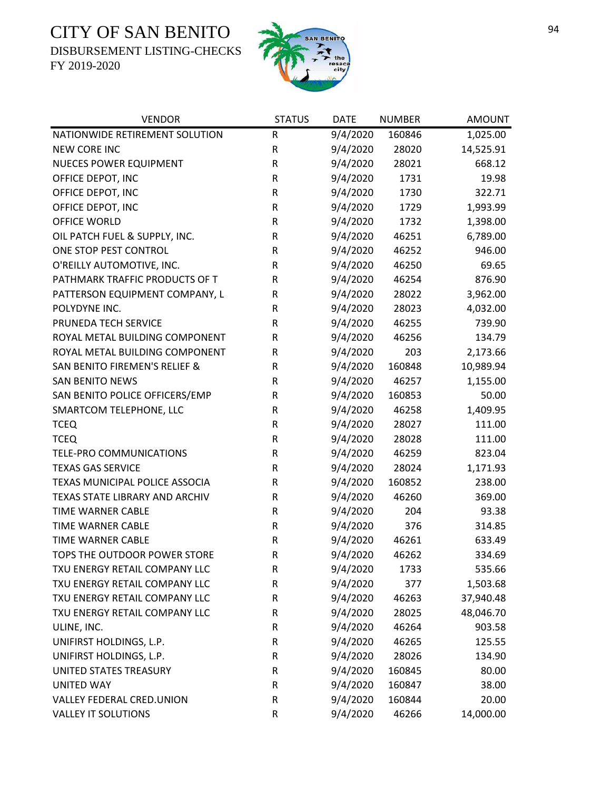DISBURSEMENT LISTING-CHECKS



| <b>VENDOR</b>                  | <b>STATUS</b> | <b>DATE</b> | <b>NUMBER</b> | <b>AMOUNT</b> |
|--------------------------------|---------------|-------------|---------------|---------------|
| NATIONWIDE RETIREMENT SOLUTION | $\mathsf R$   | 9/4/2020    | 160846        | 1,025.00      |
| <b>NEW CORE INC</b>            | R             | 9/4/2020    | 28020         | 14,525.91     |
| NUECES POWER EQUIPMENT         | R             | 9/4/2020    | 28021         | 668.12        |
| OFFICE DEPOT, INC              | ${\sf R}$     | 9/4/2020    | 1731          | 19.98         |
| OFFICE DEPOT, INC              | ${\sf R}$     | 9/4/2020    | 1730          | 322.71        |
| OFFICE DEPOT, INC              | R             | 9/4/2020    | 1729          | 1,993.99      |
| <b>OFFICE WORLD</b>            | ${\sf R}$     | 9/4/2020    | 1732          | 1,398.00      |
| OIL PATCH FUEL & SUPPLY, INC.  | R             | 9/4/2020    | 46251         | 6,789.00      |
| ONE STOP PEST CONTROL          | R             | 9/4/2020    | 46252         | 946.00        |
| O'REILLY AUTOMOTIVE, INC.      | R             | 9/4/2020    | 46250         | 69.65         |
| PATHMARK TRAFFIC PRODUCTS OF T | ${\sf R}$     | 9/4/2020    | 46254         | 876.90        |
| PATTERSON EQUIPMENT COMPANY, L | ${\sf R}$     | 9/4/2020    | 28022         | 3,962.00      |
| POLYDYNE INC.                  | R             | 9/4/2020    | 28023         | 4,032.00      |
| PRUNEDA TECH SERVICE           | R             | 9/4/2020    | 46255         | 739.90        |
| ROYAL METAL BUILDING COMPONENT | ${\sf R}$     | 9/4/2020    | 46256         | 134.79        |
| ROYAL METAL BUILDING COMPONENT | ${\sf R}$     | 9/4/2020    | 203           | 2,173.66      |
| SAN BENITO FIREMEN'S RELIEF &  | ${\sf R}$     | 9/4/2020    | 160848        | 10,989.94     |
| <b>SAN BENITO NEWS</b>         | ${\sf R}$     | 9/4/2020    | 46257         | 1,155.00      |
| SAN BENITO POLICE OFFICERS/EMP | R             | 9/4/2020    | 160853        | 50.00         |
| SMARTCOM TELEPHONE, LLC        | ${\sf R}$     | 9/4/2020    | 46258         | 1,409.95      |
| <b>TCEQ</b>                    | ${\sf R}$     | 9/4/2020    | 28027         | 111.00        |
| <b>TCEQ</b>                    | R             | 9/4/2020    | 28028         | 111.00        |
| TELE-PRO COMMUNICATIONS        | ${\sf R}$     | 9/4/2020    | 46259         | 823.04        |
| <b>TEXAS GAS SERVICE</b>       | $\sf R$       | 9/4/2020    | 28024         | 1,171.93      |
| TEXAS MUNICIPAL POLICE ASSOCIA | R             | 9/4/2020    | 160852        | 238.00        |
| TEXAS STATE LIBRARY AND ARCHIV | R             | 9/4/2020    | 46260         | 369.00        |
| TIME WARNER CABLE              | R             | 9/4/2020    | 204           | 93.38         |
| <b>TIME WARNER CABLE</b>       | R             | 9/4/2020    | 376           | 314.85        |
| <b>TIME WARNER CABLE</b>       | ${\sf R}$     | 9/4/2020    | 46261         | 633.49        |
| TOPS THE OUTDOOR POWER STORE   | $\mathsf{R}$  | 9/4/2020    | 46262         | 334.69        |
| TXU ENERGY RETAIL COMPANY LLC  | R             | 9/4/2020    | 1733          | 535.66        |
| TXU ENERGY RETAIL COMPANY LLC  | R             | 9/4/2020    | 377           | 1,503.68      |
| TXU ENERGY RETAIL COMPANY LLC  | R             | 9/4/2020    | 46263         | 37,940.48     |
| TXU ENERGY RETAIL COMPANY LLC  | R             | 9/4/2020    | 28025         | 48,046.70     |
| ULINE, INC.                    | R             | 9/4/2020    | 46264         | 903.58        |
| UNIFIRST HOLDINGS, L.P.        | R             | 9/4/2020    | 46265         | 125.55        |
| UNIFIRST HOLDINGS, L.P.        | R             | 9/4/2020    | 28026         | 134.90        |
| UNITED STATES TREASURY         | R             | 9/4/2020    | 160845        | 80.00         |
| <b>UNITED WAY</b>              | R             | 9/4/2020    | 160847        | 38.00         |
| VALLEY FEDERAL CRED.UNION      | R             | 9/4/2020    | 160844        | 20.00         |
| <b>VALLEY IT SOLUTIONS</b>     | R             | 9/4/2020    | 46266         | 14,000.00     |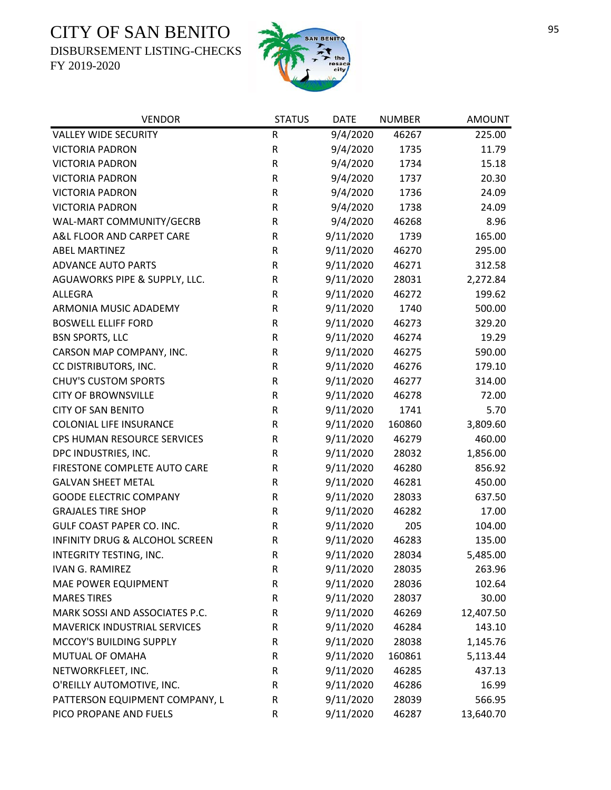DISBURSEMENT LISTING-CHECKS



| <b>VENDOR</b>                       | <b>STATUS</b> | <b>DATE</b> | <b>NUMBER</b> | <b>AMOUNT</b> |
|-------------------------------------|---------------|-------------|---------------|---------------|
| <b>VALLEY WIDE SECURITY</b>         | ${\sf R}$     | 9/4/2020    | 46267         | 225.00        |
| <b>VICTORIA PADRON</b>              | ${\sf R}$     | 9/4/2020    | 1735          | 11.79         |
| <b>VICTORIA PADRON</b>              | R             | 9/4/2020    | 1734          | 15.18         |
| <b>VICTORIA PADRON</b>              | R             | 9/4/2020    | 1737          | 20.30         |
| <b>VICTORIA PADRON</b>              | R             | 9/4/2020    | 1736          | 24.09         |
| <b>VICTORIA PADRON</b>              | R             | 9/4/2020    | 1738          | 24.09         |
| WAL-MART COMMUNITY/GECRB            | R             | 9/4/2020    | 46268         | 8.96          |
| A&L FLOOR AND CARPET CARE           | $\mathsf R$   | 9/11/2020   | 1739          | 165.00        |
| <b>ABEL MARTINEZ</b>                | R             | 9/11/2020   | 46270         | 295.00        |
| <b>ADVANCE AUTO PARTS</b>           | ${\sf R}$     | 9/11/2020   | 46271         | 312.58        |
| AGUAWORKS PIPE & SUPPLY, LLC.       | ${\sf R}$     | 9/11/2020   | 28031         | 2,272.84      |
| <b>ALLEGRA</b>                      | R             | 9/11/2020   | 46272         | 199.62        |
| ARMONIA MUSIC ADADEMY               | R             | 9/11/2020   | 1740          | 500.00        |
| <b>BOSWELL ELLIFF FORD</b>          | ${\sf R}$     | 9/11/2020   | 46273         | 329.20        |
| <b>BSN SPORTS, LLC</b>              | R             | 9/11/2020   | 46274         | 19.29         |
| CARSON MAP COMPANY, INC.            | ${\sf R}$     | 9/11/2020   | 46275         | 590.00        |
| CC DISTRIBUTORS, INC.               | R             | 9/11/2020   | 46276         | 179.10        |
| <b>CHUY'S CUSTOM SPORTS</b>         | ${\sf R}$     | 9/11/2020   | 46277         | 314.00        |
| <b>CITY OF BROWNSVILLE</b>          | R             | 9/11/2020   | 46278         | 72.00         |
| <b>CITY OF SAN BENITO</b>           | R             | 9/11/2020   | 1741          | 5.70          |
| <b>COLONIAL LIFE INSURANCE</b>      | ${\sf R}$     | 9/11/2020   | 160860        | 3,809.60      |
| CPS HUMAN RESOURCE SERVICES         | R             | 9/11/2020   | 46279         | 460.00        |
| DPC INDUSTRIES, INC.                | R             | 9/11/2020   | 28032         | 1,856.00      |
| FIRESTONE COMPLETE AUTO CARE        | R             | 9/11/2020   | 46280         | 856.92        |
| <b>GALVAN SHEET METAL</b>           | ${\sf R}$     | 9/11/2020   | 46281         | 450.00        |
| <b>GOODE ELECTRIC COMPANY</b>       | R             | 9/11/2020   | 28033         | 637.50        |
| <b>GRAJALES TIRE SHOP</b>           | ${\sf R}$     | 9/11/2020   | 46282         | 17.00         |
| <b>GULF COAST PAPER CO. INC.</b>    | R             | 9/11/2020   | 205           | 104.00        |
| INFINITY DRUG & ALCOHOL SCREEN      | ${\sf R}$     | 9/11/2020   | 46283         | 135.00        |
| INTEGRITY TESTING, INC.             | $\mathsf{R}$  | 9/11/2020   | 28034         | 5,485.00      |
| <b>IVAN G. RAMIREZ</b>              | R             | 9/11/2020   | 28035         | 263.96        |
| MAE POWER EQUIPMENT                 | R             | 9/11/2020   | 28036         | 102.64        |
| <b>MARES TIRES</b>                  | R             | 9/11/2020   | 28037         | 30.00         |
| MARK SOSSI AND ASSOCIATES P.C.      | R             | 9/11/2020   | 46269         | 12,407.50     |
| <b>MAVERICK INDUSTRIAL SERVICES</b> | R             | 9/11/2020   | 46284         | 143.10        |
| MCCOY'S BUILDING SUPPLY             | R             | 9/11/2020   | 28038         | 1,145.76      |
| MUTUAL OF OMAHA                     | R             | 9/11/2020   | 160861        | 5,113.44      |
| NETWORKFLEET, INC.                  | R             | 9/11/2020   | 46285         | 437.13        |
| O'REILLY AUTOMOTIVE, INC.           | R             | 9/11/2020   | 46286         | 16.99         |
| PATTERSON EQUIPMENT COMPANY, L      | R             | 9/11/2020   | 28039         | 566.95        |
| PICO PROPANE AND FUELS              | R             | 9/11/2020   | 46287         | 13,640.70     |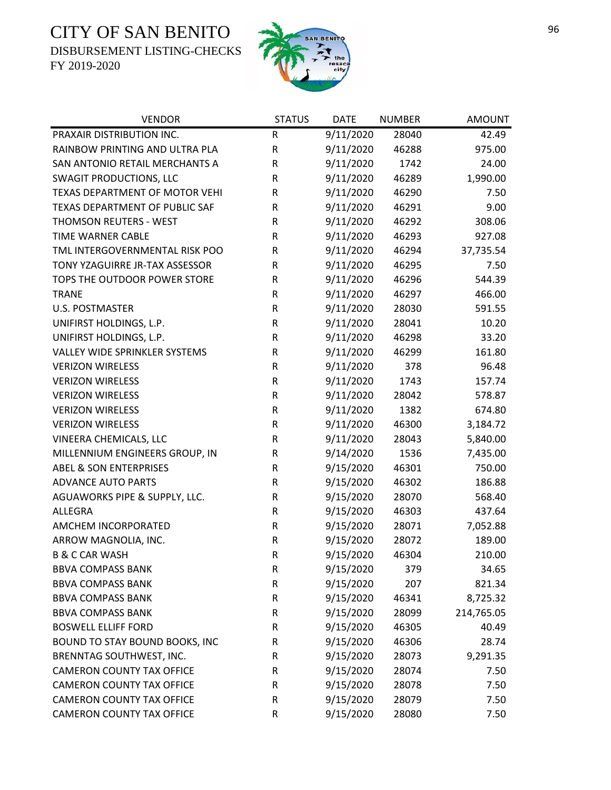DISBURSEMENT LISTING-CHECKS





| <b>VENDOR</b>                     | <b>STATUS</b> | <b>DATE</b> | <b>NUMBER</b> | <b>AMOUNT</b> |
|-----------------------------------|---------------|-------------|---------------|---------------|
| PRAXAIR DISTRIBUTION INC.         | R             | 9/11/2020   | 28040         | 42.49         |
| RAINBOW PRINTING AND ULTRA PLA    | $\mathsf R$   | 9/11/2020   | 46288         | 975.00        |
| SAN ANTONIO RETAIL MERCHANTS A    | R             | 9/11/2020   | 1742          | 24.00         |
| <b>SWAGIT PRODUCTIONS, LLC</b>    | R             | 9/11/2020   | 46289         | 1,990.00      |
| TEXAS DEPARTMENT OF MOTOR VEHI    | ${\sf R}$     | 9/11/2020   | 46290         | 7.50          |
| TEXAS DEPARTMENT OF PUBLIC SAF    | R             | 9/11/2020   | 46291         | 9.00          |
| THOMSON REUTERS - WEST            | $\mathsf R$   | 9/11/2020   | 46292         | 308.06        |
| <b>TIME WARNER CABLE</b>          | $\mathsf R$   | 9/11/2020   | 46293         | 927.08        |
| TML INTERGOVERNMENTAL RISK POO    | $\mathsf R$   | 9/11/2020   | 46294         | 37,735.54     |
| TONY YZAGUIRRE JR-TAX ASSESSOR    | ${\sf R}$     | 9/11/2020   | 46295         | 7.50          |
| TOPS THE OUTDOOR POWER STORE      | ${\sf R}$     | 9/11/2020   | 46296         | 544.39        |
| <b>TRANE</b>                      | $\mathsf R$   | 9/11/2020   | 46297         | 466.00        |
| <b>U.S. POSTMASTER</b>            | ${\sf R}$     | 9/11/2020   | 28030         | 591.55        |
| UNIFIRST HOLDINGS, L.P.           | $\mathsf R$   | 9/11/2020   | 28041         | 10.20         |
| UNIFIRST HOLDINGS, L.P.           | ${\sf R}$     | 9/11/2020   | 46298         | 33.20         |
| VALLEY WIDE SPRINKLER SYSTEMS     | ${\sf R}$     | 9/11/2020   | 46299         | 161.80        |
| <b>VERIZON WIRELESS</b>           | $\mathsf{R}$  | 9/11/2020   | 378           | 96.48         |
| <b>VERIZON WIRELESS</b>           | ${\sf R}$     | 9/11/2020   | 1743          | 157.74        |
| <b>VERIZON WIRELESS</b>           | $\mathsf R$   | 9/11/2020   | 28042         | 578.87        |
| <b>VERIZON WIRELESS</b>           | $\mathsf R$   | 9/11/2020   | 1382          | 674.80        |
| <b>VERIZON WIRELESS</b>           | $\mathsf R$   | 9/11/2020   | 46300         | 3,184.72      |
| VINEERA CHEMICALS, LLC            | ${\sf R}$     | 9/11/2020   | 28043         | 5,840.00      |
| MILLENNIUM ENGINEERS GROUP, IN    | R             | 9/14/2020   | 1536          | 7,435.00      |
| <b>ABEL &amp; SON ENTERPRISES</b> | ${\sf R}$     | 9/15/2020   | 46301         | 750.00        |
| <b>ADVANCE AUTO PARTS</b>         | ${\sf R}$     | 9/15/2020   | 46302         | 186.88        |
| AGUAWORKS PIPE & SUPPLY, LLC.     | $\mathsf R$   | 9/15/2020   | 28070         | 568.40        |
| <b>ALLEGRA</b>                    | $\mathsf R$   | 9/15/2020   | 46303         | 437.64        |
| AMCHEM INCORPORATED               | ${\sf R}$     | 9/15/2020   | 28071         | 7,052.88      |
| ARROW MAGNOLIA, INC.              | ${\sf R}$     | 9/15/2020   | 28072         | 189.00        |
| <b>B &amp; C CAR WASH</b>         | R             | 9/15/2020   | 46304         | 210.00        |
| <b>BBVA COMPASS BANK</b>          | R             | 9/15/2020   | 379           | 34.65         |
| <b>BBVA COMPASS BANK</b>          | ${\sf R}$     | 9/15/2020   | 207           | 821.34        |
| <b>BBVA COMPASS BANK</b>          | ${\sf R}$     | 9/15/2020   | 46341         | 8,725.32      |
| <b>BBVA COMPASS BANK</b>          | ${\sf R}$     | 9/15/2020   | 28099         | 214,765.05    |
| <b>BOSWELL ELLIFF FORD</b>        | R             | 9/15/2020   | 46305         | 40.49         |
| BOUND TO STAY BOUND BOOKS, INC    | R             | 9/15/2020   | 46306         | 28.74         |
| BRENNTAG SOUTHWEST, INC.          | R             | 9/15/2020   | 28073         | 9,291.35      |
| <b>CAMERON COUNTY TAX OFFICE</b>  | R             | 9/15/2020   | 28074         | 7.50          |
| <b>CAMERON COUNTY TAX OFFICE</b>  | R             | 9/15/2020   | 28078         | 7.50          |
| <b>CAMERON COUNTY TAX OFFICE</b>  | $\mathsf R$   | 9/15/2020   | 28079         | 7.50          |
| <b>CAMERON COUNTY TAX OFFICE</b>  | R             | 9/15/2020   | 28080         | 7.50          |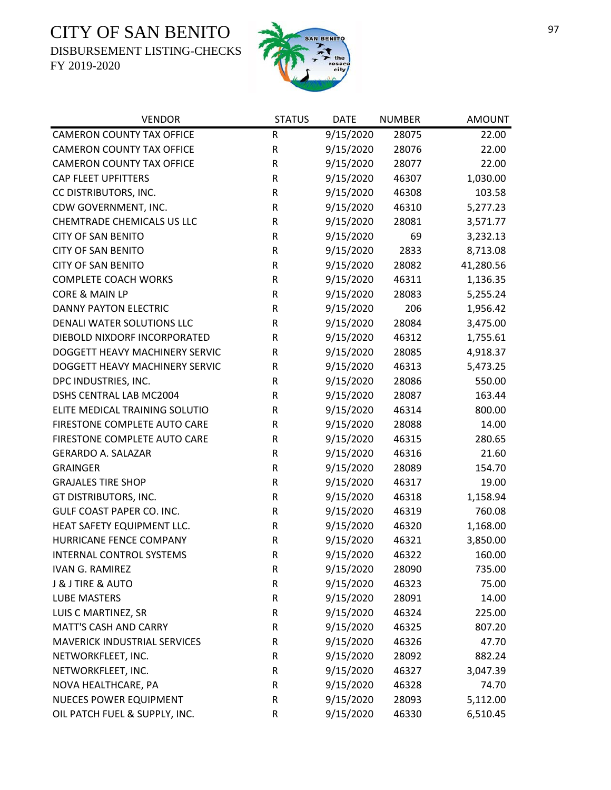DISBURSEMENT LISTING-CHECKS



| <b>VENDOR</b>                       | <b>STATUS</b> | <b>DATE</b> | <b>NUMBER</b> | <b>AMOUNT</b> |
|-------------------------------------|---------------|-------------|---------------|---------------|
| <b>CAMERON COUNTY TAX OFFICE</b>    | R             | 9/15/2020   | 28075         | 22.00         |
| <b>CAMERON COUNTY TAX OFFICE</b>    | $\mathsf R$   | 9/15/2020   | 28076         | 22.00         |
| <b>CAMERON COUNTY TAX OFFICE</b>    | ${\sf R}$     | 9/15/2020   | 28077         | 22.00         |
| <b>CAP FLEET UPFITTERS</b>          | $\mathsf R$   | 9/15/2020   | 46307         | 1,030.00      |
| CC DISTRIBUTORS, INC.               | ${\sf R}$     | 9/15/2020   | 46308         | 103.58        |
| CDW GOVERNMENT, INC.                | ${\sf R}$     | 9/15/2020   | 46310         | 5,277.23      |
| CHEMTRADE CHEMICALS US LLC          | ${\sf R}$     | 9/15/2020   | 28081         | 3,571.77      |
| <b>CITY OF SAN BENITO</b>           | ${\sf R}$     | 9/15/2020   | 69            | 3,232.13      |
| <b>CITY OF SAN BENITO</b>           | ${\sf R}$     | 9/15/2020   | 2833          | 8,713.08      |
| <b>CITY OF SAN BENITO</b>           | ${\sf R}$     | 9/15/2020   | 28082         | 41,280.56     |
| <b>COMPLETE COACH WORKS</b>         | ${\sf R}$     | 9/15/2020   | 46311         | 1,136.35      |
| CORE & MAIN LP                      | ${\sf R}$     | 9/15/2020   | 28083         | 5,255.24      |
| <b>DANNY PAYTON ELECTRIC</b>        | ${\sf R}$     | 9/15/2020   | 206           | 1,956.42      |
| DENALI WATER SOLUTIONS LLC          | R             | 9/15/2020   | 28084         | 3,475.00      |
| DIEBOLD NIXDORF INCORPORATED        | ${\sf R}$     | 9/15/2020   | 46312         | 1,755.61      |
| DOGGETT HEAVY MACHINERY SERVIC      | ${\sf R}$     | 9/15/2020   | 28085         | 4,918.37      |
| DOGGETT HEAVY MACHINERY SERVIC      | ${\sf R}$     | 9/15/2020   | 46313         | 5,473.25      |
| DPC INDUSTRIES, INC.                | R             | 9/15/2020   | 28086         | 550.00        |
| <b>DSHS CENTRAL LAB MC2004</b>      | R             | 9/15/2020   | 28087         | 163.44        |
| ELITE MEDICAL TRAINING SOLUTIO      | R             | 9/15/2020   | 46314         | 800.00        |
| FIRESTONE COMPLETE AUTO CARE        | ${\sf R}$     | 9/15/2020   | 28088         | 14.00         |
| FIRESTONE COMPLETE AUTO CARE        | ${\sf R}$     | 9/15/2020   | 46315         | 280.65        |
| <b>GERARDO A. SALAZAR</b>           | $\mathsf R$   | 9/15/2020   | 46316         | 21.60         |
| <b>GRAINGER</b>                     | ${\sf R}$     | 9/15/2020   | 28089         | 154.70        |
| <b>GRAJALES TIRE SHOP</b>           | ${\sf R}$     | 9/15/2020   | 46317         | 19.00         |
| GT DISTRIBUTORS, INC.               | ${\sf R}$     | 9/15/2020   | 46318         | 1,158.94      |
| GULF COAST PAPER CO. INC.           | ${\sf R}$     | 9/15/2020   | 46319         | 760.08        |
| HEAT SAFETY EQUIPMENT LLC.          | ${\sf R}$     | 9/15/2020   | 46320         | 1,168.00      |
| HURRICANE FENCE COMPANY             | ${\sf R}$     | 9/15/2020   | 46321         | 3,850.00      |
| INTERNAL CONTROL SYSTEMS            | $\mathsf R$   | 9/15/2020   | 46322         | 160.00        |
| <b>IVAN G. RAMIREZ</b>              | R             | 9/15/2020   | 28090         | 735.00        |
| J & J TIRE & AUTO                   | ${\sf R}$     | 9/15/2020   | 46323         | 75.00         |
| <b>LUBE MASTERS</b>                 | ${\sf R}$     | 9/15/2020   | 28091         | 14.00         |
| LUIS C MARTINEZ, SR                 | ${\sf R}$     | 9/15/2020   | 46324         | 225.00        |
| <b>MATT'S CASH AND CARRY</b>        | R             | 9/15/2020   | 46325         | 807.20        |
| <b>MAVERICK INDUSTRIAL SERVICES</b> | ${\sf R}$     | 9/15/2020   | 46326         | 47.70         |
| NETWORKFLEET, INC.                  | R             | 9/15/2020   | 28092         | 882.24        |
| NETWORKFLEET, INC.                  | ${\sf R}$     | 9/15/2020   | 46327         | 3,047.39      |
| NOVA HEALTHCARE, PA                 | ${\sf R}$     | 9/15/2020   | 46328         | 74.70         |
| <b>NUECES POWER EQUIPMENT</b>       | ${\sf R}$     | 9/15/2020   | 28093         | 5,112.00      |
| OIL PATCH FUEL & SUPPLY, INC.       | ${\sf R}$     | 9/15/2020   | 46330         | 6,510.45      |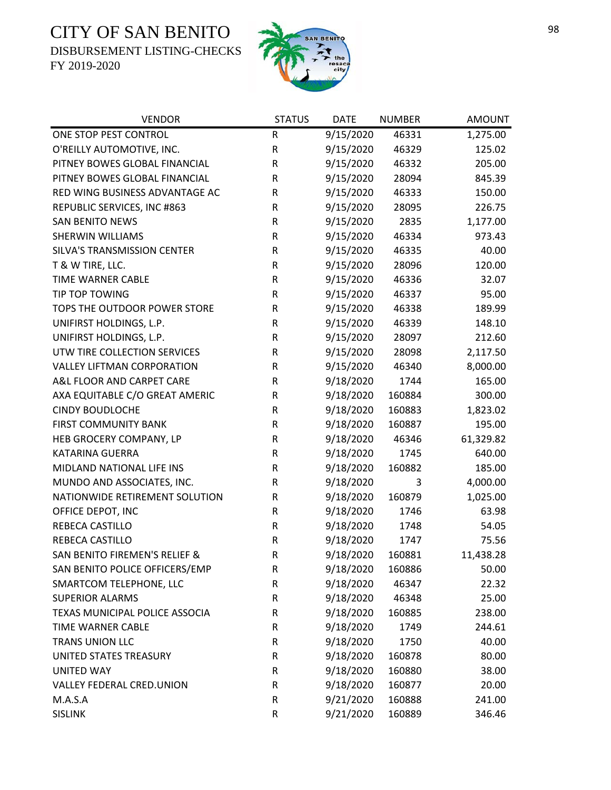DISBURSEMENT LISTING-CHECKS



| <b>VENDOR</b>                     | <b>STATUS</b> | <b>DATE</b> | <b>NUMBER</b> | <b>AMOUNT</b> |
|-----------------------------------|---------------|-------------|---------------|---------------|
| ONE STOP PEST CONTROL             | R             | 9/15/2020   | 46331         | 1,275.00      |
| O'REILLY AUTOMOTIVE, INC.         | R             | 9/15/2020   | 46329         | 125.02        |
| PITNEY BOWES GLOBAL FINANCIAL     | $\mathsf R$   | 9/15/2020   | 46332         | 205.00        |
| PITNEY BOWES GLOBAL FINANCIAL     | R             | 9/15/2020   | 28094         | 845.39        |
| RED WING BUSINESS ADVANTAGE AC    | R             | 9/15/2020   | 46333         | 150.00        |
| REPUBLIC SERVICES, INC #863       | ${\sf R}$     | 9/15/2020   | 28095         | 226.75        |
| <b>SAN BENITO NEWS</b>            | R             | 9/15/2020   | 2835          | 1,177.00      |
| SHERWIN WILLIAMS                  | R             | 9/15/2020   | 46334         | 973.43        |
| SILVA'S TRANSMISSION CENTER       | ${\sf R}$     | 9/15/2020   | 46335         | 40.00         |
| T & W TIRE, LLC.                  | R             | 9/15/2020   | 28096         | 120.00        |
| TIME WARNER CABLE                 | R             | 9/15/2020   | 46336         | 32.07         |
| TIP TOP TOWING                    | ${\sf R}$     | 9/15/2020   | 46337         | 95.00         |
| TOPS THE OUTDOOR POWER STORE      | R             | 9/15/2020   | 46338         | 189.99        |
| UNIFIRST HOLDINGS, L.P.           | R             | 9/15/2020   | 46339         | 148.10        |
| UNIFIRST HOLDINGS, L.P.           | R             | 9/15/2020   | 28097         | 212.60        |
| UTW TIRE COLLECTION SERVICES      | R             | 9/15/2020   | 28098         | 2,117.50      |
| <b>VALLEY LIFTMAN CORPORATION</b> | R             | 9/15/2020   | 46340         | 8,000.00      |
| A&L FLOOR AND CARPET CARE         | R             | 9/18/2020   | 1744          | 165.00        |
| AXA EQUITABLE C/O GREAT AMERIC    | R             | 9/18/2020   | 160884        | 300.00        |
| <b>CINDY BOUDLOCHE</b>            | R             | 9/18/2020   | 160883        | 1,823.02      |
| FIRST COMMUNITY BANK              | R             | 9/18/2020   | 160887        | 195.00        |
| HEB GROCERY COMPANY, LP           | R             | 9/18/2020   | 46346         | 61,329.82     |
| <b>KATARINA GUERRA</b>            | R             | 9/18/2020   | 1745          | 640.00        |
| MIDLAND NATIONAL LIFE INS         | R             | 9/18/2020   | 160882        | 185.00        |
| MUNDO AND ASSOCIATES, INC.        | ${\sf R}$     | 9/18/2020   | 3             | 4,000.00      |
| NATIONWIDE RETIREMENT SOLUTION    | R             | 9/18/2020   | 160879        | 1,025.00      |
| OFFICE DEPOT, INC                 | R             | 9/18/2020   | 1746          | 63.98         |
| REBECA CASTILLO                   | R             | 9/18/2020   | 1748          | 54.05         |
| REBECA CASTILLO                   | ${\sf R}$     | 9/18/2020   | 1747          | 75.56         |
| SAN BENITO FIREMEN'S RELIEF &     | $\mathsf{R}$  | 9/18/2020   | 160881        | 11,438.28     |
| SAN BENITO POLICE OFFICERS/EMP    | R             | 9/18/2020   | 160886        | 50.00         |
| SMARTCOM TELEPHONE, LLC           | R             | 9/18/2020   | 46347         | 22.32         |
| <b>SUPERIOR ALARMS</b>            | R             | 9/18/2020   | 46348         | 25.00         |
| TEXAS MUNICIPAL POLICE ASSOCIA    | R             | 9/18/2020   | 160885        | 238.00        |
| TIME WARNER CABLE                 | R             | 9/18/2020   | 1749          | 244.61        |
| <b>TRANS UNION LLC</b>            | R             | 9/18/2020   | 1750          | 40.00         |
| UNITED STATES TREASURY            | R             | 9/18/2020   | 160878        | 80.00         |
| <b>UNITED WAY</b>                 | R             | 9/18/2020   | 160880        | 38.00         |
| VALLEY FEDERAL CRED.UNION         | R             | 9/18/2020   | 160877        | 20.00         |
| M.A.S.A                           | $\mathsf R$   | 9/21/2020   | 160888        | 241.00        |
| <b>SISLINK</b>                    | ${\sf R}$     | 9/21/2020   | 160889        | 346.46        |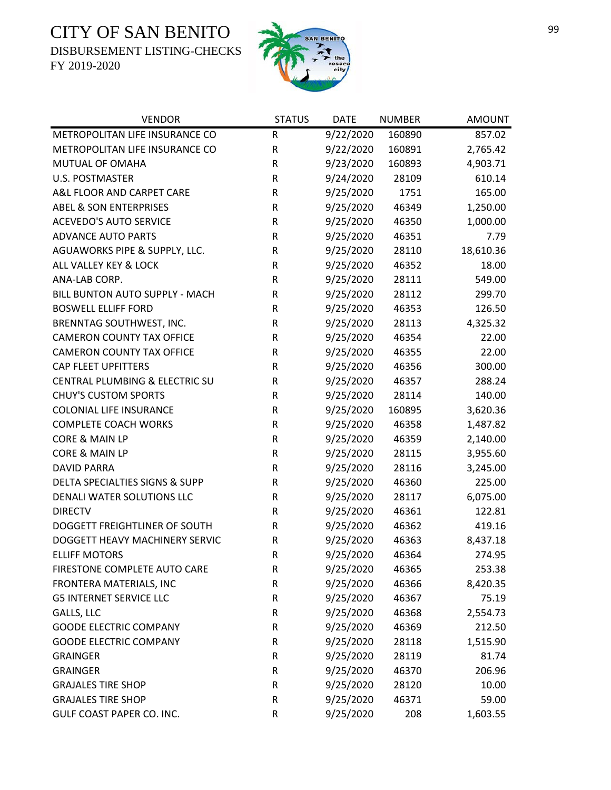DISBURSEMENT LISTING-CHECKS



| <b>VENDOR</b>                     | <b>STATUS</b> | <b>DATE</b> | <b>NUMBER</b> | <b>AMOUNT</b> |
|-----------------------------------|---------------|-------------|---------------|---------------|
| METROPOLITAN LIFE INSURANCE CO    | ${\sf R}$     | 9/22/2020   | 160890        | 857.02        |
| METROPOLITAN LIFE INSURANCE CO    | R             | 9/22/2020   | 160891        | 2,765.42      |
| MUTUAL OF OMAHA                   | R             | 9/23/2020   | 160893        | 4,903.71      |
| <b>U.S. POSTMASTER</b>            | R             | 9/24/2020   | 28109         | 610.14        |
| A&L FLOOR AND CARPET CARE         | R             | 9/25/2020   | 1751          | 165.00        |
| <b>ABEL &amp; SON ENTERPRISES</b> | R             | 9/25/2020   | 46349         | 1,250.00      |
| <b>ACEVEDO'S AUTO SERVICE</b>     | R             | 9/25/2020   | 46350         | 1,000.00      |
| <b>ADVANCE AUTO PARTS</b>         | R             | 9/25/2020   | 46351         | 7.79          |
| AGUAWORKS PIPE & SUPPLY, LLC.     | R             | 9/25/2020   | 28110         | 18,610.36     |
| ALL VALLEY KEY & LOCK             | ${\sf R}$     | 9/25/2020   | 46352         | 18.00         |
| ANA-LAB CORP.                     | ${\sf R}$     | 9/25/2020   | 28111         | 549.00        |
| BILL BUNTON AUTO SUPPLY - MACH    | R             | 9/25/2020   | 28112         | 299.70        |
| <b>BOSWELL ELLIFF FORD</b>        | R             | 9/25/2020   | 46353         | 126.50        |
| BRENNTAG SOUTHWEST, INC.          | ${\sf R}$     | 9/25/2020   | 28113         | 4,325.32      |
| <b>CAMERON COUNTY TAX OFFICE</b>  | R             | 9/25/2020   | 46354         | 22.00         |
| <b>CAMERON COUNTY TAX OFFICE</b>  | ${\sf R}$     | 9/25/2020   | 46355         | 22.00         |
| <b>CAP FLEET UPFITTERS</b>        | R             | 9/25/2020   | 46356         | 300.00        |
| CENTRAL PLUMBING & ELECTRIC SU    | ${\sf R}$     | 9/25/2020   | 46357         | 288.24        |
| <b>CHUY'S CUSTOM SPORTS</b>       | R             | 9/25/2020   | 28114         | 140.00        |
| <b>COLONIAL LIFE INSURANCE</b>    | R             | 9/25/2020   | 160895        | 3,620.36      |
| <b>COMPLETE COACH WORKS</b>       | ${\sf R}$     | 9/25/2020   | 46358         | 1,487.82      |
| CORE & MAIN LP                    | R             | 9/25/2020   | 46359         | 2,140.00      |
| <b>CORE &amp; MAIN LP</b>         | R             | 9/25/2020   | 28115         | 3,955.60      |
| <b>DAVID PARRA</b>                | R             | 9/25/2020   | 28116         | 3,245.00      |
| DELTA SPECIALTIES SIGNS & SUPP    | R             | 9/25/2020   | 46360         | 225.00        |
| DENALI WATER SOLUTIONS LLC        | R             | 9/25/2020   | 28117         | 6,075.00      |
| <b>DIRECTV</b>                    | R             | 9/25/2020   | 46361         | 122.81        |
| DOGGETT FREIGHTLINER OF SOUTH     | R             | 9/25/2020   | 46362         | 419.16        |
| DOGGETT HEAVY MACHINERY SERVIC    | ${\sf R}$     | 9/25/2020   | 46363         | 8,437.18      |
| <b>ELLIFF MOTORS</b>              | $\mathsf{R}$  | 9/25/2020   | 46364         | 274.95        |
| FIRESTONE COMPLETE AUTO CARE      | R             | 9/25/2020   | 46365         | 253.38        |
| FRONTERA MATERIALS, INC           | R             | 9/25/2020   | 46366         | 8,420.35      |
| <b>G5 INTERNET SERVICE LLC</b>    | R             | 9/25/2020   | 46367         | 75.19         |
| GALLS, LLC                        | R             | 9/25/2020   | 46368         | 2,554.73      |
| <b>GOODE ELECTRIC COMPANY</b>     | R             | 9/25/2020   | 46369         | 212.50        |
| <b>GOODE ELECTRIC COMPANY</b>     | R             | 9/25/2020   | 28118         | 1,515.90      |
| <b>GRAINGER</b>                   | R             | 9/25/2020   | 28119         | 81.74         |
| <b>GRAINGER</b>                   | R             | 9/25/2020   | 46370         | 206.96        |
| <b>GRAJALES TIRE SHOP</b>         | R             | 9/25/2020   | 28120         | 10.00         |
| <b>GRAJALES TIRE SHOP</b>         | R             | 9/25/2020   | 46371         | 59.00         |
| GULF COAST PAPER CO. INC.         | R             | 9/25/2020   | 208           | 1,603.55      |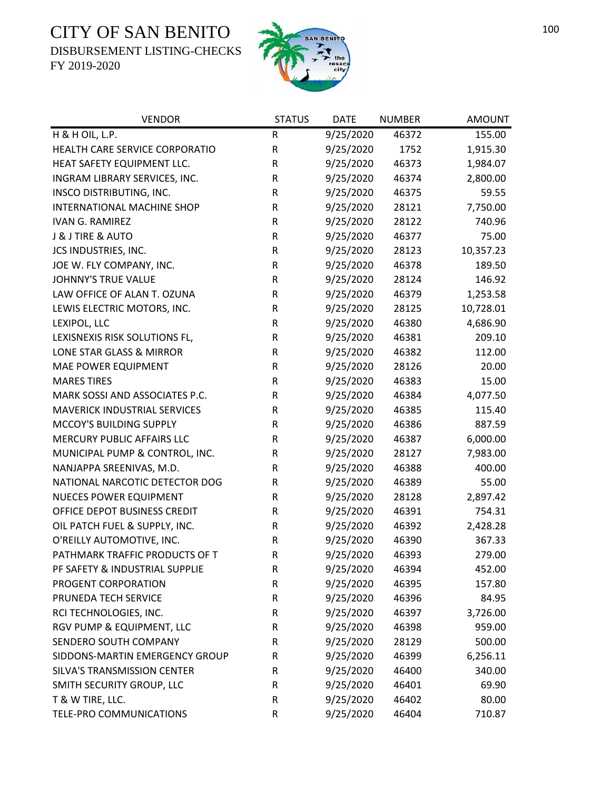DISBURSEMENT LISTING-CHECKS



| <b>VENDOR</b>                       | <b>STATUS</b> | <b>DATE</b> | <b>NUMBER</b> | <b>AMOUNT</b> |
|-------------------------------------|---------------|-------------|---------------|---------------|
| H & H OIL, L.P.                     | R             | 9/25/2020   | 46372         | 155.00        |
| HEALTH CARE SERVICE CORPORATIO      | ${\sf R}$     | 9/25/2020   | 1752          | 1,915.30      |
| HEAT SAFETY EQUIPMENT LLC.          | $\mathsf R$   | 9/25/2020   | 46373         | 1,984.07      |
| INGRAM LIBRARY SERVICES, INC.       | R             | 9/25/2020   | 46374         | 2,800.00      |
| INSCO DISTRIBUTING, INC.            | R             | 9/25/2020   | 46375         | 59.55         |
| INTERNATIONAL MACHINE SHOP          | ${\sf R}$     | 9/25/2020   | 28121         | 7,750.00      |
| <b>IVAN G. RAMIREZ</b>              | R             | 9/25/2020   | 28122         | 740.96        |
| J & J TIRE & AUTO                   | ${\sf R}$     | 9/25/2020   | 46377         | 75.00         |
| JCS INDUSTRIES, INC.                | ${\sf R}$     | 9/25/2020   | 28123         | 10,357.23     |
| JOE W. FLY COMPANY, INC.            | R             | 9/25/2020   | 46378         | 189.50        |
| <b>JOHNNY'S TRUE VALUE</b>          | ${\sf R}$     | 9/25/2020   | 28124         | 146.92        |
| LAW OFFICE OF ALAN T. OZUNA         | ${\sf R}$     | 9/25/2020   | 46379         | 1,253.58      |
| LEWIS ELECTRIC MOTORS, INC.         | ${\sf R}$     | 9/25/2020   | 28125         | 10,728.01     |
| LEXIPOL, LLC                        | R             | 9/25/2020   | 46380         | 4,686.90      |
| LEXISNEXIS RISK SOLUTIONS FL,       | R             | 9/25/2020   | 46381         | 209.10        |
| LONE STAR GLASS & MIRROR            | ${\sf R}$     | 9/25/2020   | 46382         | 112.00        |
| MAE POWER EQUIPMENT                 | R             | 9/25/2020   | 28126         | 20.00         |
| <b>MARES TIRES</b>                  | ${\sf R}$     | 9/25/2020   | 46383         | 15.00         |
| MARK SOSSI AND ASSOCIATES P.C.      | ${\sf R}$     | 9/25/2020   | 46384         | 4,077.50      |
| <b>MAVERICK INDUSTRIAL SERVICES</b> | R             | 9/25/2020   | 46385         | 115.40        |
| MCCOY'S BUILDING SUPPLY             | ${\sf R}$     | 9/25/2020   | 46386         | 887.59        |
| MERCURY PUBLIC AFFAIRS LLC          | R             | 9/25/2020   | 46387         | 6,000.00      |
| MUNICIPAL PUMP & CONTROL, INC.      | R             | 9/25/2020   | 28127         | 7,983.00      |
| NANJAPPA SREENIVAS, M.D.            | R             | 9/25/2020   | 46388         | 400.00        |
| NATIONAL NARCOTIC DETECTOR DOG      | R             | 9/25/2020   | 46389         | 55.00         |
| NUECES POWER EQUIPMENT              | R             | 9/25/2020   | 28128         | 2,897.42      |
| OFFICE DEPOT BUSINESS CREDIT        | ${\sf R}$     | 9/25/2020   | 46391         | 754.31        |
| OIL PATCH FUEL & SUPPLY, INC.       | ${\sf R}$     | 9/25/2020   | 46392         | 2,428.28      |
| O'REILLY AUTOMOTIVE, INC.           | ${\sf R}$     | 9/25/2020   | 46390         | 367.33        |
| PATHMARK TRAFFIC PRODUCTS OF T      | $\mathsf R$   | 9/25/2020   | 46393         | 279.00        |
| PF SAFETY & INDUSTRIAL SUPPLIE      | R             | 9/25/2020   | 46394         | 452.00        |
| PROGENT CORPORATION                 | ${\sf R}$     | 9/25/2020   | 46395         | 157.80        |
| PRUNEDA TECH SERVICE                | R             | 9/25/2020   | 46396         | 84.95         |
| RCI TECHNOLOGIES, INC.              | R             | 9/25/2020   | 46397         | 3,726.00      |
| RGV PUMP & EQUIPMENT, LLC           | R             | 9/25/2020   | 46398         | 959.00        |
| SENDERO SOUTH COMPANY               | R             | 9/25/2020   | 28129         | 500.00        |
| SIDDONS-MARTIN EMERGENCY GROUP      | R             | 9/25/2020   | 46399         | 6,256.11      |
| SILVA'S TRANSMISSION CENTER         | R             | 9/25/2020   | 46400         | 340.00        |
| SMITH SECURITY GROUP, LLC           | R             | 9/25/2020   | 46401         | 69.90         |
| T & W TIRE, LLC.                    | ${\sf R}$     | 9/25/2020   | 46402         | 80.00         |
| TELE-PRO COMMUNICATIONS             | ${\sf R}$     | 9/25/2020   | 46404         | 710.87        |